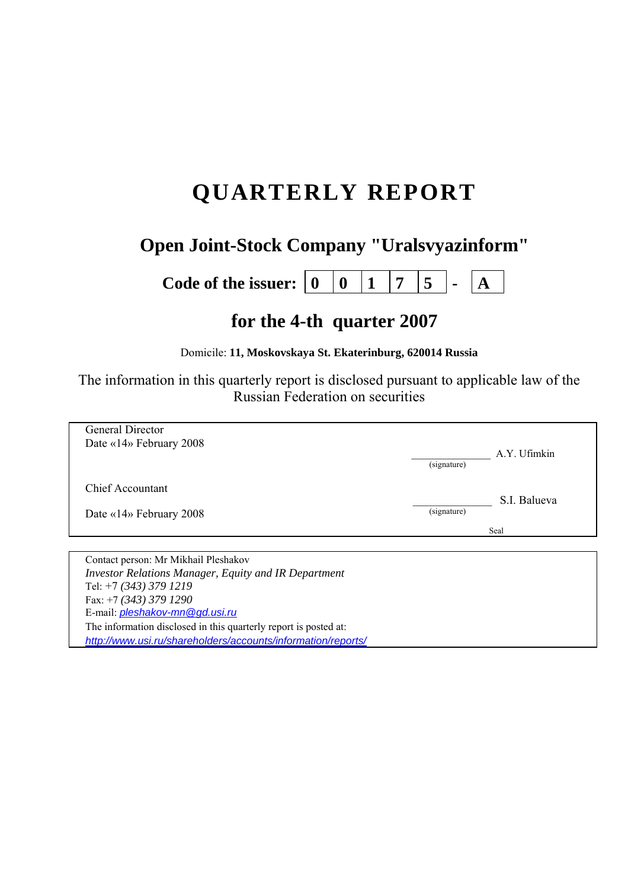# **QUARTERLY REPORT**

# **Open Joint-Stock Company "Uralsvyazinform"**

**Code of the issuer:**  $\begin{bmatrix} 0 & 0 & 1 & 7 & 5 & - \\ 0 & 0 & 1 & 7 & 5 & - \\ 0 & 0 & 0 & 0 & 0 & 0 \\ 0 & 0 & 0 & 0 & 0 & 0 \\ 0 & 0 & 0 & 0 & 0 & 0 \\ 0 & 0 & 0 & 0 & 0 & 0 \\ 0 & 0 & 0 & 0 & 0 & 0 \\ 0 & 0 & 0 & 0 & 0 & 0 \\ 0 & 0 & 0 & 0 & 0 & 0 \\ 0 & 0 & 0 & 0 & 0 & 0 & 0 \\ 0 & 0 & 0 & 0$ 

# **for the 4-th quarter 2007**

Domicile: **11, Moskovskaya St. Ekaterinburg, 620014 Russia** 

The information in this quarterly report is disclosed pursuant to applicable law of the Russian Federation on securities

| General Director                               |                             |
|------------------------------------------------|-----------------------------|
| Date «14» February 2008                        | A.Y. Ufimkin                |
|                                                | (signature)                 |
| <b>Chief Accountant</b>                        |                             |
|                                                | S.I. Balueva<br>(signature) |
| Date «14» February 2008                        |                             |
|                                                | Seal                        |
|                                                |                             |
| Contact person: Mr Mikhail Pleshakov<br>.<br>. |                             |

*Investor Relations Manager, Equity and IR Department*  Tel: +7 *(343) 379 1219* Fax: +7 *(343) 379 1290* E-mail: *pleshakov-mn@gd.usi.ru*  The information disclosed in this quarterly report is posted at: *http://www.usi.ru/shareholders/accounts/information/reports/*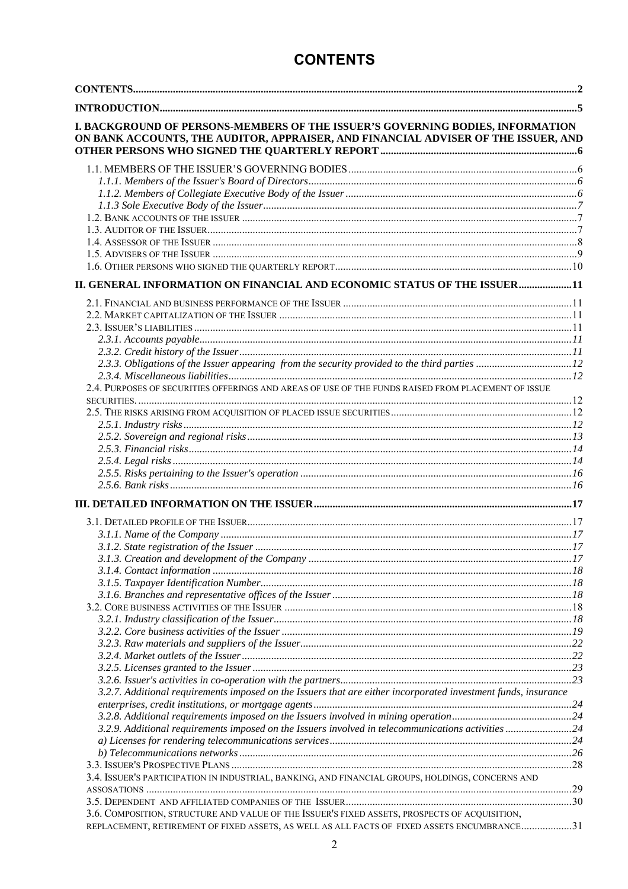# **CONTENTS**

| I. BACKGROUND OF PERSONS-MEMBERS OF THE ISSUER'S GOVERNING BODIES, INFORMATION<br>ON BANK ACCOUNTS, THE AUDITOR, APPRAISER, AND FINANCIAL ADVISER OF THE ISSUER, AND |  |
|----------------------------------------------------------------------------------------------------------------------------------------------------------------------|--|
|                                                                                                                                                                      |  |
|                                                                                                                                                                      |  |
|                                                                                                                                                                      |  |
|                                                                                                                                                                      |  |
|                                                                                                                                                                      |  |
|                                                                                                                                                                      |  |
|                                                                                                                                                                      |  |
|                                                                                                                                                                      |  |
| II. GENERAL INFORMATION ON FINANCIAL AND ECONOMIC STATUS OF THE ISSUER11                                                                                             |  |
|                                                                                                                                                                      |  |
|                                                                                                                                                                      |  |
|                                                                                                                                                                      |  |
|                                                                                                                                                                      |  |
|                                                                                                                                                                      |  |
|                                                                                                                                                                      |  |
|                                                                                                                                                                      |  |
| 2.4. PURPOSES OF SECURITIES OFFERINGS AND AREAS OF USE OF THE FUNDS RAISED FROM PLACEMENT OF ISSUE                                                                   |  |
|                                                                                                                                                                      |  |
|                                                                                                                                                                      |  |
|                                                                                                                                                                      |  |
|                                                                                                                                                                      |  |
|                                                                                                                                                                      |  |
|                                                                                                                                                                      |  |
|                                                                                                                                                                      |  |
|                                                                                                                                                                      |  |
|                                                                                                                                                                      |  |
|                                                                                                                                                                      |  |
|                                                                                                                                                                      |  |
|                                                                                                                                                                      |  |
|                                                                                                                                                                      |  |
|                                                                                                                                                                      |  |
|                                                                                                                                                                      |  |
|                                                                                                                                                                      |  |
| 3.2.2. Core business activities of the Issuer manumum contained and the set of the Issuer manumum of the Issuer                                                      |  |
|                                                                                                                                                                      |  |
|                                                                                                                                                                      |  |
|                                                                                                                                                                      |  |
|                                                                                                                                                                      |  |
| 3.2.7. Additional requirements imposed on the Issuers that are either incorporated investment funds, insurance                                                       |  |
|                                                                                                                                                                      |  |
|                                                                                                                                                                      |  |
| 3.2.9. Additional requirements imposed on the Issuers involved in telecommunications activities24                                                                    |  |
|                                                                                                                                                                      |  |
|                                                                                                                                                                      |  |
| 3.4. ISSUER'S PARTICIPATION IN INDUSTRIAL, BANKING, AND FINANCIAL GROUPS, HOLDINGS, CONCERNS AND                                                                     |  |
|                                                                                                                                                                      |  |
|                                                                                                                                                                      |  |
| 3.6. COMPOSITION, STRUCTURE AND VALUE OF THE ISSUER'S FIXED ASSETS, PROSPECTS OF ACQUISITION,                                                                        |  |
| REPLACEMENT, RETIREMENT OF FIXED ASSETS, AS WELL AS ALL FACTS OF FIXED ASSETS ENCUMBRANCE31                                                                          |  |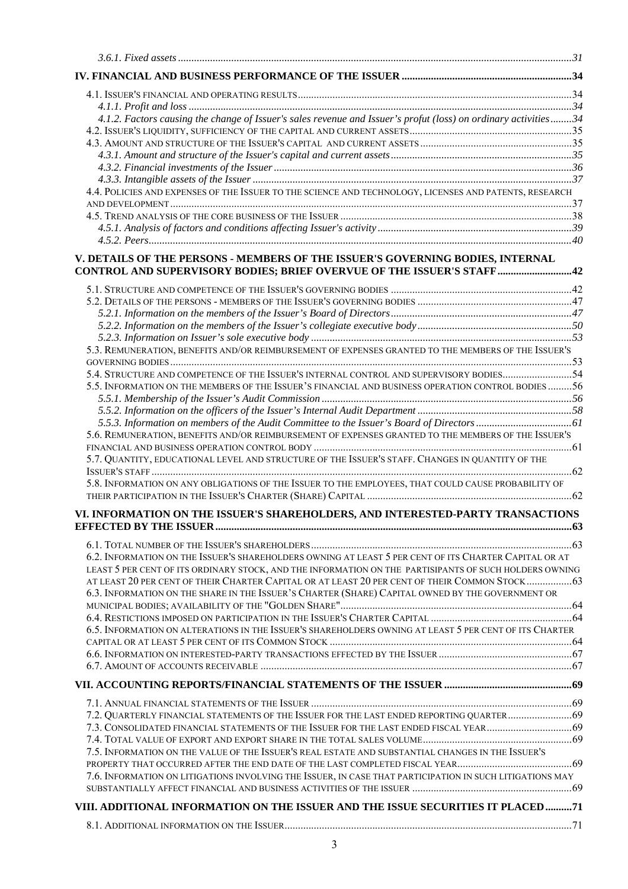| 4.1.2. Factors causing the change of Issuer's sales revenue and Issuer's profut (loss) on ordinary activities34                                                 |  |
|-----------------------------------------------------------------------------------------------------------------------------------------------------------------|--|
|                                                                                                                                                                 |  |
|                                                                                                                                                                 |  |
|                                                                                                                                                                 |  |
|                                                                                                                                                                 |  |
| 4.4. POLICIES AND EXPENSES OF THE ISSUER TO THE SCIENCE AND TECHNOLOGY, LICENSES AND PATENTS, RESEARCH                                                          |  |
|                                                                                                                                                                 |  |
|                                                                                                                                                                 |  |
|                                                                                                                                                                 |  |
|                                                                                                                                                                 |  |
| V. DETAILS OF THE PERSONS - MEMBERS OF THE ISSUER'S GOVERNING BODIES, INTERNAL<br><b>CONTROL AND SUPERVISORY BODIES; BRIEF OVERVUE OF THE ISSUER'S STAFF 42</b> |  |
|                                                                                                                                                                 |  |
|                                                                                                                                                                 |  |
|                                                                                                                                                                 |  |
|                                                                                                                                                                 |  |
|                                                                                                                                                                 |  |
| 5.3. REMUNERATION, BENEFITS AND/OR REIMBURSEMENT OF EXPENSES GRANTED TO THE MEMBERS OF THE ISSUER'S                                                             |  |
|                                                                                                                                                                 |  |
| 5.4. STRUCTURE AND COMPETENCE OF THE ISSUER'S INTERNAL CONTROL AND SUPERVISORY BODIES54                                                                         |  |
| 5.5. INFORMATION ON THE MEMBERS OF THE ISSUER'S FINANCIAL AND BUSINESS OPERATION CONTROL BODIES56                                                               |  |
|                                                                                                                                                                 |  |
|                                                                                                                                                                 |  |
| 5.6. REMUNERATION, BENEFITS AND/OR REIMBURSEMENT OF EXPENSES GRANTED TO THE MEMBERS OF THE ISSUER'S                                                             |  |
| 5.7. QUANTITY, EDUCATIONAL LEVEL AND STRUCTURE OF THE ISSUER'S STAFF. CHANGES IN QUANTITY OF THE                                                                |  |
|                                                                                                                                                                 |  |
| 5.8. INFORMATION ON ANY OBLIGATIONS OF THE ISSUER TO THE EMPLOYEES, THAT COULD CAUSE PROBABILITY OF                                                             |  |
|                                                                                                                                                                 |  |
| VI. INFORMATION ON THE ISSUER'S SHAREHOLDERS, AND INTERESTED-PARTY TRANSACTIONS                                                                                 |  |
|                                                                                                                                                                 |  |
|                                                                                                                                                                 |  |
| 6.2. INFORMATION ON THE ISSUER'S SHAREHOLDERS OWNING AT LEAST 5 PER CENT OF ITS CHARTER CAPITAL OR AT                                                           |  |
| LEAST 5 PER CENT OF ITS ORDINARY STOCK, AND THE INFORMATION ON THE PARTISIPANTS OF SUCH HOLDERS OWNING                                                          |  |
| AT LEAST 20 PER CENT OF THEIR CHARTER CAPITAL OR AT LEAST 20 PER CENT OF THEIR COMMON STOCK 63                                                                  |  |
| 6.3. INFORMATION ON THE SHARE IN THE ISSUER'S CHARTER (SHARE) CAPITAL OWNED BY THE GOVERNMENT OR                                                                |  |
|                                                                                                                                                                 |  |
| 6.5. INFORMATION ON ALTERATIONS IN THE ISSUER'S SHAREHOLDERS OWNING AT LEAST 5 PER CENT OF ITS CHARTER                                                          |  |
|                                                                                                                                                                 |  |
|                                                                                                                                                                 |  |
|                                                                                                                                                                 |  |
|                                                                                                                                                                 |  |
|                                                                                                                                                                 |  |
| 7.2. QUARTERLY FINANCIAL STATEMENTS OF THE ISSUER FOR THE LAST ENDED REPORTING QUARTER69                                                                        |  |
|                                                                                                                                                                 |  |
| 7.5. INFORMATION ON THE VALUE OF THE ISSUER'S REAL ESTATE AND SUBSTANTIAL CHANGES IN THE ISSUER'S                                                               |  |
|                                                                                                                                                                 |  |
| 7.6. INFORMATION ON LITIGATIONS INVOLVING THE ISSUER, IN CASE THAT PARTICIPATION IN SUCH LITIGATIONS MAY                                                        |  |
|                                                                                                                                                                 |  |
| VIII. ADDITIONAL INFORMATION ON THE ISSUER AND THE ISSUE SECURITIES IT PLACED71                                                                                 |  |
|                                                                                                                                                                 |  |
|                                                                                                                                                                 |  |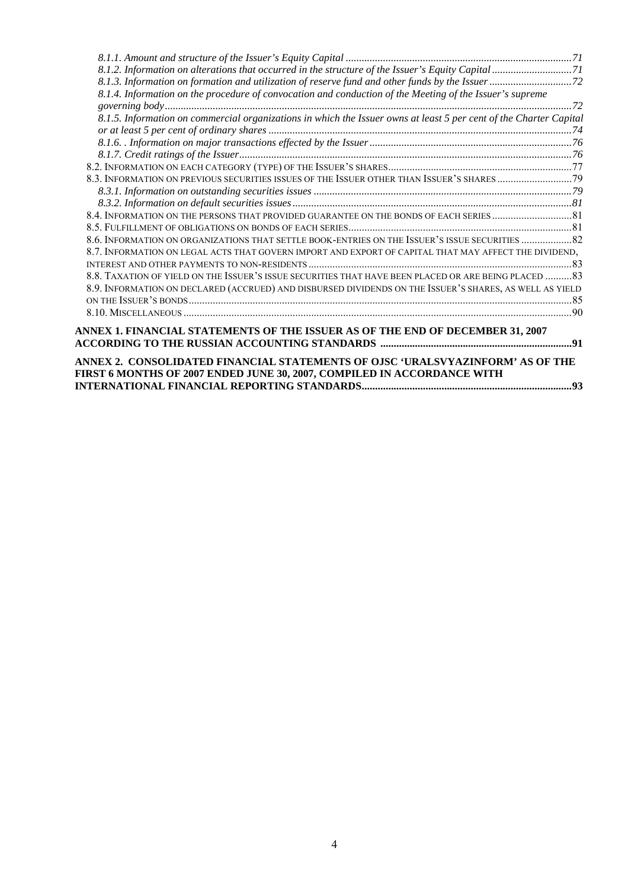| 8.1.4. Information on the procedure of convocation and conduction of the Meeting of the Issuer's supreme           |  |
|--------------------------------------------------------------------------------------------------------------------|--|
|                                                                                                                    |  |
| 8.1.5. Information on commercial organizations in which the Issuer owns at least 5 per cent of the Charter Capital |  |
|                                                                                                                    |  |
|                                                                                                                    |  |
|                                                                                                                    |  |
|                                                                                                                    |  |
|                                                                                                                    |  |
|                                                                                                                    |  |
|                                                                                                                    |  |
|                                                                                                                    |  |
|                                                                                                                    |  |
| 82. S. ANFORMATION ON ORGANIZATIONS THAT SETTLE BOOK-ENTRIES ON THE ISSUER'S ISSUE SECURITIES  82                  |  |
| 8.7. INFORMATION ON LEGAL ACTS THAT GOVERN IMPORT AND EXPORT OF CAPITAL THAT MAY AFFECT THE DIVIDEND,              |  |
|                                                                                                                    |  |
| 8.8. TAXATION OF YIELD ON THE ISSUER'S ISSUE SECURITIES THAT HAVE BEEN PLACED OR ARE BEING PLACED 83               |  |
| 8.9. INFORMATION ON DECLARED (ACCRUED) AND DISBURSED DIVIDENDS ON THE ISSUER'S SHARES, AS WELL AS YIELD            |  |
|                                                                                                                    |  |
|                                                                                                                    |  |
| ANNEX 1. FINANCIAL STATEMENTS OF THE ISSUER AS OF THE END OF DECEMBER 31, 2007                                     |  |
|                                                                                                                    |  |
|                                                                                                                    |  |
| ANNEX 2. CONSOLIDATED FINANCIAL STATEMENTS OF OJSC 'URALSVYAZINFORM' AS OF THE                                     |  |
| FIRST 6 MONTHS OF 2007 ENDED JUNE 30, 2007, COMPILED IN ACCORDANCE WITH                                            |  |
|                                                                                                                    |  |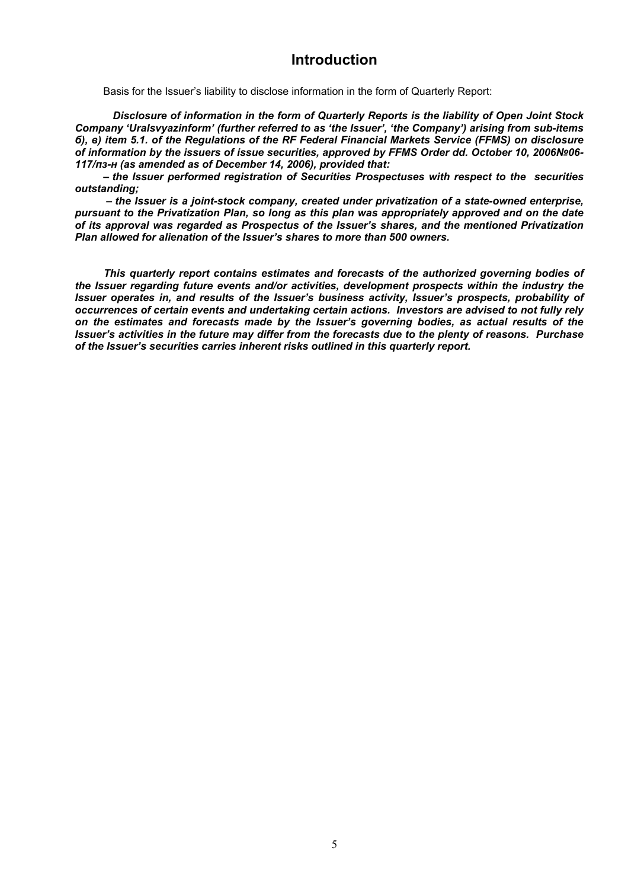# **Introduction**

Basis for the Issuer's liability to disclose information in the form of Quarterly Report:

*Disclosure of information in the form of Quarterly Reports is the liability of Open Joint Stock Company 'Uralsvyazinform' (further referred to as 'the Issuer', 'the Company') arising from sub-items б), в) item 5.1. of the Regulations of the RF Federal Financial Markets Service (FFMS) on disclosure of information by the issuers of issue securities, approved by FFMS Order dd. October 10, 2006№06- 117/пз-н (as amended as of December 14, 2006), provided that:* 

*– the Issuer performed registration of Securities Prospectuses with respect to the securities outstanding;* 

 *– the Issuer is a joint-stock company, created under privatization of a state-owned enterprise, pursuant to the Privatization Plan, so long as this plan was appropriately approved and on the date of its approval was regarded as Prospectus of the Issuer's shares, and the mentioned Privatization Plan allowed for alienation of the Issuer's shares to more than 500 owners.* 

*This quarterly report contains estimates and forecasts of the authorized governing bodies of the Issuer regarding future events and/or activities, development prospects within the industry the Issuer operates in, and results of the Issuer's business activity, Issuer's prospects, probability of occurrences of certain events and undertaking certain actions. Investors are advised to not fully rely on the estimates and forecasts made by the Issuer's governing bodies, as actual results of the Issuer's activities in the future may differ from the forecasts due to the plenty of reasons. Purchase of the Issuer's securities carries inherent risks outlined in this quarterly report.*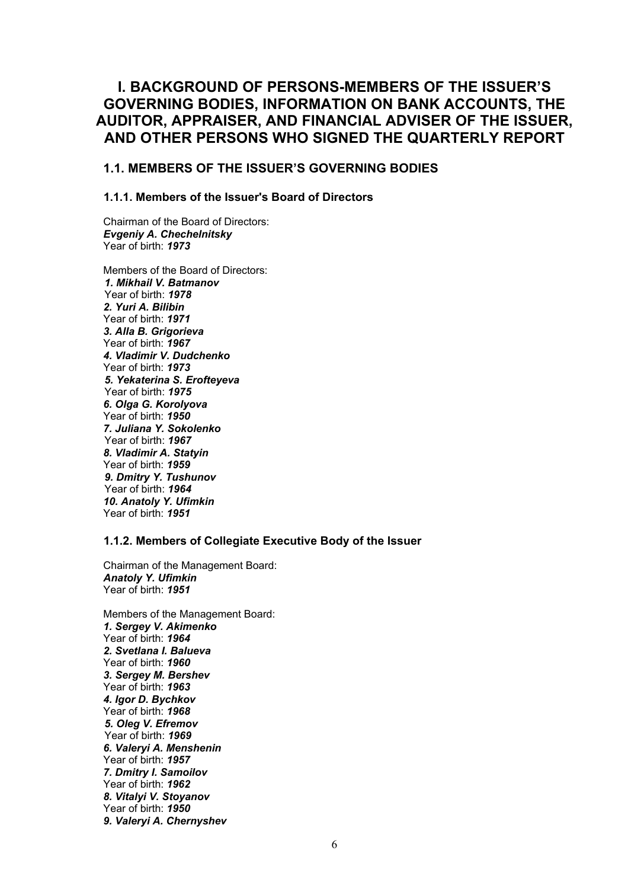# **I. BACKGROUND OF PERSONS-MEMBERS OF THE ISSUER'S GOVERNING BODIES, INFORMATION ON BANK ACCOUNTS, THE AUDITOR, APPRAISER, AND FINANCIAL ADVISER OF THE ISSUER, AND OTHER PERSONS WHO SIGNED THE QUARTERLY REPORT**

# **1.1. МEMBERS OF THE ISSUER'S GOVERNING BODIES**

# **1.1.1. Members of the Issuer's Board of Directors**

Chairman of the Board of Directors: *Evgeniy A. Chechelnitsky*  Year of birth: *1973* 

Members of the Board of Directors: *1. Mikhail V. Batmanov*  Year of birth: *1978 2. Yuri A. Bilibin*  Year of birth: *1971 3. Alla B. Grigorieva*  Year of birth: *1967 4. Vladimir V. Dudchenko*  Year of birth: *1973 5. Yekaterina S. Erofteyeva*  Year of birth: *1975 6. Olga G. Korolyova*  Year of birth: *1950 7. Juliana Y. Sokolenko*  Year of birth: *1967 8. Vladimir A. Statyin*  Year of birth: *1959 9. Dmitry Y. Tushunov* Year of birth: *1964 10. Anatoly Y. Ufimkin*  Year of birth: *1951*

#### **1.1.2. Members of Collegiate Executive Body of the Issuer**

Chairman of the Management Board: *Anatoly Y. Ufimkin*  Year of birth: *1951*

Members of the Management Board: *1. Sergey V. Akimenko*  Year of birth: *1964 2. Svetlana I. Balueva*  Year of birth: *1960 3. Sergey M. Bershev*  Year of birth: *1963 4. Igor D. Bychkov*  Year of birth: *1968 5. Oleg V. Efremov* Year of birth: *1969 6. Valeryi A. Menshenin*  Year of birth: *1957 7. Dmitry I. Samoilov*  Year of birth: *1962 8. Vitalyi V. Stoyanov*  Year of birth: *1950 9. Valeryi A. Chernyshev*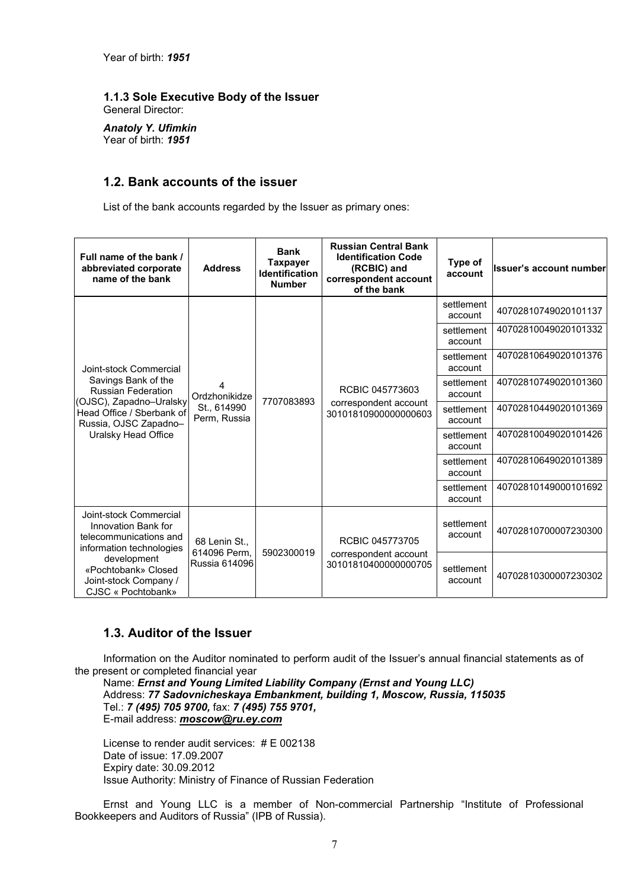#### **1.1.3 Sole Executive Body of the Issuer**  General Director:

*Anatoly Y. Ufimkin*  Year of birth: *1951*

# **1.2. Bank accounts of the issuer**

List of the bank accounts regarded by the Issuer as primary ones:

| Full name of the bank /<br>abbreviated corporate<br>name of the bank                                                                                     | <b>Address</b>                                    | <b>Bank</b><br>Taxpayer<br><b>Identification</b><br><b>Number</b> | <b>Russian Central Bank</b><br><b>Identification Code</b><br>(RCBIC) and<br>correspondent account<br>of the bank | Type of<br>account    | <b>Ilssuer's account number</b> |  |  |  |  |  |  |  |  |  |  |  |  |  |  |  |  |  |                       |                      |
|----------------------------------------------------------------------------------------------------------------------------------------------------------|---------------------------------------------------|-------------------------------------------------------------------|------------------------------------------------------------------------------------------------------------------|-----------------------|---------------------------------|--|--|--|--|--|--|--|--|--|--|--|--|--|--|--|--|--|-----------------------|----------------------|
|                                                                                                                                                          |                                                   | 7707083893                                                        |                                                                                                                  | settlement<br>account | 40702810749020101137            |  |  |  |  |  |  |  |  |  |  |  |  |  |  |  |  |  |                       |                      |
|                                                                                                                                                          |                                                   |                                                                   |                                                                                                                  | settlement<br>account | 40702810049020101332            |  |  |  |  |  |  |  |  |  |  |  |  |  |  |  |  |  |                       |                      |
| Joint-stock Commercial                                                                                                                                   | 4<br>Ordzhonikidze<br>St., 614990<br>Perm, Russia |                                                                   |                                                                                                                  | settlement<br>account | 40702810649020101376            |  |  |  |  |  |  |  |  |  |  |  |  |  |  |  |  |  |                       |                      |
| Savings Bank of the<br><b>Russian Federation</b><br>(OJSC), Zapadno-Uralsky<br>Head Office / Sberbank of<br>Russia, OJSC Zapadno-<br>Uralsky Head Office |                                                   |                                                                   | RCBIC 045773603                                                                                                  | settlement<br>account | 40702810749020101360            |  |  |  |  |  |  |  |  |  |  |  |  |  |  |  |  |  |                       |                      |
|                                                                                                                                                          |                                                   |                                                                   | correspondent account<br>30101810900000000603                                                                    | settlement<br>account | 40702810449020101369            |  |  |  |  |  |  |  |  |  |  |  |  |  |  |  |  |  |                       |                      |
|                                                                                                                                                          |                                                   |                                                                   |                                                                                                                  |                       |                                 |  |  |  |  |  |  |  |  |  |  |  |  |  |  |  |  |  | settlement<br>account | 40702810049020101426 |
|                                                                                                                                                          |                                                   |                                                                   |                                                                                                                  | settlement<br>account | 40702810649020101389            |  |  |  |  |  |  |  |  |  |  |  |  |  |  |  |  |  |                       |                      |
|                                                                                                                                                          |                                                   |                                                                   |                                                                                                                  | settlement<br>account | 40702810149000101692            |  |  |  |  |  |  |  |  |  |  |  |  |  |  |  |  |  |                       |                      |
| Joint-stock Commercial<br>Innovation Bank for<br>telecommunications and<br>68 Lenin St<br>information technologies                                       |                                                   | RCBIC 045773705                                                   | settlement<br>account                                                                                            | 40702810700007230300  |                                 |  |  |  |  |  |  |  |  |  |  |  |  |  |  |  |  |  |                       |                      |
| development<br>«Pochtobank» Closed<br>Joint-stock Company /<br>CJSC « Pochtobank»                                                                        | 614096 Perm.<br><b>Russia 614096</b>              | 5902300019                                                        | correspondent account<br>30101810400000000705                                                                    | settlement<br>account | 40702810300007230302            |  |  |  |  |  |  |  |  |  |  |  |  |  |  |  |  |  |                       |                      |

# **1.3. Auditor of the Issuer**

Information on the Auditor nominated to perform audit of the Issuer's annual financial statements as of the present or completed financial year

Name: *Ernst and Young Limited Liability Company (Ernst and Young LLC)*  Address: *77 Sadovnicheskaya Embankment, building 1, Moscow, Russia, 115035*  Tel.: *7 (495) 705 9700,* fax: *7 (495) 755 9701,*  E-mail address: *moscow@ru.ey.com*

License to render audit services: # Е 002138 Date of issue: 17.09.2007 Expiry date: 30.09.2012 Issue Authority: Ministry of Finance of Russian Federation

Ernst and Young LLC is a member of Non-commercial Partnership "Institute of Professional Bookkeepers and Auditors of Russia" (IPB of Russia).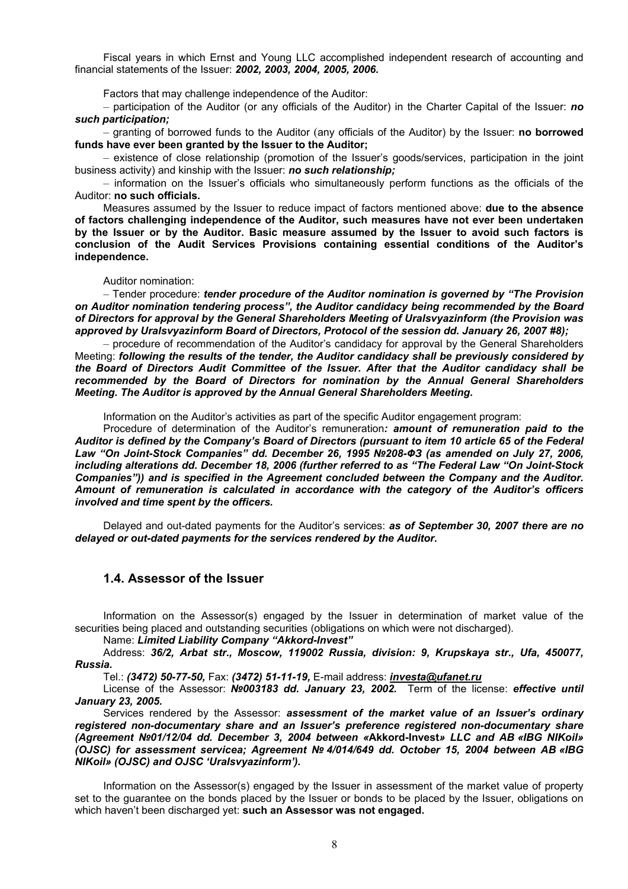Fiscal years in which Ernst and Young LLC accomplished independent research of accounting and financial statements of the Issuer: *2002, 2003, 2004, 2005, 2006.* 

Factors that may challenge independence of the Auditor:

– participation of the Auditor (or any officials of the Auditor) in the Charter Capital of the Issuer: *no such participation;* 

– granting of borrowed funds to the Auditor (any officials of the Auditor) by the Issuer: **no borrowed funds have ever been granted by the Issuer to the Auditor;** 

– existence of close relationship (promotion of the Issuer's goods/services, participation in the joint business activity) and kinship with the Issuer: *no such relationship;*

– information on the Issuer's officials who simultaneously perform functions as the officials of the Auditor: **no such officials.** 

Measures assumed by the Issuer to reduce impact of factors mentioned above: **due to the absence of factors challenging independence of the Auditor, such measures have not ever been undertaken by the Issuer or by the Auditor. Basic measure assumed by the Issuer to avoid such factors is conclusion of the Audit Services Provisions containing essential conditions of the Auditor's independence.** 

Auditor nomination:

– Tender procedure: *tender procedure of the Auditor nomination is governed by "The Provision on Auditor nomination tendering process", the Auditor candidacy being recommended by the Board of Directors for approval by the General Shareholders Meeting of Uralsvyazinform (the Provision was approved by Uralsvyazinform Board of Directors, Protocol of the session dd. January 26, 2007 #8);* 

– procedure of recommendation of the Auditor's candidacy for approval by the General Shareholders Meeting: *following the results of the tender, the Auditor candidacy shall be previously considered by the Board of Directors Audit Committee of the Issuer. After that the Auditor candidacy shall be recommended by the Board of Directors for nomination by the Annual General Shareholders Meeting. The Auditor is approved by the Annual General Shareholders Meeting.*

Information on the Auditor's activities as part of the specific Auditor engagement program:

Procedure of determination of the Auditor's remuneration*: amount of remuneration paid to the Auditor is defined by the Company's Board of Directors (pursuant to item 10 article 65 of the Federal Law "On Joint-Stock Companies" dd. December 26, 1995 №208-ФЗ (as amended on July 27, 2006, including alterations dd. December 18, 2006 (further referred to as "The Federal Law "On Joint-Stock Companies")) and is specified in the Agreement concluded between the Company and the Auditor. Amount of remuneration is calculated in accordance with the category of the Auditor's officers involved and time spent by the officers.* 

Delayed and out-dated payments for the Auditor's services: *as of September 30, 2007 there are no delayed or out-dated payments for the services rendered by the Auditor.* 

#### **1.4. Assessor of the Issuer**

Information on the Assessor(s) engaged by the Issuer in determination of market value of the securities being placed and outstanding securities (obligations on which were not discharged).

Name: *Limited Liability Company "Akkord-Invest"* 

Address: *36/2, Arbat str., Moscow, 119002 Russia, division: 9, Krupskaya str., Ufa, 450077, Russia.* 

Tel.: *(3472) 50-77-50,* Fax: *(3472) 51-11-19,* E-mail address: *investa@ufanet.ru*

License of the Assessor: *№003183 dd. January 23, 2002.* Term of the license: *effective until January 23, 2005.* 

Services rendered by the Assessor: *assessment of the market value of an Issuer's ordinary registered non-documentary share and an Issuer's preference registered non-documentary share (Agreement №01/12/04 dd. December 3, 2004 between «***Akkord-Invest***» LLC and AB «IBG NIKoil» (OJSC) for assessment servicea; Agreement № 4/014/649 dd. October 15, 2004 between AB «IBG NIKoil» (OJSC) and OJSC 'Uralsvyazinform').* 

Information on the Assessor(s) engaged by the Issuer in assessment of the market value of property set to the guarantee on the bonds placed by the Issuer or bonds to be placed by the Issuer, obligations on which haven't been discharged yet: **such an Assessor was not engaged.**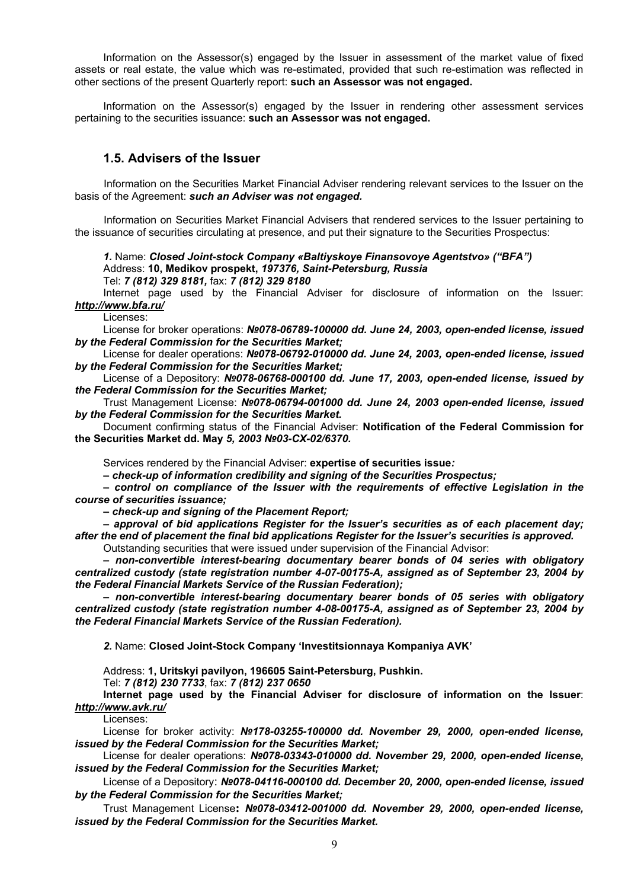Information on the Assessor(s) engaged by the Issuer in assessment of the market value of fixed assets or real estate, the value which was re-estimated, provided that such re-estimation was reflected in other sections of the present Quarterly report: **such an Assessor was not engaged.** 

Information on the Assessor(s) engaged by the Issuer in rendering other assessment services pertaining to the securities issuance: **such an Assessor was not engaged.**

# **1.5. Advisers of the Issuer**

Information on the Securities Market Financial Adviser rendering relevant services to the Issuer on the basis of the Agreement: *such an Adviser was not engaged.* 

Information on Securities Market Financial Advisers that rendered services to the Issuer pertaining to the issuance of securities circulating at presence, and put their signature to the Securities Prospectus:

*1.* Name: *Closed Joint-stock Company «Baltiyskoye Finansovoye Agentstvo» ("BFA")*  Address: **10, Medikov prospekt,** *197376, Saint-Petersburg, Russia*

Tel: *7 (812) 329 8181,* fax: *7 (812) 329 8180*

Internet page used by the Financial Adviser for disclosure of information on the Issuer: *http://www.bfa.ru/*

Licenses:

License for broker operations: *№078-06789-100000 dd. June 24, 2003, open-ended license, issued by the Federal Commission for the Securities Market;*

License for dealer operations: *№078-06792-010000 dd. June 24, 2003, open-ended license, issued by the Federal Commission for the Securities Market;*

License of a Depository: *№078-06768-000100 dd. June 17, 2003, open-ended license, issued by the Federal Commission for the Securities Market;* 

Trust Management License: *№078-06794-001000 dd. June 24, 2003 open-ended license, issued by the Federal Commission for the Securities Market.* 

Document confirming status of the Financial Adviser: **Notification of the Federal Commission for the Securities Market dd. May** *5, 2003 №03-СХ-02/6370.* 

Services rendered by the Financial Adviser: **expertise of securities issue***:* 

*– check-up of information credibility and signing of the Securities Prospectus;* 

*– control on compliance of the Issuer with the requirements of effective Legislation in the course of securities issuance;* 

*– check-up and signing of the Placement Report;* 

*– approval of bid applications Register for the Issuer's securities as of each placement day; after the end of placement the final bid applications Register for the Issuer's securities is approved.*  Outstanding securities that were issued under supervision of the Financial Advisor:

*– non-convertible interest-bearing documentary bearer bonds of 04 series with obligatory centralized custody (state registration number 4-07-00175-А, assigned as of September 23, 2004 by the Federal Financial Markets Service of the Russian Federation);* 

*– non-convertible interest-bearing documentary bearer bonds of 05 series with obligatory centralized custody (state registration number 4-08-00175-А, assigned as of September 23, 2004 by the Federal Financial Markets Service of the Russian Federation).*

*2.* Name: **Closed Joint-Stock Company 'Investitsionnaya Kompaniya AVK'** 

Address: **1, Uritskyi pavilyon, 196605 Saint-Petersburg, Pushkin.** 

Tel: *7 (812) 230 7733*, fax: *7 (812) 237 0650*

**Internet page used by the Financial Adviser for disclosure of information on the Issuer**: *http://www.avk.ru/*

Licenses:

License for broker activity: *№178-03255-100000 dd. November 29, 2000, open-ended license, issued by the Federal Commission for the Securities Market;*

License for dealer operations: *№078-03343-010000 dd. November 29, 2000, open-ended license, issued by the Federal Commission for the Securities Market;* 

License of a Depository: *№078-04116-000100 dd. December 20, 2000, open-ended license, issued by the Federal Commission for the Securities Market;* 

Trust Management License**:** *№078-03412-001000 dd. November 29, 2000, open-ended license, issued by the Federal Commission for the Securities Market.*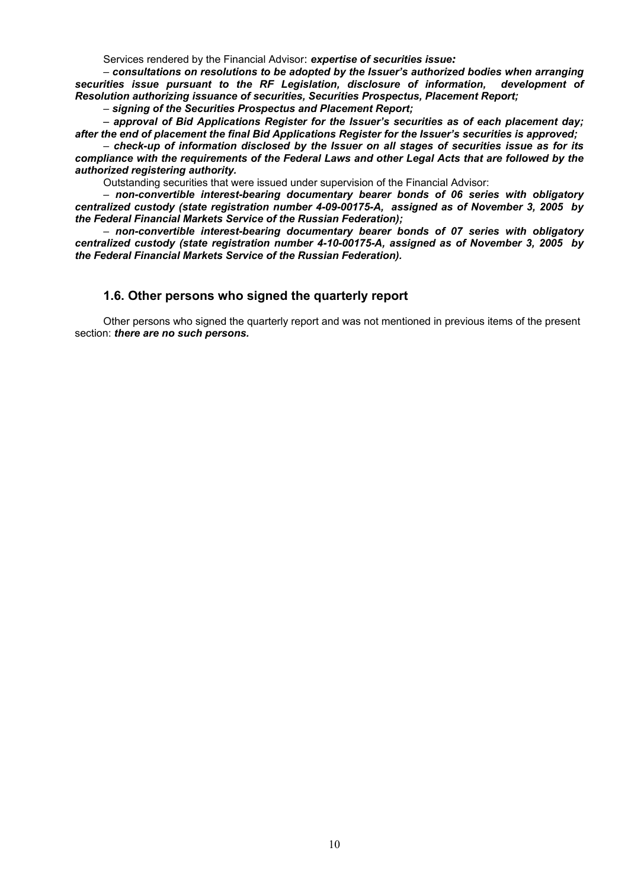Services rendered by the Financial Advisor: *expertise of securities issue:* 

*– consultations on resolutions to be adopted by the Issuer's authorized bodies when arranging securities issue pursuant to the RF Legislation, disclosure of information, development of Resolution authorizing issuance of securities, Securities Prospectus, Placement Report;* 

*– signing of the Securities Prospectus and Placement Report;* 

**–** *approval of Bid Applications Register for the Issuer's securities as of each placement day; after the end of placement the final Bid Applications Register for the Issuer's securities is approved;* 

*– check-up of information disclosed by the Issuer on all stages of securities issue as for its compliance with the requirements of the Federal Laws and other Legal Acts that are followed by the authorized registering authority.* 

Outstanding securities that were issued under supervision of the Financial Advisor:

*– non-convertible interest-bearing documentary bearer bonds of 06 series with obligatory centralized custody (state registration number 4-09-00175-А, assigned as of November 3, 2005 by the Federal Financial Markets Service of the Russian Federation);* 

*– non-convertible interest-bearing documentary bearer bonds of 07 series with obligatory centralized custody (state registration number 4-10-00175-А, assigned as of November 3, 2005 by the Federal Financial Markets Service of the Russian Federation).* 

#### **1.6. Other persons who signed the quarterly report**

Other persons who signed the quarterly report and was not mentioned in previous items of the present section: *there are no such persons.*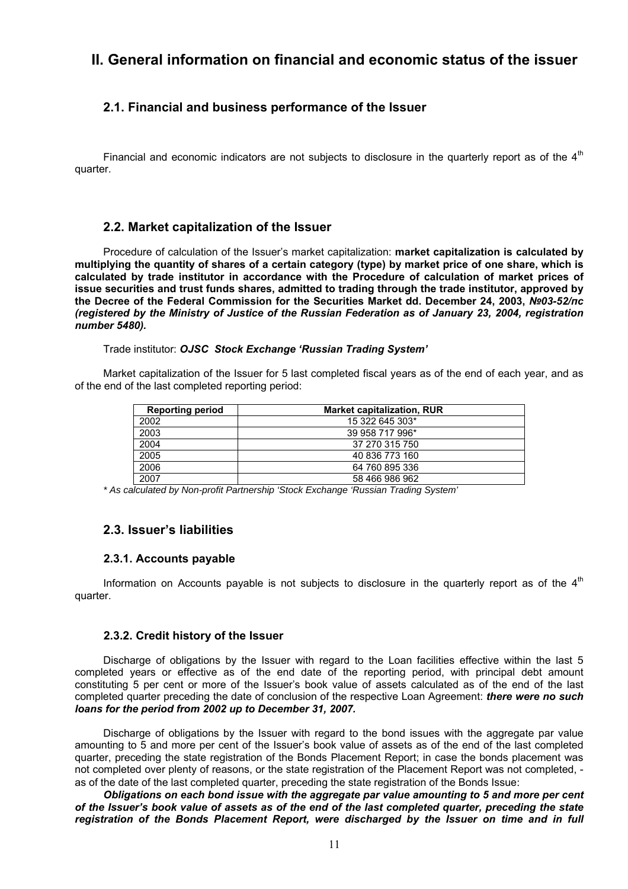# **II. General information on financial and economic status of the issuer**

# **2.1. Financial and business performance of the Issuer**

Financial and economic indicators are not subjects to disclosure in the quarterly report as of the  $4<sup>th</sup>$ quarter.

# **2.2. Market capitalization of the Issuer**

Procedure of calculation of the Issuer's market capitalization: **market capitalization is calculated by multiplying the quantity of shares of a certain category (type) by market price of one share, which is calculated by trade institutor in accordance with the Procedure of calculation of market prices of issue securities and trust funds shares, admitted to trading through the trade institutor, approved by the Decree of the Federal Commission for the Securities Market dd. December 24, 2003,** *№03-52/пс (registered by the Ministry of Justice of the Russian Federation as of January 23, 2004, registration number 5480).* 

Trade institutor: *OJSC Stock Exchange 'Russian Trading System'* 

Market capitalization of the Issuer for 5 last completed fiscal years as of the end of each year, and as of the end of the last completed reporting period:

| <b>Reporting period</b> | <b>Market capitalization, RUR</b> |
|-------------------------|-----------------------------------|
| 2002                    | 15 322 645 303*                   |
| 2003                    | 39 958 717 996*                   |
| 2004                    | 37 270 315 750                    |
| 2005                    | 40 836 773 160                    |
| 2006                    | 64 760 895 336                    |
| 2007                    | 58 466 986 962                    |

*\* As calculated by Non-profit Partnership 'Stock Exchange 'Russian Trading System'* 

# **2.3. Issuer's liabilities**

#### **2.3.1. Accounts payable**

Information on Accounts payable is not subjects to disclosure in the quarterly report as of the  $4<sup>th</sup>$ quarter.

#### **2.3.2. Credit history of the Issuer**

Discharge of obligations by the Issuer with regard to the Loan facilities effective within the last 5 completed years or effective as of the end date of the reporting period, with principal debt amount constituting 5 per cent or more of the Issuer's book value of assets calculated as of the end of the last completed quarter preceding the date of conclusion of the respective Loan Agreement: *there were no such loans for the period from 2002 up to December 31, 2007.*

Discharge of obligations by the Issuer with regard to the bond issues with the aggregate par value amounting to 5 and more per cent of the Issuer's book value of assets as of the end of the last completed quarter, preceding the state registration of the Bonds Placement Report; in case the bonds placement was not completed over plenty of reasons, or the state registration of the Placement Report was not completed, as of the date of the last completed quarter, preceding the state registration of the Bonds Issue:

*Obligations on each bond issue with the aggregate par value amounting to 5 and more per cent of the Issuer's book value of assets as of the end of the last completed quarter, preceding the state registration of the Bonds Placement Report, were discharged by the Issuer on time and in full*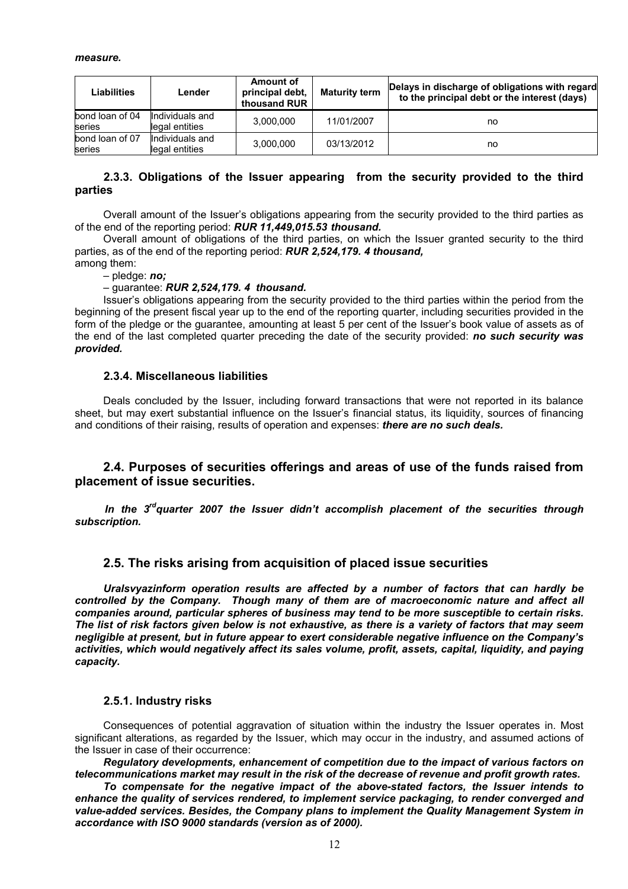| Liabilities               | Lender                            | Amount of<br>principal debt,<br>thousand RUR | <b>Maturity term</b> | Delays in discharge of obligations with regard<br>to the principal debt or the interest (days) |
|---------------------------|-----------------------------------|----------------------------------------------|----------------------|------------------------------------------------------------------------------------------------|
| bond loan of 04<br>series | Individuals and<br>legal entities | 3.000.000                                    | 11/01/2007           | no                                                                                             |
| bond loan of 07<br>series | Individuals and<br>legal entities | 3,000,000                                    | 03/13/2012           | no                                                                                             |

#### **2.3.3. Obligations of the Issuer appearing from the security provided to the third parties**

Overall amount of the Issuer's obligations appearing from the security provided to the third parties as of the end of the reporting period: *RUR 11,449,015.53 thousand.* 

Overall amount of obligations of the third parties, on which the Issuer granted security to the third parties, as of the end of the reporting period: *RUR 2,524,179. 4 thousand,*

among them: – pledge: *no;* 

#### – guarantee: *RUR 2,524,179. 4 thousand.*

Issuer's obligations appearing from the security provided to the third parties within the period from the beginning of the present fiscal year up to the end of the reporting quarter, including securities provided in the form of the pledge or the guarantee, amounting at least 5 per cent of the Issuer's book value of assets as of the end of the last completed quarter preceding the date of the security provided: *no such security was provided.* 

#### **2.3.4. Miscellaneous liabilities**

Deals concluded by the Issuer, including forward transactions that were not reported in its balance sheet, but may exert substantial influence on the Issuer's financial status, its liquidity, sources of financing and conditions of their raising, results of operation and expenses: *there are no such deals.* 

### **2.4. Purposes of securities offerings and areas of use of the funds raised from placement of issue securities.**

In the 3<sup>rd</sup>quarter 2007 the Issuer didn't accomplish placement of the securities through *subscription.* 

#### **2.5. The risks arising from acquisition of placed issue securities**

*Uralsvyazinform operation results are affected by a number of factors that can hardly be controlled by the Company. Though many of them are of macroeconomic nature and affect all companies around, particular spheres of business may tend to be more susceptible to certain risks. The list of risk factors given below is not exhaustive, as there is a variety of factors that may seem negligible at present, but in future appear to exert considerable negative influence on the Company's activities, which would negatively affect its sales volume, profit, assets, capital, liquidity, and paying capacity.* 

#### **2.5.1. Industry risks**

Consequences of potential aggravation of situation within the industry the Issuer operates in. Most significant alterations, as regarded by the Issuer, which may occur in the industry, and assumed actions of the Issuer in case of their occurrence:

*Regulatory developments, enhancement of competition due to the impact of various factors on telecommunications market may result in the risk of the decrease of revenue and profit growth rates.* 

*To compensate for the negative impact of the above-stated factors, the Issuer intends to enhance the quality of services rendered, to implement service packaging, to render converged and value-added services. Besides, the Company plans to implement the Quality Management System in accordance with ISO 9000 standards (version as of 2000).*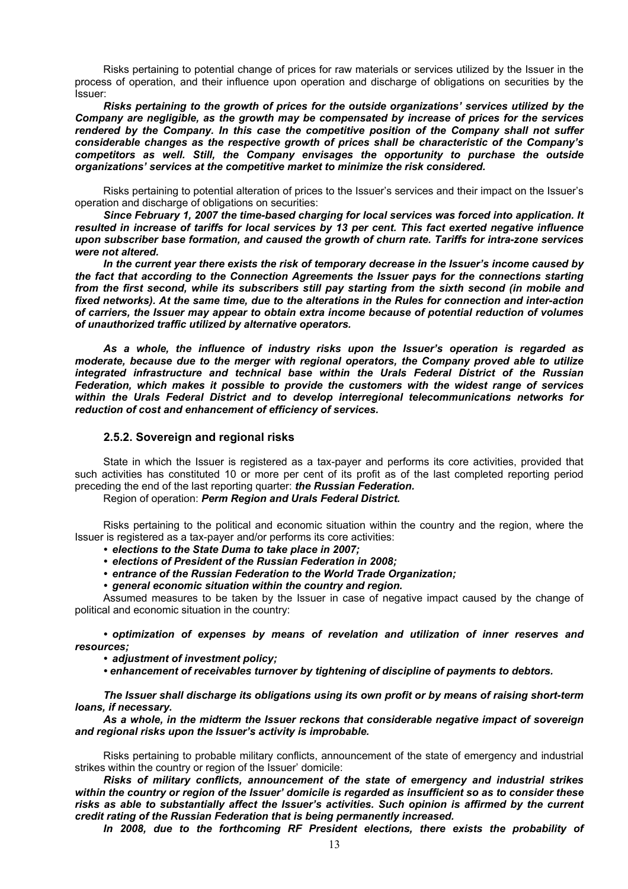Risks pertaining to potential change of prices for raw materials or services utilized by the Issuer in the process of operation, and their influence upon operation and discharge of obligations on securities by the Issuer:

*Risks pertaining to the growth of prices for the outside organizations' services utilized by the Company are negligible, as the growth may be compensated by increase of prices for the services rendered by the Company. In this case the competitive position of the Company shall not suffer considerable changes as the respective growth of prices shall be characteristic of the Company's competitors as well. Still, the Company envisages the opportunity to purchase the outside organizations' services at the competitive market to minimize the risk considered.* 

Risks pertaining to potential alteration of prices to the Issuer's services and their impact on the Issuer's operation and discharge of obligations on securities:

*Since February 1, 2007 the time-based charging for local services was forced into application. It resulted in increase of tariffs for local services by 13 per cent. This fact exerted negative influence upon subscriber base formation, and caused the growth of churn rate. Tariffs for intra-zone services were not altered.* 

*In the current year there exists the risk of temporary decrease in the Issuer's income caused by the fact that according to the Connection Agreements the Issuer pays for the connections starting from the first second, while its subscribers still pay starting from the sixth second (in mobile and fixed networks). At the same time, due to the alterations in the Rules for connection and inter-action of carriers, the Issuer may appear to obtain extra income because of potential reduction of volumes of unauthorized traffic utilized by alternative operators.* 

*As a whole, the influence of industry risks upon the Issuer's operation is regarded as moderate, because due to the merger with regional operators, the Company proved able to utilize integrated infrastructure and technical base within the Urals Federal District of the Russian Federation, which makes it possible to provide the customers with the widest range of services within the Urals Federal District and to develop interregional telecommunications networks for reduction of cost and enhancement of efficiency of services.* 

#### **2.5.2. Sovereign and regional risks**

State in which the Issuer is registered as a tax-payer and performs its core activities, provided that such activities has constituted 10 or more per cent of its profit as of the last completed reporting period preceding the end of the last reporting quarter: *the Russian Federation.* 

Region of operation: *Perm Region and Urals Federal District.* 

Risks pertaining to the political and economic situation within the country and the region, where the Issuer is registered as a tax-payer and/or performs its core activities:

- *elections to the State Duma to take place in 2007;*
- *elections of President of the Russian Federation in 2008;*
- *entrance of the Russian Federation to the World Trade Organization;*
- *general economic situation within the country and region.*

Assumed measures to be taken by the Issuer in case of negative impact caused by the change of political and economic situation in the country:

*• optimization of expenses by means of revelation and utilization of inner reserves and resources;* 

- *adjustment of investment policy;*
- *enhancement of receivables turnover by tightening of discipline of payments to debtors.*

*The Issuer shall discharge its obligations using its own profit or by means of raising short-term loans, if necessary.* 

*As a whole, in the midterm the Issuer reckons that considerable negative impact of sovereign and regional risks upon the Issuer's activity is improbable.* 

Risks pertaining to probable military conflicts, announcement of the state of emergency and industrial strikes within the country or region of the Issuer' domicile:

*Risks of military conflicts, announcement of the state of emergency and industrial strikes within the country or region of the Issuer' domicile is regarded as insufficient so as to consider these risks as able to substantially affect the Issuer's activities. Such opinion is affirmed by the current credit rating of the Russian Federation that is being permanently increased.* 

*In 2008, due to the forthcoming RF President elections, there exists the probability of*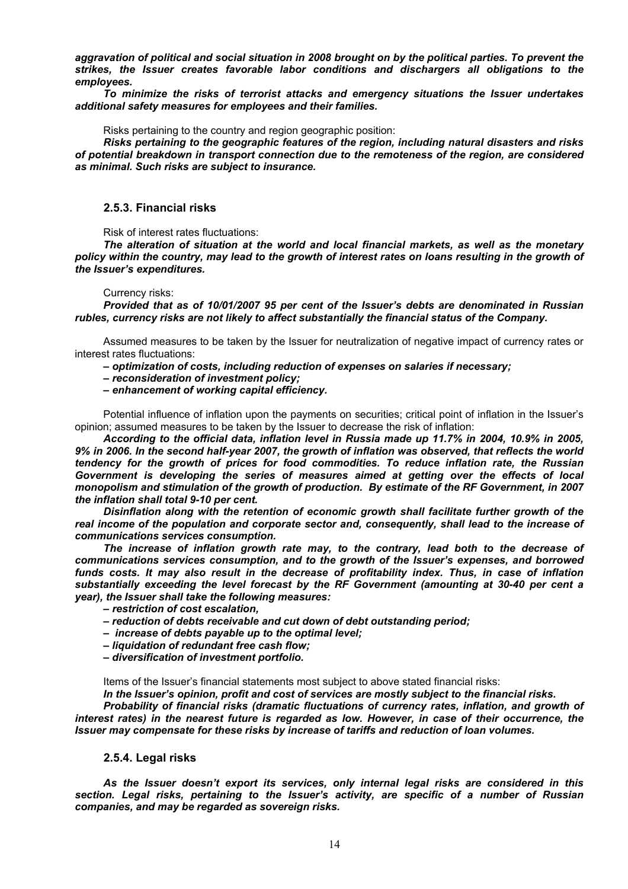*aggravation of political and social situation in 2008 brought on by the political parties. To prevent the strikes, the Issuer creates favorable labor conditions and dischargers all obligations to the employees.* 

*To minimize the risks of terrorist attacks and emergency situations the Issuer undertakes additional safety measures for employees and their families.* 

Risks pertaining to the country and region geographic position:

*Risks pertaining to the geographic features of the region, including natural disasters and risks of potential breakdown in transport connection due to the remoteness of the region, are considered as minimal. Such risks are subject to insurance.* 

#### **2.5.3. Financial risks**

Risk of interest rates fluctuations:

*The alteration of situation at the world and local financial markets, as well as the monetary policy within the country, may lead to the growth of interest rates on loans resulting in the growth of the Issuer's expenditures.* 

#### Currency risks:

*Provided that as of 10/01/2007 95 per cent of the Issuer's debts are denominated in Russian rubles, currency risks are not likely to affect substantially the financial status of the Company.* 

Assumed measures to be taken by the Issuer for neutralization of negative impact of currency rates or interest rates fluctuations:

- *optimization of costs, including reduction of expenses on salaries if necessary;*
- *reconsideration of investment policy;*
- *enhancement of working capital efficiency.*

Potential influence of inflation upon the payments on securities; critical point of inflation in the Issuer's opinion; assumed measures to be taken by the Issuer to decrease the risk of inflation:

*According to the official data, inflation level in Russia made up 11.7% in 2004, 10.9% in 2005, 9% in 2006. In the second half-year 2007, the growth of inflation was observed, that reflects the world tendency for the growth of prices for food commodities. To reduce inflation rate, the Russian Government is developing the series of measures aimed at getting over the effects of local monopolism and stimulation of the growth of production. By estimate of the RF Government, in 2007 the inflation shall total 9-10 per cent.* 

*Disinflation along with the retention of economic growth shall facilitate further growth of the real income of the population and corporate sector and, consequently, shall lead to the increase of communications services consumption.* 

The increase of inflation growth rate may, to the contrary, lead both to the decrease of *communications services consumption, and to the growth of the Issuer's expenses, and borrowed funds costs. It may also result in the decrease of profitability index. Thus, in case of inflation substantially exceeding the level forecast by the RF Government (amounting at 30-40 per cent a year), the Issuer shall take the following measures:* 

- *restriction of cost escalation,*
- *reduction of debts receivable and cut down of debt outstanding period;*
- *increase of debts payable up to the optimal level;*
- *liquidation of redundant free cash flow;*
- *diversification of investment portfolio.*

Items of the Issuer's financial statements most subject to above stated financial risks:

*In the Issuer's opinion, profit and cost of services are mostly subject to the financial risks.* 

*Probability of financial risks (dramatic fluctuations of currency rates, inflation, and growth of interest rates) in the nearest future is regarded as low. However, in case of their occurrence, the Issuer may compensate for these risks by increase of tariffs and reduction of loan volumes.* 

#### **2.5.4. Legal risks**

*As the Issuer doesn't export its services, only internal legal risks are considered in this section. Legal risks, pertaining to the Issuer's activity, are specific of a number of Russian companies, and may be regarded as sovereign risks.*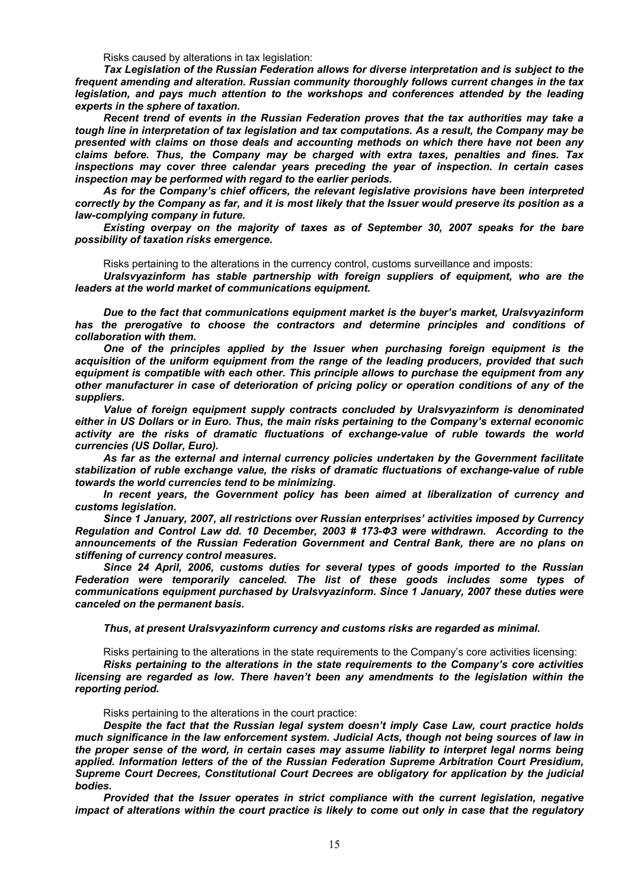Risks caused by alterations in tax legislation:

*Tax Legislation of the Russian Federation allows for diverse interpretation and is subject to the frequent amending and alteration. Russian community thoroughly follows current changes in the tax legislation, and pays much attention to the workshops and conferences attended by the leading experts in the sphere of taxation.* 

*Recent trend of events in the Russian Federation proves that the tax authorities may take a tough line in interpretation of tax legislation and tax computations. As a result, the Company may be presented with claims on those deals and accounting methods on which there have not been any claims before. Thus, the Company may be charged with extra taxes, penalties and fines. Tax inspections may cover three calendar years preceding the year of inspection. In certain cases inspection may be performed with regard to the earlier periods.* 

*As for the Company's chief officers, the relevant legislative provisions have been interpreted correctly by the Company as far, and it is most likely that the Issuer would preserve its position as a law-complying company in future.* 

*Existing overpay on the majority of taxes as of September 30, 2007 speaks for the bare possibility of taxation risks emergence.* 

Risks pertaining to the alterations in the currency control, customs surveillance and imposts:

*Uralsvyazinform has stable partnership with foreign suppliers of equipment, who are the leaders at the world market of communications equipment.* 

*Due to the fact that communications equipment market is the buyer's market, Uralsvyazinform has the prerogative to choose the contractors and determine principles and conditions of collaboration with them.* 

*One of the principles applied by the Issuer when purchasing foreign equipment is the acquisition of the uniform equipment from the range of the leading producers, provided that such equipment is compatible with each other. This principle allows to purchase the equipment from any other manufacturer in case of deterioration of pricing policy or operation conditions of any of the suppliers.* 

*Value of foreign equipment supply contracts concluded by Uralsvyazinform is denominated either in US Dollars or in Euro. Thus, the main risks pertaining to the Company's external economic activity are the risks of dramatic fluctuations of exchange-value of ruble towards the world currencies (US Dollar, Euro).* 

*As far as the external and internal currency policies undertaken by the Government facilitate stabilization of ruble exchange value, the risks of dramatic fluctuations of exchange-value of ruble towards the world currencies tend to be minimizing.* 

*In recent years, the Government policy has been aimed at liberalization of currency and customs legislation.* 

*Since 1 January, 2007, all restrictions over Russian enterprises' activities imposed by Currency Regulation and Control Law dd. 10 December, 2003 # 173-ФЗ were withdrawn. According to the announcements of the Russian Federation Government and Central Bank, there are no plans on stiffening of currency control measures.* 

*Since 24 April, 2006, customs duties for several types of goods imported to the Russian Federation were temporarily canceled. The list of these goods includes some types of communications equipment purchased by Uralsvyazinform. Since 1 January, 2007 these duties were canceled on the permanent basis.* 

#### *Thus, at present Uralsvyazinform currency and customs risks are regarded as minimal.*

Risks pertaining to the alterations in the state requirements to the Company's core activities licensing: *Risks pertaining to the alterations in the state requirements to the Company's core activities licensing are regarded as low. There haven't been any amendments to the legislation within the reporting period.* 

Risks pertaining to the alterations in the court practice:

*Despite the fact that the Russian legal system doesn't imply Case Law, court practice holds much significance in the law enforcement system. Judicial Acts, though not being sources of law in the proper sense of the word, in certain cases may assume liability to interpret legal norms being applied. Information letters of the of the Russian Federation Supreme Arbitration Court Presidium, Supreme Court Decrees, Constitutional Court Decrees are obligatory for application by the judicial bodies.* 

*Provided that the Issuer operates in strict compliance with the current legislation, negative impact of alterations within the court practice is likely to come out only in case that the regulatory*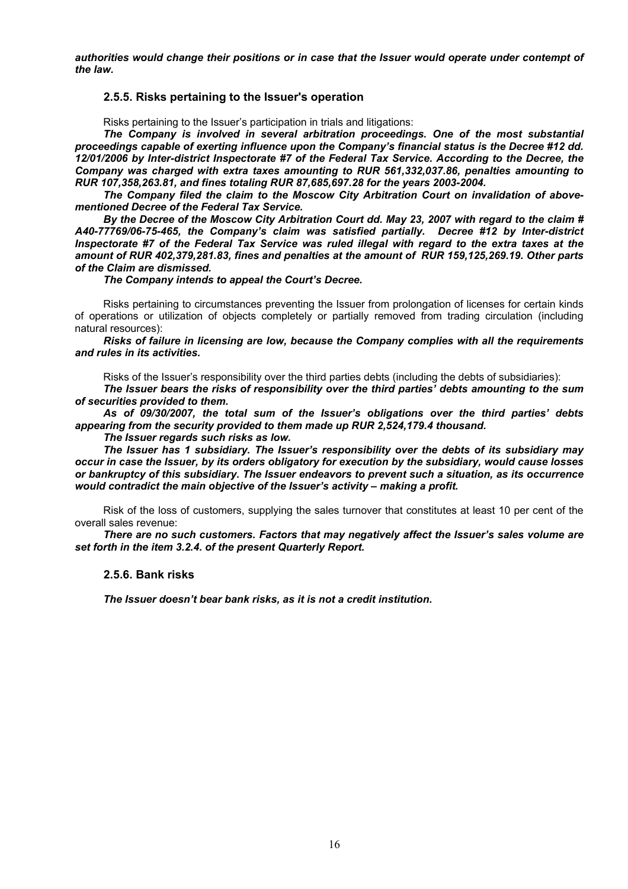*authorities would change their positions or in case that the Issuer would operate under contempt of the law.* 

#### **2.5.5. Risks pertaining to the Issuer's operation**

Risks pertaining to the Issuer's participation in trials and litigations:

*The Company is involved in several arbitration proceedings. One of the most substantial proceedings capable of exerting influence upon the Company's financial status is the Decree #12 dd. 12/01/2006 by Inter-district Inspectorate #7 of the Federal Tax Service. According to the Decree, the Company was charged with extra taxes amounting to RUR 561,332,037.86, penalties amounting to RUR 107,358,263.81, and fines totaling RUR 87,685,697.28 for the years 2003-2004.* 

*The Company filed the claim to the Moscow City Arbitration Court on invalidation of abovementioned Decree of the Federal Tax Service.* 

*By the Decree of the Moscow City Arbitration Court dd. May 23, 2007 with regard to the claim # А40-77769/06-75-465, the Company's claim was satisfied partially. Decree #12 by Inter-district Inspectorate #7 of the Federal Tax Service was ruled illegal with regard to the extra taxes at the amount of RUR 402,379,281.83, fines and penalties at the amount of RUR 159,125,269.19. Other parts of the Claim are dismissed.* 

*The Company intends to appeal the Court's Decree.* 

Risks pertaining to circumstances preventing the Issuer from prolongation of licenses for certain kinds of operations or utilization of objects completely or partially removed from trading circulation (including natural resources):

*Risks of failure in licensing are low, because the Company complies with all the requirements and rules in its activities.* 

Risks of the Issuer's responsibility over the third parties debts (including the debts of subsidiaries):

*The Issuer bears the risks of responsibility over the third parties' debts amounting to the sum of securities provided to them.* 

*As of 09/30/2007, the total sum of the Issuer's obligations over the third parties' debts appearing from the security provided to them made up RUR 2,524,179.4 thousand.* 

*The Issuer regards such risks as low.* 

*The Issuer has 1 subsidiary. The Issuer's responsibility over the debts of its subsidiary may occur in case the Issuer, by its orders obligatory for execution by the subsidiary, would cause losses or bankruptcy of this subsidiary. The Issuer endeavors to prevent such a situation, as its occurrence would contradict the main objective of the Issuer's activity – making a profit.* 

Risk of the loss of customers, supplying the sales turnover that constitutes at least 10 per cent of the overall sales revenue:

*There are no such customers. Factors that may negatively affect the Issuer's sales volume are set forth in the item 3.2.4. of the present Quarterly Report.* 

#### **2.5.6. Bank risks**

*The Issuer doesn't bear bank risks, as it is not a credit institution.*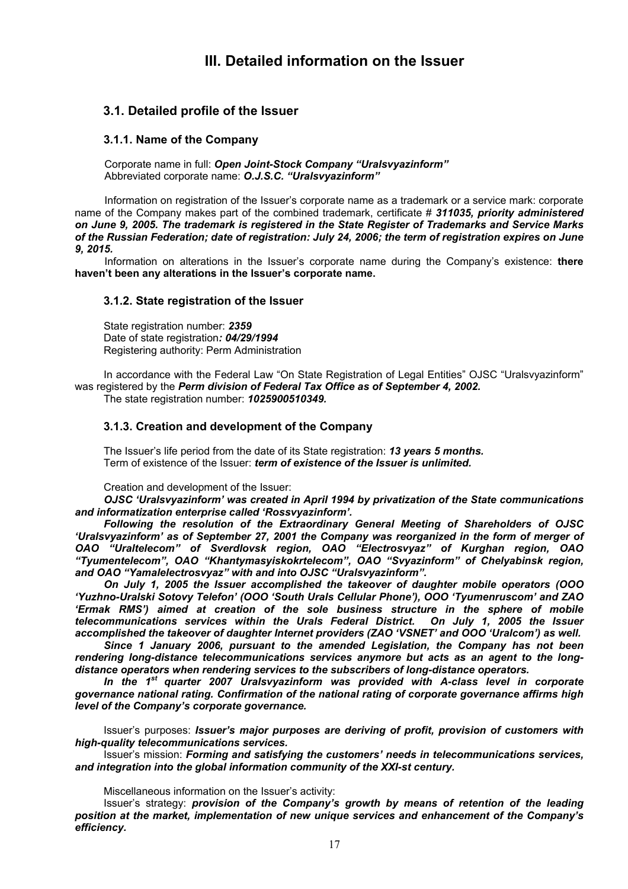# **III. Detailed information on the Issuer**

# **3.1. Detailed profile of the Issuer**

#### **3.1.1. Name of the Company**

Corporate name in full: *Open Joint-Stock Company "Uralsvyazinform"*  Abbreviated corporate name: *O.J.S.C. "Uralsvyazinform"*

Information on registration of the Issuer's corporate name as a trademark or a service mark: corporate name of the Company makes part of the combined trademark, certificate # *311035, priority administered on June 9, 2005. The trademark is registered in the State Register of Trademarks and Service Marks of the Russian Federation; date of registration: July 24, 2006; the term of registration expires on June 9, 2015.*

Information on alterations in the Issuer's corporate name during the Company's existence: **there haven't been any alterations in the Issuer's corporate name.**

#### **3.1.2. State registration of the Issuer**

State registration number: *2359* Date of state registration*: 04/29/1994*  Registering authority: Perm Administration

In accordance with the Federal Law "On State Registration of Legal Entities" OJSC "Uralsvyazinform" was registered by the *Perm division of Federal Tax Office as of September 4, 2002.*  The state registration number: *1025900510349.*

### **3.1.3. Creation and development of the Company**

The Issuer's life period from the date of its State registration: *13 years 5 months.*  Term of existence of the Issuer: *term of existence of the Issuer is unlimited.* 

Creation and development of the Issuer:

*OJSC 'Uralsvyazinform' was created in April 1994 by privatization of the State communications and informatization enterprise called 'Rossvyazinform'.* 

*Following the resolution of the Extraordinary General Meeting of Shareholders of OJSC 'Uralsvyazinform' as of September 27, 2001 the Company was reorganized in the form of merger of OAO "Uraltelecom" of Sverdlovsk region, OAO "Electrosvyaz" of Kurghan region, OAO "Tyumentelecom", OAO "Khantymasyiskokrtelecom", OAO "Svyazinform" of Chelyabinsk region, and OAO "Yamalelectrosvyaz" with and into OJSC "Uralsvyazinform".* 

*On July 1, 2005 the Issuer accomplished the takeover of daughter mobile operators (OOO 'Yuzhno-Uralski Sotovy Telefon' (OOO 'South Urals Cellular Phone'), OOO 'Tyumenruscom' and ZAO 'Ermak RMS') aimed at creation of the sole business structure in the sphere of mobile telecommunications services within the Urals Federal District. On July 1, 2005 the Issuer accomplished the takeover of daughter Internet providers (ZAO 'VSNET' and OOO 'Uralcom') as well.* 

Since 1 January 2006, pursuant to the amended Legislation, the Company has not been *rendering long-distance telecommunications services anymore but acts as an agent to the longdistance operators when rendering services to the subscribers of long-distance operators.* 

*In the 1st quarter 2007 Uralsvyazinform was provided with A-class level in corporate governance national rating. Confirmation of the national rating of corporate governance affirms high level of the Company's corporate governance.* 

Issuer's purposes: *Issuer's major purposes are deriving of profit, provision of customers with high-quality telecommunications services.* 

Issuer's mission: *Forming and satisfying the customers' needs in telecommunications services, and integration into the global information community of the XXI-st century.* 

Miscellaneous information on the Issuer's activity:

Issuer's strategy: *provision of the Company's growth by means of retention of the leading position at the market, implementation of new unique services and enhancement of the Company's efficiency.*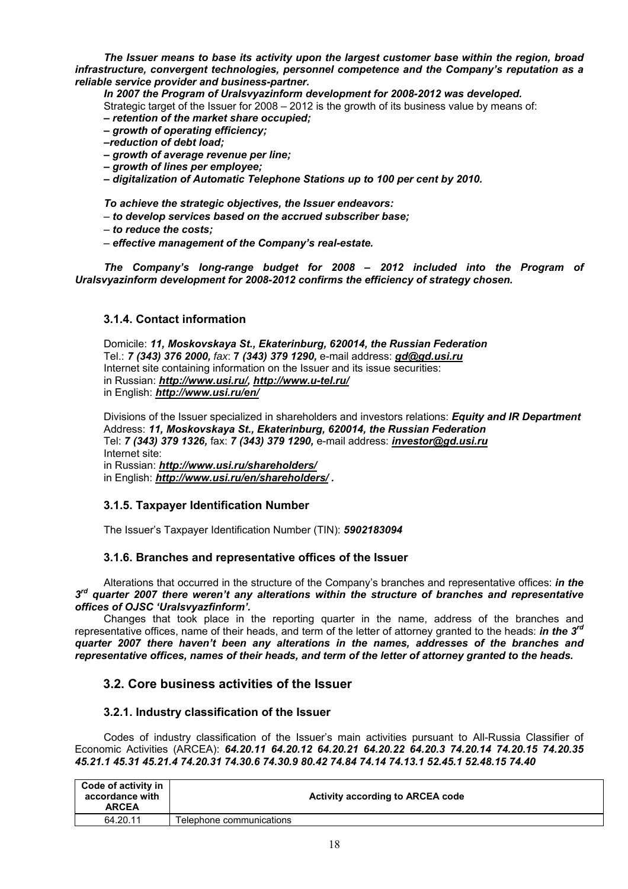*The Issuer means to base its activity upon the largest customer base within the region, broad infrastructure, convergent technologies, personnel competence and the Company's reputation as a reliable service provider and business-partner.* 

*In 2007 the Program of Uralsvyazinform development for 2008-2012 was developed.* 

- Strategic target of the Issuer for 2008 2012 is the growth of its business value by means of:
- *retention of the market share occupied;*
- *growth of operating efficiency;*
- *–reduction of debt load;*
- *growth of average revenue per line;*
- *growth of lines per employee;*
- *digitalization of Automatic Telephone Stations up to 100 per cent by 2010.*

*To achieve the strategic objectives, the Issuer endeavors:* 

- *to develop services based on the accrued subscriber base;*
- *to reduce the costs;*
- *effective management of the Company's real-estate.*

*The Company's long-range budget for 2008 – 2012 included into the Program of Uralsvyazinform development for 2008-2012 confirms the efficiency of strategy chosen.* 

### **3.1.4. Contact information**

Domicile: *11, Moskovskaya St., Ekaterinburg, 620014, the Russian Federation* Tel.: *7 (343) 376 2000, fax*: **7** *(343) 379 1290,* e-mail address: *gd@gd.usi.ru* Internet site containing information on the Issuer and its issue securities: in Russian: *http://www.usi.ru/, http://www.u-tel.ru/*  in English: *http://www.usi.ru/en/* 

Divisions of the Issuer specialized in shareholders and investors relations: *Equity and IR Department* Address: *11, Moskovskaya St., Ekaterinburg, 620014, the Russian Federation* Tel: *7 (343) 379 1326,* fax: *7 (343) 379 1290,* e-mail address: *investor@gd.usi.ru*  Internet site: in Russian: *http://www.usi.ru/shareholders/* 

in English: *http://www.usi.ru/en/shareholders/ .* 

#### **3.1.5. Taxpayer Identification Number**

The Issuer's Taxpayer Identification Number (TIN): *5902183094* 

#### **3.1.6. Branches and representative offices of the Issuer**

Alterations that occurred in the structure of the Company's branches and representative offices: *in the 3rd quarter 2007 there weren't any alterations within the structure of branches and representative offices of OJSC 'Uralsvyazfinform'.* 

Changes that took place in the reporting quarter in the name, address of the branches and representative offices, name of their heads, and term of the letter of attorney granted to the heads: *in the 3rd quarter 2007 there haven't been any alterations in the names, addresses of the branches and representative offices, names of their heads, and term of the letter of attorney granted to the heads.* 

# **3.2. Core business activities of the Issuer**

#### **3.2.1. Industry classification of the Issuer**

Codes of industry classification of the Issuer's main activities pursuant to All-Russia Classifier of Economic Activities (ARCEA): *64.20.11 64.20.12 64.20.21 64.20.22 64.20.3 74.20.14 74.20.15 74.20.35 45.21.1 45.31 45.21.4 74.20.31 74.30.6 74.30.9 80.42 74.84 74.14 74.13.1 52.45.1 52.48.15 74.40* 

| Code of activity in<br>accordance with<br><b>ARCEA</b> | Activity according to ARCEA code |
|--------------------------------------------------------|----------------------------------|
| 64.20.11                                               | Telephone communications         |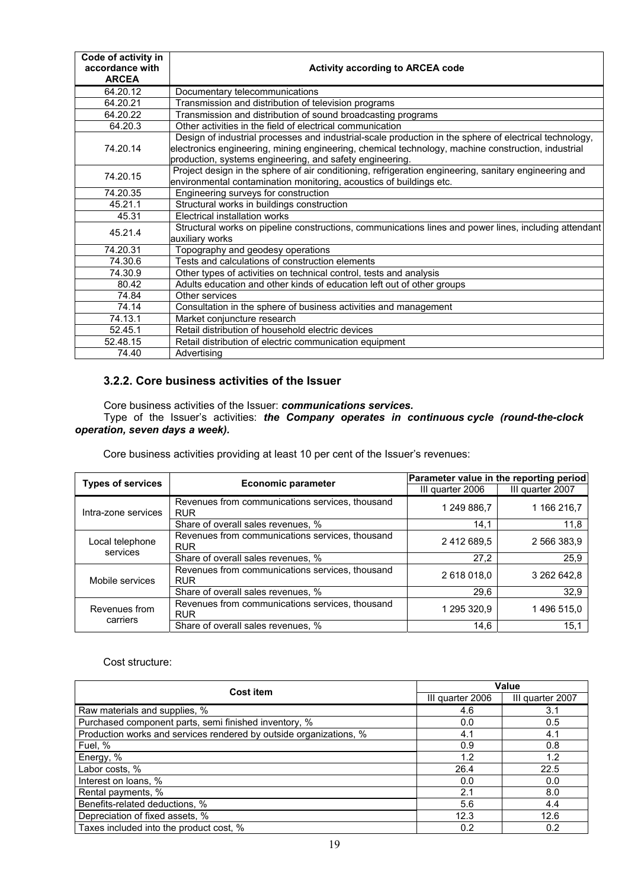| Code of activity in<br>accordance with<br><b>ARCEA</b> | <b>Activity according to ARCEA code</b>                                                                                                                                                                                                                                  |
|--------------------------------------------------------|--------------------------------------------------------------------------------------------------------------------------------------------------------------------------------------------------------------------------------------------------------------------------|
| 64.20.12                                               | Documentary telecommunications                                                                                                                                                                                                                                           |
| 64.20.21                                               | Transmission and distribution of television programs                                                                                                                                                                                                                     |
| 64.20.22                                               | Transmission and distribution of sound broadcasting programs                                                                                                                                                                                                             |
| 64.20.3                                                | Other activities in the field of electrical communication                                                                                                                                                                                                                |
| 74.20.14                                               | Design of industrial processes and industrial-scale production in the sphere of electrical technology,<br>electronics engineering, mining engineering, chemical technology, machine construction, industrial<br>production, systems engineering, and safety engineering. |
| 74.20.15                                               | Project design in the sphere of air conditioning, refrigeration engineering, sanitary engineering and<br>environmental contamination monitoring, acoustics of buildings etc.                                                                                             |
| 74.20.35                                               | Engineering surveys for construction                                                                                                                                                                                                                                     |
| 45.21.1                                                | Structural works in buildings construction                                                                                                                                                                                                                               |
| 45.31                                                  | Electrical installation works                                                                                                                                                                                                                                            |
| 45.21.4                                                | Structural works on pipeline constructions, communications lines and power lines, including attendant<br>auxiliary works                                                                                                                                                 |
| 74.20.31                                               | Topography and geodesy operations                                                                                                                                                                                                                                        |
| 74.30.6                                                | Tests and calculations of construction elements                                                                                                                                                                                                                          |
| 74.30.9                                                | Other types of activities on technical control, tests and analysis                                                                                                                                                                                                       |
| 80.42                                                  | Adults education and other kinds of education left out of other groups                                                                                                                                                                                                   |
| 74.84                                                  | Other services                                                                                                                                                                                                                                                           |
| 74.14                                                  | Consultation in the sphere of business activities and management                                                                                                                                                                                                         |
| 74.13.1                                                | Market conjuncture research                                                                                                                                                                                                                                              |
| 52.45.1                                                | Retail distribution of household electric devices                                                                                                                                                                                                                        |
| 52.48.15                                               | Retail distribution of electric communication equipment                                                                                                                                                                                                                  |
| 74.40                                                  | Advertising                                                                                                                                                                                                                                                              |

# **3.2.2. Core business activities of the Issuer**

Core business activities of the Issuer: *communications services.* 

Type of the Issuer's activities: *the Company operates in continuous cycle (round-the-clock operation, seven days a week).* 

| <b>Types of services</b>    |                                                               |                  | Parameter value in the reporting period |
|-----------------------------|---------------------------------------------------------------|------------------|-----------------------------------------|
|                             | <b>Economic parameter</b>                                     | III quarter 2006 | III quarter 2007                        |
| Intra-zone services         | Revenues from communications services, thousand<br><b>RUR</b> | 1 249 886,7      | 1 166 216,7                             |
|                             | Share of overall sales revenues, %                            | 14,1             | 11,8                                    |
| Local telephone<br>services | Revenues from communications services, thousand<br><b>RUR</b> | 2 412 689,5      | 2 566 383,9                             |
|                             | Share of overall sales revenues, %                            | 27.2             | 25,9                                    |
| Mobile services             | Revenues from communications services, thousand<br><b>RUR</b> | 2 618 018,0      | 3 262 642,8                             |
|                             | Share of overall sales revenues, %                            | 29,6             | 32,9                                    |
| Revenues from<br>carriers   | Revenues from communications services, thousand<br><b>RUR</b> | 1 295 320,9      | 1496 515,0                              |
|                             | Share of overall sales revenues, %                            | 14,6             | 15.1                                    |

Core business activities providing at least 10 per cent of the Issuer's revenues:

Cost structure:

| <b>Cost item</b>                                                   | Value            |                  |  |
|--------------------------------------------------------------------|------------------|------------------|--|
|                                                                    | III quarter 2006 | III quarter 2007 |  |
| Raw materials and supplies, %                                      | 4.6              | 3.1              |  |
| Purchased component parts, semi finished inventory, %              | 0.0              | 0.5              |  |
| Production works and services rendered by outside organizations, % | 4.1              | 4.1              |  |
| Fuel, %                                                            | 0.9              | 0.8              |  |
| Energy, %                                                          | 1.2              | 1.2              |  |
| Labor costs, %                                                     | 26.4             | 22.5             |  |
| Interest on loans, %                                               | 0.0              | 0.0              |  |
| Rental payments, %                                                 | 2.1              | 8.0              |  |
| Benefits-related deductions, %                                     | 5.6              | 4.4              |  |
| Depreciation of fixed assets, %                                    | 12.3             | 12.6             |  |
| Taxes included into the product cost, %                            | 0.2              | 0.2              |  |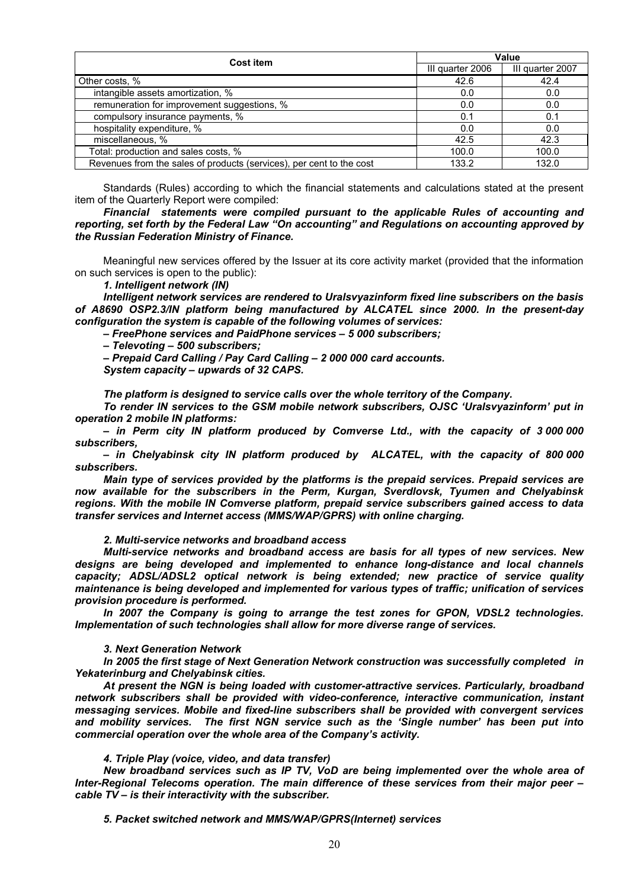| Cost item                                                            | Value            |                  |  |
|----------------------------------------------------------------------|------------------|------------------|--|
|                                                                      | III quarter 2006 | III quarter 2007 |  |
| Other costs, %                                                       | 42.6             | 42.4             |  |
| intangible assets amortization, %                                    | 0.0              | 0.0              |  |
| remuneration for improvement suggestions, %                          | 0.0              | 0.0              |  |
| compulsory insurance payments, %                                     | 0.1              | 0.1              |  |
| hospitality expenditure, %                                           | 0.0              | 0.0              |  |
| miscellaneous, %                                                     | 42.5             | 42.3             |  |
| Total: production and sales costs, %                                 | 100.0            | 100.0            |  |
| Revenues from the sales of products (services), per cent to the cost | 133.2            | 132.0            |  |

Standards (Rules) according to which the financial statements and calculations stated at the present item of the Quarterly Report were compiled:

*Financial statements were compiled pursuant to the applicable Rules of accounting and reporting, set forth by the Federal Law "On accounting" and Regulations on accounting approved by the Russian Federation Ministry of Finance.* 

Meaningful new services offered by the Issuer at its core activity market (provided that the information on such services is open to the public):

*1. Intelligent network (IN)* 

*Intelligent network services are rendered to Uralsvyazinform fixed line subscribers on the basis of А8690 OSP2.3/IN platform being manufactured by ALCATEL since 2000. In the present-day configuration the system is capable of the following volumes of services:* 

*– FreePhone services and PaidPhone services – 5 000 subscribers;* 

*– Televoting – 500 subscribers;* 

*– Prepaid Card Calling / Pay Card Calling – 2 000 000 card accounts.* 

*System capacity – upwards of 32 CAPS.* 

*The platform is designed to service calls over the whole territory of the Company.* 

*To render IN services to the GSM mobile network subscribers, OJSC 'Uralsvyazinform' put in operation 2 mobile IN platforms:* 

*– in Perm city IN platform produced by Comverse Ltd., with the capacity of 3 000 000 subscribers,* 

*– in Chelyabinsk city IN platform produced by ALCATEL, with the capacity of 800 000 subscribers.* 

*Main type of services provided by the platforms is the prepaid services. Prepaid services are now available for the subscribers in the Perm, Kurgan, Sverdlovsk, Tyumen and Chelyabinsk regions. With the mobile IN Comverse platform, prepaid service subscribers gained access to data transfer services and Internet access (MMS/WAP/GPRS) with online charging.* 

*2. Multi-service networks and broadband access* 

*Multi-service networks and broadband access are basis for all types of new services. New designs are being developed and implemented to enhance long-distance and local channels capacity; ADSL/ADSL2 optical network is being extended; new practice of service quality maintenance is being developed and implemented for various types of traffic; unification of services provision procedure is performed.* 

*In 2007 the Company is going to arrange the test zones for GPON, VDSL2 technologies. Implementation of such technologies shall allow for more diverse range of services.* 

#### *3. Next Generation Network*

*In 2005 the first stage of Next Generation Network construction was successfully completed in Yekaterinburg and Chelyabinsk cities.* 

*At present the NGN is being loaded with customer-attractive services. Particularly, broadband network subscribers shall be provided with video-conference, interactive communication, instant messaging services. Mobile and fixed-line subscribers shall be provided with convergent services and mobility services. The first NGN service such as the 'Single number' has been put into commercial operation over the whole area of the Company's activity.* 

*4. Triple Play (voice, video, and data transfer)* 

*New broadband services such as IP TV, VoD are being implemented over the whole area of Inter-Regional Telecoms operation. The main difference of these services from their major peer – cable TV – is their interactivity with the subscriber.* 

*5. Packet switched network and MMS/WAP/GPRS(Internet) services*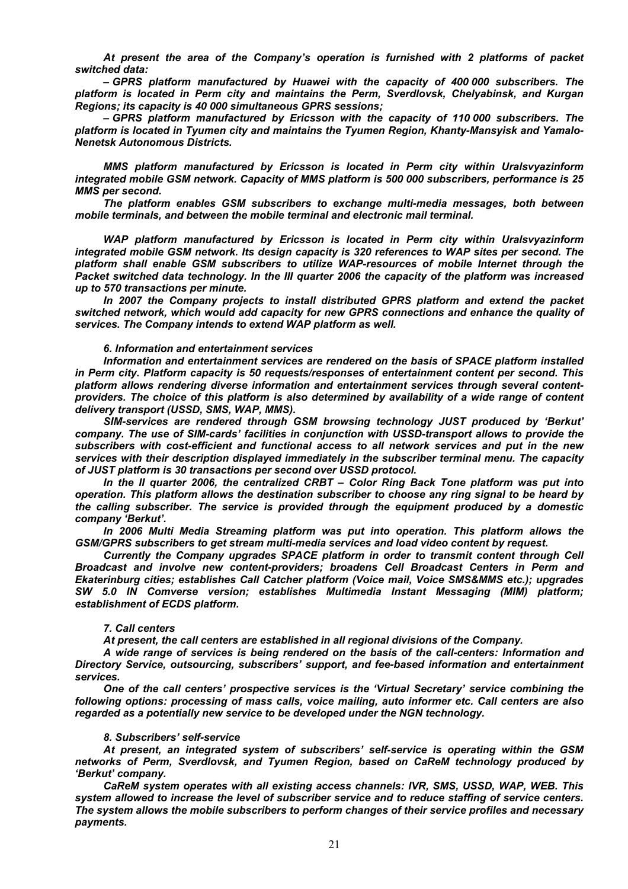*At present the area of the Company's operation is furnished with 2 platforms of packet switched data:* 

*– GPRS platform manufactured by Huawei with the capacity of 400 000 subscribers. The platform is located in Perm city and maintains the Perm, Sverdlovsk, Chelyabinsk, and Kurgan Regions; its capacity is 40 000 simultaneous GPRS sessions;* 

*– GPRS platform manufactured by Ericsson with the capacity of 110 000 subscribers. The platform is located in Tyumen city and maintains the Tyumen Region, Khanty-Mansyisk and Yamalo-Nenetsk Autonomous Districts.* 

*MMS platform manufactured by Ericsson is located in Perm city within Uralsvyazinform integrated mobile GSM network. Capacity of MMS platform is 500 000 subscribers, performance is 25 MMS per second.* 

*The platform enables GSM subscribers to exchange multi-media messages, both between mobile terminals, and between the mobile terminal and electronic mail terminal.* 

*WAP platform manufactured by Ericsson is located in Perm city within Uralsvyazinform integrated mobile GSM network. Its design capacity is 320 references to WAP sites per second. The platform shall enable GSM subscribers to utilize WAP-resources of mobile Internet through the Packet switched data technology. In the III quarter 2006 the capacity of the platform was increased up to 570 transactions per minute.* 

*In 2007 the Company projects to install distributed GPRS platform and extend the packet switched network, which would add capacity for new GPRS connections and enhance the quality of services. The Company intends to extend WAP platform as well.* 

#### *6. Information and entertainment services*

*Information and entertainment services are rendered on the basis of SPACE platform installed in Perm city. Platform capacity is 50 requests/responses of entertainment content per second. This platform allows rendering diverse information and entertainment services through several contentproviders. The choice of this platform is also determined by availability of a wide range of content delivery transport (USSD, SMS, WAP, MMS).* 

*SIM-services are rendered through GSM browsing technology JUST produced by 'Berkut' company. The use of SIM-cards' facilities in conjunction with USSD-transport allows to provide the subscribers with cost-efficient and functional access to all network services and put in the new services with their description displayed immediately in the subscriber terminal menu. The capacity of JUST platform is 30 transactions per second over USSD protocol.* 

*In the II quarter 2006, the centralized CRBT – Color Ring Back Tone platform was put into operation. This platform allows the destination subscriber to choose any ring signal to be heard by the calling subscriber. The service is provided through the equipment produced by a domestic company 'Berkut'.* 

*In 2006 Multi Media Streaming platform was put into operation. This platform allows the GSM/GPRS subscribers to get stream multi-media services and load video content by request.* 

*Currently the Company upgrades SPACE platform in order to transmit content through Cell Broadcast and involve new content-providers; broadens Cell Broadcast Centers in Perm and Ekaterinburg cities; establishes Call Catcher platform (Voice mail, Voice SMS&MMS etc.); upgrades SW 5.0 IN Comverse version; establishes Multimedia Instant Messaging (MIM) platform; establishment of ECDS platform.* 

#### *7. Call centers*

*At present, the call centers are established in all regional divisions of the Company.* 

*A wide range of services is being rendered on the basis of the call-centers: Information and Directory Service, outsourcing, subscribers' support, and fee-based information and entertainment services.* 

*One of the call centers' prospective services is the 'Virtual Secretary' service combining the following options: processing of mass calls, voice mailing, auto informer etc. Call centers are also regarded as a potentially new service to be developed under the NGN technology.* 

#### *8. Subscribers' self-service*

*At present, an integrated system of subscribers' self-service is operating within the GSM networks of Perm, Sverdlovsk, and Tyumen Region, based on CaReM technology produced by 'Berkut' company.* 

*CaReM system operates with all existing access channels: IVR, SMS, USSD, WAP, WEB. This system allowed to increase the level of subscriber service and to reduce staffing of service centers. The system allows the mobile subscribers to perform changes of their service profiles and necessary payments.*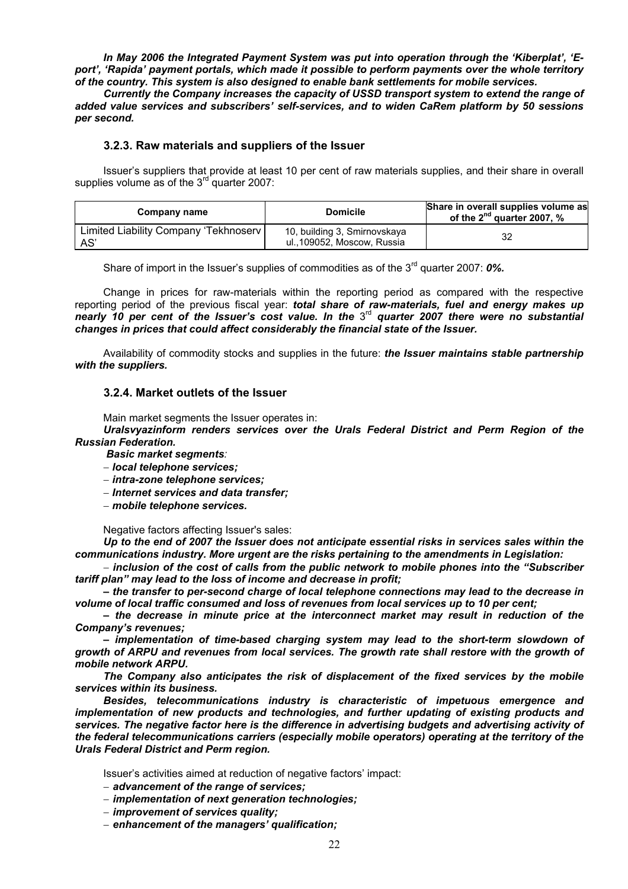*In May 2006 the Integrated Payment System was put into operation through the 'Kiberplat', 'Eport', 'Rapida' payment portals, which made it possible to perform payments over the whole territory of the country. This system is also designed to enable bank settlements for mobile services.* 

*Currently the Company increases the capacity of USSD transport system to extend the range of added value services and subscribers' self-services, and to widen CaRem platform by 50 sessions per second.* 

#### **3.2.3. Raw materials and suppliers of the Issuer**

Issuer's suppliers that provide at least 10 per cent of raw materials supplies, and their share in overall supplies volume as of the  $3<sup>rd</sup>$  quarter 2007:

| Company name                                  | <b>Domicile</b>                                             | Share in overall supplies volume as<br>of the $2^{nd}$ quarter 2007, % |
|-----------------------------------------------|-------------------------------------------------------------|------------------------------------------------------------------------|
| Limited Liability Company 'Tekhnoserv'<br>AS' | 10, building 3, Smirnovskaya<br>ul., 109052, Moscow, Russia | 32                                                                     |

Share of import in the Issuer's supplies of commodities as of the 3<sup>rd</sup> quarter 2007: **0%.** 

Change in prices for raw-materials within the reporting period as compared with the respective reporting period of the previous fiscal year: *total share of raw-materials, fuel and energy makes up nearly 10 per cent of the Issuer's cost value. In the* 3rd *quarter 2007 there were no substantial changes in prices that could affect considerably the financial state of the Issuer.*

Availability of commodity stocks and supplies in the future: *the Issuer maintains stable partnership with the suppliers.* 

#### **3.2.4. Market outlets of the Issuer**

Main market segments the Issuer operates in:

*Uralsvyazinform renders services over the Urals Federal District and Perm Region of the Russian Federation.* 

 *Basic market segments:* 

- − *local telephone services;*
- − *intra-zone telephone services;*
- − *Internet services and data transfer;*
- − *mobile telephone services.*

Negative factors affecting Issuer's sales:

*Up to the end of 2007 the Issuer does not anticipate essential risks in services sales within the communications industry. More urgent are the risks pertaining to the amendments in Legislation:* 

− *inclusion of the cost of calls from the public network to mobile phones into the "Subscriber tariff plan" may lead to the loss of income and decrease in profit;* 

*– the transfer to per-second charge of local telephone connections may lead to the decrease in volume of local traffic consumed and loss of revenues from local services up to 10 per cent;* 

*– the decrease in minute price at the interconnect market may result in reduction of the Company's revenues;* 

*– implementation of time-based charging system may lead to the short-term slowdown of growth of ARPU and revenues from local services. The growth rate shall restore with the growth of mobile network ARPU.* 

*The Company also anticipates the risk of displacement of the fixed services by the mobile services within its business.* 

*Besides, telecommunications industry is characteristic of impetuous emergence and implementation of new products and technologies, and further updating of existing products and services. The negative factor here is the difference in advertising budgets and advertising activity of the federal telecommunications carriers (especially mobile operators) operating at the territory of the Urals Federal District and Perm region.*

Issuer's activities aimed at reduction of negative factors' impact:

- − *advancement of the range of services;*
- − *implementation of next generation technologies;*
- − *improvement of services quality;*
- − *enhancement of the managers' qualification;*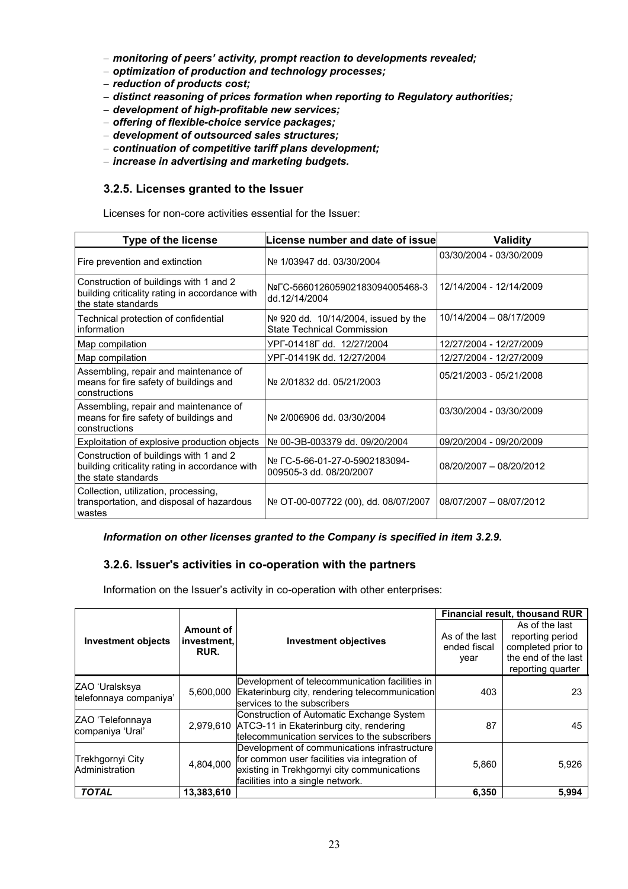- − *monitoring of peers' activity, prompt reaction to developments revealed;*
- − *optimization of production and technology processes;*
- − *reduction of products cost;*
- − *distinct reasoning of prices formation when reporting to Regulatory authorities;*
- − *development of high-profitable new services;*
- − *offering of flexible-choice service packages;*
- − *development of outsourced sales structures;*
- − *continuation of competitive tariff plans development;*
- − *increase in advertising and marketing budgets.*

# **3.2.5. Licenses granted to the Issuer**

Licenses for non-core activities essential for the Issuer:

| <b>Type of the license</b>                                                                                      | License number and date of issue                                          | <b>Validity</b>         |
|-----------------------------------------------------------------------------------------------------------------|---------------------------------------------------------------------------|-------------------------|
| Fire prevention and extinction                                                                                  | Nº 1/03947 dd. 03/30/2004                                                 | 03/30/2004 - 03/30/2009 |
| Construction of buildings with 1 and 2<br>building criticality rating in accordance with<br>the state standards | Nº C-566012605902183094005468-3<br>dd.12/14/2004                          | 12/14/2004 - 12/14/2009 |
| Technical protection of confidential<br>information                                                             | No 920 dd. 10/14/2004, issued by the<br><b>State Technical Commission</b> | 10/14/2004 - 08/17/2009 |
| Map compilation                                                                                                 | YPF-01418F dd. 12/27/2004                                                 | 12/27/2004 - 12/27/2009 |
| Map compilation                                                                                                 | YPF-01419K dd. 12/27/2004                                                 | 12/27/2004 - 12/27/2009 |
| Assembling, repair and maintenance of<br>means for fire safety of buildings and<br>constructions                | Nº 2/01832 dd. 05/21/2003                                                 | 05/21/2003 - 05/21/2008 |
| Assembling, repair and maintenance of<br>means for fire safety of buildings and<br>constructions                | Nº 2/006906 dd. 03/30/2004                                                | 03/30/2004 - 03/30/2009 |
| Exploitation of explosive production objects                                                                    | Nº 00-ЭВ-003379 dd. 09/20/2004                                            | 09/20/2004 - 09/20/2009 |
| Construction of buildings with 1 and 2<br>building criticality rating in accordance with<br>the state standards | Nº FC-5-66-01-27-0-5902183094-<br>009505-3 dd. 08/20/2007                 | 08/20/2007 - 08/20/2012 |
| Collection, utilization, processing,<br>transportation, and disposal of hazardous<br>wastes                     | Nº OT-00-007722 (00), dd. 08/07/2007                                      | 08/07/2007 - 08/07/2012 |

#### *Information on other licenses granted to the Company is specified in item 3.2.9.*

# **3.2.6. Issuer's activities in co-operation with the partners**

Information on the Issuer's activity in co-operation with other enterprises:

|                                          |                                  |                                                                                                                                                                                   | Financial result, thousand RUR         |                                                                                                      |  |  |
|------------------------------------------|----------------------------------|-----------------------------------------------------------------------------------------------------------------------------------------------------------------------------------|----------------------------------------|------------------------------------------------------------------------------------------------------|--|--|
| <b>Investment objects</b>                | Amount of<br>investment.<br>RUR. | <b>Investment objectives</b>                                                                                                                                                      | As of the last<br>ended fiscal<br>year | As of the last<br>reporting period<br>completed prior to<br>the end of the last<br>reporting quarter |  |  |
| ZAO 'Uralsksya<br>telefonnaya companiya' | 5,600,000                        | Development of telecommunication facilities in<br>Ekaterinburg city, rendering telecommunication<br>services to the subscribers                                                   | 403                                    | 23                                                                                                   |  |  |
| ZAO 'Telefonnaya<br>companiya 'Ural'     |                                  | Construction of Automatic Exchange System<br>2,979,610 ATC <sub>3</sub> -11 in Ekaterinburg city, rendering<br>telecommunication services to the subscribers                      | 87                                     | 45                                                                                                   |  |  |
| Trekhgornyi City<br>Administration       | 4,804,000                        | Development of communications infrastructure<br>for common user facilities via integration of<br>existing in Trekhgornyi city communications<br>facilities into a single network. | 5,860                                  | 5,926                                                                                                |  |  |
| <b>TOTAL</b>                             | 13,383,610                       |                                                                                                                                                                                   | 6,350                                  | 5,994                                                                                                |  |  |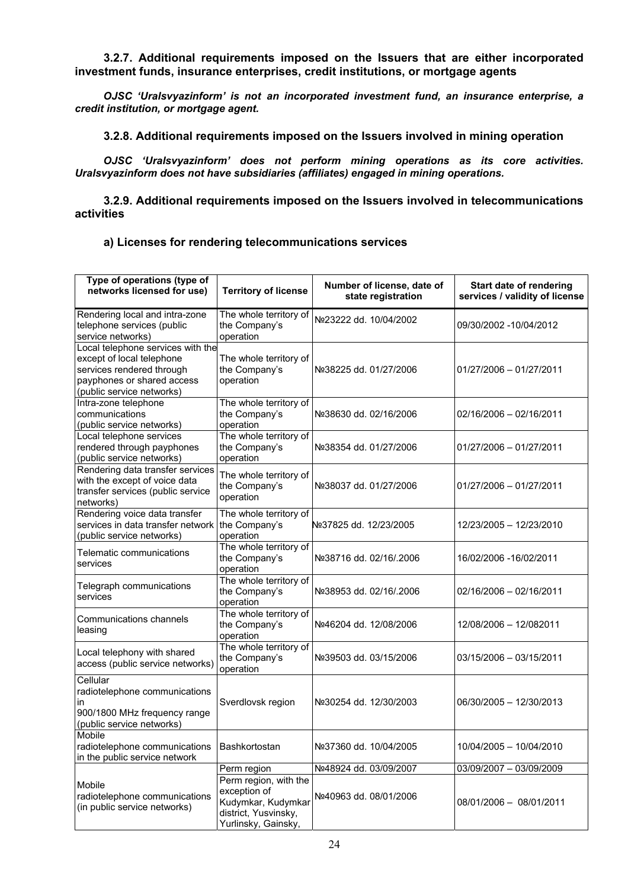**3.2.7. Additional requirements imposed on the Issuers that are either incorporated investment funds, insurance enterprises, credit institutions, or mortgage agents** 

*OJSC 'Uralsvyazinform' is not an incorporated investment fund, an insurance enterprise, a credit institution, or mortgage agent.* 

**3.2.8. Additional requirements imposed on the Issuers involved in mining operation** 

*OJSC 'Uralsvyazinform' does not perform mining operations as its core activities. Uralsvyazinform does not have subsidiaries (affiliates) engaged in mining operations.* 

**3.2.9. Additional requirements imposed on the Issuers involved in telecommunications activities** 

# **a) Licenses for rendering telecommunications services**

| Type of operations (type of<br>networks licensed for use)                                                                                              | <b>Territory of license</b>                                                                                | Number of license, date of<br>state registration | Start date of rendering<br>services / validity of license |
|--------------------------------------------------------------------------------------------------------------------------------------------------------|------------------------------------------------------------------------------------------------------------|--------------------------------------------------|-----------------------------------------------------------|
| Rendering local and intra-zone<br>telephone services (public<br>service networks)                                                                      | The whole territory of<br>the Company's<br>operation                                                       | Nº23222 dd. 10/04/2002                           | 09/30/2002 -10/04/2012                                    |
| Local telephone services with the<br>except of local telephone<br>services rendered through<br>payphones or shared access<br>(public service networks) | The whole territory of<br>the Company's<br>operation                                                       | Nº38225 dd. 01/27/2006                           | 01/27/2006 - 01/27/2011                                   |
| Intra-zone telephone<br>communications<br>(public service networks)                                                                                    | The whole territory of<br>the Company's<br>operation                                                       | Nº38630 dd. 02/16/2006                           | 02/16/2006 - 02/16/2011                                   |
| Local telephone services<br>rendered through payphones<br>(public service networks)                                                                    | The whole territory of<br>the Company's<br>operation                                                       | Nº38354 dd. 01/27/2006                           | 01/27/2006 - 01/27/2011                                   |
| Rendering data transfer services<br>with the except of voice data<br>transfer services (public service<br>networks)                                    | The whole territory of<br>the Company's<br>operation                                                       | Nº38037 dd. 01/27/2006                           | 01/27/2006 - 01/27/2011                                   |
| Rendering voice data transfer<br>services in data transfer network<br>(public service networks)                                                        | The whole territory of<br>the Company's<br>operation                                                       | №37825 dd. 12/23/2005                            | 12/23/2005 - 12/23/2010                                   |
| Telematic communications<br>services                                                                                                                   | The whole territory of<br>the Company's<br>operation                                                       | Nº38716 dd. 02/16/.2006                          | 16/02/2006 -16/02/2011                                    |
| Telegraph communications<br>services                                                                                                                   | The whole territory of<br>the Company's<br>operation                                                       | Nº38953 dd. 02/16/.2006                          | 02/16/2006 - 02/16/2011                                   |
| Communications channels<br>leasing                                                                                                                     | The whole territory of<br>the Company's<br>operation                                                       | Nº46204 dd. 12/08/2006                           | 12/08/2006 – 12/082011                                    |
| Local telephony with shared<br>access (public service networks)                                                                                        | The whole territory of<br>the Company's<br>operation                                                       | Nº39503 dd. 03/15/2006                           | 03/15/2006 - 03/15/2011                                   |
| Cellular<br>radiotelephone communications<br>in<br>900/1800 MHz frequency range<br>(public service networks)                                           | Sverdlovsk region                                                                                          | Nº30254 dd. 12/30/2003                           | 06/30/2005 - 12/30/2013                                   |
| Mobile<br>radiotelephone communications   Bashkortostan<br>in the public service network                                                               |                                                                                                            | Nº37360 dd. 10/04/2005                           | 10/04/2005 - 10/04/2010                                   |
|                                                                                                                                                        | Perm region                                                                                                | Nº48924 dd. 03/09/2007                           | 03/09/2007 - 03/09/2009                                   |
| Mobile<br>radiotelephone communications<br>(in public service networks)                                                                                | Perm region, with the<br>exception of<br>Kudymkar, Kudymkar<br>district, Yusvinsky,<br>Yurlinsky, Gainsky, | Nº40963 dd. 08/01/2006                           | 08/01/2006 - 08/01/2011                                   |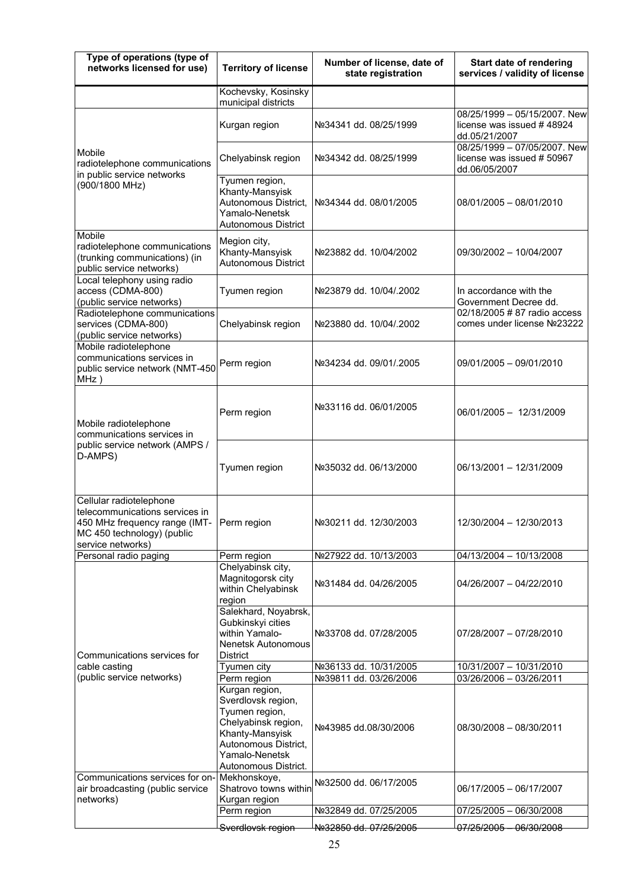| Type of operations (type of<br>networks licensed for use)                                                                                                 | <b>Territory of license</b>                                                                                                                                        | Number of license, date of<br>state registration | Start date of rendering<br>services / validity of license                   |  |
|-----------------------------------------------------------------------------------------------------------------------------------------------------------|--------------------------------------------------------------------------------------------------------------------------------------------------------------------|--------------------------------------------------|-----------------------------------------------------------------------------|--|
|                                                                                                                                                           | Kochevsky, Kosinsky<br>municipal districts                                                                                                                         |                                                  |                                                                             |  |
|                                                                                                                                                           | Kurgan region                                                                                                                                                      | Nº34341 dd. 08/25/1999                           | 08/25/1999 - 05/15/2007. New<br>license was issued #48924<br>dd.05/21/2007  |  |
| Mobile<br>radiotelephone communications<br>in public service networks                                                                                     | Chelyabinsk region                                                                                                                                                 | Nº34342 dd. 08/25/1999                           | 08/25/1999 - 07/05/2007. New<br>license was issued # 50967<br>dd.06/05/2007 |  |
| (900/1800 MHz)                                                                                                                                            | Tyumen region,<br>Khanty-Mansyisk<br>Autonomous District,<br>Yamalo-Nenetsk<br><b>Autonomous District</b>                                                          | Nº34344 dd. 08/01/2005                           | 08/01/2005 - 08/01/2010                                                     |  |
| Mobile<br>radiotelephone communications<br>(trunking communications) (in<br>public service networks)                                                      | Megion city,<br>Khanty-Mansyisk<br><b>Autonomous District</b>                                                                                                      | Nº23882 dd. 10/04/2002                           | 09/30/2002 - 10/04/2007                                                     |  |
| Local telephony using radio<br>access (CDMA-800)<br>(public service networks)                                                                             | Tyumen region                                                                                                                                                      | Nº23879 dd. 10/04/.2002                          | In accordance with the<br>Government Decree dd.                             |  |
| Radiotelephone communications<br>services (CDMA-800)<br>(public service networks)                                                                         | Chelyabinsk region                                                                                                                                                 | Nº23880 dd. 10/04/.2002                          | 02/18/2005 # 87 radio access<br>comes under license Nº23222                 |  |
| Mobile radiotelephone<br>communications services in<br>public service network (NMT-450<br>$MHz$ )                                                         | Perm region                                                                                                                                                        | Nº34234 dd. 09/01/.2005                          | 09/01/2005 - 09/01/2010                                                     |  |
| Mobile radiotelephone<br>communications services in                                                                                                       | Perm region                                                                                                                                                        | Nº33116 dd. 06/01/2005                           | 06/01/2005 - 12/31/2009                                                     |  |
| public service network (AMPS /<br>D-AMPS)                                                                                                                 | Tyumen region                                                                                                                                                      | Nº35032 dd. 06/13/2000                           | 06/13/2001 - 12/31/2009                                                     |  |
| Cellular radiotelephone<br>telecommunications services in<br>450 MHz frequency range (IMT- Perm region<br>MC 450 technology) (public<br>service networks) |                                                                                                                                                                    | Nº30211 dd. 12/30/2003                           | 12/30/2004 - 12/30/2013                                                     |  |
| Personal radio paging                                                                                                                                     | Perm region                                                                                                                                                        | Nº27922 dd. 10/13/2003                           | 04/13/2004 - 10/13/2008                                                     |  |
|                                                                                                                                                           | Chelyabinsk city,<br>Magnitogorsk city<br>within Chelyabinsk<br>region                                                                                             | Nº31484 dd. 04/26/2005                           | 04/26/2007 - 04/22/2010                                                     |  |
| Communications services for                                                                                                                               | Salekhard, Noyabrsk,<br>Gubkinskyi cities<br>within Yamalo-<br><b>Nenetsk Autonomous</b><br><b>District</b>                                                        | Nº33708 dd. 07/28/2005                           | 07/28/2007 - 07/28/2010                                                     |  |
| cable casting                                                                                                                                             | Tyumen city                                                                                                                                                        | Nº36133 dd. 10/31/2005                           | 10/31/2007 - 10/31/2010                                                     |  |
| (public service networks)                                                                                                                                 | Perm region                                                                                                                                                        | Nº39811 dd. 03/26/2006                           | 03/26/2006 - 03/26/2011                                                     |  |
|                                                                                                                                                           | Kurgan region,<br>Sverdlovsk region,<br>Tyumen region,<br>Chelyabinsk region,<br>Khanty-Mansyisk<br>Autonomous District,<br>Yamalo-Nenetsk<br>Autonomous District. | Nº43985 dd.08/30/2006                            | 08/30/2008 - 08/30/2011                                                     |  |
| Communications services for on-<br>air broadcasting (public service<br>networks)                                                                          | Mekhonskoye,<br>Shatrovo towns within<br>Kurgan region                                                                                                             | Nº32500 dd. 06/17/2005                           | 06/17/2005 - 06/17/2007                                                     |  |
|                                                                                                                                                           | Perm region                                                                                                                                                        | Nº32849 dd. 07/25/2005                           | 07/25/2005 - 06/30/2008                                                     |  |
|                                                                                                                                                           | Sverdlovsk region                                                                                                                                                  | <del>Nº32850 dd. 07/25/2005</del>                | <del>07/25/2005 - 06/30/2008</del>                                          |  |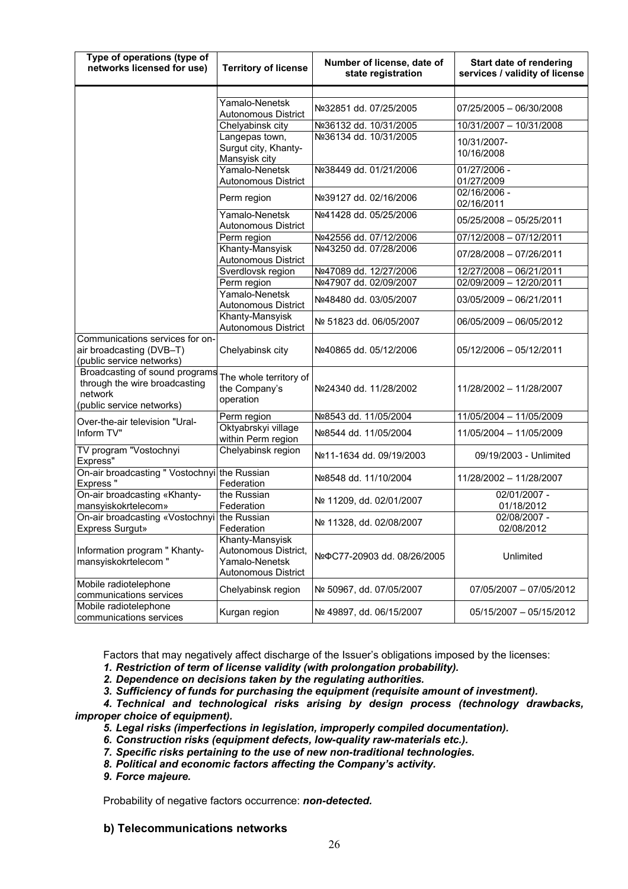| Type of operations (type of<br>networks licensed for use)                                               | <b>Territory of license</b>                                                             | Number of license, date of<br>state registration | Start date of rendering<br>services / validity of license |
|---------------------------------------------------------------------------------------------------------|-----------------------------------------------------------------------------------------|--------------------------------------------------|-----------------------------------------------------------|
|                                                                                                         |                                                                                         |                                                  |                                                           |
|                                                                                                         | Yamalo-Nenetsk<br><b>Autonomous District</b>                                            | Nº32851 dd. 07/25/2005                           | 07/25/2005 - 06/30/2008                                   |
|                                                                                                         | Chelyabinsk city                                                                        | Nº36132 dd. 10/31/2005                           | 10/31/2007 - 10/31/2008                                   |
|                                                                                                         | Langepas town,<br>Surgut city, Khanty-<br>Mansyisk city                                 | Nº36134 dd. 10/31/2005                           | 10/31/2007-<br>10/16/2008                                 |
|                                                                                                         | Yamalo-Nenetsk<br><b>Autonomous District</b>                                            | Nº38449 dd. 01/21/2006                           | 01/27/2006 -<br>01/27/2009                                |
|                                                                                                         | Perm region                                                                             | Nº39127 dd. 02/16/2006                           | 02/16/2006 -<br>02/16/2011                                |
|                                                                                                         | Yamalo-Nenetsk<br><b>Autonomous District</b>                                            | Nº41428 dd. 05/25/2006                           | 05/25/2008 - 05/25/2011                                   |
|                                                                                                         | Perm region                                                                             | Nº42556 dd. 07/12/2006                           | $07/12/2008 - 07/12/2011$                                 |
|                                                                                                         | Khanty-Mansyisk<br><b>Autonomous District</b>                                           | Nº43250 dd. 07/28/2006                           | 07/28/2008 - 07/26/2011                                   |
|                                                                                                         | Sverdlovsk region                                                                       | Nº47089 dd. 12/27/2006                           | 12/27/2008 - 06/21/2011                                   |
|                                                                                                         | Perm region                                                                             | Nº47907 dd. 02/09/2007                           | 02/09/2009 - 12/20/2011                                   |
|                                                                                                         | Yamalo-Nenetsk<br><b>Autonomous District</b>                                            | Nº48480 dd. 03/05/2007                           | 03/05/2009 - 06/21/2011                                   |
|                                                                                                         | Khanty-Mansyisk<br><b>Autonomous District</b>                                           | Nº 51823 dd. 06/05/2007                          | 06/05/2009 - 06/05/2012                                   |
| Communications services for on-<br>air broadcasting (DVB-T)<br>(public service networks)                | Chelyabinsk city                                                                        | Nº40865 dd. 05/12/2006                           | 05/12/2006 - 05/12/2011                                   |
| Broadcasting of sound programs<br>through the wire broadcasting<br>network<br>(public service networks) | The whole territory of<br>the Company's<br>operation                                    | Nº24340 dd. 11/28/2002                           | 11/28/2002 - 11/28/2007                                   |
| Over-the-air television "Ural-                                                                          | Perm region                                                                             | Nº8543 dd. 11/05/2004                            | 11/05/2004 - 11/05/2009                                   |
| Inform TV"                                                                                              | Oktyabrskyi village<br>within Perm region                                               | Nº8544 dd. 11/05/2004                            | 11/05/2004 - 11/05/2009                                   |
| TV program "Vostochnyi<br>Express"                                                                      | Chelyabinsk region                                                                      | Nº11-1634 dd. 09/19/2003                         | 09/19/2003 - Unlimited                                    |
| On-air broadcasting " Vostochnyi the Russian<br>Express"                                                | Federation                                                                              | Nº8548 dd. 11/10/2004                            | 11/28/2002 - 11/28/2007                                   |
| On-air broadcasting «Khanty-<br>mansyiskokrtelecom»                                                     | the Russian<br>Federation                                                               | Nº 11209, dd. 02/01/2007                         | 02/01/2007 -<br>01/18/2012                                |
| On-air broadcasting «Vostochnyi the Russian<br><b>Express Surgut»</b>                                   | Federation                                                                              | Nº 11328, dd. 02/08/2007                         | 02/08/2007 -<br>02/08/2012                                |
| Information program " Khanty-<br>mansyiskokrtelecom "                                                   | Khanty-Mansyisk<br>Autonomous District,<br>Yamalo-Nenetsk<br><b>Autonomous District</b> | Nº ΦC77-20903 dd. 08/26/2005                     | Unlimited                                                 |
| Mobile radiotelephone<br>communications services                                                        | Chelyabinsk region                                                                      | Nº 50967, dd. 07/05/2007                         | 07/05/2007 - 07/05/2012                                   |
| Mobile radiotelephone<br>communications services                                                        | Kurgan region                                                                           | Nº 49897, dd. 06/15/2007                         | 05/15/2007 - 05/15/2012                                   |

Factors that may negatively affect discharge of the Issuer's obligations imposed by the licenses:

*1. Restriction of term of license validity (with prolongation probability).* 

*2. Dependence on decisions taken by the regulating authorities.* 

*3. Sufficiency of funds for purchasing the equipment (requisite amount of investment).* 

*4. Technical and technological risks arising by design process (technology drawbacks, improper choice of equipment).* 

- *5. Legal risks (imperfections in legislation, improperly compiled documentation).*
- *6. Construction risks (equipment defects, low-quality raw-materials etc.).*
- *7. Specific risks pertaining to the use of new non-traditional technologies.*
- *8. Political and economic factors affecting the Company's activity.*
- *9. Force majeure.*

Probability of negative factors occurrence: *non-detected.* 

#### **b) Telecommunications networks**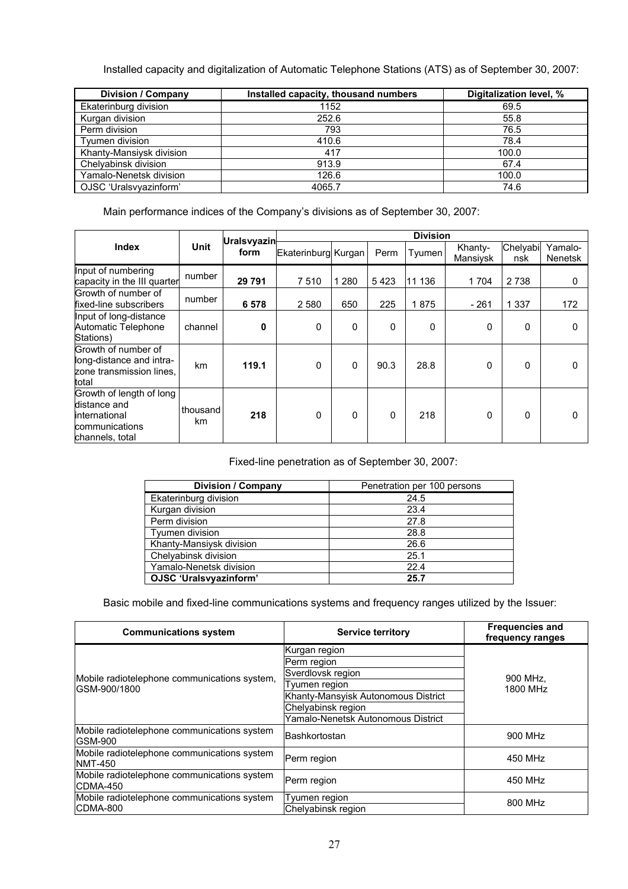Installed capacity and digitalization of Automatic Telephone Stations (ATS) as of September 30, 2007:

| Division / Company       | Installed capacity, thousand numbers | Digitalization level, % |
|--------------------------|--------------------------------------|-------------------------|
| Ekaterinburg division    | 1152                                 | 69.5                    |
| Kurgan division          | 252.6                                | 55.8                    |
| Perm division            | 793                                  | 76.5                    |
| Tvumen division          | 410.6                                | 78.4                    |
| Khanty-Mansiysk division | 417                                  | 100.0                   |
| Chelyabinsk division     | 913.9                                | 67.4                    |
| Yamalo-Nenetsk division  | 126.6                                | 100.0                   |
| OJSC 'Uralsvyazinform'   | 4065.7                               | 74.6                    |

Main performance indices of the Company's divisions as of September 30, 2007:

|                                                                                                 |                |                            | <b>Division</b>     |          |              |           |                     |                 |                    |
|-------------------------------------------------------------------------------------------------|----------------|----------------------------|---------------------|----------|--------------|-----------|---------------------|-----------------|--------------------|
| <b>Index</b>                                                                                    | Unit           | <b>Uralsvyazin</b><br>form | Ekaterinburg Kurgan |          | Perm         | Tyumen    | Khanty-<br>Mansiysk | Chelyabi<br>nsk | Yamalo-<br>Nenetsk |
| Input of numbering<br>capacity in the III quarter                                               | number         | 29 791                     | 7510                | 1 2 8 0  | 5423         | 11<br>136 | 1 704               | 2 7 3 8         | 0                  |
| Growth of number of<br>fixed-line subscribers                                                   | number         | 6578                       | 2 5 8 0             | 650      | 225          | 1875      | $-261$              | 1 3 3 7         | 172                |
| Input of long-distance<br>Automatic Telephone<br>Stations)                                      | channel        | 0                          | 0                   | $\Omega$ | $\mathbf{0}$ | 0         | 0                   | 0               | <sup>0</sup>       |
| Growth of number of<br>long-distance and intra-<br>zone transmission lines.<br>total            | km             | 119.1                      | 0                   | $\Omega$ | 90.3         | 28.8      | 0                   | $\mathbf 0$     | 0                  |
| Growth of length of long<br>distance and<br>linternational<br>communications<br>channels, total | thousand<br>km | 218                        | $\Omega$            | $\Omega$ | $\mathbf{0}$ | 218       | 0                   | $\Omega$        |                    |

Fixed-line penetration as of September 30, 2007:

| <b>Division / Company</b> | Penetration per 100 persons |
|---------------------------|-----------------------------|
| Ekaterinburg division     | 24.5                        |
| Kurgan division           | 23.4                        |
| Perm division             | 27.8                        |
| Tyumen division           | 28.8                        |
| Khanty-Mansiysk division  | 26.6                        |
| Chelyabinsk division      | 25.1                        |
| Yamalo-Nenetsk division   | 22.4                        |
| OJSC 'Uralsvyazinform'    | 25.7                        |

Basic mobile and fixed-line communications systems and frequency ranges utilized by the Issuer:

| <b>Communications system</b>                                  | <b>Service territory</b>            | <b>Frequencies and</b><br>frequency ranges |
|---------------------------------------------------------------|-------------------------------------|--------------------------------------------|
|                                                               | Kurgan region                       |                                            |
|                                                               | Perm region                         |                                            |
| Mobile radiotelephone communications system,                  | Sverdlovsk region                   | 900 MHz.                                   |
| GSM-900/1800                                                  | Tyumen region                       | 1800 MHz                                   |
|                                                               | Khanty-Mansyisk Autonomous District |                                            |
|                                                               | Chelyabinsk region                  |                                            |
|                                                               | Yamalo-Nenetsk Autonomous District  |                                            |
| Mobile radiotelephone communications system<br><b>GSM-900</b> | Bashkortostan                       | 900 MHz                                    |
| Mobile radiotelephone communications system<br><b>NMT-450</b> | Perm region                         | 450 MHz                                    |
| Mobile radiotelephone communications system<br>CDMA-450       | Perm region                         | 450 MHz                                    |
| Mobile radiotelephone communications system                   | Tyumen region                       | 800 MHz                                    |
| CDMA-800                                                      | Chelyabinsk region                  |                                            |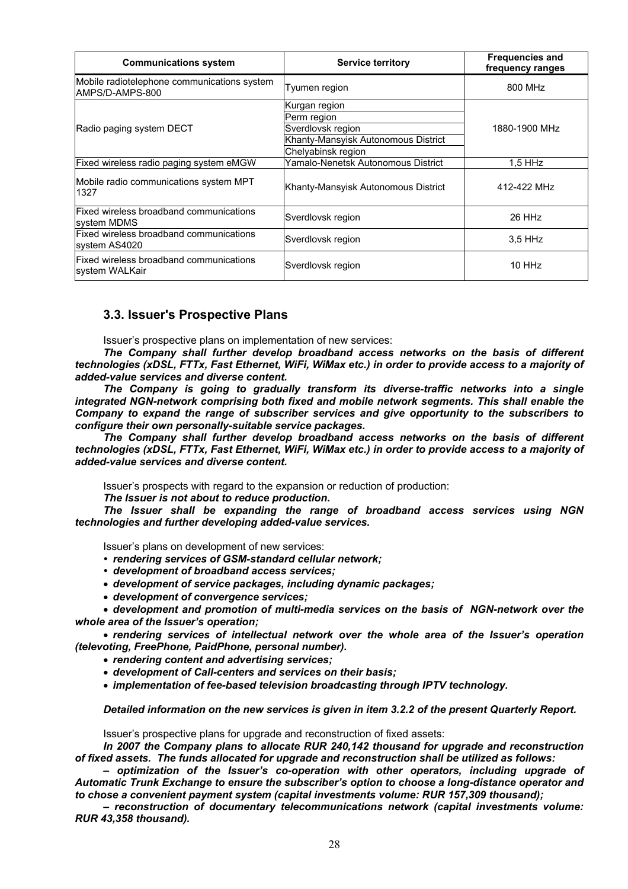| <b>Communications system</b>                                   | <b>Service territory</b>                                                                                       | <b>Frequencies and</b><br>frequency ranges |
|----------------------------------------------------------------|----------------------------------------------------------------------------------------------------------------|--------------------------------------------|
| Mobile radiotelephone communications system<br>AMPS/D-AMPS-800 | Tyumen region                                                                                                  | 800 MHz                                    |
| Radio paging system DECT                                       | Kurgan region<br>Perm region<br>Sverdlovsk region<br>Khanty-Mansyisk Autonomous District<br>Chelyabinsk region | 1880-1900 MHz                              |
| Fixed wireless radio paging system eMGW                        | Yamalo-Nenetsk Autonomous District                                                                             | $1.5$ HHz                                  |
| Mobile radio communications system MPT<br>1327                 | Khanty-Mansyisk Autonomous District                                                                            | 412-422 MHz                                |
| Fixed wireless broadband communications<br>system MDMS         | Sverdlovsk region                                                                                              | 26 HHz                                     |
| Fixed wireless broadband communications<br>system AS4020       | Sverdlovsk region                                                                                              | $3.5$ HHz                                  |
| Fixed wireless broadband communications<br>system WALKair      | Sverdlovsk region                                                                                              | 10 HHz                                     |

# **3.3. Issuer's Prospective Plans**

Issuer's prospective plans on implementation of new services:

*The Company shall further develop broadband access networks on the basis of different technologies (xDSL, FTTx, Fast Ethernet, WiFi, WiMax etc.) in order to provide access to a majority of added-value services and diverse content.* 

*The Company is going to gradually transform its diverse-traffic networks into a single integrated NGN-network comprising both fixed and mobile network segments. This shall enable the Company to expand the range of subscriber services and give opportunity to the subscribers to configure their own personally-suitable service packages.* 

*The Company shall further develop broadband access networks on the basis of different technologies (xDSL, FTTx, Fast Ethernet, WiFi, WiMax etc.) in order to provide access to a majority of added-value services and diverse content.* 

Issuer's prospects with regard to the expansion or reduction of production:

*The Issuer is not about to reduce production.* 

*The Issuer shall be expanding the range of broadband access services using NGN technologies and further developing added-value services.* 

Issuer's plans on development of new services:

- *rendering services of GSM-standard cellular network;*
- *development of broadband access services;*
- *development of service packages, including dynamic packages;*
- *development of convergence services;*

• *development and promotion of multi-media services on the basis of NGN-network over the whole area of the Issuer's operation;* 

• *rendering services of intellectual network over the whole area of the Issuer's operation (televoting, FreePhone, PaidPhone, personal number).* 

- *rendering content and advertising services;*
- *development of Call-centers and services on their basis;*
- *implementation of fee-based television broadcasting through IPTV technology.*

*Detailed information on the new services is given in item 3.2.2 of the present Quarterly Report.* 

Issuer's prospective plans for upgrade and reconstruction of fixed assets:

*In 2007 the Company plans to allocate RUR 240,142 thousand for upgrade and reconstruction of fixed assets. The funds allocated for upgrade and reconstruction shall be utilized as follows:* 

*– optimization of the Issuer's co-operation with other operators, including upgrade of Automatic Trunk Exchange to ensure the subscriber's option to choose a long-distance operator and to chose a convenient payment system (capital investments volume: RUR 157,309 thousand);* 

*– reconstruction of documentary telecommunications network (capital investments volume: RUR 43,358 thousand).*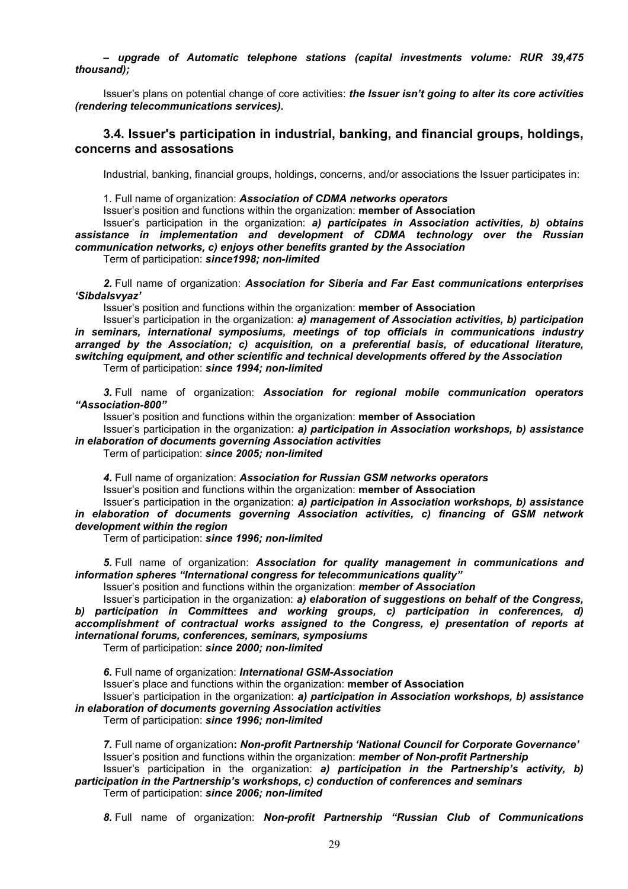*– upgrade of Automatic telephone stations (capital investments volume: RUR 39,475 thousand);* 

Issuer's plans on potential change of core activities: *the Issuer isn't going to alter its core activities (rendering telecommunications services).* 

# **3.4. Issuer's participation in industrial, banking, and financial groups, holdings, concerns and assosations**

Industrial, banking, financial groups, holdings, concerns, and/or associations the Issuer participates in:

1. Full name of organization: *Association of CDMA networks operators* 

Issuer's position and functions within the organization: **member of Association**

Issuer's participation in the organization: *a) participates in Association activities, b) obtains assistance in implementation and development of CDMA technology over the Russian communication networks, c) enjoys other benefits granted by the Association*  Term of participation: *since1998; non-limited*

*2.* Full name of organization: *Association for Siberia and Far East communications enterprises 'Sibdalsvyaz'* 

Issuer's position and functions within the organization: **member of Association**

Issuer's participation in the organization: *a) management of Association activities, b) participation in seminars, international symposiums, meetings of top officials in communications industry arranged by the Association; c) acquisition, on a preferential basis, of educational literature, switching equipment, and other scientific and technical developments offered by the Association*  Term of participation: *since 1994; non-limited* 

*3.* Full name of organization: *Association for regional mobile communication operators "Association-800"* 

Issuer's position and functions within the organization: **member of Association**

Issuer's participation in the organization: *a) participation in Association workshops, b) assistance in elaboration of documents governing Association activities* 

Term of participation: *since 2005; non-limited* 

*4.* Full name of organization: *Association for Russian GSM networks operators*  Issuer's position and functions within the organization: **member of Association**

Issuer's participation in the organization: *a) participation in Association workshops, b) assistance in elaboration of documents governing Association activities, c) financing of GSM network development within the region* 

Term of participation: *since 1996; non-limited* 

*5.* Full name of organization: *Association for quality management in communications and information spheres "International congress for telecommunications quality"* 

Issuer's position and functions within the organization: *member of Association* 

Issuer's participation in the organization: *a) elaboration of suggestions on behalf of the Congress, b) participation in Committees and working groups, c) participation in conferences, d) accomplishment of contractual works assigned to the Congress, e) presentation of reports at international forums, conferences, seminars, symposiums* 

Term of participation: *since 2000; non-limited*

*6.* Full name of organization: *International GSM-Association* Issuer's place and functions within the organization: **member of Association** Issuer's participation in the organization: *a) participation in Association workshops, b) assistance in elaboration of documents governing Association activities* 

Term of participation: *since 1996; non-limited*

*7.* Full name of organization**:** *Non-profit Partnership 'National Council for Corporate Governance'*  Issuer's position and functions within the organization: *member of Non-profit Partnership* Issuer's participation in the organization: *a) participation in the Partnership's activity, b)* 

# *participation in the Partnership's workshops, c) conduction of conferences and seminars*  Term of participation: *since 2006; non-limited*

*8.* Full name of organization: *Non-profit Partnership "Russian Club of Communications*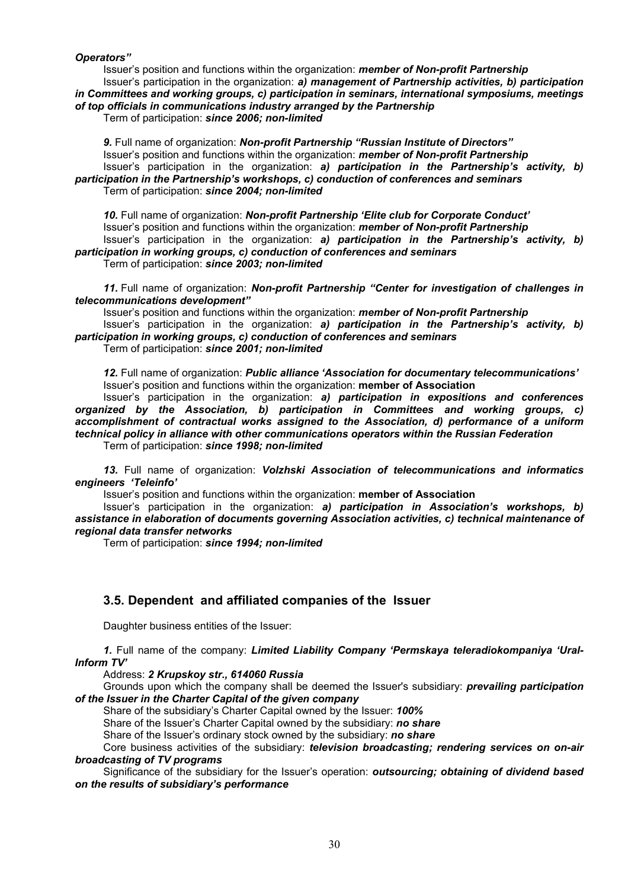*Operators"* 

Issuer's position and functions within the organization: *member of Non-profit Partnership*  Issuer's participation in the organization: *a) management of Partnership activities, b) participation in Committees and working groups, c) participation in seminars, international symposiums, meetings* 

*of top officials in communications industry arranged by the Partnership* 

Term of participation: *since 2006; non-limited* 

*9.* Full name of organization: *Non-profit Partnership "Russian Institute of Directors"* Issuer's position and functions within the organization: *member of Non-profit Partnership*  Issuer's participation in the organization: *a) participation in the Partnership's activity, b) participation in the Partnership's workshops, c) conduction of conferences and seminars* 

Term of participation: *since 2004; non-limited* 

*10.* Full name of organization: *Non-profit Partnership 'Elite club for Corporate Conduct'*  Issuer's position and functions within the organization: *member of Non-profit Partnership*  Issuer's participation in the organization: *a) participation in the Partnership's activity, b) participation in working groups, c) conduction of conferences and seminars*

Term of participation: *since 2003; non-limited* 

*11.* Full name of organization: *Non-profit Partnership "Center for investigation of challenges in telecommunications development"* 

Issuer's position and functions within the organization: *member of Non-profit Partnership*  Issuer's participation in the organization: *a) participation in the Partnership's activity, b) participation in working groups, c) conduction of conferences and seminars* 

Term of participation: *since 2001; non-limited* 

*12.* Full name of organization: *Public alliance 'Association for documentary telecommunications'*  Issuer's position and functions within the organization: **member of Association**

Issuer's participation in the organization: *a) participation in expositions and conferences organized by the Association, b) participation in Committees and working groups, c) accomplishment of contractual works assigned to the Association, d) performance of a uniform technical policy in alliance with other communications operators within the Russian Federation*  Term of participation: *since 1998; non-limited* 

*13.* Full name of organization: *Volzhski Association of telecommunications and informatics engineers 'Teleinfo'* 

Issuer's position and functions within the organization: **member of Association**

Issuer's participation in the organization: *a) participation in Association's workshops, b) assistance in elaboration of documents governing Association activities, c) technical maintenance of regional data transfer networks*

Term of participation: *since 1994; non-limited* 

# **3.5. Dependent and affiliated companies of the Issuer**

Daughter business entities of the Issuer:

*1.* Full name of the company: *Limited Liability Company 'Permskaya teleradiokompaniya 'Ural-Inform TV'* 

Address: *2 Krupskoy str., 614060 Russia* 

Grounds upon which the company shall be deemed the Issuer's subsidiary: *prevailing participation of the Issuer in the Charter Capital of the given company* 

Share of the subsidiary's Charter Capital owned by the Issuer: *100%* 

Share of the Issuer's Charter Capital owned by the subsidiary: *no share*

Share of the Issuer's ordinary stock owned by the subsidiary: *no share*

Core business activities of the subsidiary: *television broadcasting; rendering services on on-air broadcasting of TV programs* 

Significance of the subsidiary for the Issuer's operation: *outsourcing; obtaining of dividend based on the results of subsidiary's performance*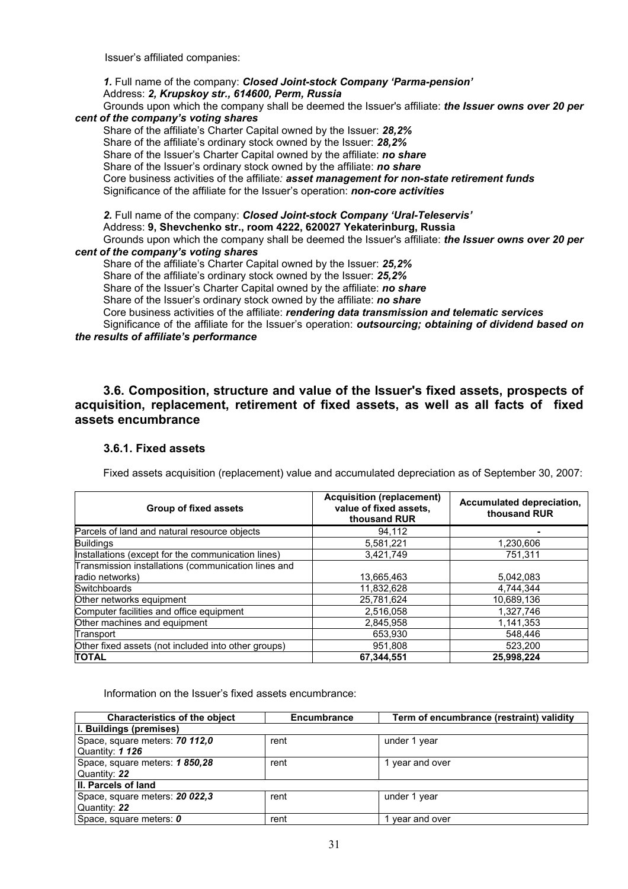Issuer's affiliated companies:

*1.* Full name of the company: *Closed Joint-stock Company 'Parma-pension'*  Address: *2, Krupskoy str., 614600, Perm, Russia*

Grounds upon which the company shall be deemed the Issuer's affiliate: *the Issuer owns over 20 per cent of the company's voting shares* 

Share of the affiliate's Charter Capital owned by the Issuer: *28,2%*  Share of the affiliate's ordinary stock owned by the Issuer: *28,2%*  Share of the Issuer's Charter Capital owned by the affiliate: *no share*  Share of the Issuer's ordinary stock owned by the affiliate: *no share* Core business activities of the affiliate*: asset management for non-state retirement funds*  Significance of the affiliate for the Issuer's operation: *non-core activities* 

*2.* Full name of the company: *Closed Joint-stock Company 'Ural-Teleservis'*  Address: **9, Shevchenko str., room 4222, 620027 Yekaterinburg, Russia** Grounds upon which the company shall be deemed the Issuer's affiliate: *the Issuer owns over 20 per* 

#### *cent of the company's voting shares*

Share of the affiliate's Charter Capital owned by the Issuer: *25,2%* 

Share of the affiliate's ordinary stock owned by the Issuer: *25,2%* 

Share of the Issuer's Charter Capital owned by the affiliate: *no share* 

Share of the Issuer's ordinary stock owned by the affiliate: *no share*

Core business activities of the affiliate: *rendering data transmission and telematic services* 

Significance of the affiliate for the Issuer's operation: *outsourcing; obtaining of dividend based on the results of affiliate's performance*

**3.6. Composition, structure and value of the Issuer's fixed assets, prospects of acquisition, replacement, retirement of fixed assets, as well as all facts of fixed assets encumbrance** 

#### **3.6.1. Fixed assets**

Fixed assets acquisition (replacement) value and accumulated depreciation as of September 30, 2007:

| <b>Group of fixed assets</b>                        | <b>Acquisition (replacement)</b><br>value of fixed assets,<br>thousand RUR | Accumulated depreciation,<br>thousand RUR |
|-----------------------------------------------------|----------------------------------------------------------------------------|-------------------------------------------|
| Parcels of land and natural resource objects        | 94,112                                                                     |                                           |
| <b>Buildings</b>                                    | 5.581.221                                                                  | 1.230.606                                 |
| Installations (except for the communication lines)  | 3,421,749                                                                  | 751.311                                   |
| Transmission installations (communication lines and |                                                                            |                                           |
| radio networks)                                     | 13,665,463                                                                 | 5,042,083                                 |
| <b>Switchboards</b>                                 | 11,832,628                                                                 | 4.744.344                                 |
| Other networks equipment                            | 25,781,624                                                                 | 10.689.136                                |
| Computer facilities and office equipment            | 2,516,058                                                                  | 1,327,746                                 |
| Other machines and equipment                        | 2,845,958                                                                  | 1,141,353                                 |
| Transport                                           | 653.930                                                                    | 548.446                                   |
| Other fixed assets (not included into other groups) | 951,808                                                                    | 523,200                                   |
| <b>TOTAL</b>                                        | 67.344.551                                                                 | 25,998,224                                |

Information on the Issuer's fixed assets encumbrance:

| <b>Characteristics of the object</b> | <b>Encumbrance</b> | Term of encumbrance (restraint) validity |
|--------------------------------------|--------------------|------------------------------------------|
| <b>I. Buildings (premises)</b>       |                    |                                          |
| Space, square meters: 70 112,0       | rent               | under 1 year                             |
| Quantity: 1 126                      |                    |                                          |
| Space, square meters: 1 850,28       | rent               | year and over                            |
| Quantity: 22                         |                    |                                          |
| II. Parcels of land                  |                    |                                          |
| Space, square meters: 20 022,3       | rent               | under 1 year                             |
| Quantity: 22                         |                    |                                          |
| Space, square meters: 0              | rent               | year and over                            |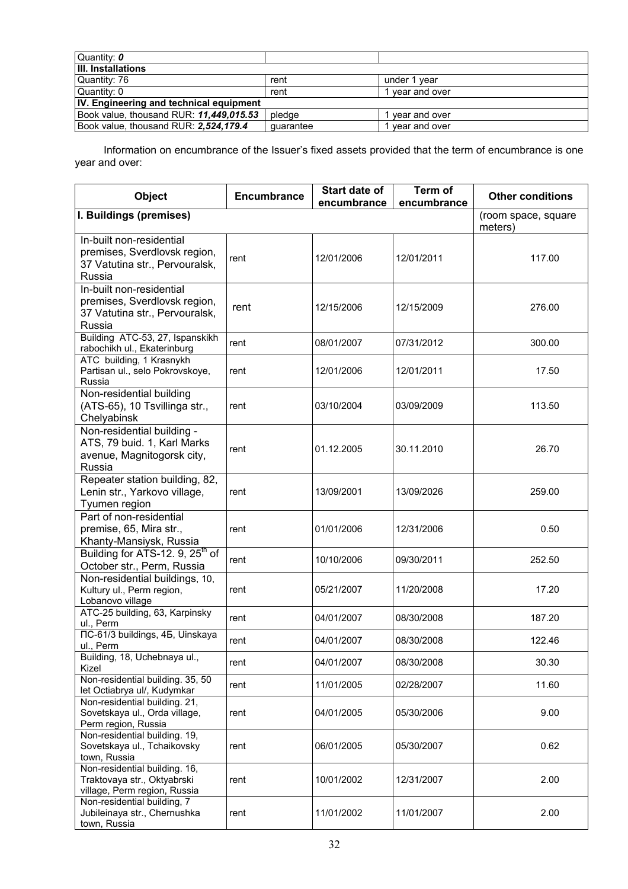| Quantity: 0                                    |           |               |  |  |
|------------------------------------------------|-----------|---------------|--|--|
| III. Installations                             |           |               |  |  |
| Quantity: 76                                   | rent      | under 1 vear  |  |  |
| Quantity: 0                                    | rent      | vear and over |  |  |
| <b>IV. Engineering and technical equipment</b> |           |               |  |  |
| Book value, thousand RUR: 11,449,015.53        | pledae    | year and over |  |  |
| Book value, thousand RUR: 2,524,179.4          | quarantee | vear and over |  |  |

Information on encumbrance of the Issuer's fixed assets provided that the term of encumbrance is one year and over:

| <b>Object</b>                                                                                        | <b>Encumbrance</b> | Start date of<br>encumbrance | Term of<br>encumbrance         | <b>Other conditions</b> |
|------------------------------------------------------------------------------------------------------|--------------------|------------------------------|--------------------------------|-------------------------|
| I. Buildings (premises)                                                                              |                    |                              | (room space, square<br>meters) |                         |
| In-built non-residential<br>premises, Sverdlovsk region,<br>37 Vatutina str., Pervouralsk,<br>Russia | rent               | 12/01/2006                   | 12/01/2011                     | 117.00                  |
| In-built non-residential<br>premises, Sverdlovsk region,<br>37 Vatutina str., Pervouralsk,<br>Russia | rent               | 12/15/2006                   | 12/15/2009                     | 276.00                  |
| Building ATC-53, 27, Ispanskikh<br>rabochikh ul., Ekaterinburg                                       | rent               | 08/01/2007                   | 07/31/2012                     | 300.00                  |
| ATC building, 1 Krasnykh<br>Partisan ul., selo Pokrovskoye,<br>Russia                                | rent               | 12/01/2006                   | 12/01/2011                     | 17.50                   |
| Non-residential building<br>(ATS-65), 10 Tsvillinga str.,<br>Chelyabinsk                             | rent               | 03/10/2004                   | 03/09/2009                     | 113.50                  |
| Non-residential building -<br>ATS, 79 buid. 1, Karl Marks<br>avenue, Magnitogorsk city,<br>Russia    | rent               | 01.12.2005                   | 30.11.2010                     | 26.70                   |
| Repeater station building, 82,<br>Lenin str., Yarkovo village,<br>Tyumen region                      | rent               | 13/09/2001                   | 13/09/2026                     | 259.00                  |
| Part of non-residential<br>premise, 65, Mira str.,<br>Khanty-Mansiysk, Russia                        | rent               | 01/01/2006                   | 12/31/2006                     | 0.50                    |
| Building for ATS-12. 9, 25 <sup>th</sup> of<br>October str., Perm, Russia                            | rent               | 10/10/2006                   | 09/30/2011                     | 252.50                  |
| Non-residential buildings, 10,<br>Kultury ul., Perm region,<br>Lobanovo village                      | rent               | 05/21/2007                   | 11/20/2008                     | 17.20                   |
| ATC-25 building, 63, Karpinsky<br>ul., Perm                                                          | rent               | 04/01/2007                   | 08/30/2008                     | 187.20                  |
| ITC-61/3 buildings, 45, Uinskaya<br>ul., Perm                                                        | rent               | 04/01/2007                   | 08/30/2008                     | 122.46                  |
| Building, 18, Uchebnaya ul.,<br>Kizel                                                                | rent               | 04/01/2007                   | 08/30/2008                     | 30.30                   |
| Non-residential building. 35, 50<br>let Octiabrya ul/, Kudymkar                                      | rent               | 11/01/2005                   | 02/28/2007                     | 11.60                   |
| Non-residential building. 21,<br>Sovetskaya ul., Orda village,<br>Perm region, Russia                | rent               | 04/01/2005                   | 05/30/2006                     | 9.00                    |
| Non-residential building. 19,<br>Sovetskaya ul., Tchaikovsky<br>town, Russia                         | rent               | 06/01/2005                   | 05/30/2007                     | 0.62                    |
| Non-residential building. 16,<br>Traktovaya str., Oktyabrski<br>village, Perm region, Russia         | rent               | 10/01/2002                   | 12/31/2007                     | 2.00                    |
| Non-residential building, 7<br>Jubileinaya str., Chernushka<br>town, Russia                          | rent               | 11/01/2002                   | 11/01/2007                     | 2.00                    |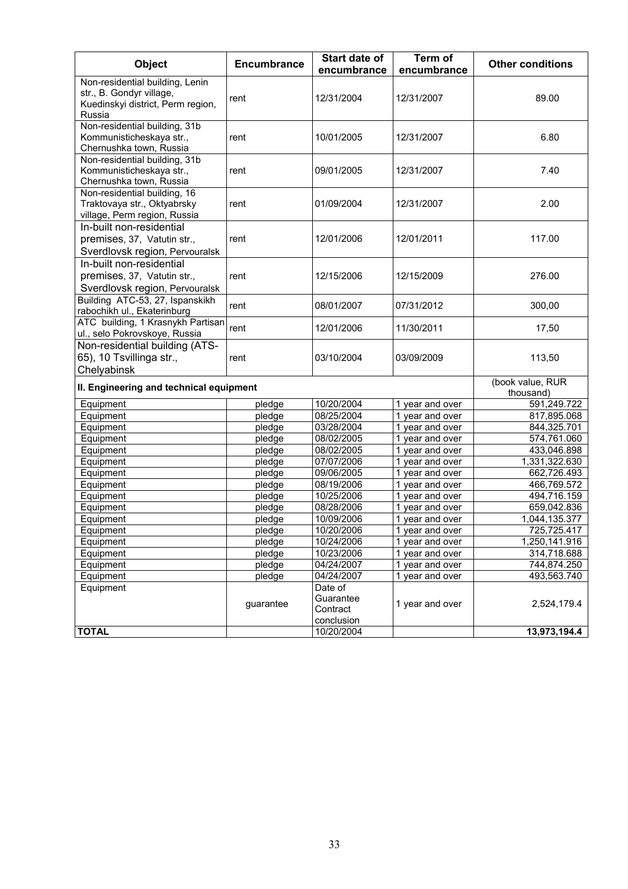| <b>Object</b>                                                                                              | <b>Encumbrance</b> | Start date of<br>encumbrance                   | Term of<br>encumbrance | <b>Other conditions</b>       |
|------------------------------------------------------------------------------------------------------------|--------------------|------------------------------------------------|------------------------|-------------------------------|
| Non-residential building, Lenin<br>str., B. Gondyr village,<br>Kuedinskyi district, Perm region,<br>Russia | rent               | 12/31/2004                                     | 12/31/2007             | 89.00                         |
| Non-residential building, 31b<br>Kommunisticheskaya str.,<br>Chernushka town, Russia                       | rent               | 10/01/2005                                     | 12/31/2007             | 6.80                          |
| Non-residential building, 31b<br>Kommunisticheskaya str.,<br>Chernushka town, Russia                       | rent               | 09/01/2005                                     | 12/31/2007             | 7.40                          |
| Non-residential building, 16<br>Traktovaya str., Oktyabrsky<br>village, Perm region, Russia                | rent               | 01/09/2004                                     | 12/31/2007             | 2.00                          |
| In-built non-residential<br>premises, 37, Vatutin str.,<br>Sverdlovsk region, Pervouralsk                  | rent               | 12/01/2006                                     | 12/01/2011             | 117.00                        |
| In-built non-residential<br>premises, 37, Vatutin str.,<br>Sverdlovsk region, Pervouralsk                  | rent               | 12/15/2006                                     | 12/15/2009             | 276.00                        |
| Building ATC-53, 27, Ispanskikh<br>rabochikh ul., Ekaterinburg                                             | rent               | 08/01/2007                                     | 07/31/2012             | 300,00                        |
| ATC building, 1 Krasnykh Partisan<br>ul., selo Pokrovskoye, Russia                                         | rent               | 12/01/2006                                     | 11/30/2011             | 17,50                         |
| Non-residential building (ATS-<br>65), 10 Tsvillinga str.,<br>Chelyabinsk                                  | rent               | 03/10/2004                                     | 03/09/2009             | 113,50                        |
| II. Engineering and technical equipment                                                                    |                    |                                                |                        | (book value, RUR<br>thousand) |
| Equipment                                                                                                  | pledge             | 10/20/2004                                     | 1 year and over        | 591,249.722                   |
| Equipment                                                                                                  | pledge             | 08/25/2004                                     | 1 year and over        | 817,895.068                   |
| Equipment                                                                                                  | pledge             | 03/28/2004                                     | 1 year and over        | 844,325.701                   |
| Equipment                                                                                                  | pledge             | 08/02/2005                                     | 1 year and over        | 574,761.060                   |
| Equipment                                                                                                  | pledge             | 08/02/2005                                     | 1 year and over        | 433,046.898                   |
| Equipment                                                                                                  | pledge             | 07/07/2006                                     | 1 year and over        | 1,331,322.630                 |
| Equipment                                                                                                  | pledge             | 09/06/2005                                     | 1 year and over        | 662,726.493                   |
| Equipment                                                                                                  | pledge             | 08/19/2006                                     | 1 year and over        | 466,769.572                   |
| Equipment                                                                                                  | pledge             | 10/25/2006                                     | 1 year and over        | 494,716.159                   |
| Equipment                                                                                                  | pledge             | 08/28/2006                                     | 1 year and over        | 659,042.836                   |
| Equipment                                                                                                  | pledge             | 10/09/2006                                     | 1 year and over        | 1,044,135.377                 |
| Equipment                                                                                                  | pledge             | 10/20/2006                                     | 1 year and over        | 725,725.417                   |
| Equipment                                                                                                  | pledge             | 10/24/2006                                     | 1 year and over        | 1,250,141.916                 |
| Equipment                                                                                                  | pledge             | 10/23/2006                                     | 1 year and over        | 314,718.688                   |
| Equipment                                                                                                  | pledge             | 04/24/2007                                     | 1 year and over        | 744,874.250                   |
| Equipment                                                                                                  | pledge             | 04/24/2007                                     | 1 year and over        | 493,563.740                   |
| Equipment                                                                                                  | guarantee          | Date of<br>Guarantee<br>Contract<br>conclusion | 1 year and over        | 2,524,179.4                   |
| <b>TOTAL</b>                                                                                               |                    | 10/20/2004                                     |                        | 13,973,194.4                  |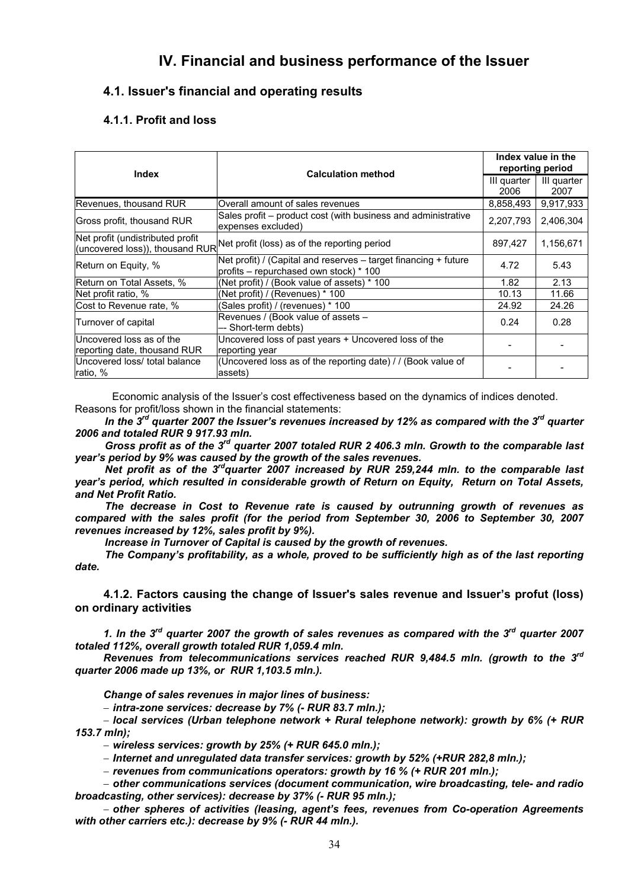# **IV. Financial and business performance of the Issuer**

# **4.1. Issuer's financial and operating results**

# **4.1.1. Profit and loss**

| Index                                                    | <b>Calculation method</b>                                                                                     | Index value in the<br>reporting period |                     |
|----------------------------------------------------------|---------------------------------------------------------------------------------------------------------------|----------------------------------------|---------------------|
|                                                          |                                                                                                               |                                        | III quarter<br>2007 |
| Revenues, thousand RUR                                   | Overall amount of sales revenues                                                                              | 8,858,493                              | 9,917,933           |
| Gross profit, thousand RUR                               | Sales profit – product cost (with business and administrative<br>expenses excluded)                           | 2,207,793                              | 2,406,304           |
| Net profit (undistributed profit                         | (uncovered loss)), thousand RUR Net profit (loss) as of the reporting period                                  | 897,427                                | 1,156,671           |
| Return on Equity, %                                      | Net profit) / (Capital and reserves $-$ target financing $+$ future<br>profits – repurchased own stock) * 100 | 4.72                                   | 5.43                |
| Return on Total Assets, %                                | (Net profit) / (Book value of assets) * 100                                                                   | 1.82                                   | 2.13                |
| Net profit ratio, %                                      | (Net profit) / (Revenues) * 100                                                                               | 10.13                                  | 11.66               |
| Cost to Revenue rate, %                                  | (Sales profit) / (revenues) * 100                                                                             | 24.92                                  | 24.26               |
| Turnover of capital                                      | Revenues / (Book value of assets -<br>Short-term debts)                                                       | 0.24                                   | 0.28                |
| Uncovered loss as of the<br>reporting date, thousand RUR | Uncovered loss of past years + Uncovered loss of the<br>reporting year                                        |                                        |                     |
| Uncovered loss/ total balance<br>ratio, %                | (Uncovered loss as of the reporting date) / / (Book value of<br>assets)                                       |                                        |                     |

Economic analysis of the Issuer's cost effectiveness based on the dynamics of indices denoted. Reasons for profit/loss shown in the financial statements:

*In the 3rd quarter 2007 the Issuer's revenues increased by 12% as compared with the 3rd quarter 2006 and totaled RUR 9 917.93 mln.* 

*Gross profit as of the 3rd quarter 2007 totaled RUR 2 406.3 mln. Growth to the comparable last year's period by 9% was caused by the growth of the sales revenues.* 

*Net profit as of the 3rdquarter 2007 increased by RUR 259,244 mln. to the comparable last year's period, which resulted in considerable growth of Return on Equity, Return on Total Assets, and Net Profit Ratio.* 

*The decrease in Cost to Revenue rate is caused by outrunning growth of revenues as compared with the sales profit (for the period from September 30, 2006 to September 30, 2007 revenues increased by 12%, sales profit by 9%).* 

*Increase in Turnover of Capital is caused by the growth of revenues.* 

*The Company's profitability, as a whole, proved to be sufficiently high as of the last reporting date.* 

**4.1.2. Factors causing the change of Issuer's sales revenue and Issuer's profut (loss) on ordinary activities** 

*1. In the 3rd quarter 2007 the growth of sales revenues as compared with the 3rd quarter 2007 totaled 112%, overall growth totaled RUR 1,059.4 mln.* 

*Revenues from telecommunications services reached RUR 9,484.5 mln. (growth to the 3rd quarter 2006 made up 13%, or RUR 1,103.5 mln.).* 

*Change of sales revenues in major lines of business:* 

− *intra-zone services: decrease by 7% (- RUR 83.7 mln.);* 

− *local services (Urban telephone network + Rural telephone network): growth by 6% (+ RUR 153.7 mln);* 

− *wireless services: growth by 25% (+ RUR 645.0 mln.);* 

− *Internet and unregulated data transfer services: growth by 52% (+RUR 282,8 mln.);* 

− *revenues from communications operators: growth by 16 % (+ RUR 201 mln.);* 

− *other communications services (document communication, wire broadcasting, tele- and radio broadcasting, other services): decrease by 37% (- RUR 95 mln.);* 

− *other spheres of activities (leasing, agent's fees, revenues from Co-operation Agreements with other carriers etc.): decrease by 9% (- RUR 44 mln.).*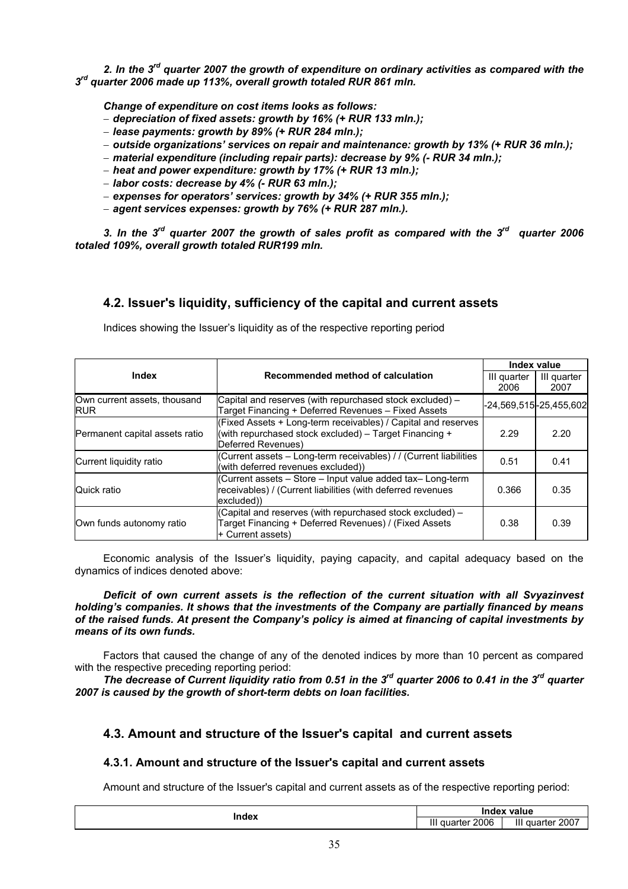*2. In the 3rd quarter 2007 the growth of expenditure on ordinary activities as compared with the 3rd quarter 2006 made up 113%, overall growth totaled RUR 861 mln.* 

*Change of expenditure on cost items looks as follows:* 

- − *depreciation of fixed assets: growth by 16% (+ RUR 133 mln.);*
- − *lease payments: growth by 89% (+ RUR 284 mln.);*
- − *outside organizations' services on repair and maintenance: growth by 13% (+ RUR 36 mln.);*
- − *material expenditure (including repair parts): decrease by 9% (- RUR 34 mln.);*
- − *heat and power expenditure: growth by 17% (+ RUR 13 mln.);*
- − *labor costs: decrease by 4% (- RUR 63 mln.);*
- − *expenses for operators' services: growth by 34% (+ RUR 355 mln.);*
- − *agent services expenses: growth by 76% (+ RUR 287 mln.).*

*3. In the 3rd quarter 2007 the growth of sales profit as compared with the 3rd quarter 2006 totaled 109%, overall growth totaled RUR199 mln.* 

# **4.2. Issuer's liquidity, sufficiency of the capital and current assets**

|                                            |                                                                                                                                               | Index value<br>III quarter |                     |
|--------------------------------------------|-----------------------------------------------------------------------------------------------------------------------------------------------|----------------------------|---------------------|
|                                            | Recommended method of calculation<br><b>Index</b>                                                                                             |                            | III quarter<br>2007 |
| Own current assets, thousand<br><b>RUR</b> | Capital and reserves (with repurchased stock excluded) –<br>Target Financing + Deferred Revenues - Fixed Assets                               | -24,569,515 -25,455,602    |                     |
| Permanent capital assets ratio             | (Fixed Assets + Long-term receivables) / Capital and reserves<br>(with repurchased stock excluded) - Target Financing +<br>Deferred Revenues) | 2.29                       | 2.20                |
| Current liquidity ratio                    | (Current assets - Long-term receivables) / / (Current liabilities<br>(with deferred revenues excluded))                                       | 0.51                       | 0.41                |
| Quick ratio                                | (Current assets - Store - Input value added tax- Long-term<br>receivables) / (Current liabilities (with deferred revenues<br>excluded))       | 0.366                      | 0.35                |
| Own funds autonomy ratio                   | (Capital and reserves (with repurchased stock excluded) -<br>Target Financing + Deferred Revenues) / (Fixed Assets<br>+ Current assets)       | 0.38                       | 0.39                |

Indices showing the Issuer's liquidity as of the respective reporting period

Economic analysis of the Issuer's liquidity, paying capacity, and capital adequacy based on the dynamics of indices denoted above:

*Deficit of own current assets is the reflection of the current situation with all Svyazinvest holding's companies. It shows that the investments of the Company are partially financed by means of the raised funds. At present the Company's policy is aimed at financing of capital investments by means of its own funds.* 

Factors that caused the change of any of the denoted indices by more than 10 percent as compared with the respective preceding reporting period:

*The decrease of Current liquidity ratio from 0.51 in the 3rd quarter 2006 to 0.41 in the 3rd quarter 2007 is caused by the growth of short-term debts on loan facilities.*

# **4.3. Amount and structure of the Issuer's capital and current assets**

#### **4.3.1. Amount and structure of the Issuer's capital and current assets**

Amount and structure of the Issuer's capital and current assets as of the respective reporting period:

| Index | Index value            |                        |  |
|-------|------------------------|------------------------|--|
|       | Ш<br>2006<br>. quarter | .<br>، 2007<br>quarter |  |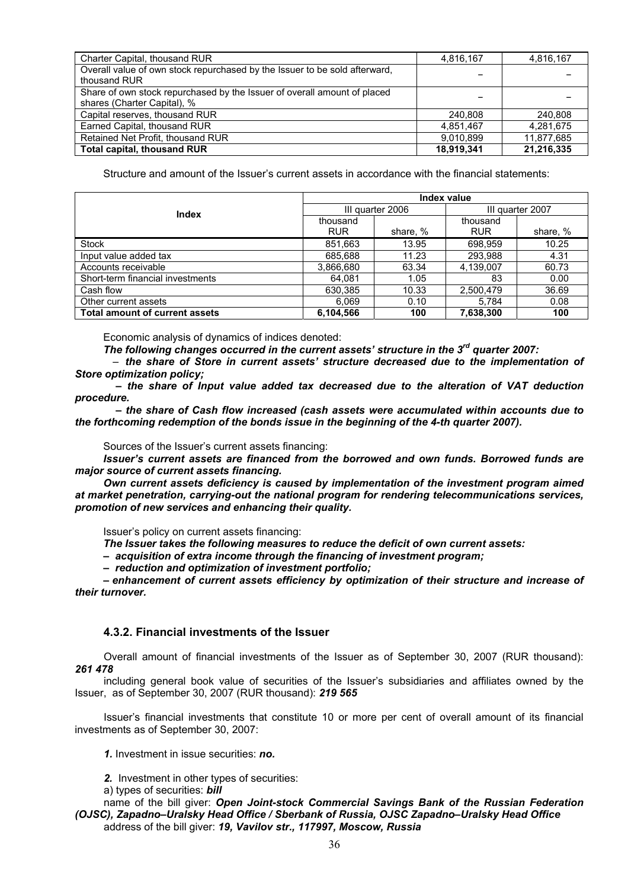| Charter Capital, thousand RUR                                              | 4,816,167  | 4,816,167  |
|----------------------------------------------------------------------------|------------|------------|
| Overall value of own stock repurchased by the Issuer to be sold afterward, |            |            |
| thousand RUR                                                               |            |            |
| Share of own stock repurchased by the Issuer of overall amount of placed   |            |            |
| shares (Charter Capital), %                                                |            |            |
| Capital reserves, thousand RUR                                             | 240.808    | 240.808    |
| Earned Capital, thousand RUR                                               | 4,851,467  | 4,281,675  |
| Retained Net Profit, thousand RUR                                          | 9.010.899  | 11.877.685 |
| <b>Total capital, thousand RUR</b>                                         | 18,919,341 | 21,216,335 |

Structure and amount of the Issuer's current assets in accordance with the financial statements:

|                                       | Index value            |          |                        |          |  |
|---------------------------------------|------------------------|----------|------------------------|----------|--|
| <b>Index</b>                          | III quarter 2006       |          | III quarter 2007       |          |  |
|                                       | thousand<br><b>RUR</b> | share, % | thousand<br><b>RUR</b> | share, % |  |
| Stock                                 | 851,663                | 13.95    | 698,959                | 10.25    |  |
| Input value added tax                 | 685,688                | 11.23    | 293.988                | 4.31     |  |
| Accounts receivable                   | 3,866,680              | 63.34    | 4,139,007              | 60.73    |  |
| Short-term financial investments      | 64.081                 | 1.05     | 83                     | 0.00     |  |
| Cash flow                             | 630,385                | 10.33    | 2,500,479              | 36.69    |  |
| Other current assets                  | 6.069                  | 0.10     | 5.784                  | 0.08     |  |
| <b>Total amount of current assets</b> | 6,104,566              | 100      | 7,638,300              | 100      |  |

Economic analysis of dynamics of indices denoted:

*The following changes occurred in the current assets' structure in the 3rd quarter 2007:* 

– *the share of Store in current assets' structure decreased due to the implementation of Store optimization policy;* 

 *– the share of Input value added tax decreased due to the alteration of VAT deduction procedure.* 

 *– the share of Cash flow increased (cash assets were accumulated within accounts due to the forthcoming redemption of the bonds issue in the beginning of the 4-th quarter 2007).* 

Sources of the Issuer's current assets financing:

*Issuer's current assets are financed from the borrowed and own funds. Borrowed funds are major source of current assets financing.* 

*Own current assets deficiency is caused by implementation of the investment program aimed at market penetration, carrying-out the national program for rendering telecommunications services, promotion of new services and enhancing their quality.* 

Issuer's policy on current assets financing:

*The Issuer takes the following measures to reduce the deficit of own current assets:* 

*– acquisition of extra income through the financing of investment program;* 

*– reduction and optimization of investment portfolio;* 

*– enhancement of current assets efficiency by optimization of their structure and increase of their turnover.* 

#### **4.3.2. Financial investments of the Issuer**

Overall amount of financial investments of the Issuer as of September 30, 2007 (RUR thousand): *261 478* 

including general book value of securities of the Issuer's subsidiaries and affiliates owned by the Issuer, as of September 30, 2007 (RUR thousand): *219 565* 

Issuer's financial investments that constitute 10 or more per cent of overall amount of its financial investments as of September 30, 2007:

*1.* Investment in issue securities: *no.* 

*2.* Investment in other types of securities:

а) types of securities: *bill* 

name of the bill giver: *Open Joint-stock Commercial Savings Bank of the Russian Federation (OJSC), Zapadno–Uralsky Head Office / Sberbank of Russia, OJSC Zapadno–Uralsky Head Office* address of the bill giver: *19, Vavilov str., 117997, Moscow, Russia*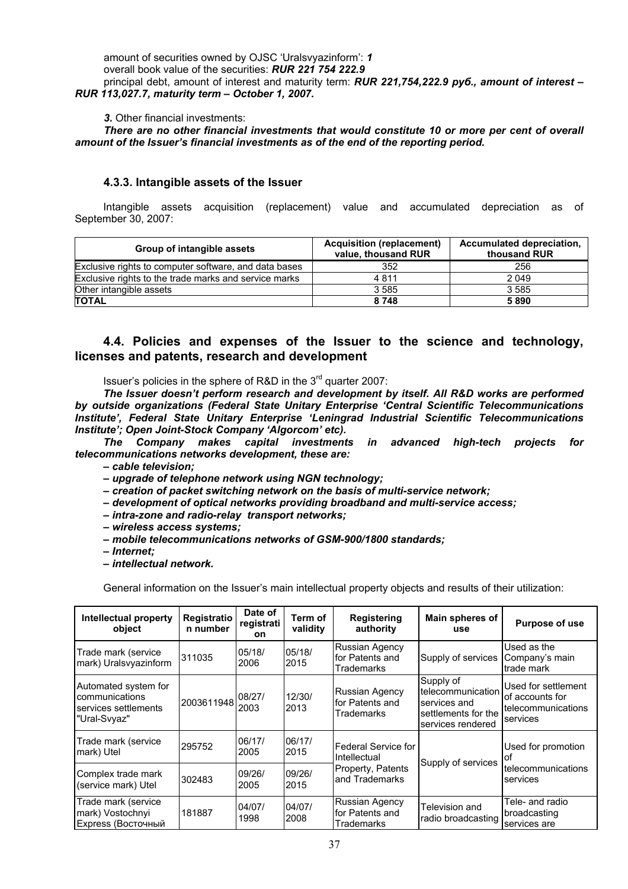amount of securities owned by OJSC 'Uralsvyazinform': *1* 

overall book value of the securities: *RUR 221 754 222.9*

principal debt, amount of interest and maturity term: *RUR 221,754,222.9 руб., amount of interest – RUR 113,027.7, maturity term – October 1, 2007.*

*3.* Other financial investments:

*There are no other financial investments that would constitute 10 or more per cent of overall amount of the Issuer's financial investments as of the end of the reporting period.* 

## **4.3.3. Intangible assets of the Issuer**

Intangible assets acquisition (replacement) value and accumulated depreciation as of September 30, 2007:

| Group of intangible assets                            | <b>Acquisition (replacement)</b><br>value, thousand RUR | Accumulated depreciation,<br>thousand RUR |  |
|-------------------------------------------------------|---------------------------------------------------------|-------------------------------------------|--|
| Exclusive rights to computer software, and data bases | 352                                                     | 256                                       |  |
| Exclusive rights to the trade marks and service marks | 4811                                                    | 2 0 4 9                                   |  |
| Other intangible assets                               | 3585                                                    | 3 5 8 5                                   |  |
| <b>TOTAL</b>                                          | 8748                                                    | 5890                                      |  |

# **4.4. Policies and expenses of the Issuer to the science and technology, licenses and patents, research and development**

Issuer's policies in the sphere of R&D in the 3<sup>rd</sup> quarter 2007:

*The Issuer doesn't perform research and development by itself. All R&D works are performed by outside organizations (Federal State Unitary Enterprise 'Central Scientific Telecommunications Institute', Federal State Unitary Enterprise 'Leningrad Industrial Scientific Telecommunications Institute'; Open Joint-Stock Company 'Algorcom' etc).* 

*The Company makes capital investments in advanced high-tech projects for telecommunications networks development, these are:* 

*– cable television;* 

*– upgrade of telephone network using NGN technology;* 

*– creation of packet switching network on the basis of multi-service network;* 

*– development of optical networks providing broadband and multi-service access;* 

*– intra-zone and radio-relay transport networks;* 

*– wireless access systems;* 

*– mobile telecommunications networks of GSM-900/1800 standards;* 

*– Internet;* 

*– intellectual network.* 

General information on the Issuer's main intellectual property objects and results of their utilization:

| Intellectual property<br>object                                                | Registratio<br>n number                 | Date of<br>registrati<br><b>on</b> | Term of<br>validity | <b>Registering</b><br>authority                        | Main spheres of<br>use                                                                     | Purpose of use                                                           |
|--------------------------------------------------------------------------------|-----------------------------------------|------------------------------------|---------------------|--------------------------------------------------------|--------------------------------------------------------------------------------------------|--------------------------------------------------------------------------|
| Trade mark (service<br>mark) Uralsvyazinform                                   | 311035                                  | 05/18/<br>2006                     | 05/18/<br>2015      | <b>Russian Agency</b><br>for Patents and<br>Trademarks | Supply of services                                                                         | Used as the<br>Company's main<br>trade mark                              |
| Automated system for<br>communications<br>services settlements<br>"Ural-Svyaz" | $ 2003611948 _{2003}^{\cup\cup\{2,1\}}$ | 08/27/                             | 12/30/<br>2013      | <b>Russian Agency</b><br>for Patents and<br>Trademarks | Supply of<br>telecommunication<br>services and<br>settlements for the<br>services rendered | Used for settlement<br>of accounts for<br>telecommunications<br>services |
| Trade mark (service<br>mark) Utel                                              | 295752                                  | 06/17/<br>2005                     | 06/17/<br>2015      | Federal Service for<br>Intellectual                    | Supply of services                                                                         | Used for promotion<br>lof                                                |
| Complex trade mark<br>(service mark) Utel                                      | 302483                                  | 09/26/<br>2005                     | 09/26/<br>2015      | Property, Patents<br>and Trademarks                    |                                                                                            | telecommunications<br>services                                           |
| Trade mark (service<br>mark) Vostochnyi<br>Express (Восточный                  | 181887                                  | 04/07/<br>1998                     | 04/07/<br>2008      | <b>Russian Agency</b><br>for Patents and<br>Trademarks | Television and<br>radio broadcasting                                                       | Tele- and radio<br>broadcasting<br>services are                          |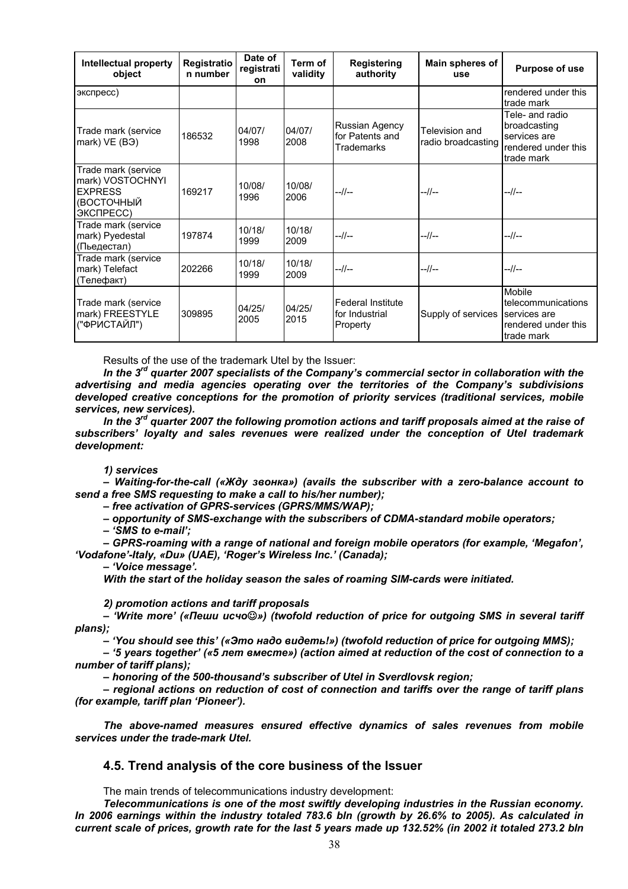| <b>Intellectual property</b><br>object                                               | Registratio<br>n number | Date of<br>registrati<br>on | Term of<br>validity | <b>Registering</b><br>authority                 | Main spheres of<br>use               | Purpose of use                                                                       |
|--------------------------------------------------------------------------------------|-------------------------|-----------------------------|---------------------|-------------------------------------------------|--------------------------------------|--------------------------------------------------------------------------------------|
| экспресс)                                                                            |                         |                             |                     |                                                 |                                      | rendered under this<br>trade mark                                                    |
| Trade mark (service<br>mark) VE (B <sub>3</sub> )                                    | 186532                  | 04/07/<br>1998              | 04/07/<br>2008      | Russian Agency<br>for Patents and<br>Trademarks | Television and<br>radio broadcasting | Tele- and radio<br>broadcasting<br>services are<br>rendered under this<br>trade mark |
| Trade mark (service<br>mark) VOSTOCHNYI<br><b>EXPRESS</b><br>(ВОСТОЧНЫЙ<br>ЭКСПРЕСС) | 169217                  | 10/08/<br>1996              | 10/08/<br>2006      | --//--                                          | --//--                               | --//--                                                                               |
| Trade mark (service<br>mark) Pyedestal<br>(Пьедестал)                                | 197874                  | 10/18/<br>1999              | 10/18/<br>2009      | --//--                                          | $-1/$ --                             | --//--                                                                               |
| Trade mark (service<br>mark) Telefact<br>(Телефакт)                                  | 202266                  | 10/18/<br>1999              | 10/18/<br>2009      | --//--                                          | --//--                               | --//--                                                                               |
| Trade mark (service<br>mark) FREESTYLE<br>("ФРИСТАЙЛ")                               | 309895                  | 04/25/<br>2005              | 04/25/<br>2015      | Federal Institute<br>for Industrial<br>Property | Supply of services                   | Mobile<br>telecommunications<br>services are<br>rendered under this<br>trade mark    |

Results of the use of the trademark Utel by the Issuer:

*In the 3rd quarter 2007 specialists of the Company's commercial sector in collaboration with the advertising and media agencies operating over the territories of the Company's subdivisions developed creative conceptions for the promotion of priority services (traditional services, mobile services, new services).* 

*In the 3rd quarter 2007 the following promotion actions and tariff proposals aimed at the raise of subscribers' loyalty and sales revenues were realized under the conception of Utel trademark development:* 

#### *1) services*

*– Waiting-for-the-call («Жду звонка») (avails the subscriber with a zero-balance account to send a free SMS requesting to make a call to his/her number);* 

*– free activation of GPRS-services (GPRS/MMS/WAP);* 

*– opportunity of SMS-exchange with the subscribers of CDMA-standard mobile operators;* 

*– 'SMS to e-mail';* 

*– GPRS-roaming with a range of national and foreign mobile operators (for example, 'Megafon', 'Vodafone'-Italy, «Du» (UAE), 'Roger's Wireless Inc.' (Canada);* 

*– 'Voice message'.* 

*With the start of the holiday season the sales of roaming SIM-cards were initiated.* 

*2) promotion actions and tariff proposals* 

*– 'Write more' («Пеши исчо*☺*») (twofold reduction of price for outgoing SMS in several tariff plans);* 

*– 'You should see this' («Это надо видеть!») (twofold reduction of price for outgoing MMS);* 

*– '5 years together' («5 лет вместе») (action aimed at reduction of the cost of connection to a number of tariff plans);* 

*– honoring of the 500-thousand's subscriber of Utel in Sverdlovsk region;* 

*– regional actions on reduction of cost of connection and tariffs over the range of tariff plans (for example, tariff plan 'Pioneer').* 

*The above-named measures ensured effective dynamics of sales revenues from mobile services under the trade-mark Utel.* 

## **4.5. Trend analysis of the core business of the Issuer**

The main trends of telecommunications industry development:

*Telecommunications is one of the most swiftly developing industries in the Russian economy. In 2006 earnings within the industry totaled 783.6 bln (growth by 26.6% to 2005). As calculated in current scale of prices, growth rate for the last 5 years made up 132.52% (in 2002 it totaled 273.2 bln*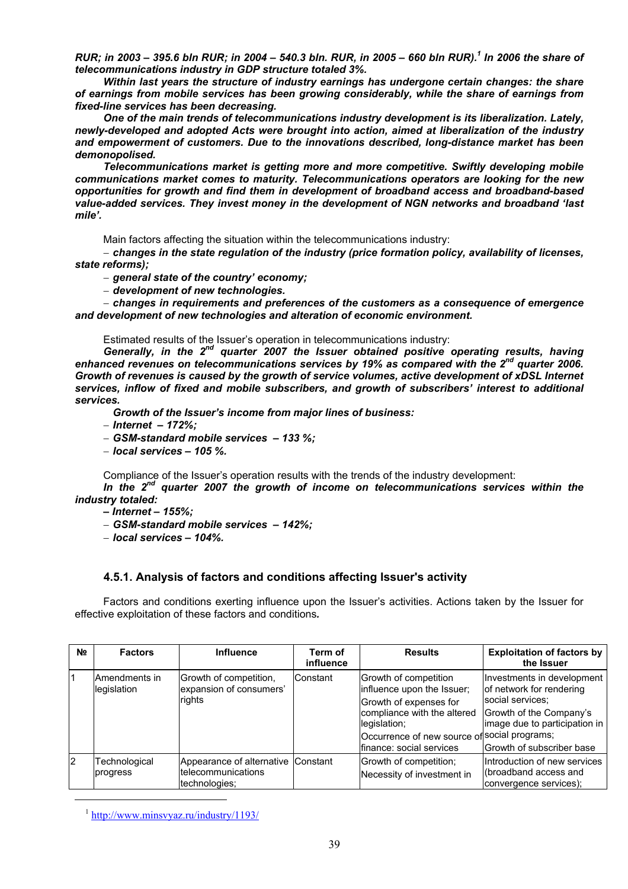*RUR; in 2003* – 395.6 bln RUR; in 2004 – 540.3 bln. RUR, in 2005 – 660 bln RUR). <sup>1</sup> In 2006 the share of *telecommunications industry in GDP structure totaled 3%.* 

*Within last years the structure of industry earnings has undergone certain changes: the share of earnings from mobile services has been growing considerably, while the share of earnings from fixed-line services has been decreasing.* 

*One of the main trends of telecommunications industry development is its liberalization. Lately, newly-developed and adopted Acts were brought into action, aimed at liberalization of the industry and empowerment of customers. Due to the innovations described, long-distance market has been demonopolised.* 

*Telecommunications market is getting more and more competitive. Swiftly developing mobile communications market comes to maturity. Telecommunications operators are looking for the new opportunities for growth and find them in development of broadband access and broadband-based value-added services. They invest money in the development of NGN networks and broadband 'last mile'.* 

Main factors affecting the situation within the telecommunications industry:

− *changes in the state regulation of the industry (price formation policy, availability of licenses, state reforms);* 

− *general state of the country' economy;* 

− *development of new technologies.* 

− *changes in requirements and preferences of the customers as a consequence of emergence and development of new technologies and alteration of economic environment.* 

Estimated results of the Issuer's operation in telecommunications industry:

*Generally, in the 2nd quarter 2007 the Issuer obtained positive operating results, having enhanced revenues on telecommunications services by 19% as compared with the 2nd quarter 2006. Growth of revenues is caused by the growth of service volumes, active development of xDSL Internet services, inflow of fixed and mobile subscribers, and growth of subscribers' interest to additional services.* 

*Growth of the Issuer's income from major lines of business:* 

− *Internet – 172%;* 

− *GSM-standard mobile services – 133 %;* 

− *local services – 105 %.* 

Compliance of the Issuer's operation results with the trends of the industry development:

*In the 2nd quarter 2007 the growth of income on telecommunications services within the industry totaled:* 

- *Internet 155%;*
- − *GSM-standard mobile services 142%;*
- − *local services 104%.*

#### **4.5.1. Analysis of factors and conditions affecting Issuer's activity**

Factors and conditions exerting influence upon the Issuer's activities. Actions taken by the Issuer for effective exploitation of these factors and conditions*.* 

| N <u>o</u> | <b>Factors</b>               | <b>Influence</b>                                                          | Term of<br>influence | <b>Results</b>                                                                                                                                                                                            | <b>Exploitation of factors by</b><br>the Issuer                                                                                                                     |
|------------|------------------------------|---------------------------------------------------------------------------|----------------------|-----------------------------------------------------------------------------------------------------------------------------------------------------------------------------------------------------------|---------------------------------------------------------------------------------------------------------------------------------------------------------------------|
|            | Amendments in<br>legislation | Growth of competition,<br>expansion of consumers'<br>rights               | Constant             | Growth of competition<br>influence upon the Issuer;<br>Growth of expenses for<br>compliance with the altered<br>legislation;<br>Occurrence of new source of social programs;<br>Ifinance: social services | Investments in development<br>of network for rendering<br>social services;<br>Growth of the Company's<br>image due to participation in<br>Growth of subscriber base |
| l2         | Technological<br>progress    | Appearance of alternative Constant<br>telecommunications<br>technologies; |                      | Growth of competition;<br>Necessity of investment in                                                                                                                                                      | Introduction of new services<br>(broadband access and<br>convergence services);                                                                                     |

<sup>1</sup> http://www.minsvyaz.ru/industry/1193/

l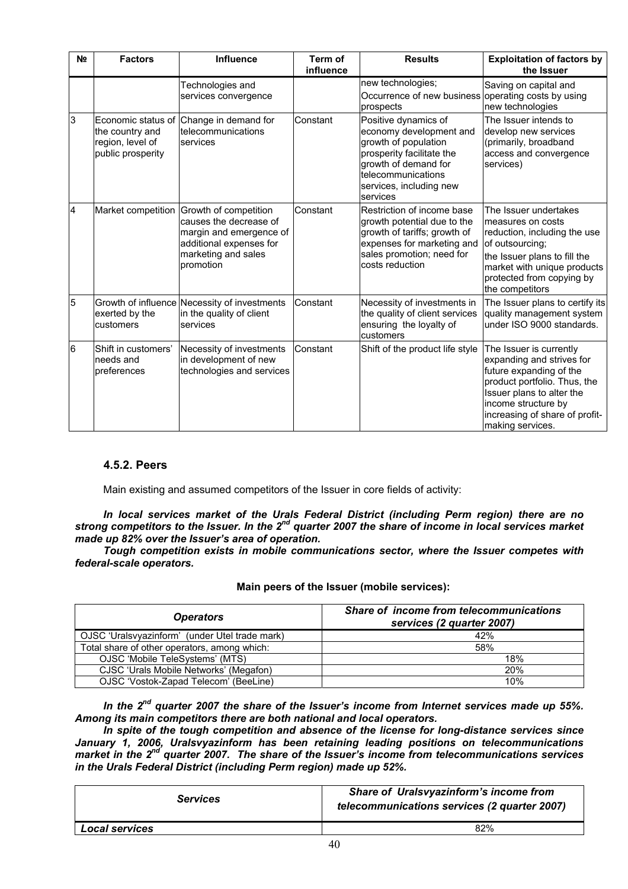| N <sub>2</sub> | <b>Factors</b>                                           | <b>Influence</b>                                                                                                                                             | <b>Term of</b><br>influence | <b>Results</b>                                                                                                                                                                            | <b>Exploitation of factors by</b><br>the Issuer                                                                                                                                                                           |
|----------------|----------------------------------------------------------|--------------------------------------------------------------------------------------------------------------------------------------------------------------|-----------------------------|-------------------------------------------------------------------------------------------------------------------------------------------------------------------------------------------|---------------------------------------------------------------------------------------------------------------------------------------------------------------------------------------------------------------------------|
|                |                                                          | Technologies and<br>services convergence                                                                                                                     |                             | new technologies;<br>Occurrence of new business operating costs by using<br>prospects                                                                                                     | Saving on capital and<br>new technologies                                                                                                                                                                                 |
| 3              | the country and<br>region, level of<br>public prosperity | Economic status of Change in demand for<br>telecommunications<br>services                                                                                    | Constant                    | Positive dynamics of<br>economy development and<br>growth of population<br>prosperity facilitate the<br>growth of demand for<br>telecommunications<br>services, including new<br>services | The Issuer intends to<br>develop new services<br>(primarily, broadband<br>access and convergence<br>services)                                                                                                             |
| 4              |                                                          | Market competition Growth of competition<br>causes the decrease of<br>margin and emergence of<br>additional expenses for<br>marketing and sales<br>promotion | Constant                    | Restriction of income base<br>growth potential due to the<br>growth of tariffs; growth of<br>expenses for marketing and<br>sales promotion; need for<br>costs reduction                   | The Issuer undertakes<br>measures on costs<br>reduction, including the use<br>of outsourcing;<br>the Issuer plans to fill the<br>market with unique products<br>protected from copying by<br>the competitors              |
| 5              | exerted by the<br>customers                              | Growth of influence Necessity of investments<br>in the quality of client<br>services                                                                         | Constant                    | Necessity of investments in<br>the quality of client services<br>ensuring the loyalty of<br>customers                                                                                     | The Issuer plans to certify its<br>quality management system<br>under ISO 9000 standards.                                                                                                                                 |
| 6              | Shift in customers'<br>needs and<br>preferences          | Necessity of investments<br>in development of new<br>technologies and services                                                                               | Constant                    | Shift of the product life style                                                                                                                                                           | The Issuer is currently<br>expanding and strives for<br>future expanding of the<br>product portfolio. Thus, the<br>Issuer plans to alter the<br>income structure by<br>increasing of share of profit-<br>making services. |

# **4.5.2. Peers**

Main existing and assumed competitors of the Issuer in core fields of activity:

*In local services market of the Urals Federal District (including Perm region) there are no strong competitors to the Issuer. In the 2nd quarter 2007 the share of income in local services market made up 82% over the Issuer's area of operation.* 

*Tough competition exists in mobile communications sector, where the Issuer competes with federal-scale operators.* 

## **Main peers of the Issuer (mobile services):**

| <b>Operators</b>                               | Share of income from telecommunications<br>services (2 quarter 2007) |
|------------------------------------------------|----------------------------------------------------------------------|
| OJSC 'Uralsvyazinform' (under Utel trade mark) | 42%                                                                  |
| Total share of other operators, among which:   | 58%                                                                  |
| OJSC 'Mobile TeleSystems' (MTS)                | 18%                                                                  |
| CJSC 'Urals Mobile Networks' (Megafon)         | 20%                                                                  |
| OJSC 'Vostok-Zapad Telecom' (BeeLine)          | 10%                                                                  |

In the 2<sup>nd</sup> quarter 2007 the share of the Issuer's income from Internet services made up 55%. *Among its main competitors there are both national and local operators.* 

*In spite of the tough competition and absence of the license for long-distance services since January 1, 2006, Uralsvyazinform has been retaining leading positions on telecommunications market in the 2nd quarter 2007. The share of the Issuer's income from telecommunications services in the Urals Federal District (including Perm region) made up 52%.* 

| <b>Services</b>       | Share of Uralsvyazinform's income from<br>telecommunications services (2 quarter 2007) |
|-----------------------|----------------------------------------------------------------------------------------|
| <b>Local services</b> | 82%                                                                                    |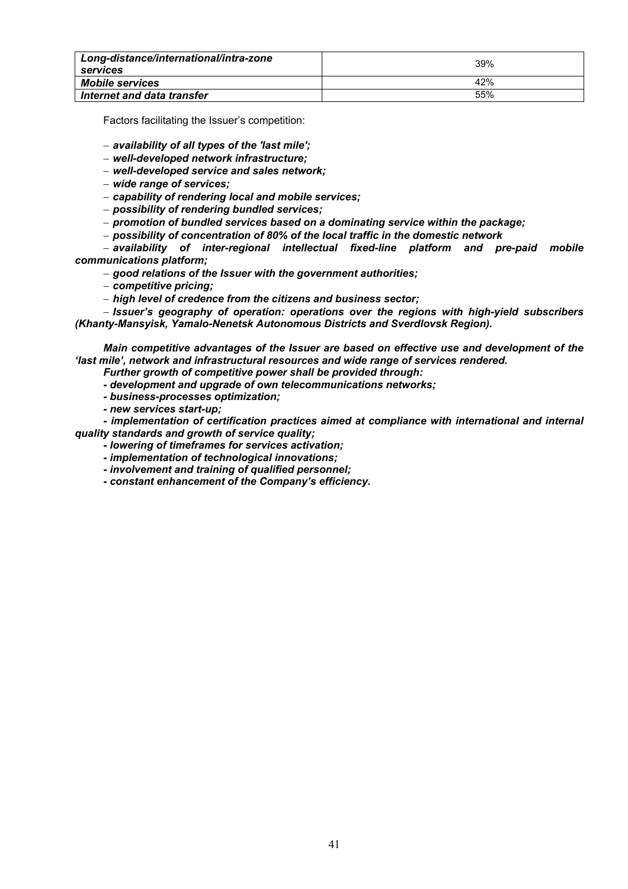| Long-distance/international/intra-zone<br>services | 39% |
|----------------------------------------------------|-----|
| <b>Mobile services</b>                             | 42% |
| Internet and data transfer                         | 55% |

Factors facilitating the Issuer's competition:

## − *availability of all types of the 'last mile';*

- − *well-developed network infrastructure;*
- − *well-developed service and sales network;*
- − *wide range of services;*
- − *capability of rendering local and mobile services;*
- − *possibility of rendering bundled services;*
- − *promotion of bundled services based on a dominating service within the package;*
- − *possibility of concentration of 80% of the local traffic in the domestic network*

− *availability of inter-regional intellectual fixed-line platform and pre-paid mobile communications platform;* 

− *good relations of the Issuer with the government authorities;* 

- − *competitive pricing;*
- − *high level of credence from the citizens and business sector;*

− *Issuer's geography of operation: operations over the regions with high-yield subscribers (Khanty-Mansyisk, Yamalo-Nenetsk Autonomous Districts and Sverdlovsk Region).* 

*Main competitive advantages of the Issuer are based on effective use and development of the 'last mile', network and infrastructural resources and wide range of services rendered.* 

- *Further growth of competitive power shall be provided through:*
- *development and upgrade of own telecommunications networks;*
- *business-processes optimization;*
- *new services start-up;*

*- implementation of certification practices aimed at compliance with international and internal quality standards and growth of service quality;* 

- *lowering of timeframes for services activation;*
- *implementation of technological innovations;*
- *involvement and training of qualified personnel;*
- *constant enhancement of the Company's efficiency.*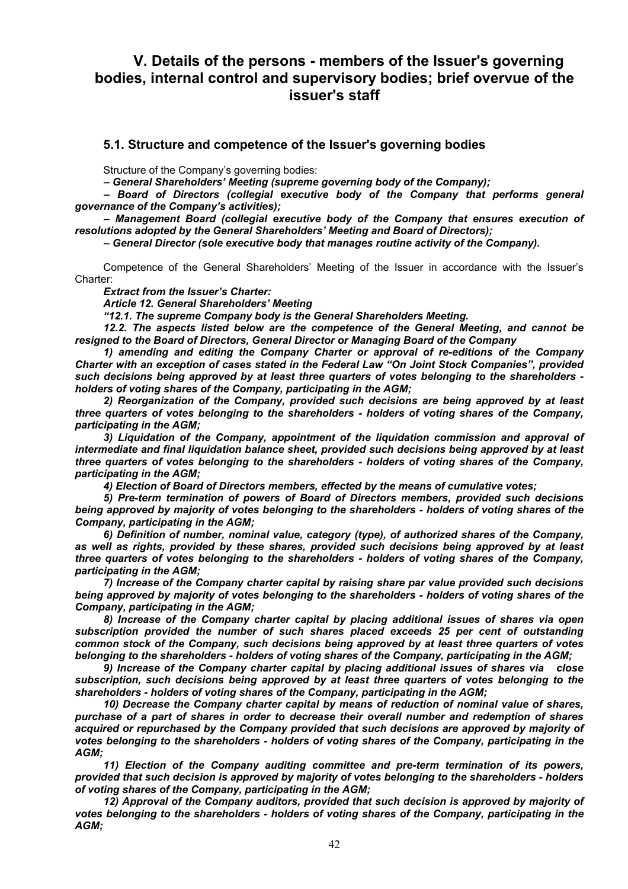# **V. Details of the persons - members of the Issuer's governing bodies, internal control and supervisory bodies; brief overvue of the issuer's staff**

## **5.1. Structure and competence of the Issuer's governing bodies**

Structure of the Company's governing bodies:

*– General Shareholders' Meeting (supreme governing body of the Company);* 

*– Board of Directors (collegial executive body of the Company that performs general governance of the Company's activities);* 

*– Management Board (collegial executive body of the Company that ensures execution of resolutions adopted by the General Shareholders' Meeting and Board of Directors);* 

*– General Director (sole executive body that manages routine activity of the Company).* 

Competence of the General Shareholders' Meeting of the Issuer in accordance with the Issuer's Charter:

*Extract from the Issuer's Charter:* 

*Article 12. General Shareholders' Meeting* 

*"12.1. The supreme Company body is the General Shareholders Meeting.* 

*12.2. The aspects listed below are the competence of the General Meeting, and cannot be resigned to the Board of Directors, General Director or Managing Board of the Company* 

*1) amending and editing the Company Charter or approval of re-editions of the Company Charter with an exception of cases stated in the Federal Law "On Joint Stock Companies", provided such decisions being approved by at least three quarters of votes belonging to the shareholders holders of voting shares of the Company, participating in the AGM;* 

*2) Reorganization of the Company, provided such decisions are being approved by at least three quarters of votes belonging to the shareholders - holders of voting shares of the Company, participating in the AGM;*

*3) Liquidation of the Company, appointment of the liquidation commission and approval of intermediate and final liquidation balance sheet, provided such decisions being approved by at least three quarters of votes belonging to the shareholders - holders of voting shares of the Company, participating in the AGM;* 

*4) Election of Board of Directors members, effected by the means of cumulative votes;*

*5) Pre-term termination of powers of Board of Directors members, provided such decisions being approved by majority of votes belonging to the shareholders - holders of voting shares of the Company, participating in the AGM;* 

*6) Definition of number, nominal value, category (type), of authorized shares of the Company, as well as rights, provided by these shares, provided such decisions being approved by at least three quarters of votes belonging to the shareholders - holders of voting shares of the Company, participating in the AGM;* 

*7) Increase of the Company charter capital by raising share par value provided such decisions being approved by majority of votes belonging to the shareholders - holders of voting shares of the Company, participating in the AGM;* 

*8) Increase of the Company charter capital by placing additional issues of shares via open subscription provided the number of such shares placed exceeds 25 per cent of outstanding common stock of the Company, such decisions being approved by at least three quarters of votes belonging to the shareholders - holders of voting shares of the Company, participating in the AGM;* 

*9) Increase of the Company charter capital by placing additional issues of shares via close subscription, such decisions being approved by at least three quarters of votes belonging to the shareholders - holders of voting shares of the Company, participating in the AGM;* 

*10) Decrease the Company charter capital by means of reduction of nominal value of shares, purchase of a part of shares in order to decrease their overall number and redemption of shares acquired or repurchased by the Company provided that such decisions are approved by majority of votes belonging to the shareholders - holders of voting shares of the Company, participating in the AGM;* 

*11) Election of the Company auditing committee and pre-term termination of its powers, provided that such decision is approved by majority of votes belonging to the shareholders - holders of voting shares of the Company, participating in the AGM;* 

12) Approval of the Company auditors, provided that such decision is approved by majority of *votes belonging to the shareholders - holders of voting shares of the Company, participating in the AGM;*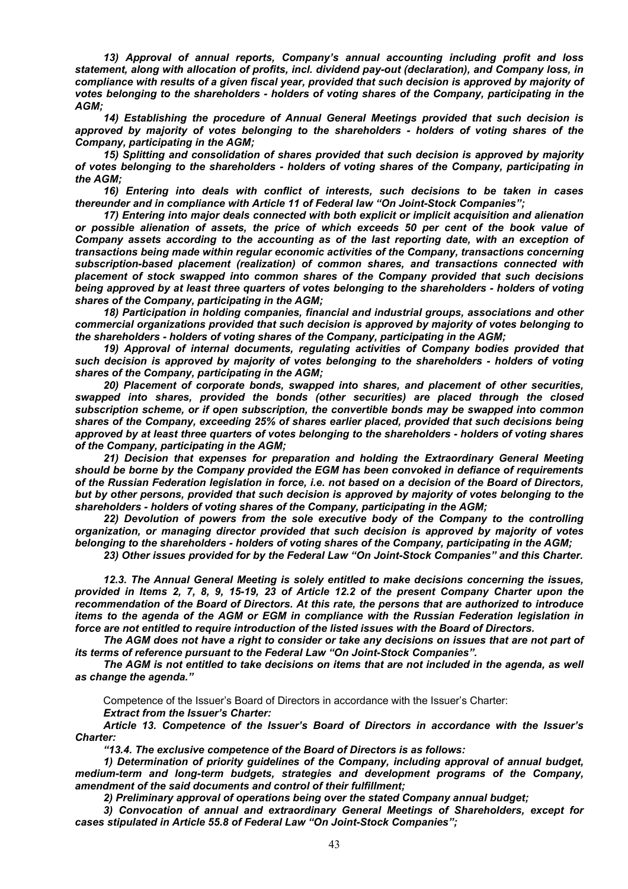*13) Approval of annual reports, Company's annual accounting including profit and loss statement, along with allocation of profits, incl. dividend pay-out (declaration), and Company loss, in compliance with results of a given fiscal year, provided that such decision is approved by majority of votes belonging to the shareholders - holders of voting shares of the Company, participating in the AGM;* 

*14) Establishing the procedure of Annual General Meetings provided that such decision is approved by majority of votes belonging to the shareholders - holders of voting shares of the Company, participating in the AGM;* 

*15) Splitting and consolidation of shares provided that such decision is approved by majority of votes belonging to the shareholders - holders of voting shares of the Company, participating in the AGM;* 

*16) Entering into deals with conflict of interests, such decisions to be taken in cases thereunder and in compliance with Article 11 of Federal law "On Joint-Stock Companies";* 

*17) Entering into major deals connected with both explicit or implicit acquisition and alienation or possible alienation of assets, the price of which exceeds 50 per cent of the book value of Company assets according to the accounting as of the last reporting date, with an exception of transactions being made within regular economic activities of the Company, transactions concerning subscription-based placement (realization) of common shares, and transactions connected with placement of stock swapped into common shares of the Company provided that such decisions being approved by at least three quarters of votes belonging to the shareholders - holders of voting shares of the Company, participating in the AGM;* 

*18) Participation in holding companies, financial and industrial groups, associations and other commercial organizations provided that such decision is approved by majority of votes belonging to the shareholders - holders of voting shares of the Company, participating in the AGM;* 

*19) Approval of internal documents, regulating activities of Company bodies provided that such decision is approved by majority of votes belonging to the shareholders - holders of voting shares of the Company, participating in the AGM;* 

*20) Placement of corporate bonds, swapped into shares, and placement of other securities, swapped into shares, provided the bonds (other securities) are placed through the closed subscription scheme, or if open subscription, the convertible bonds may be swapped into common shares of the Company, exceeding 25% of shares earlier placed, provided that such decisions being approved by at least three quarters of votes belonging to the shareholders - holders of voting shares of the Company, participating in the AGM;* 

*21) Decision that expenses for preparation and holding the Extraordinary General Meeting should be borne by the Company provided the EGM has been convoked in defiance of requirements of the Russian Federation legislation in force, i.e. not based on a decision of the Board of Directors, but by other persons, provided that such decision is approved by majority of votes belonging to the shareholders - holders of voting shares of the Company, participating in the AGM;* 

*22) Devolution of powers from the sole executive body of the Company to the controlling organization, or managing director provided that such decision is approved by majority of votes belonging to the shareholders - holders of voting shares of the Company, participating in the AGM;* 

*23) Other issues provided for by the Federal Law "On Joint-Stock Companies" and this Charter.* 

*12.3. The Annual General Meeting is solely entitled to make decisions concerning the issues, provided in Items 2, 7, 8, 9, 15-19, 23 of Article 12.2 of the present Company Charter upon the recommendation of the Board of Directors. At this rate, the persons that are authorized to introduce items to the agenda of the AGM or EGM in compliance with the Russian Federation legislation in force are not entitled to require introduction of the listed issues with the Board of Directors.* 

*The AGM does not have a right to consider or take any decisions on issues that are not part of its terms of reference pursuant to the Federal Law "On Joint-Stock Companies".* 

*The AGM is not entitled to take decisions on items that are not included in the agenda, as well as change the agenda."* 

Competence of the Issuer's Board of Directors in accordance with the Issuer's Charter: *Extract from the Issuer's Charter:* 

*Article 13. Competence of the Issuer's Board of Directors in accordance with the Issuer's Charter:*

*"13.4. The exclusive competence of the Board of Directors is as follows:*

*1) Determination of priority guidelines of the Company, including approval of annual budget, medium-term and long-term budgets, strategies and development programs of the Company, amendment of the said documents and control of their fulfillment;* 

*2) Preliminary approval of operations being over the stated Company annual budget;* 

*3) Convocation of annual and extraordinary General Meetings of Shareholders, except for cases stipulated in Article 55.8 of Federal Law "On Joint-Stock Companies";*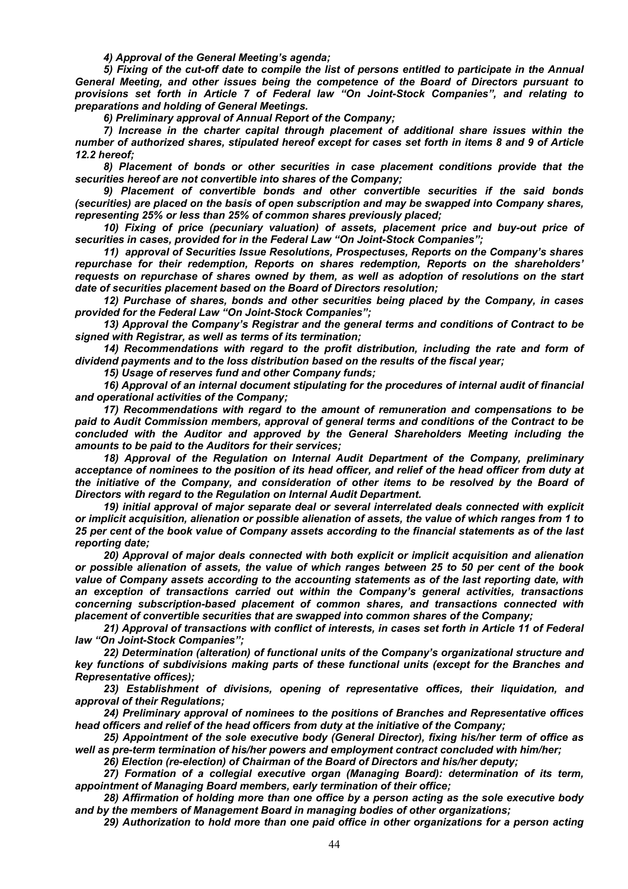*4) Approval of the General Meeting's agenda;* 

*5) Fixing of the cut-off date to compile the list of persons entitled to participate in the Annual General Meeting, and other issues being the competence of the Board of Directors pursuant to provisions set forth in Article 7 of Federal law "On Joint-Stock Companies", and relating to preparations and holding of General Meetings.* 

*6) Preliminary approval of Annual Report of the Company;* 

*7) Increase in the charter capital through placement of additional share issues within the number of authorized shares, stipulated hereof except for cases set forth in items 8 and 9 of Article 12.2 hereof;* 

*8) Placement of bonds or other securities in case placement conditions provide that the securities hereof are not convertible into shares of the Company;* 

*9) Placement of convertible bonds and other convertible securities if the said bonds (securities) are placed on the basis of open subscription and may be swapped into Company shares, representing 25% or less than 25% of common shares previously placed;* 

*10) Fixing of price (pecuniary valuation) of assets, placement price and buy-out price of securities in cases, provided for in the Federal Law "On Joint-Stock Companies";* 

*11) approval of Securities Issue Resolutions, Prospectuses, Reports on the Company's shares repurchase for their redemption, Reports on shares redemption, Reports on the shareholders' requests on repurchase of shares owned by them, as well as adoption of resolutions on the start date of securities placement based on the Board of Directors resolution;* 

*12) Purchase of shares, bonds and other securities being placed by the Company, in cases provided for the Federal Law "On Joint-Stock Companies";* 

*13) Approval the Company's Registrar and the general terms and conditions of Contract to be signed with Registrar, as well as terms of its termination;* 

14) Recommendations with regard to the profit distribution, including the rate and form of *dividend payments and to the loss distribution based on the results of the fiscal year;* 

*15) Usage of reserves fund and other Company funds;* 

*16) Approval of an internal document stipulating for the procedures of internal audit of financial and operational activities of the Company;* 

*17) Recommendations with regard to the amount of remuneration and compensations to be paid to Audit Commission members, approval of general terms and conditions of the Contract to be concluded with the Auditor and approved by the General Shareholders Meeting including the amounts to be paid to the Auditors for their services;* 

*18) Approval of the Regulation on Internal Audit Department of the Company, preliminary acceptance of nominees to the position of its head officer, and relief of the head officer from duty at the initiative of the Company, and consideration of other items to be resolved by the Board of Directors with regard to the Regulation on Internal Audit Department.* 

*19) initial approval of major separate deal or several interrelated deals connected with explicit or implicit acquisition, alienation or possible alienation of assets, the value of which ranges from 1 to 25 per cent of the book value of Company assets according to the financial statements as of the last reporting date;* 

*20) Approval of major deals connected with both explicit or implicit acquisition and alienation or possible alienation of assets, the value of which ranges between 25 to 50 per cent of the book value of Company assets according to the accounting statements as of the last reporting date, with an exception of transactions carried out within the Company's general activities, transactions concerning subscription-based placement of common shares, and transactions connected with placement of convertible securities that are swapped into common shares of the Company;* 

*21) Approval of transactions with conflict of interests, in cases set forth in Article 11 of Federal law "On Joint-Stock Companies";* 

*22) Determination (alteration) of functional units of the Company's organizational structure and key functions of subdivisions making parts of these functional units (except for the Branches and Representative offices);* 

*23) Establishment of divisions, opening of representative offices, their liquidation, and approval of their Regulations;* 

*24) Preliminary approval of nominees to the positions of Branches and Representative offices head officers and relief of the head officers from duty at the initiative of the Company;* 

*25) Appointment of the sole executive body (General Director), fixing his/her term of office as well as pre-term termination of his/her powers and employment contract concluded with him/her;* 

*26) Election (re-election) of Chairman of the Board of Directors and his/her deputy;* 

*27) Formation of a collegial executive organ (Managing Board): determination of its term, appointment of Managing Board members, early termination of their office;* 

*28) Affirmation of holding more than one office by a person acting as the sole executive body and by the members of Management Board in managing bodies of other organizations;* 

*29) Authorization to hold more than one paid office in other organizations for a person acting*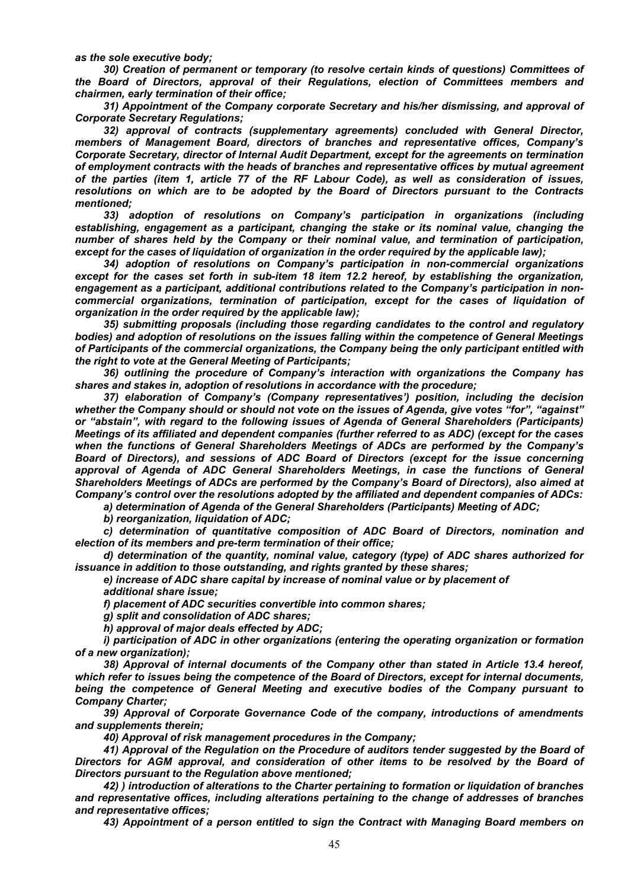*as the sole executive body;* 

*30) Creation of permanent or temporary (to resolve certain kinds of questions) Committees of the Board of Directors, approval of their Regulations, election of Committees members and chairmen, early termination of their office;* 

*31) Appointment of the Company corporate Secretary and his/her dismissing, and approval of Corporate Secretary Regulations;* 

*32) approval of contracts (supplementary agreements) concluded with General Director, members of Management Board, directors of branches and representative offices, Company's Corporate Secretary, director of Internal Audit Department, except for the agreements on termination of employment contracts with the heads of branches and representative offices by mutual agreement of the parties (item 1, article 77 of the RF Labour Code), as well as consideration of issues, resolutions on which are to be adopted by the Board of Directors pursuant to the Contracts mentioned;* 

*33) adoption of resolutions on Company's participation in organizations (including establishing, engagement as a participant, changing the stake or its nominal value, changing the number of shares held by the Company or their nominal value, and termination of participation, except for the cases of liquidation of organization in the order required by the applicable law);* 

*34) adoption of resolutions on Company's participation in non-commercial organizations except for the cases set forth in sub-item 18 item 12.2 hereof, by establishing the organization, engagement as a participant, additional contributions related to the Company's participation in noncommercial organizations, termination of participation, except for the cases of liquidation of organization in the order required by the applicable law);* 

*35) submitting proposals (including those regarding candidates to the control and regulatory bodies) and adoption of resolutions on the issues falling within the competence of General Meetings of Participants of the commercial organizations, the Company being the only participant entitled with the right to vote at the General Meeting of Participants;* 

*36) outlining the procedure of Company's interaction with organizations the Company has shares and stakes in, adoption of resolutions in accordance with the procedure;* 

*37) elaboration of Company's (Company representatives') position, including the decision whether the Company should or should not vote on the issues of Agenda, give votes "for", "against" or "abstain", with regard to the following issues of Agenda of General Shareholders (Participants) Meetings of its affiliated and dependent companies (further referred to as ADC) (except for the cases when the functions of General Shareholders Meetings of ADCs are performed by the Company's Board of Directors), and sessions of ADC Board of Directors (except for the issue concerning approval of Agenda of ADC General Shareholders Meetings, in case the functions of General Shareholders Meetings of ADCs are performed by the Company's Board of Directors), also aimed at Company's control over the resolutions adopted by the affiliated and dependent companies of ADCs:* 

*a) determination of Agenda of the General Shareholders (Participants) Meeting of ADC;* 

*b) reorganization, liquidation of ADC;* 

*c) determination of quantitative composition of ADC Board of Directors, nomination and election of its members and pre-term termination of their office;* 

*d) determination of the quantity, nominal value, category (type) of ADC shares authorized for issuance in addition to those outstanding, and rights granted by these shares;* 

*e) increase of ADC share capital by increase of nominal value or by placement of* 

*additional share issue;* 

*f) placement of ADC securities convertible into common shares;* 

*g) split and consolidation of ADC shares;* 

*h) approval of major deals effected by ADC;* 

*i) participation of ADC in other organizations (entering the operating organization or formation of a new organization);* 

*38) Approval of internal documents of the Company other than stated in Article 13.4 hereof, which refer to issues being the competence of the Board of Directors, except for internal documents, being the competence of General Meeting and executive bodies of the Company pursuant to Company Charter;* 

*39) Approval of Corporate Governance Code of the company, introductions of amendments and supplements therein;* 

*40) Approval of risk management procedures in the Company;* 

*41) Approval of the Regulation on the Procedure of auditors tender suggested by the Board of Directors for AGM approval, and consideration of other items to be resolved by the Board of Directors pursuant to the Regulation above mentioned;* 

*42) ) introduction of alterations to the Charter pertaining to formation or liquidation of branches and representative offices, including alterations pertaining to the change of addresses of branches and representative offices;* 

*43) Appointment of a person entitled to sign the Contract with Managing Board members on*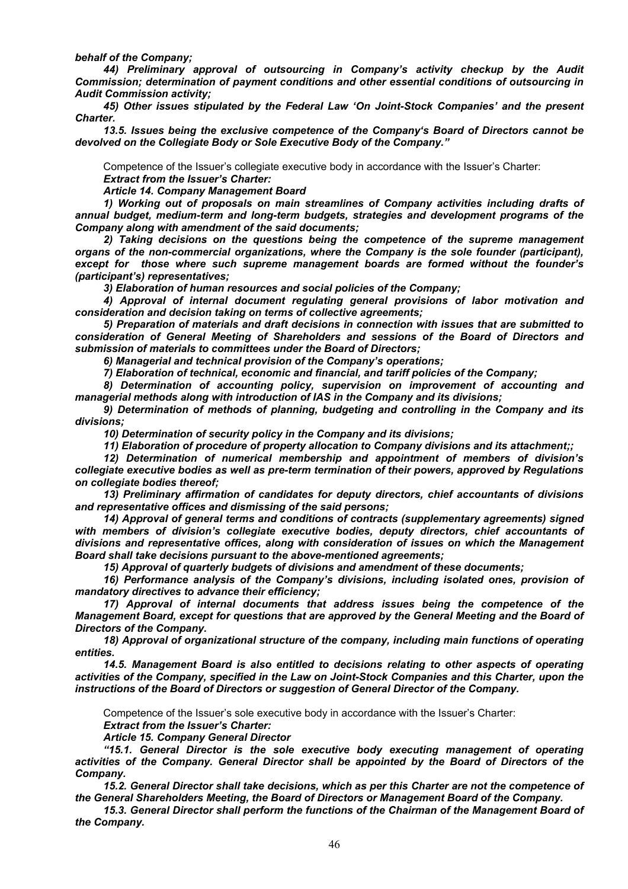*behalf of the Company;* 

*44) Preliminary approval of outsourcing in Company's activity checkup by the Audit Commission; determination of payment conditions and other essential conditions of outsourcing in Audit Commission activity;* 

*45) Other issues stipulated by the Federal Law 'On Joint-Stock Companies' and the present Charter.* 

*13.5. Issues being the exclusive competence of the Company's Board of Directors cannot be devolved on the Collegiate Body or Sole Executive Body of the Company."* 

Competence of the Issuer's collegiate executive body in accordance with the Issuer's Charter:

*Extract from the Issuer's Charter:* 

*Article 14. Company Management Board* 

*1) Working out of proposals on main streamlines of Company activities including drafts of annual budget, medium-term and long-term budgets, strategies and development programs of the Company along with amendment of the said documents;* 

*2) Taking decisions on the questions being the competence of the supreme management organs of the non-commercial organizations, where the Company is the sole founder (participant), except for those where such supreme management boards are formed without the founder's (participant's) representatives;* 

*3) Elaboration of human resources and social policies of the Company;* 

*4) Approval of internal document regulating general provisions of labor motivation and consideration and decision taking on terms of collective agreements;* 

*5) Preparation of materials and draft decisions in connection with issues that are submitted to consideration of General Meeting of Shareholders and sessions of the Board of Directors and submission of materials to committees under the Board of Directors;* 

*6) Managerial and technical provision of the Company's operations;* 

*7) Elaboration of technical, economic and financial, and tariff policies of the Company;* 

*8) Determination of accounting policy, supervision on improvement of accounting and managerial methods along with introduction of IAS in the Company and its divisions;* 

*9) Determination of methods of planning, budgeting and controlling in the Company and its divisions;* 

*10) Determination of security policy in the Company and its divisions;* 

*11) Elaboration of procedure of property allocation to Company divisions and its attachment;;* 

*12) Determination of numerical membership and appointment of members of division's collegiate executive bodies as well as pre-term termination of their powers, approved by Regulations on collegiate bodies thereof;* 

*13) Preliminary affirmation of candidates for deputy directors, chief accountants of divisions and representative offices and dismissing of the said persons;* 

*14) Approval of general terms and conditions of contracts (supplementary agreements) signed with members of division's collegiate executive bodies, deputy directors, chief accountants of divisions and representative offices, along with consideration of issues on which the Management Board shall take decisions pursuant to the above-mentioned agreements;* 

*15) Approval of quarterly budgets of divisions and amendment of these documents;* 

16) Performance analysis of the Company's divisions, including isolated ones, provision of *mandatory directives to advance their efficiency;* 

*17) Approval of internal documents that address issues being the competence of the Management Board, except for questions that are approved by the General Meeting and the Board of Directors of the Company.* 

*18) Approval of organizational structure of the company, including main functions of operating entities.* 

*14.5. Management Board is also entitled to decisions relating to other aspects of operating activities of the Company, specified in the Law on Joint-Stock Companies and this Charter, upon the instructions of the Board of Directors or suggestion of General Director of the Company.* 

Competence of the Issuer's sole executive body in accordance with the Issuer's Charter:

*Extract from the Issuer's Charter: Article 15. Company General Director* 

*"15.1. General Director is the sole executive body executing management of operating activities of the Company. General Director shall be appointed by the Board of Directors of the Company.* 

*15.2. General Director shall take decisions, which as per this Charter are not the competence of the General Shareholders Meeting, the Board of Directors or Management Board of the Company.* 

15.3. General Director shall perform the functions of the Chairman of the Management Board of *the Company.*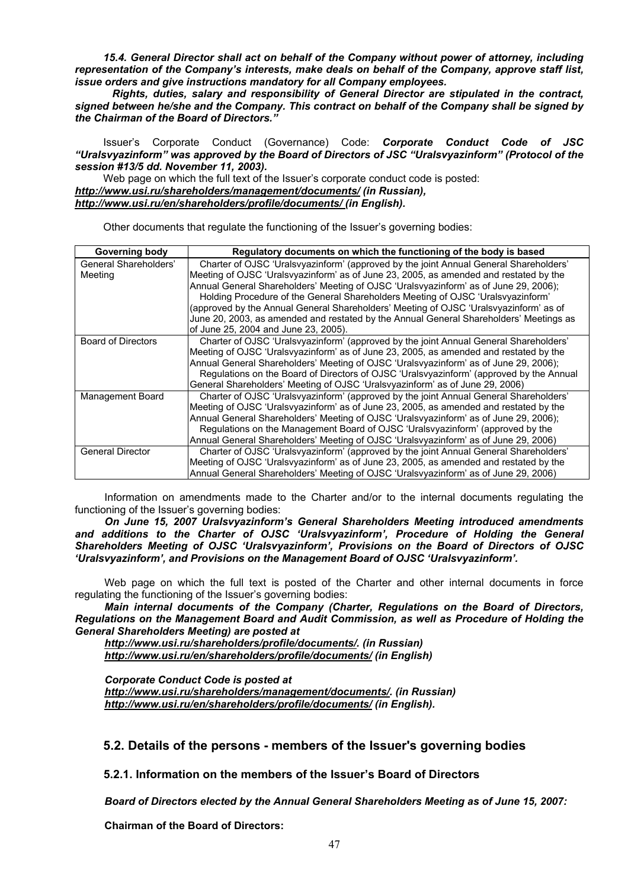*15.4. General Director shall act on behalf of the Company without power of attorney, including representation of the Company's interests, make deals on behalf of the Company, approve staff list, issue orders and give instructions mandatory for all Company employees.* 

 *Rights, duties, salary and responsibility of General Director are stipulated in the contract, signed between he/she and the Company. This contract on behalf of the Company shall be signed by the Chairman of the Board of Directors."* 

Issuer's Corporate Conduct (Governance) Code: *Corporate Conduct Code of JSC "Uralsvyazinform" was approved by the Board of Directors of JSC "Uralsvyazinform" (Protocol of the session #13/5 dd. November 11, 2003).* 

Web page on which the full text of the Issuer's corporate conduct code is posted: *http://www.usi.ru/shareholders/management/documents/ (in Russian), http://www.usi.ru/en/shareholders/profile/documents/ (in English).* 

Other documents that regulate the functioning of the Issuer's governing bodies:

| <b>Governing body</b>            | Regulatory documents on which the functioning of the body is based                                                                                                                                                                                                                                                                                                                                                                                                                                                                                                                   |
|----------------------------------|--------------------------------------------------------------------------------------------------------------------------------------------------------------------------------------------------------------------------------------------------------------------------------------------------------------------------------------------------------------------------------------------------------------------------------------------------------------------------------------------------------------------------------------------------------------------------------------|
| General Shareholders'<br>Meeting | Charter of OJSC 'Uralsvyazinform' (approved by the joint Annual General Shareholders'<br>Meeting of OJSC 'Uralsvyazinform' as of June 23, 2005, as amended and restated by the<br>Annual General Shareholders' Meeting of OJSC 'Uralsvyazinform' as of June 29, 2006);<br>Holding Procedure of the General Shareholders Meeting of OJSC 'Uralsvyazinform'<br>(approved by the Annual General Shareholders' Meeting of OJSC 'Uralsvyazinform' as of<br>June 20, 2003, as amended and restated by the Annual General Shareholders' Meetings as<br>of June 25, 2004 and June 23, 2005). |
| <b>Board of Directors</b>        | Charter of OJSC 'Uralsvyazinform' (approved by the joint Annual General Shareholders'<br>Meeting of OJSC 'Uralsvyazinform' as of June 23, 2005, as amended and restated by the<br>Annual General Shareholders' Meeting of OJSC 'Uralsvyazinform' as of June 29, 2006);<br>Regulations on the Board of Directors of OJSC 'Uralsvyazinform' (approved by the Annual<br>General Shareholders' Meeting of OJSC 'Uralsvyazinform' as of June 29, 2006)                                                                                                                                    |
| Management Board                 | Charter of OJSC 'Uralsvyazinform' (approved by the joint Annual General Shareholders'<br>Meeting of OJSC 'Uralsvyazinform' as of June 23, 2005, as amended and restated by the<br>Annual General Shareholders' Meeting of OJSC 'Uralsvyazinform' as of June 29, 2006);<br>Regulations on the Management Board of OJSC 'Uralsvyazinform' (approved by the<br>Annual General Shareholders' Meeting of OJSC 'Uralsvyazinform' as of June 29, 2006)                                                                                                                                      |
| <b>General Director</b>          | Charter of OJSC 'Uralsvyazinform' (approved by the joint Annual General Shareholders'<br>Meeting of OJSC 'Uralsvyazinform' as of June 23, 2005, as amended and restated by the<br>Annual General Shareholders' Meeting of OJSC 'Uralsvyazinform' as of June 29, 2006)                                                                                                                                                                                                                                                                                                                |

Information on amendments made to the Charter and/or to the internal documents regulating the functioning of the Issuer's governing bodies:

*On June 15, 2007 Uralsvyazinform's General Shareholders Meeting introduced amendments and additions to the Charter of OJSC 'Uralsvyazinform', Procedure of Holding the General Shareholders Meeting of OJSC 'Uralsvyazinform', Provisions on the Board of Directors of OJSC 'Uralsvyazinform', and Provisions on the Management Board of OJSC 'Uralsvyazinform'.* 

Web page on which the full text is posted of the Charter and other internal documents in force regulating the functioning of the Issuer's governing bodies:

*Main internal documents of the Company (Charter, Regulations on the Board of Directors, Regulations on the Management Board and Audit Commission, as well as Procedure of Holding the General Shareholders Meeting) are posted at* 

*http://www.usi.ru/shareholders/profile/documents/. (in Russian) http://www.usi.ru/en/shareholders/profile/documents/ (in English)* 

*Corporate Conduct Code is posted at http://www.usi.ru/shareholders/management/documents/. (in Russian) http://www.usi.ru/en/shareholders/profile/documents/ (in English).* 

# **5.2. Details of the persons - members of the Issuer's governing bodies**

**5.2.1. Information on the members of the Issuer's Board of Directors** 

*Board of Directors elected by the Annual General Shareholders Meeting as of June 15, 2007:* 

**Chairman of the Board of Directors:**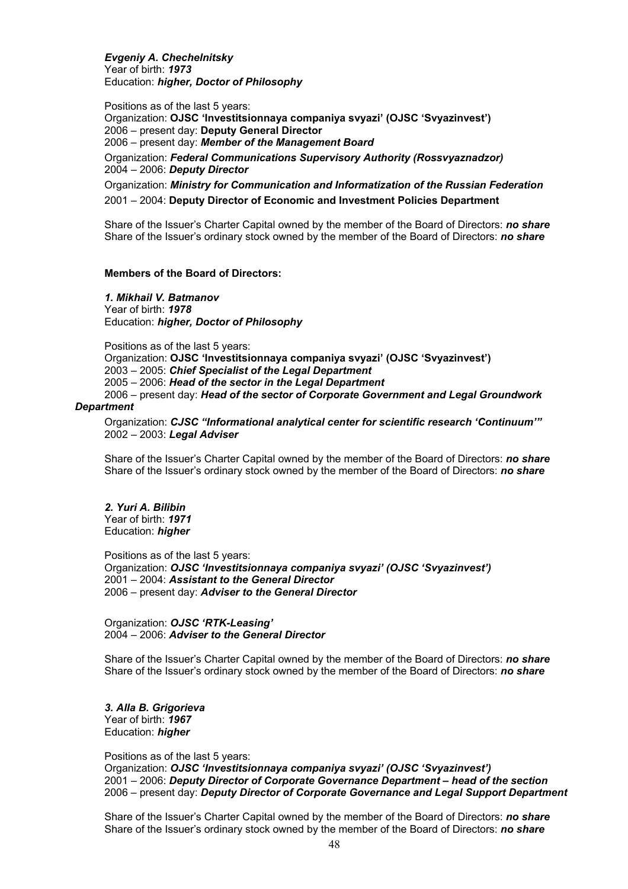*Evgeniy A. Chechelnitsky*  Year of birth: *1973*  Education: *higher, Doctor of Philosophy* 

Positions as of the last 5 years: Organization: **OJSC 'Investitsionnaya companiya svyazi' (OJSC 'Svyazinvest')**  2006 – present day: **Deputy General Director** 2006 – present day: *Member of the Management Board*  Organization: *Federal Communications Supervisory Authority (Rossvyaznadzor)*

2004 – 2006: *Deputy Director* 

Organization: *Ministry for Communication and Informatization of the Russian Federation*  2001 – 2004: **Deputy Director of Economic and Investment Policies Department**

Share of the Issuer's Charter Capital owned by the member of the Board of Directors: *no share*  Share of the Issuer's ordinary stock owned by the member of the Board of Directors: *no share*

### **Members of the Board of Directors:**

*1. Mikhail V. Batmanov* Year of birth: *1978* Education: *higher, Doctor of Philosophy* 

Positions as of the last 5 years:

Organization: **OJSC 'Investitsionnaya companiya svyazi' (OJSC 'Svyazinvest')**  2003 – 2005: *Chief Specialist of the Legal Department*  2005 – 2006: *Head of the sector in the Legal Department*  2006 – present day: *Head of the sector of Corporate Government and Legal Groundwork* 

#### *Department*

Organization: *CJSC "Informational analytical center for scientific research 'Continuum'"*  2002 – 2003: *Legal Adviser* 

Share of the Issuer's Charter Capital owned by the member of the Board of Directors: *no share*  Share of the Issuer's ordinary stock owned by the member of the Board of Directors: *no share* 

#### *2. Yuri A. Bilibin*  Year of birth: *1971*  Education: *higher*

Positions as of the last 5 years: Organization: *OJSC 'Investitsionnaya companiya svyazi' (OJSC 'Svyazinvest')*  2001 – 2004: *Assistant to the General Director*  2006 – present day: *Adviser to the General Director* 

Organization: *OJSC 'RTK-Leasing'* 2004 – 2006: *Adviser to the General Director* 

Share of the Issuer's Charter Capital owned by the member of the Board of Directors: *no share*  Share of the Issuer's ordinary stock owned by the member of the Board of Directors: *no share*

#### *3. Alla B. Grigorieva*  Year of birth: *1967* Education: *higher*

Positions as of the last 5 years:

Organization: *OJSC 'Investitsionnaya companiya svyazi' (OJSC 'Svyazinvest')*  2001 – 2006: *Deputy Director of Corporate Governance Department – head of the section*  2006 – present day: *Deputy Director of Corporate Governance and Legal Support Department* 

Share of the Issuer's Charter Capital owned by the member of the Board of Directors: *no share*  Share of the Issuer's ordinary stock owned by the member of the Board of Directors: *no share*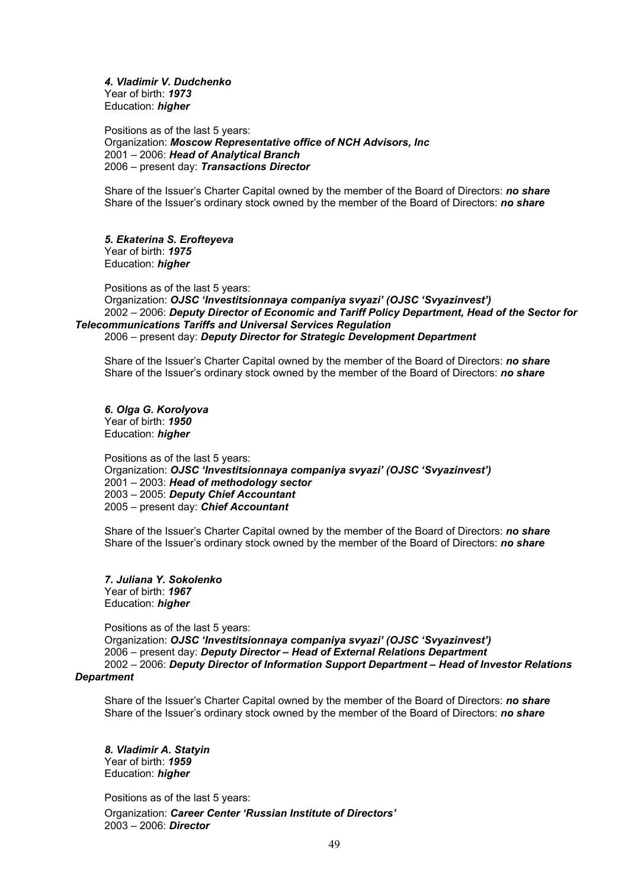*4. Vladimir V. Dudchenko* Year of birth: *1973* Education: *higher* 

Positions as of the last 5 years: Organization: *Moscow Representative office of NCH Advisors, Inc*  2001 – 2006: *Head of Analytical Branch* 2006 – present day: *Transactions Director* 

Share of the Issuer's Charter Capital owned by the member of the Board of Directors: *no share*  Share of the Issuer's ordinary stock owned by the member of the Board of Directors: *no share*

*5. Ekaterina S. Erofteyeva*  Year of birth: *1975* Education: *higher* 

Positions as of the last 5 years: Organization: *OJSC 'Investitsionnaya companiya svyazi' (OJSC 'Svyazinvest')*  2002 – 2006: *Deputy Director of Economic and Tariff Policy Department, Head of the Sector for Telecommunications Tariffs and Universal Services Regulation*  2006 – present day: *Deputy Director for Strategic Development Department* 

Share of the Issuer's Charter Capital owned by the member of the Board of Directors: *no share*  Share of the Issuer's ordinary stock owned by the member of the Board of Directors: *no share*

*6. Olga G. Korolyova*  Year of birth: *1950* Education: *higher* 

Positions as of the last 5 years: Organization: *OJSC 'Investitsionnaya companiya svyazi' (OJSC 'Svyazinvest')*  2001 – 2003: *Head of methodology sector*  2003 – 2005: *Deputy Chief Accountant*  2005 – present day: *Chief Accountant* 

Share of the Issuer's Charter Capital owned by the member of the Board of Directors: *no share*  Share of the Issuer's ordinary stock owned by the member of the Board of Directors: *no share*

*7. Juliana Y. Sokolenko*  Year of birth: *1967* Education: *higher* 

Positions as of the last 5 years:

Organization: *OJSC 'Investitsionnaya companiya svyazi' (OJSC 'Svyazinvest')*  2006 – present day: *Deputy Director – Head of External Relations Department*  2002 – 2006: *Deputy Director of Information Support Department – Head of Investor Relations* 

### *Department*

Share of the Issuer's Charter Capital owned by the member of the Board of Directors: *no share*  Share of the Issuer's ordinary stock owned by the member of the Board of Directors: *no share*

*8. Vladimir A. Statyin*  Year of birth: *1959* Education: *higher* 

Positions as of the last 5 years: Organization: *Career Center 'Russian Institute of Directors'*  2003 – 2006: *Director*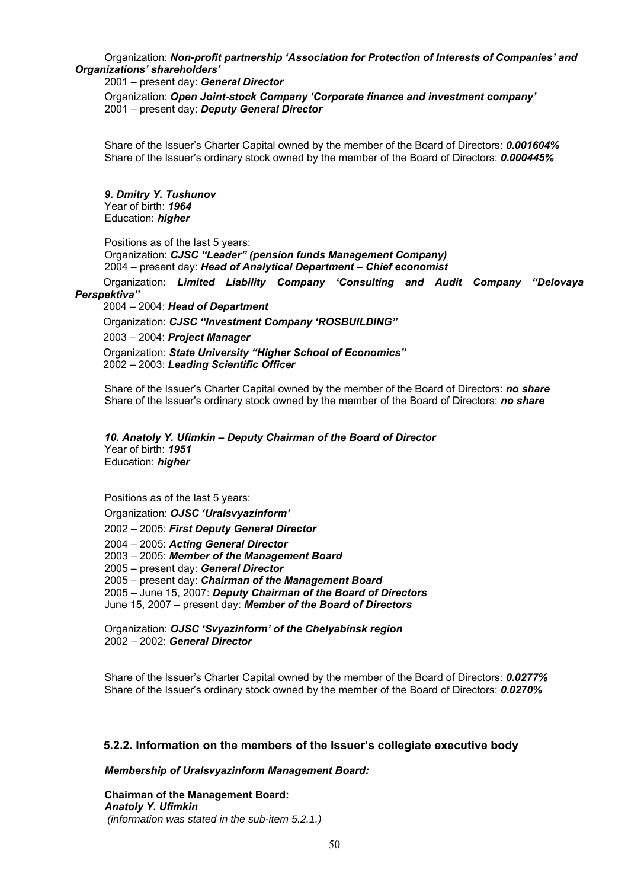Organization: *Non-profit partnership 'Association for Protection of Interests of Companies' and Organizations' shareholders'* 

#### 2001 – present day: *General Director*

Organization: *Open Joint-stock Company 'Corporate finance and investment company'*  2001 – present day: *Deputy General Director* 

Share of the Issuer's Charter Capital owned by the member of the Board of Directors: *0.001604%*  Share of the Issuer's ordinary stock owned by the member of the Board of Directors: *0.000445%*

*9. Dmitry Y. Tushunov* Year of birth: *1964* Education: *higher* 

Positions as of the last 5 years:

Organization: *CJSC "Leader" (pension funds Management Company)*  2004 – present day: *Head of Analytical Department – Chief economist* 

Organization: *Limited Liability Company 'Consulting and Audit Company "Delovaya Perspektiva"* 

2004 – 2004: *Head of Department* 

Organization: *CJSC "Investment Company 'ROSBUILDING"* 

2003 – 2004: *Project Manager* 

Organization: *State University "Higher School of Economics"*  2002 – 2003: *Leading Scientific Officer* 

Share of the Issuer's Charter Capital owned by the member of the Board of Directors: *no share*  Share of the Issuer's ordinary stock owned by the member of the Board of Directors: *no share*

#### *10. Anatoly Y. Ufimkin – Deputy Chairman of the Board of Director*  Year of birth: *1951* Education: *higher*

Positions as of the last 5 years:

Organization: *OJSC 'Uralsvyazinform'* 

2002 – 2005: *First Deputy General Director* 

2004 – 2005: *Acting General Director* 

2003 – 2005: *Member of the Management Board* 

2005 – present day: *General Director* 

2005 – present day: *Chairman of the Management Board*

2005 – June 15, 2007: *Deputy Chairman of the Board of Directors* 

June 15, 2007 – present day: *Member of the Board of Directors* 

Organization: *OJSC 'Svyazinform' of the Chelyabinsk region* 2002 – 2002: *General Director* 

Share of the Issuer's Charter Capital owned by the member of the Board of Directors: *0.0277%*  Share of the Issuer's ordinary stock owned by the member of the Board of Directors: *0.0270%*

## **5.2.2. Information on the members of the Issuer's collegiate executive body**

*Membership of Uralsvyazinform Management Board:* 

**Chairman of the Management Board:**  *Anatoly Y. Ufimkin (information was stated in the sub-item 5.2.1.)*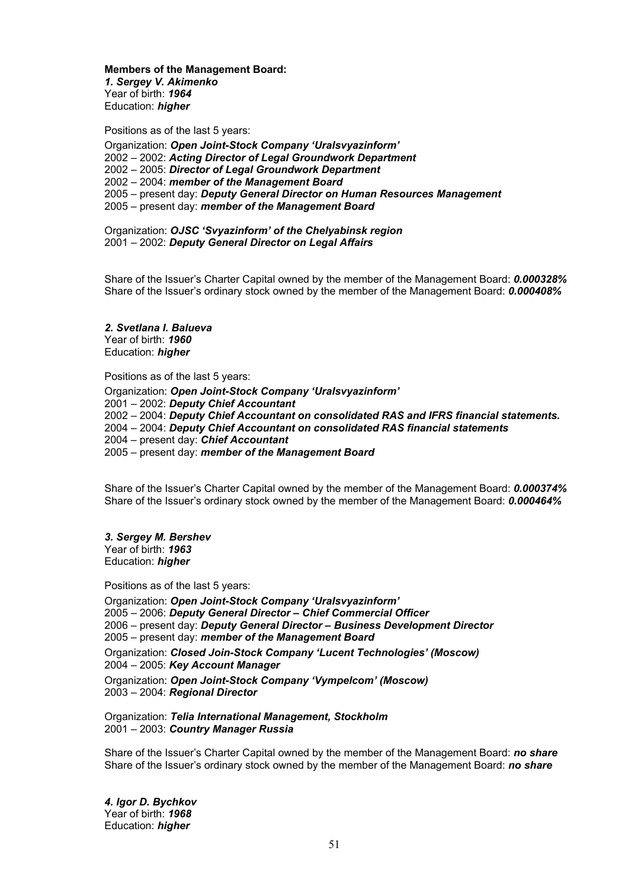**Members of the Management Board:**  *1. Sergey V. Akimenko* Year of birth: *1964* Education: *higher* 

Positions as of the last 5 years:

Organization: *Open Joint-Stock Company 'Uralsvyazinform'*  2002 – 2002: *Acting Director of Legal Groundwork Department*  2002 – 2005: *Director of Legal Groundwork Department*  2002 – 2004: *member of the Management Board*  2005 – present day: *Deputy General Director on Human Resources Management*  2005 – present day: *member of the Management Board* 

Organization: *OJSC 'Svyazinform' of the Chelyabinsk region* 2001 – 2002: *Deputy General Director on Legal Affairs* 

Share of the Issuer's Charter Capital owned by the member of the Management Board: *0.000328%*  Share of the Issuer's ordinary stock owned by the member of the Management Board: *0.000408%*

*2. Svetlana I. Balueva*  Year of birth: *1960* Education: *higher* 

Positions as of the last 5 years: Organization: *Open Joint-Stock Company 'Uralsvyazinform'*  2001 – 2002: *Deputy Chief Accountant* 2002 – 2004: *Deputy Chief Accountant on consolidated RAS and IFRS financial statements.*  2004 – 2004: *Deputy Chief Accountant on consolidated RAS financial statements*  2004 – present day: *Chief Accountant* 2005 – present day: *member of the Management Board*

Share of the Issuer's Charter Capital owned by the member of the Management Board: *0.000374%*  Share of the Issuer's ordinary stock owned by the member of the Management Board: *0.000464%*

*3. Sergey M. Bershev*  Year of birth: *1963* Education: *higher* 

Positions as of the last 5 years:

Organization: *Open Joint-Stock Company 'Uralsvyazinform'*  2005 – 2006: *Deputy General Director – Chief Commercial Officer*  2006 – present day: *Deputy General Director – Business Development Director*  2005 – present day: *member of the Management Board*  Organization: *Closed Join-Stock Company 'Lucent Technologies' (Moscow)*  2004 – 2005: *Key Account Manager*  Organization: *Open Joint-Stock Company 'Vympelcom' (Moscow)*  2003 – 2004: *Regional Director* 

Organization: *Telia International Management, Stockholm*  2001 – 2003: *Country Manager Russia* 

Share of the Issuer's Charter Capital owned by the member of the Management Board: *no share* Share of the Issuer's ordinary stock owned by the member of the Management Board: *no share*

*4. Igor D. Bychkov*  Year of birth: *1968* Education: *higher*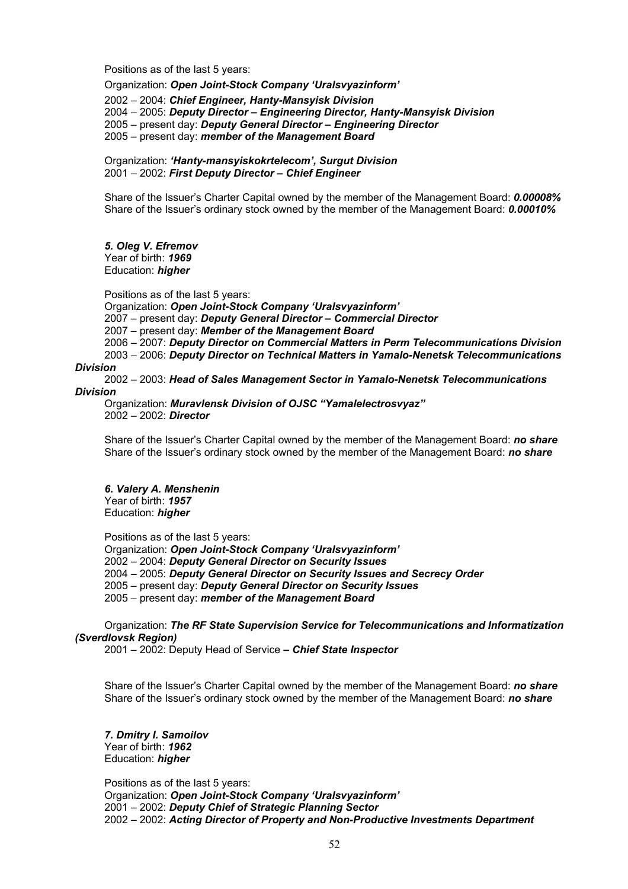Positions as of the last 5 years:

Organization: *Open Joint-Stock Company 'Uralsvyazinform'*  2002 – 2004: *Chief Engineer, Hanty-Mansyisk Division*  2004 – 2005: *Deputy Director – Engineering Director, Hanty-Mansyisk Division* 2005 – present day: *Deputy General Director – Engineering Director* 2005 – present day: *member of the Management Board* 

Organization: *'Hanty-mansyiskokrtelecom', Surgut Division*  2001 – 2002: *First Deputy Director – Chief Engineer* 

Share of the Issuer's Charter Capital owned by the member of the Management Board: *0.00008%*  Share of the Issuer's ordinary stock owned by the member of the Management Board: *0.00010%*

#### *5. Oleg V. Efremov* Year of birth: *1969*

Education: *higher* 

Positions as of the last 5 years:

Organization: *Open Joint-Stock Company 'Uralsvyazinform'*  2007 – present day: *Deputy General Director – Commercial Director*  2007 – present day: *Member of the Management Board*  2006 – 2007: *Deputy Director on Commercial Matters in Perm Telecommunications Division*  2003 – 2006: *Deputy Director on Technical Matters in Yamalo-Nenetsk Telecommunications* 

#### *Division*

2002 – 2003: *Head of Sales Management Sector in Yamalo-Nenetsk Telecommunications* 

#### *Division*

Organization: *Muravlensk Division of OJSC "Yamalelectrosvyaz"*  2002 – 2002: *Director* 

Share of the Issuer's Charter Capital owned by the member of the Management Board: *no share* Share of the Issuer's ordinary stock owned by the member of the Management Board: *no share*

# *6. Valery A. Menshenin*

Year of birth: *1957* Education: *higher* 

Positions as of the last 5 years:

Organization: *Open Joint-Stock Company 'Uralsvyazinform'*  2002 – 2004: *Deputy General Director on Security Issues*  2004 – 2005: *Deputy General Director on Security Issues and Secrecy Order*  2005 – present day: *Deputy General Director on Security Issues*  2005 – present day: *member of the Management Board* 

Organization: *The RF State Supervision Service for Telecommunications and Informatization (Sverdlovsk Region)*

2001 – 2002: Deputy Head of Service *– Chief State Inspector* 

Share of the Issuer's Charter Capital owned by the member of the Management Board: *no share* Share of the Issuer's ordinary stock owned by the member of the Management Board: *no share*

*7. Dmitry I. Samoilov*  Year of birth: *1962* Education: *higher* 

Positions as of the last 5 years: Organization: *Open Joint-Stock Company 'Uralsvyazinform'*  2001 – 2002: *Deputy Chief of Strategic Planning Sector*  2002 – 2002: *Acting Director of Property and Non-Productive Investments Department*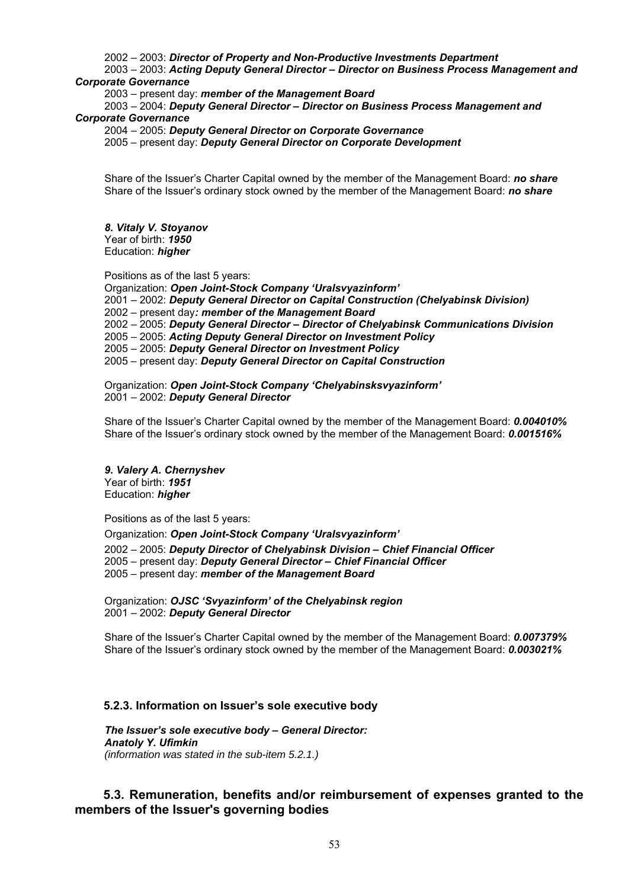#### 2002 – 2003: *Director of Property and Non-Productive Investments Department*

2003 – 2003: *Acting Deputy General Director – Director on Business Process Management and Corporate Governance* 

2003 – present day: *member of the Management Board*

2003 – 2004: *Deputy General Director – Director on Business Process Management and Corporate Governance* 

2004 – 2005: *Deputy General Director on Corporate Governance* 

2005 – present day: *Deputy General Director on Corporate Development* 

Share of the Issuer's Charter Capital owned by the member of the Management Board: *no share* Share of the Issuer's ordinary stock owned by the member of the Management Board: *no share*

*8. Vitaly V. Stoyanov* Year of birth: *1950* Education: *higher*

Positions as of the last 5 years:

Organization: *Open Joint-Stock Company 'Uralsvyazinform'*  2001 – 2002: *Deputy General Director on Capital Construction (Chelyabinsk Division)*  2002 – present day*: member of the Management Board*  2002 – 2005: *Deputy General Director – Director of Chelyabinsk Communications Division*  2005 – 2005: *Acting Deputy General Director on Investment Policy*  2005 – 2005: *Deputy General Director on Investment Policy*  2005 – present day: *Deputy General Director on Capital Construction* 

Organization: *Open Joint-Stock Company 'Chelyabinsksvyazinform'*  2001 – 2002: *Deputy General Director* 

Share of the Issuer's Charter Capital owned by the member of the Management Board: *0.004010%*  Share of the Issuer's ordinary stock owned by the member of the Management Board: *0.001516%*

*9. Valery A. Chernyshev*  Year of birth: *1951* Education: *higher*

Positions as of the last 5 years:

Organization: *Open Joint-Stock Company 'Uralsvyazinform'* 

2002 – 2005: *Deputy Director of Chelyabinsk Division – Chief Financial Officer*  2005 – present day: *Deputy General Director – Chief Financial Officer*  2005 – present day: *member of the Management Board* 

Organization: *OJSC 'Svyazinform' of the Chelyabinsk region* 2001 – 2002: *Deputy General Director* 

Share of the Issuer's Charter Capital owned by the member of the Management Board: *0.007379%*  Share of the Issuer's ordinary stock owned by the member of the Management Board: *0.003021%* 

#### **5.2.3. Information on Issuer's sole executive body**

*The Issuer's sole executive body – General Director: Anatoly Y. Ufimkin (information was stated in the sub-item 5.2.1.)*

## **5.3. Remuneration, benefits and/or reimbursement of expenses granted to the members of the Issuer's governing bodies**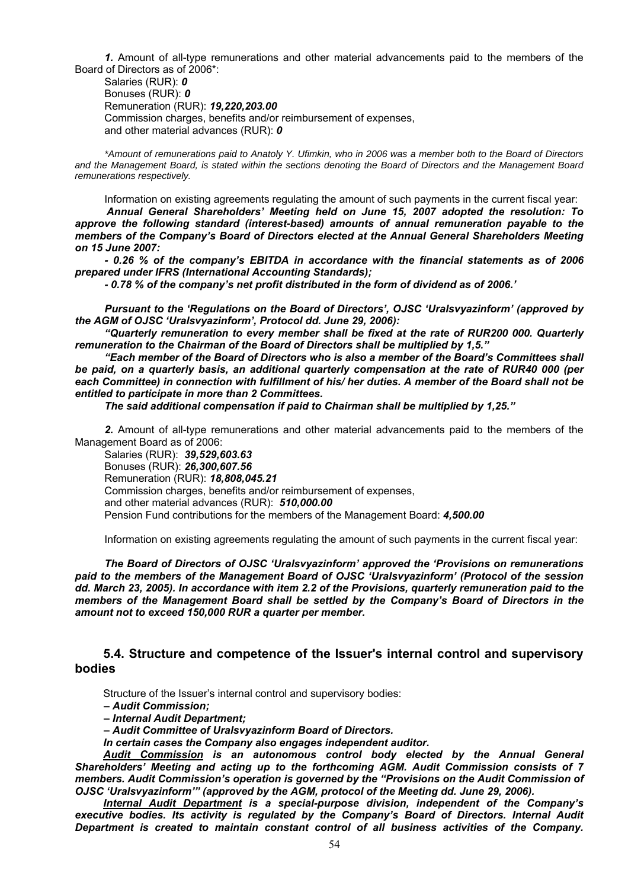*1.* Amount of all-type remunerations and other material advancements paid to the members of the Board of Directors as of 2006\*:

Salaries (RUR): *0*  Bonuses (RUR): *0* Remuneration (RUR): *19,220,203.00*  Commission charges, benefits and/or reimbursement of expenses, and other material advances (RUR): *0*

*\*Amount of remunerations paid to Anatoly Y. Ufimkin, who in 2006 was a member both to the Board of Directors and the Management Board, is stated within the sections denoting the Board of Directors and the Management Board remunerations respectively.* 

Information on existing agreements regulating the amount of such payments in the current fiscal year:

*Annual General Shareholders' Meeting held on June 15, 2007 adopted the resolution: To approve the following standard (interest-based) amounts of annual remuneration payable to the members of the Company's Board of Directors elected at the Annual General Shareholders Meeting on 15 June 2007:* 

*- 0.26 % of the company's EBITDA in accordance with the financial statements as of 2006 prepared under IFRS (International Accounting Standards);* 

*- 0.78 % of the company's net profit distributed in the form of dividend as of 2006.'* 

*Pursuant to the 'Regulations on the Board of Directors', OJSC 'Uralsvyazinform' (approved by the AGM of OJSC 'Uralsvyazinform', Protocol dd. June 29, 2006):* 

*"Quarterly remuneration to every member shall be fixed at the rate of RUR200 000. Quarterly remuneration to the Chairman of the Board of Directors shall be multiplied by 1,5."* 

*"Each member of the Board of Directors who is also a member of the Board's Committees shall be paid, on a quarterly basis, an additional quarterly compensation at the rate of RUR40 000 (per each Committee) in connection with fulfillment of his/ her duties. A member of the Board shall not be entitled to participate in more than 2 Committees.* 

*The said additional compensation if paid to Chairman shall be multiplied by 1,25."* 

*2.* Amount of all-type remunerations and other material advancements paid to the members of the Management Board as of 2006:

Salaries (RUR): *39,529,603.63*  Bonuses (RUR): *26,300,607.56* Remuneration (RUR): *18,808,045.21* Commission charges, benefits and/or reimbursement of expenses, and other material advances (RUR): *510,000.00*  Pension Fund contributions for the members of the Management Board: *4,500.00* 

Information on existing agreements regulating the amount of such payments in the current fiscal year:

*The Board of Directors of OJSC 'Uralsvyazinform' approved the 'Provisions on remunerations paid to the members of the Management Board of OJSC 'Uralsvyazinform' (Protocol of the session dd. March 23, 2005). In accordance with item 2.2 of the Provisions, quarterly remuneration paid to the members of the Management Board shall be settled by the Company's Board of Directors in the amount not to exceed 150,000 RUR a quarter per member.* 

## **5.4. Structure and competence of the Issuer's internal control and supervisory bodies**

Structure of the Issuer's internal control and supervisory bodies:

*– Audit Commission;* 

*– Internal Audit Department;* 

*– Audit Committee of Uralsvyazinform Board of Directors.* 

*In certain cases the Company also engages independent auditor.* 

*Audit Commission is an autonomous control body elected by the Annual General Shareholders' Meeting and acting up to the forthcoming AGM. Audit Commission consists of 7 members. Audit Commission's operation is governed by the "Provisions on the Audit Commission of OJSC 'Uralsvyazinform'" (approved by the AGM, protocol of the Meeting dd. June 29, 2006).* 

*Internal Audit Department is a special-purpose division, independent of the Company's executive bodies. Its activity is regulated by the Company's Board of Directors. Internal Audit Department is created to maintain constant control of all business activities of the Company.*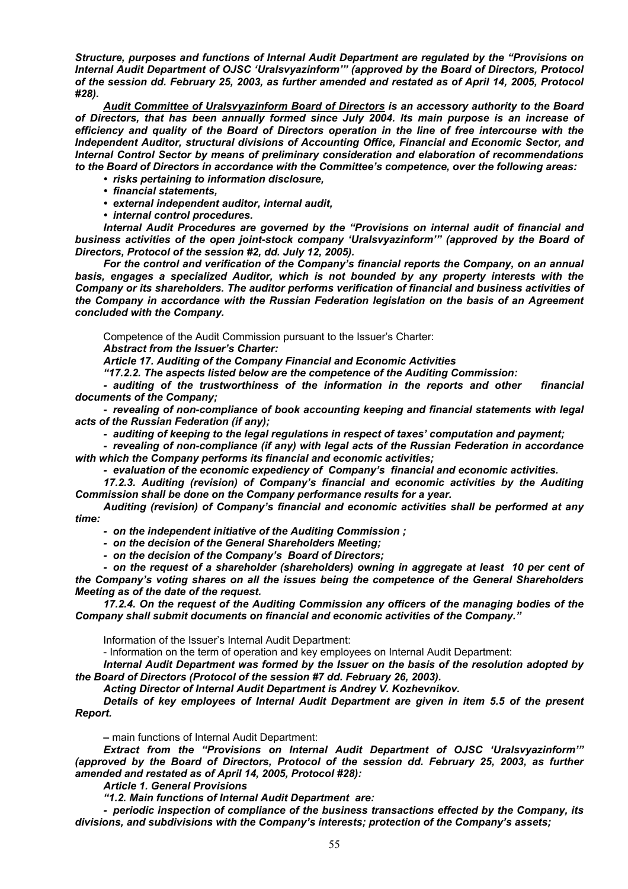*Structure, purposes and functions of Internal Audit Department are regulated by the "Provisions on Internal Audit Department of OJSC 'Uralsvyazinform'" (approved by the Board of Directors, Protocol of the session dd. February 25, 2003, as further amended and restated as of April 14, 2005, Protocol #28).* 

*Audit Committee of Uralsvyazinform Board of Directors is an accessory authority to the Board of Directors, that has been annually formed since July 2004. Its main purpose is an increase of efficiency and quality of the Board of Directors operation in the line of free intercourse with the Independent Auditor, structural divisions of Accounting Office, Financial and Economic Sector, and Internal Control Sector by means of preliminary consideration and elaboration of recommendations to the Board of Directors in accordance with the Committee's competence, over the following areas:* 

- *risks pertaining to information disclosure,*
- *financial statements,*
- *external independent auditor, internal audit,*
- *internal control procedures.*

*Internal Audit Procedures are governed by the "Provisions on internal audit of financial and business activities of the open joint-stock company 'Uralsvyazinform'" (approved by the Board of Directors, Protocol of the session #2, dd. July 12, 2005).* 

*For the control and verification of the Company's financial reports the Company, on an annual basis, engages a specialized Auditor, which is not bounded by any property interests with the Company or its shareholders. The auditor performs verification of financial and business activities of the Company in accordance with the Russian Federation legislation on the basis of an Agreement concluded with the Company.* 

Competence of the Audit Commission pursuant to the Issuer's Charter:

*Abstract from the Issuer's Charter:* 

*Article 17. Auditing of the Company Financial and Economic Activities* 

*"17.2.2. The aspects listed below are the competence of the Auditing Commission:* 

*- auditing of the trustworthiness of the information in the reports and other financial documents of the Company;* 

*- revealing of non-compliance of book accounting keeping and financial statements with legal acts of the Russian Federation (if any);* 

*- auditing of keeping to the legal regulations in respect of taxes' computation and payment;* 

*- revealing of non-compliance (if any) with legal acts of the Russian Federation in accordance with which the Company performs its financial and economic activities;* 

*- evaluation of the economic expediency of Company's financial and economic activities.* 

*17.2.3. Auditing (revision) of Company's financial and economic activities by the Auditing Commission shall be done on the Company performance results for a year.* 

*Auditing (revision) of Company's financial and economic activities shall be performed at any time:* 

*- on the independent initiative of the Auditing Commission ;* 

*- on the decision of the General Shareholders Meeting;* 

*- on the decision of the Company's Board of Directors;* 

- on the request of a shareholder (shareholders) owning in aggregate at least 10 per cent of *the Company's voting shares on all the issues being the competence of the General Shareholders Meeting as of the date of the request.* 

*17.2.4. On the request of the Auditing Commission any officers of the managing bodies of the Company shall submit documents on financial and economic activities of the Company."* 

Information of the Issuer's Internal Audit Department:

- Information on the term of operation and key employees on Internal Audit Department:

*Internal Audit Department was formed by the Issuer on the basis of the resolution adopted by the Board of Directors (Protocol of the session #7 dd. February 26, 2003).* 

*Acting Director of Internal Audit Department is Andrey V. Kozhevnikov.* 

*Details of key employees of Internal Audit Department are given in item 5.5 of the present Report.* 

*–* main functions of Internal Audit Department:

*Extract from the "Provisions on Internal Audit Department of OJSC 'Uralsvyazinform'" (approved by the Board of Directors, Protocol of the session dd. February 25, 2003, as further amended and restated as of April 14, 2005, Protocol #28):* 

*Article 1. General Provisions* 

*"1.2. Main functions of Internal Audit Department are:* 

*- periodic inspection of compliance of the business transactions effected by the Company, its divisions, and subdivisions with the Company's interests; protection of the Company's assets;*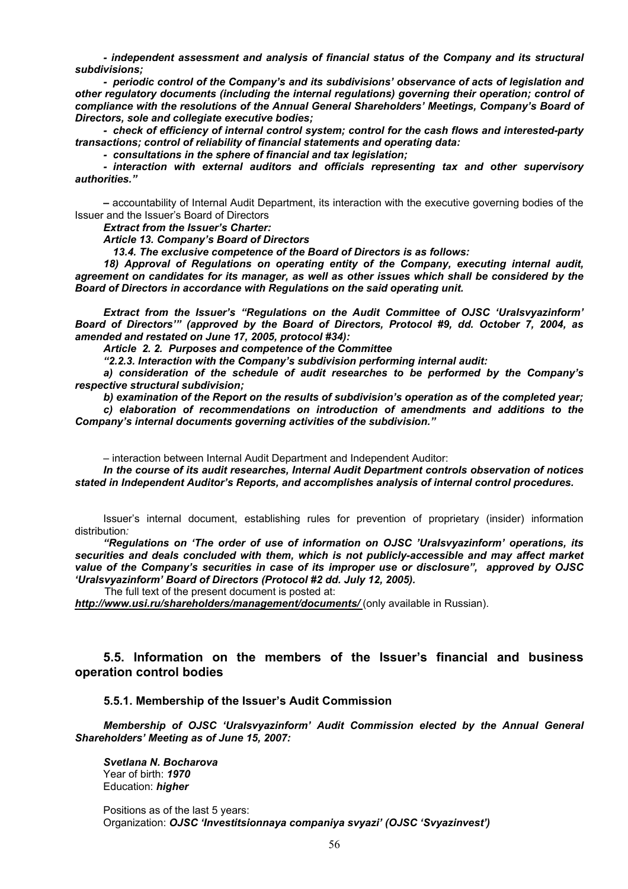*- independent assessment and analysis of financial status of the Company and its structural subdivisions;* 

*- periodic control of the Company's and its subdivisions' observance of acts of legislation and other regulatory documents (including the internal regulations) governing their operation; control of compliance with the resolutions of the Annual General Shareholders' Meetings, Company's Board of Directors, sole and collegiate executive bodies;* 

*- check of efficiency of internal control system; control for the cash flows and interested-party transactions; control of reliability of financial statements and operating data:* 

*- consultations in the sphere of financial and tax legislation;* 

*- interaction with external auditors and officials representing tax and other supervisory authorities."* 

*–* accountability of Internal Audit Department, its interaction with the executive governing bodies of the Issuer and the Issuer's Board of Directors

*Extract from the Issuer's Charter:* 

*Article 13. Company's Board of Directors* 

 *13.4. The exclusive competence of the Board of Directors is as follows:* 

*18) Approval of Regulations on operating entity of the Company, executing internal audit, agreement on candidates for its manager, as well as other issues which shall be considered by the Board of Directors in accordance with Regulations on the said operating unit.* 

*Extract from the Issuer's "Regulations on the Audit Committee of OJSC 'Uralsvyazinform' Board of Directors'" (approved by the Board of Directors, Protocol #9, dd. October 7, 2004, as amended and restated on June 17, 2005, protocol #34):* 

*Article 2. 2. Purposes and competence of the Committee* 

*"2.2.3. Interaction with the Company's subdivision performing internal audit:* 

*a) consideration of the schedule of audit researches to be performed by the Company's respective structural subdivision;* 

*b) examination of the Report on the results of subdivision's operation as of the completed year; c) elaboration of recommendations on introduction of amendments and additions to the Company's internal documents governing activities of the subdivision."* 

– interaction between Internal Audit Department and Independent Auditor:

*In the course of its audit researches, Internal Audit Department controls observation of notices stated in Independent Auditor's Reports, and accomplishes analysis of internal control procedures.* 

Issuer's internal document, establishing rules for prevention of proprietary (insider) information distribution*:* 

*"Regulations on 'The order of use of information on OJSC 'Uralsvyazinform' operations, its securities and deals concluded with them, which is not publicly-accessible and may affect market value of the Company's securities in case of its improper use or disclosure", approved by OJSC 'Uralsvyazinform' Board of Directors (Protocol #2 dd. July 12, 2005).* 

The full text of the present document is posted at:

*http://www.usi.ru/shareholders/management/documents/* (only available in Russian).

# **5.5. Information on the members of the Issuer's financial and business operation control bodies**

### **5.5.1. Membership of the Issuer's Audit Commission**

*Membership of OJSC 'Uralsvyazinform' Audit Commission elected by the Annual General Shareholders' Meeting as of June 15, 2007:* 

*Svetlana N. Bocharova*  Year of birth: *1970*  Education: *higher* 

Positions as of the last 5 years: Organization: *OJSC 'Investitsionnaya companiya svyazi' (OJSC 'Svyazinvest')*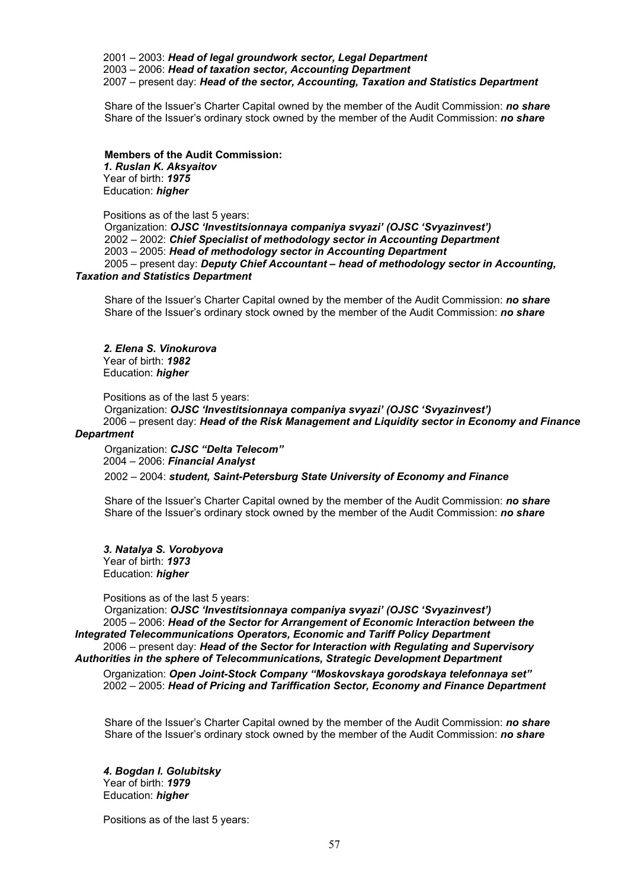2001 – 2003: *Head of legal groundwork sector, Legal Department*  2003 – 2006: *Head of taxation sector, Accounting Department*  2007 – present day: *Head of the sector, Accounting, Taxation and Statistics Department*

Share of the Issuer's Charter Capital owned by the member of the Audit Commission: *no share*  Share of the Issuer's ordinary stock owned by the member of the Audit Commission: *no share* 

### **Members of the Audit Commission:**

*1. Ruslan K. Aksyaitov*  Year of birth: *1975*  Education: *higher* 

Positions as of the last 5 years:

Organization: *OJSC 'Investitsionnaya companiya svyazi' (OJSC 'Svyazinvest')*  2002 – 2002: *Chief Specialist of methodology sector in Accounting Department*  2003 – 2005: *Head of methodology sector in Accounting Department*  2005 – present day: *Deputy Chief Accountant – head of methodology sector in Accounting, Taxation and Statistics Department* 

Share of the Issuer's Charter Capital owned by the member of the Audit Commission: *no share*  Share of the Issuer's ordinary stock owned by the member of the Audit Commission: *no share* 

#### *2. Elena S. Vinokurova*

Year of birth: *1982*  Education: *higher* 

Positions as of the last 5 years:

Organization: *OJSC 'Investitsionnaya companiya svyazi' (OJSC 'Svyazinvest')*  2006 – present day: *Head of the Risk Management and Liquidity sector in Economy and Finance* 

## *Department*

Organization: *CJSC "Delta Telecom"*  2004 – 2006: *Financial Analyst* 

2002 – 2004: *student, Saint-Petersburg State University of Economy and Finance* 

Share of the Issuer's Charter Capital owned by the member of the Audit Commission: *no share*  Share of the Issuer's ordinary stock owned by the member of the Audit Commission: *no share* 

*3. Natalya S. Vorobyova*  Year of birth: *1973*  Education: *higher* 

Positions as of the last 5 years:

Organization: *OJSC 'Investitsionnaya companiya svyazi' (OJSC 'Svyazinvest')*  2005 – 2006: *Head of the Sector for Arrangement of Economic Interaction between the Integrated Telecommunications Operators, Economic and Tariff Policy Department*  2006 – present day: *Head of the Sector for Interaction with Regulating and Supervisory* 

*Authorities in the sphere of Telecommunications, Strategic Development Department* 

Organization: *Open Joint-Stock Company "Moskovskaya gorodskaya telefonnaya set"*  2002 – 2005: *Head of Pricing and Tariffication Sector, Economy and Finance Department* 

Share of the Issuer's Charter Capital owned by the member of the Audit Commission: *no share*  Share of the Issuer's ordinary stock owned by the member of the Audit Commission: *no share* 

*4. Bogdan I. Golubitsky*  Year of birth: *1979*  Education: *higher* 

Positions as of the last 5 years: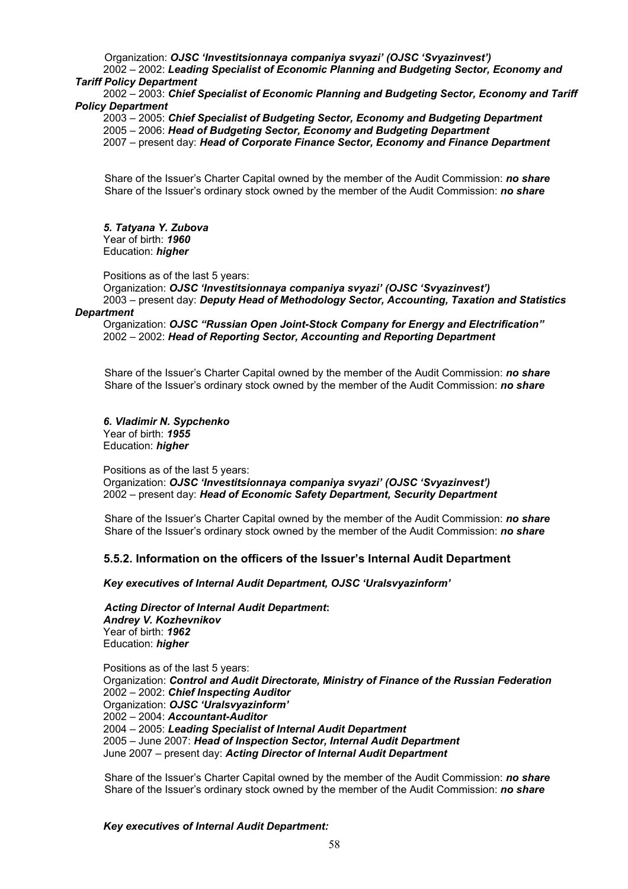Organization: *OJSC 'Investitsionnaya companiya svyazi' (OJSC 'Svyazinvest')* 

2002 – 2002: *Leading Specialist of Economic Planning and Budgeting Sector, Economy and Tariff Policy Department* 

2002 – 2003: *Chief Specialist of Economic Planning and Budgeting Sector, Economy and Tariff Policy Department* 

2003 – 2005: *Chief Specialist of Budgeting Sector, Economy and Budgeting Department*  2005 – 2006: *Head of Budgeting Sector, Economy and Budgeting Department*  2007 – present day: *Head of Corporate Finance Sector, Economy and Finance Department* 

Share of the Issuer's Charter Capital owned by the member of the Audit Commission: *no share*  Share of the Issuer's ordinary stock owned by the member of the Audit Commission: *no share* 

*5. Tatyana Y. Zubova*  Year of birth: *1960*  Education: *higher* 

Positions as of the last 5 years:

Organization: *OJSC 'Investitsionnaya companiya svyazi' (OJSC 'Svyazinvest')*  2003 – present day: *Deputy Head of Methodology Sector, Accounting, Taxation and Statistics* 

#### *Department*

Organization: *OJSC "Russian Open Joint-Stock Company for Energy and Electrification"*  2002 – 2002: *Head of Reporting Sector, Accounting and Reporting Department* 

Share of the Issuer's Charter Capital owned by the member of the Audit Commission: *no share*  Share of the Issuer's ordinary stock owned by the member of the Audit Commission: *no share* 

*6. Vladimir N. Sypchenko*  Year of birth: *1955*  Education: *higher* 

Positions as of the last 5 years: Organization: *OJSC 'Investitsionnaya companiya svyazi' (OJSC 'Svyazinvest')*  2002 – present day: *Head of Economic Safety Department, Security Department* 

Share of the Issuer's Charter Capital owned by the member of the Audit Commission: *no share*  Share of the Issuer's ordinary stock owned by the member of the Audit Commission: *no share* 

## **5.5.2. Information on the officers of the Issuer's Internal Audit Department**

*Key executives of Internal Audit Department, OJSC 'Uralsvyazinform'* 

*Acting Director of Internal Audit Department***:**  *Andrey V. Kozhevnikov*  Year of birth: *1962* Education: *higher* 

Positions as of the last 5 years: Organization: *Control and Audit Directorate, Ministry of Finance of the Russian Federation*  2002 – 2002: *Chief Inspecting Auditor*  Organization: *OJSC 'Uralsvyazinform'* 2002 – 2004: *Accountant-Auditor*  2004 – 2005: *Leading Specialist of Internal Audit Department*  2005 – June 2007: *Head of Inspection Sector, Internal Audit Department*  June 2007 – present day: *Acting Director of Internal Audit Department* 

Share of the Issuer's Charter Capital owned by the member of the Audit Commission: *no share*  Share of the Issuer's ordinary stock owned by the member of the Audit Commission: *no share* 

*Key executives of Internal Audit Department:*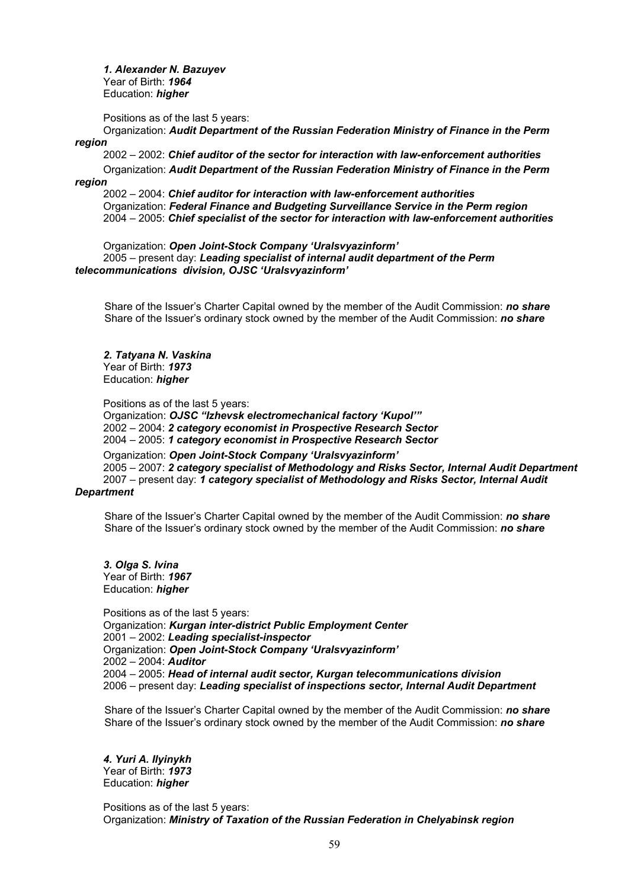*1. Alexander N. Bazuyev*  Year of Birth: *1964*  Education: *higher* 

Positions as of the last 5 years:

Organization: *Audit Department of the Russian Federation Ministry of Finance in the Perm region* 

2002 – 2002: *Chief auditor of the sector for interaction with law-enforcement authorities* 

Organization: *Audit Department of the Russian Federation Ministry of Finance in the Perm region* 

2002 – 2004: *Chief auditor for interaction with law-enforcement authorities*  Organization: *Federal Finance and Budgeting Surveillance Service in the Perm region*  2004 – 2005: *Chief specialist of the sector for interaction with law-enforcement authorities* 

Organization: *Open Joint-Stock Company 'Uralsvyazinform'*

2005 – present day: *Leading specialist of internal audit department of the Perm telecommunications division, OJSC 'Uralsvyazinform'* 

Share of the Issuer's Charter Capital owned by the member of the Audit Commission: *no share*  Share of the Issuer's ordinary stock owned by the member of the Audit Commission: *no share* 

*2. Tatyana N. Vaskina*  Year of Birth: *1973*  Education: *higher* 

Positions as of the last 5 years:

Organization: *OJSC "Izhevsk electromechanical factory 'Kupol'"*  2002 – 2004: *2 category economist in Prospective Research Sector*  2004 – 2005: *1 category economist in Prospective Research Sector* 

Organization: *Open Joint-Stock Company 'Uralsvyazinform'* 2005 – 2007: *2 category specialist of Methodology and Risks Sector, Internal Audit Department*  2007 – present day: *1 category specialist of Methodology and Risks Sector, Internal Audit* 

## *Department*

Share of the Issuer's Charter Capital owned by the member of the Audit Commission: *no share*  Share of the Issuer's ordinary stock owned by the member of the Audit Commission: *no share* 

*3. Olga S. Ivina*  Year of Birth: *1967*  Education: *higher* 

Positions as of the last 5 years: Organization: *Kurgan inter-district Public Employment Center*  2001 – 2002: *Leading specialist-inspector*  Organization: *Open Joint-Stock Company 'Uralsvyazinform'* 2002 – 2004: *Auditor*  2004 – 2005: *Head of internal audit sector, Kurgan telecommunications division*  2006 – present day: *Leading specialist of inspections sector, Internal Audit Department* 

Share of the Issuer's Charter Capital owned by the member of the Audit Commission: *no share*  Share of the Issuer's ordinary stock owned by the member of the Audit Commission: *no share* 

*4. Yuri A. Ilyinykh*  Year of Birth: *1973* Education: *higher* 

Positions as of the last 5 years: Organization: *Ministry of Taxation of the Russian Federation in Chelyabinsk region*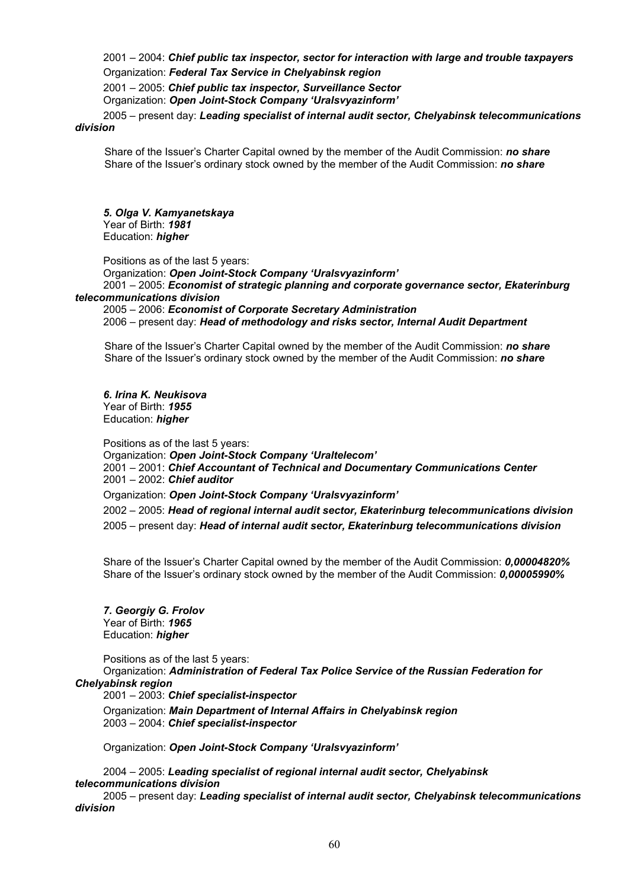2001 – 2004: *Chief public tax inspector, sector for interaction with large and trouble taxpayers* Organization: *Federal Tax Service in Chelyabinsk region*

2001 – 2005: *Chief public tax inspector, Surveillance Sector* 

Organization: *Open Joint-Stock Company 'Uralsvyazinform'* 

2005 – present day: *Leading specialist of internal audit sector, Chelyabinsk telecommunications division* 

Share of the Issuer's Charter Capital owned by the member of the Audit Commission: *no share*  Share of the Issuer's ordinary stock owned by the member of the Audit Commission: *no share*

*5. Olga V. Kamyanetskaya*  Year of Birth: *1981* Education: *higher* 

Positions as of the last 5 years:

Organization: *Open Joint-Stock Company 'Uralsvyazinform'* 2001 – 2005: *Economist of strategic planning and corporate governance sector, Ekaterinburg telecommunications division*

2005 – 2006: *Economist of Corporate Secretary Administration*  2006 – present day: *Head of methodology and risks sector, Internal Audit Department* 

Share of the Issuer's Charter Capital owned by the member of the Audit Commission: *no share*  Share of the Issuer's ordinary stock owned by the member of the Audit Commission: *no share* 

*6. Irina K. Neukisova*  Year of Birth: *1955*  Education: *higher* 

Positions as of the last 5 years: Organization: *Open Joint-Stock Company 'Uraltelecom'*  2001 – 2001: *Chief Accountant of Technical and Documentary Communications Center*  2001 – 2002: *Chief auditor*  Organization: *Open Joint-Stock Company 'Uralsvyazinform'*  2002 – 2005: *Head of regional internal audit sector, Ekaterinburg telecommunications division*  2005 – present day: *Head of internal audit sector, Ekaterinburg telecommunications division* 

Share of the Issuer's Charter Capital owned by the member of the Audit Commission: *0,00004820%*  Share of the Issuer's ordinary stock owned by the member of the Audit Commission: *0,00005990%*

*7. Georgiy G. Frolov*  Year of Birth: *1965* Education: *higher* 

Positions as of the last 5 years:

Organization: *Administration of Federal Tax Police Service of the Russian Federation for Chelyabinsk region* 

2001 – 2003: *Chief specialist-inspector*

Organization: *Main Department of Internal Affairs in Chelyabinsk region*  2003 – 2004: *Chief specialist-inspector*

Organization: *Open Joint-Stock Company 'Uralsvyazinform'* 

2004 – 2005: *Leading specialist of regional internal audit sector, Chelyabinsk telecommunications division* 

2005 – present day: *Leading specialist of internal audit sector, Chelyabinsk telecommunications division*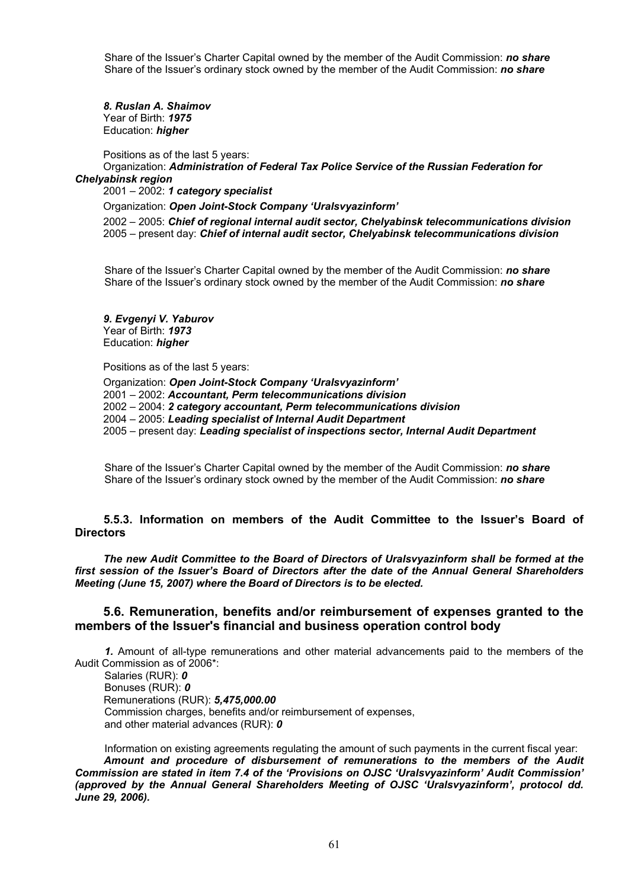Share of the Issuer's Charter Capital owned by the member of the Audit Commission: *no share*  Share of the Issuer's ordinary stock owned by the member of the Audit Commission: *no share* 

*8. Ruslan A. Shaimov*  Year of Birth: *1975*  Education: *higher* 

Positions as of the last 5 years:

Organization: *Administration of Federal Tax Police Service of the Russian Federation for Chelyabinsk region* 

2001 – 2002: *1 category specialist* 

Organization: *Open Joint-Stock Company 'Uralsvyazinform'* 

2002 – 2005: *Chief of regional internal audit sector, Chelyabinsk telecommunications division*  2005 – present day: *Chief of internal audit sector, Chelyabinsk telecommunications division* 

Share of the Issuer's Charter Capital owned by the member of the Audit Commission: *no share*  Share of the Issuer's ordinary stock owned by the member of the Audit Commission: *no share* 

*9. Evgenyi V. Yaburov*  Year of Birth: *1973* Education: *higher* 

Positions as of the last 5 years:

Organization: *Open Joint-Stock Company 'Uralsvyazinform'*  2001 – 2002: *Accountant, Perm telecommunications division*  2002 – 2004: *2 category accountant, Perm telecommunications division*  2004 – 2005: *Leading specialist of Internal Audit Department*  2005 – present day: *Leading specialist of inspections sector, Internal Audit Department* 

Share of the Issuer's Charter Capital owned by the member of the Audit Commission: *no share*  Share of the Issuer's ordinary stock owned by the member of the Audit Commission: *no share* 

## **5.5.3. Information on members of the Audit Committee to the Issuer's Board of Directors**

*The new Audit Committee to the Board of Directors of Uralsvyazinform shall be formed at the first session of the Issuer's Board of Directors after the date of the Annual General Shareholders Meeting (June 15, 2007) where the Board of Directors is to be elected.* 

## **5.6. Remuneration, benefits and/or reimbursement of expenses granted to the members of the Issuer's financial and business operation control body**

*1.* Amount of all-type remunerations and other material advancements paid to the members of the Audit Commission as of 2006\*:

Salaries (RUR): *0*  Bonuses (RUR): *0* Remunerations (RUR): *5,475,000.00*  Commission charges, benefits and/or reimbursement of expenses, and other material advances (RUR): *0*

Information on existing agreements regulating the amount of such payments in the current fiscal year: *Amount and procedure of disbursement of remunerations to the members of the Audit Commission are stated in item 7.4 of the 'Provisions on OJSC 'Uralsvyazinform' Audit Commission' (approved by the Annual General Shareholders Meeting of OJSC 'Uralsvyazinform', protocol dd. June 29, 2006).*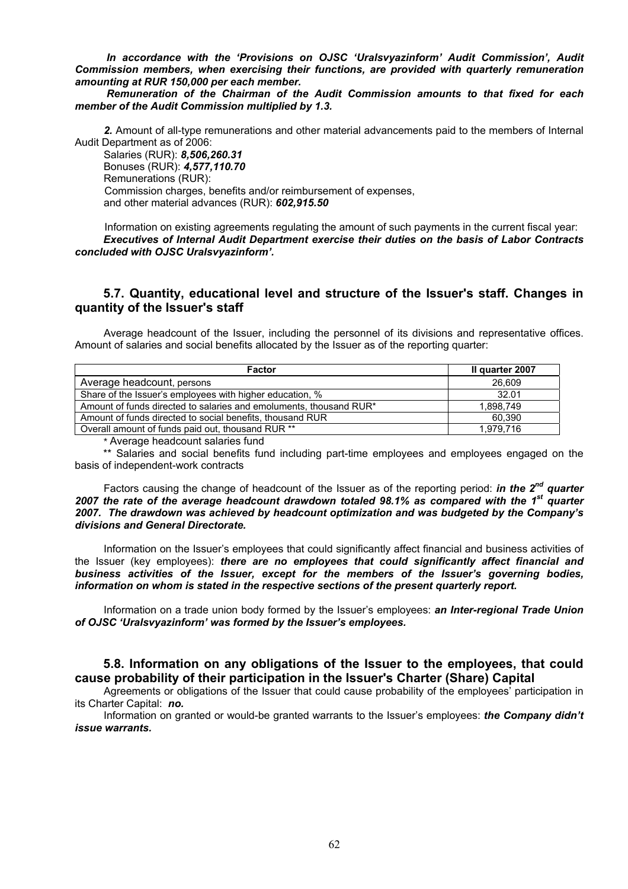*In accordance with the 'Provisions on OJSC 'Uralsvyazinform' Audit Commission', Audit Commission members, when exercising their functions, are provided with quarterly remuneration amounting at RUR 150,000 per each member.* 

*Remuneration of the Chairman of the Audit Commission amounts to that fixed for each member of the Audit Commission multiplied by 1.3.* 

*2.* Amount of all-type remunerations and other material advancements paid to the members of Internal Audit Department as of 2006:

Salaries (RUR): *8,506,260.31*  Bonuses (RUR): *4,577,110.70*  Remunerations (RUR): Commission charges, benefits and/or reimbursement of expenses, and other material advances (RUR): *602,915.50* 

Information on existing agreements regulating the amount of such payments in the current fiscal year: *Executives of Internal Audit Department exercise their duties on the basis of Labor Contracts concluded with OJSC Uralsvyazinform'.*

# **5.7. Quantity, educational level and structure of the Issuer's staff. Changes in quantity of the Issuer's staff**

Average headcount of the Issuer, including the personnel of its divisions and representative offices. Amount of salaries and social benefits allocated by the Issuer as of the reporting quarter:

| Factor                                                             | II quarter 2007 |
|--------------------------------------------------------------------|-----------------|
| Average headcount, persons                                         | 26,609          |
| Share of the Issuer's employees with higher education, %           | 32.01           |
| Amount of funds directed to salaries and emoluments, thousand RUR* | 1.898.749       |
| Amount of funds directed to social benefits, thousand RUR          | 60.390          |
| Overall amount of funds paid out, thousand RUR **                  | 1.979.716       |

*\** Average headcount salaries fund

\*\* Salaries and social benefits fund including part-time employees and employees engaged on the basis of independent-work contracts

Factors causing the change of headcount of the Issuer as of the reporting period: *in the 2nd quarter 2007 the rate of the average headcount drawdown totaled 98.1% as compared with the 1st quarter 2007. The drawdown was achieved by headcount optimization and was budgeted by the Company's divisions and General Directorate.* 

Information on the Issuer's employees that could significantly affect financial and business activities of the Issuer (key employees): *there are no employees that could significantly affect financial and business activities of the Issuer, except for the members of the Issuer's governing bodies, information on whom is stated in the respective sections of the present quarterly report.* 

Information on a trade union body formed by the Issuer's employees: *an Inter-regional Trade Union of OJSC 'Uralsvyazinform' was formed by the Issuer's employees.* 

# **5.8. Information on any obligations of the Issuer to the employees, that could cause probability of their participation in the Issuer's Charter (Share) Capital**

Agreements or obligations of the Issuer that could cause probability of the employees' participation in its Charter Capital: *no.* 

Information on granted or would-be granted warrants to the Issuer's employees: *the Company didn't issue warrants.*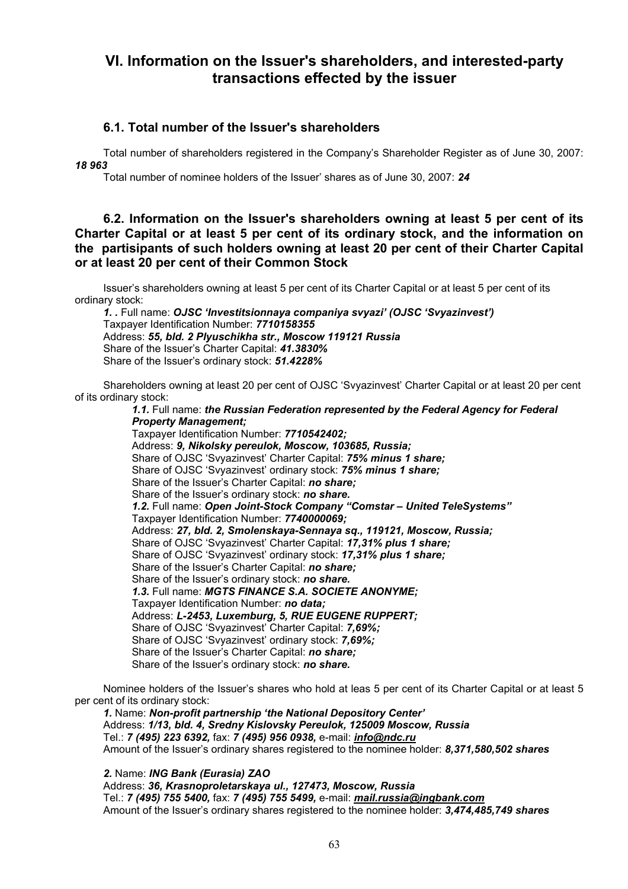# **VI. Information on the Issuer's shareholders, and interested-party transactions effected by the issuer**

# **6.1. Total number of the Issuer's shareholders**

Total number of shareholders registered in the Company's Shareholder Register as of June 30, 2007: *18 963* 

Total number of nominee holders of the Issuer' shares as of June 30, 2007: *24* 

# **6.2. Information on the Issuer's shareholders owning at least 5 per cent of its Charter Capital or at least 5 per cent of its ordinary stock, and the information on the partisipants of such holders owning at least 20 per cent of their Charter Capital or at least 20 per cent of their Common Stock**

Issuer's shareholders owning at least 5 per cent of its Charter Capital or at least 5 per cent of its ordinary stock:

*1. .* Full name: *OJSC 'Investitsionnaya companiya svyazi' (OJSC 'Svyazinvest')*  Taxpayer Identification Number: *7710158355* Address: *55, bld. 2 Plyuschikha str., Moscow 119121 Russia*  Share of the Issuer's Charter Capital: *41.3830%*  Share of the Issuer's ordinary stock: *51.4228%*

Shareholders owning at least 20 per cent of OJSC 'Svyazinvest' Charter Capital or at least 20 per cent of its ordinary stock:

*1.1.* Full name: *the Russian Federation represented by the Federal Agency for Federal Property Management;*  Taxpayer Identification Number: *7710542402;*  Address: *9, Nikolsky pereulok, Moscow, 103685, Russia;* Share of OJSC 'Svyazinvest' Charter Capital: *75% minus 1 share;*  Share of OJSC 'Svyazinvest' ordinary stock: *75% minus 1 share;*  Share of the Issuer's Charter Capital: *no share;*  Share of the Issuer's ordinary stock: *no share. 1.2.* Full name: *Open Joint-Stock Company "Comstar – United TeleSystems"*  Taxpayer Identification Number: *7740000069;*  Address: *27, bld. 2, Smolenskaya-Sennaya sq., 119121, Moscow, Russia;* Share of OJSC 'Svyazinvest' Charter Capital: *17,31% plus 1 share;* Share of OJSC 'Svyazinvest' ordinary stock: *17,31% plus 1 share;* Share of the Issuer's Charter Capital: *no share;*  Share of the Issuer's ordinary stock: *no share. 1.3.* Full name: *MGTS FINANCE S.A. SOCIETE ANONYME;*  Taxpayer Identification Number: *no data;*  Address: *L-2453, Luxemburg, 5, RUE EUGENE RUPPERT;* Share of OJSC 'Svyazinvest' Charter Capital: *7,69%;* Share of OJSC 'Svyazinvest' ordinary stock: *7,69%;* Share of the Issuer's Charter Capital: *no share;*  Share of the Issuer's ordinary stock: *no share.* 

Nominee holders of the Issuer's shares who hold at leas 5 per cent of its Charter Capital or at least 5 per cent of its ordinary stock:

*1.* Name: *Non-profit partnership 'the National Depository Center'*  Address: *1/13, bld. 4, Sredny Kislovsky Pereulok, 125009 Moscow, Russia*  Tel.: *7 (495) 223 6392,* fax: *7 (495) 956 0938,* e-mail: *info@ndc.ru* Amount of the Issuer's ordinary shares registered to the nominee holder: *8,371,580,502 shares*

*2.* Name: *ING Bank (Eurasia) ZAO*  Address: *36, Krasnoproletarskaya ul., 127473, Moscow, Russia*  Tel.: *7 (495) 755 5400,* fax: *7 (495) 755 5499,* e-mail: *mail.russia@ingbank.com* 

Amount of the Issuer's ordinary shares registered to the nominee holder: *3,474,485,749 shares*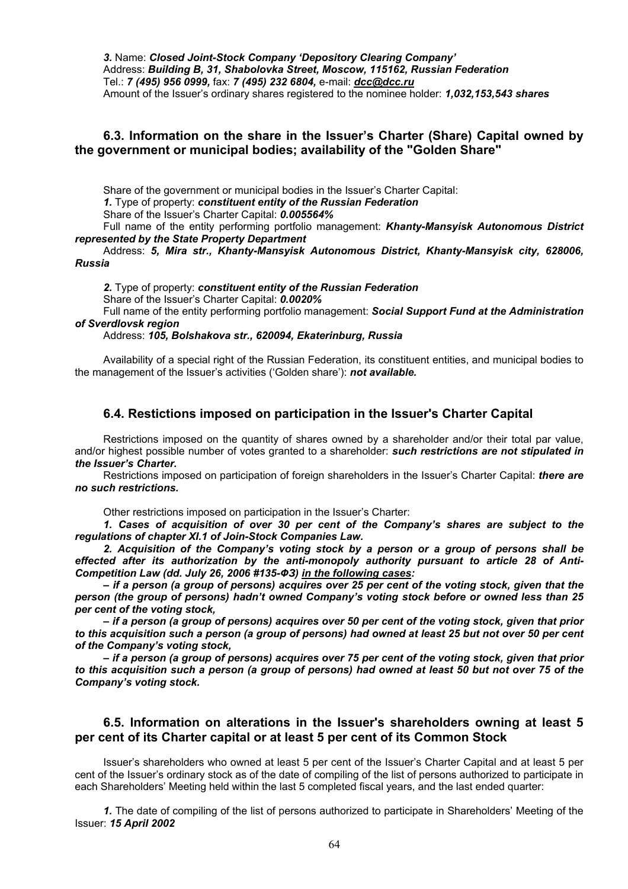*3.* Name: *Closed Joint-Stock Company 'Depository Clearing Company'*  Address: *Building B, 31, Shabolovka Street, Moscow, 115162, Russian Federation* Tel.: *7 (495) 956 0999,* fax: *7 (495) 232 6804,* e-mail: *dcc@dcc.ru* Amount of the Issuer's ordinary shares registered to the nominee holder: *1,032,153,543 shares* 

## **6.3. Information on the share in the Issuer's Charter (Share) Capital owned by the government or municipal bodies; availability of the "Golden Share"**

Share of the government or municipal bodies in the Issuer's Charter Capital:

*1.* Type of property: *constituent entity of the Russian Federation*

Share of the Issuer's Charter Capital: *0.005564%*

Full name of the entity performing portfolio management: *Khanty-Mansyisk Autonomous District represented by the State Property Department* 

Address: *5, Mira str., Khanty-Mansyisk Autonomous District, Khanty-Mansyisk city, 628006, Russia* 

*2.* Type of property: *constituent entity of the Russian Federation*

Share of the Issuer's Charter Capital: *0.0020%*

Full name of the entity performing portfolio management: *Social Support Fund at the Administration of Sverdlovsk region* 

## Address: *105, Bolshakova str., 620094, Ekaterinburg, Russia*

Availability of a special right of the Russian Federation, its constituent entities, and municipal bodies to the management of the Issuer's activities ('Golden share'): *not available.* 

# **6.4. Restictions imposed on participation in the Issuer's Charter Capital**

Restrictions imposed on the quantity of shares owned by a shareholder and/or their total par value, and/or highest possible number of votes granted to a shareholder: *such restrictions are not stipulated in the Issuer's Charter.* 

Restrictions imposed on participation of foreign shareholders in the Issuer's Charter Capital: *there are no such restrictions.* 

Other restrictions imposed on participation in the Issuer's Charter:

*1. Cases of acquisition of over 30 per cent of the Company's shares are subject to the regulations of chapter XI.1 of Join-Stock Companies Law.* 

*2. Acquisition of the Company's voting stock by a person or a group of persons shall be effected after its authorization by the anti-monopoly authority pursuant to article 28 of Anti-Competition Law (dd. July 26, 2006 #135-ФЗ) in the following cases:* 

*– if a person (a group of persons) acquires over 25 per cent of the voting stock, given that the person (the group of persons) hadn't owned Company's voting stock before or owned less than 25 per cent of the voting stock,* 

*– if a person (a group of persons) acquires over 50 per cent of the voting stock, given that prior to this acquisition such a person (a group of persons) had owned at least 25 but not over 50 per cent of the Company's voting stock,* 

*– if a person (a group of persons) acquires over 75 per cent of the voting stock, given that prior to this acquisition such a person (a group of persons) had owned at least 50 but not over 75 of the Company's voting stock.* 

# **6.5. Information on alterations in the Issuer's shareholders owning at least 5 per cent of its Charter capital or at least 5 per cent of its Common Stock**

Issuer's shareholders who owned at least 5 per cent of the Issuer's Charter Capital and at least 5 per cent of the Issuer's ordinary stock as of the date of compiling of the list of persons authorized to participate in each Shareholders' Meeting held within the last 5 completed fiscal years, and the last ended quarter:

*1.* The date of compiling of the list of persons authorized to participate in Shareholders' Meeting of the Issuer: *15 April 2002*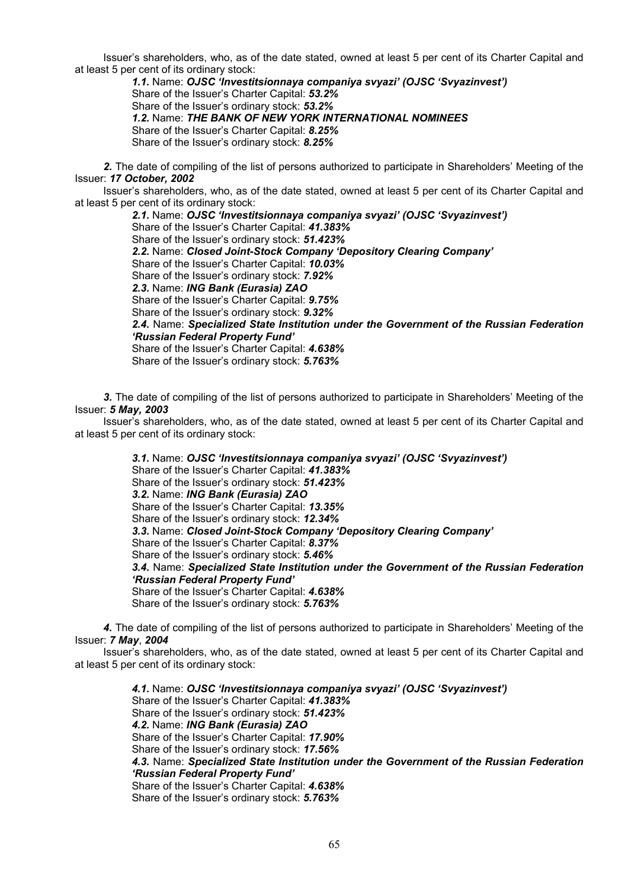Issuer's shareholders, who, as of the date stated, owned at least 5 per cent of its Charter Capital and at least 5 per cent of its ordinary stock:

*1.1.* Name: *OJSC 'Investitsionnaya companiya svyazi' (OJSC 'Svyazinvest')*  Share of the Issuer's Charter Capital: *53.2%* Share of the Issuer's ordinary stock: *53.2% 1.2.* Name: *THE BANK OF NEW YORK INTERNATIONAL NOMINEES* Share of the Issuer's Charter Capital: *8.25%* Share of the Issuer's ordinary stock: *8.25%*

*2.* The date of compiling of the list of persons authorized to participate in Shareholders' Meeting of the Issuer: *17 October, 2002* 

Issuer's shareholders, who, as of the date stated, owned at least 5 per cent of its Charter Capital and at least 5 per cent of its ordinary stock:

*2.1.* Name: *OJSC 'Investitsionnaya companiya svyazi' (OJSC 'Svyazinvest')*  Share of the Issuer's Charter Capital: *41.383%* Share of the Issuer's ordinary stock: *51.423% 2.2.* Name: *Closed Joint-Stock Company 'Depository Clearing Company'*  Share of the Issuer's Charter Capital: *10.03%* Share of the Issuer's ordinary stock: *7.92% 2.3.* Name: *ING Bank (Eurasia) ZAO*  Share of the Issuer's Charter Capital: *9.75%* Share of the Issuer's ordinary stock: *9.32% 2.4.* Name: *Specialized State Institution under the Government of the Russian Federation 'Russian Federal Property Fund'*  Share of the Issuer's Charter Capital: *4.638%* Share of the Issuer's ordinary stock: *5.763%* 

*3.* The date of compiling of the list of persons authorized to participate in Shareholders' Meeting of the Issuer: *5 May, 2003* 

Issuer's shareholders, who, as of the date stated, owned at least 5 per cent of its Charter Capital and at least 5 per cent of its ordinary stock:

> *3.1.* Name: *OJSC 'Investitsionnaya companiya svyazi' (OJSC 'Svyazinvest')* Share of the Issuer's Charter Capital: *41.383%* Share of the Issuer's ordinary stock: *51.423% 3.2.* Name: *ING Bank (Eurasia) ZAO*  Share of the Issuer's Charter Capital: *13.35%* Share of the Issuer's ordinary stock: *12.34% 3.3.* Name: *Closed Joint-Stock Company 'Depository Clearing Company'*  Share of the Issuer's Charter Capital: *8.37%* Share of the Issuer's ordinary stock: *5.46% 3.4.* Name: *Specialized State Institution under the Government of the Russian Federation 'Russian Federal Property Fund'*  Share of the Issuer's Charter Capital: *4.638%* Share of the Issuer's ordinary stock: *5.763%*

*4.* The date of compiling of the list of persons authorized to participate in Shareholders' Meeting of the Issuer: *7 May*, *2004*

Issuer's shareholders, who, as of the date stated, owned at least 5 per cent of its Charter Capital and at least 5 per cent of its ordinary stock:

*4.1.* Name: *OJSC 'Investitsionnaya companiya svyazi' (OJSC 'Svyazinvest')* Share of the Issuer's Charter Capital: *41.383%* Share of the Issuer's ordinary stock: *51.423% 4.2.* Name: *ING Bank (Eurasia) ZAO*  Share of the Issuer's Charter Capital: *17.90%* Share of the Issuer's ordinary stock: *17.56% 4.3.* Name: *Specialized State Institution under the Government of the Russian Federation 'Russian Federal Property Fund'*  Share of the Issuer's Charter Capital: *4.638%* Share of the Issuer's ordinary stock: *5.763%*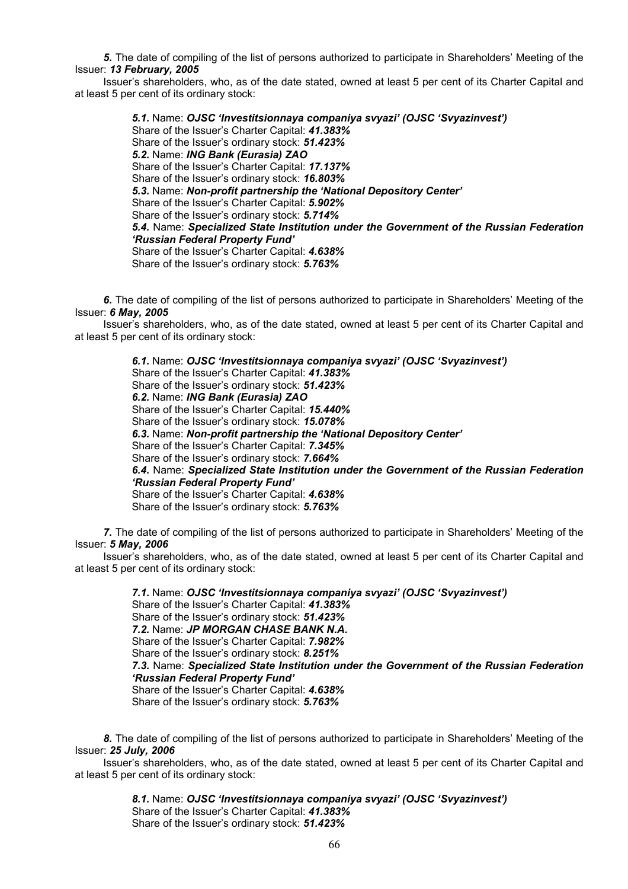*5.* The date of compiling of the list of persons authorized to participate in Shareholders' Meeting of the Issuer: *13 February, 2005* 

Issuer's shareholders, who, as of the date stated, owned at least 5 per cent of its Charter Capital and at least 5 per cent of its ordinary stock:

> *5.1.* Name: *OJSC 'Investitsionnaya companiya svyazi' (OJSC 'Svyazinvest')* Share of the Issuer's Charter Capital: *41.383%* Share of the Issuer's ordinary stock: *51.423% 5.2.* Name: *ING Bank (Eurasia) ZAO*  Share of the Issuer's Charter Capital: *17.137%* Share of the Issuer's ordinary stock: *16.803% 5.3.* Name: *Non-profit partnership the 'National Depository Center'*  Share of the Issuer's Charter Capital: *5.902%* Share of the Issuer's ordinary stock: *5.714% 5.4.* Name: *Specialized State Institution under the Government of the Russian Federation 'Russian Federal Property Fund'*  Share of the Issuer's Charter Capital: *4.638%* Share of the Issuer's ordinary stock: *5.763%*

*6.* The date of compiling of the list of persons authorized to participate in Shareholders' Meeting of the Issuer: *6 May, 2005*

Issuer's shareholders, who, as of the date stated, owned at least 5 per cent of its Charter Capital and at least 5 per cent of its ordinary stock:

> *6.1.* Name: *OJSC 'Investitsionnaya companiya svyazi' (OJSC 'Svyazinvest')* Share of the Issuer's Charter Capital: *41.383%* Share of the Issuer's ordinary stock: *51.423% 6.2.* Name: *ING Bank (Eurasia) ZAO*  Share of the Issuer's Charter Capital: *15.440%* Share of the Issuer's ordinary stock: *15.078% 6.3.* Name: *Non-profit partnership the 'National Depository Center'*  Share of the Issuer's Charter Capital: *7.345%* Share of the Issuer's ordinary stock: *7.664% 6.4.* Name: *Specialized State Institution under the Government of the Russian Federation 'Russian Federal Property Fund'*  Share of the Issuer's Charter Capital: *4.638%* Share of the Issuer's ordinary stock: *5.763%*

*7.* The date of compiling of the list of persons authorized to participate in Shareholders' Meeting of the Issuer: *5 May, 2006*

Issuer's shareholders, who, as of the date stated, owned at least 5 per cent of its Charter Capital and at least 5 per cent of its ordinary stock:

> *7.1.* Name: *OJSC 'Investitsionnaya companiya svyazi' (OJSC 'Svyazinvest')* Share of the Issuer's Charter Capital: *41.383%* Share of the Issuer's ordinary stock: *51.423% 7.2.* Name: *JP MORGAN CHASE BANK N.A.*  Share of the Issuer's Charter Capital: *7.982%* Share of the Issuer's ordinary stock: *8.251% 7.3.* Name: *Specialized State Institution under the Government of the Russian Federation 'Russian Federal Property Fund'*  Share of the Issuer's Charter Capital: *4.638%* Share of the Issuer's ordinary stock: *5.763%*

*8.* The date of compiling of the list of persons authorized to participate in Shareholders' Meeting of the Issuer: *25 July, 2006*

Issuer's shareholders, who, as of the date stated, owned at least 5 per cent of its Charter Capital and at least 5 per cent of its ordinary stock:

> *8.1.* Name: *OJSC 'Investitsionnaya companiya svyazi' (OJSC 'Svyazinvest')* Share of the Issuer's Charter Capital: *41.383%* Share of the Issuer's ordinary stock: *51.423%*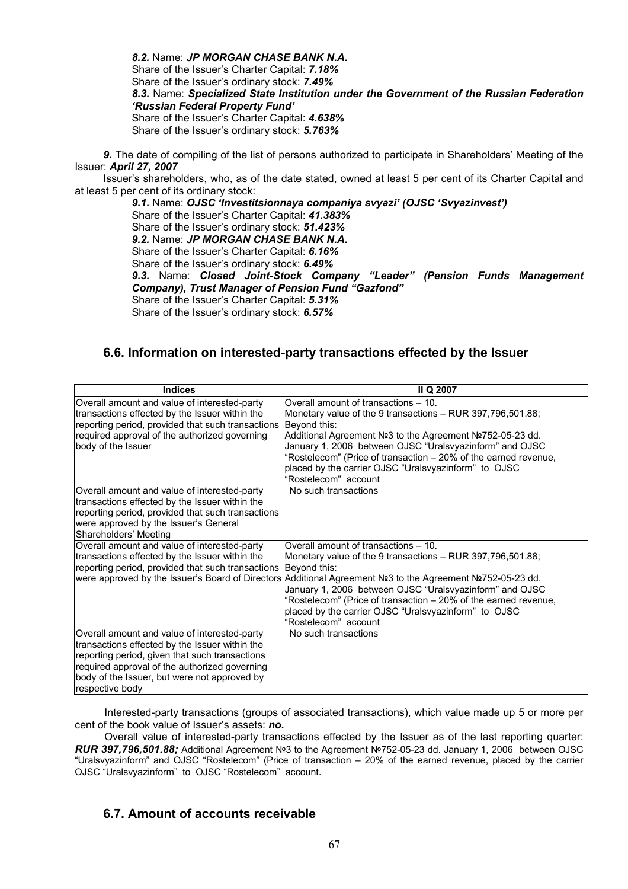*8.2.* Name: *JP MORGAN CHASE BANK N.A.*  Share of the Issuer's Charter Capital: *7.18%* Share of the Issuer's ordinary stock: *7.49% 8.3.* Name: *Specialized State Institution under the Government of the Russian Federation 'Russian Federal Property Fund'*  Share of the Issuer's Charter Capital: *4.638%* Share of the Issuer's ordinary stock: *5.763%* 

*9.* The date of compiling of the list of persons authorized to participate in Shareholders' Meeting of the Issuer: *April 27, 2007*

Issuer's shareholders, who, as of the date stated, owned at least 5 per cent of its Charter Capital and at least 5 per cent of its ordinary stock:

*9.1.* Name: *OJSC 'Investitsionnaya companiya svyazi' (OJSC 'Svyazinvest')* Share of the Issuer's Charter Capital: *41.383%* Share of the Issuer's ordinary stock: *51.423% 9.2.* Name: *JP MORGAN CHASE BANK N.A.*  Share of the Issuer's Charter Capital: *6.16%* Share of the Issuer's ordinary stock: *6.49% 9.3.* Name: *Closed Joint-Stock Company "Leader" (Pension Funds Management Company), Trust Manager of Pension Fund "Gazfond"*  Share of the Issuer's Charter Capital: *5.31%* Share of the Issuer's ordinary stock: *6.57%* 

# **6.6. Information on interested-party transactions effected by the Issuer**

| <b>Indices</b>                                                                                                                                                                                                                                                       | II Q 2007                                                                                                                                                                                                                                                                                                                                                                                                                                     |
|----------------------------------------------------------------------------------------------------------------------------------------------------------------------------------------------------------------------------------------------------------------------|-----------------------------------------------------------------------------------------------------------------------------------------------------------------------------------------------------------------------------------------------------------------------------------------------------------------------------------------------------------------------------------------------------------------------------------------------|
| Overall amount and value of interested-party<br>transactions effected by the Issuer within the<br>reporting period, provided that such transactions<br>required approval of the authorized governing<br>body of the Issuer                                           | Overall amount of transactions - 10.<br>Monetary value of the 9 transactions - RUR 397,796,501.88;<br>Beyond this:<br>Additional Agreement Nº3 to the Agreement Nº752-05-23 dd.<br>January 1, 2006 between OJSC "Uralsvyazinform" and OJSC<br>"Rostelecom" (Price of transaction - 20% of the earned revenue,<br>placed by the carrier OJSC "Uralsvyazinform" to OJSC<br>"Rostelecom" account                                                 |
| Overall amount and value of interested-party<br>transactions effected by the Issuer within the<br>reporting period, provided that such transactions<br>were approved by the Issuer's General<br>Shareholders' Meeting                                                | No such transactions                                                                                                                                                                                                                                                                                                                                                                                                                          |
| Overall amount and value of interested-party<br>transactions effected by the Issuer within the<br>reporting period, provided that such transactions                                                                                                                  | Overall amount of transactions - 10.<br>Monetary value of the 9 transactions – RUR 397,796,501.88;<br>Beyond this:<br> were approved by the Issuer's Board of Directors Additional Agreement №3 to the Agreement №752-05-23 dd.<br>January 1, 2006 between OJSC "Uralsvyazinform" and OJSC<br>"Rostelecom" (Price of transaction - 20% of the earned revenue,<br>placed by the carrier OJSC "Uralsvyazinform" to OJSC<br>"Rostelecom" account |
| Overall amount and value of interested-party<br>transactions effected by the Issuer within the<br>reporting period, given that such transactions<br>required approval of the authorized governing<br>body of the Issuer, but were not approved by<br>respective body | No such transactions                                                                                                                                                                                                                                                                                                                                                                                                                          |

Interested-party transactions (groups of associated transactions), which value made up 5 or more per cent of the book value of Issuer's assets: *no.* 

Overall value of interested-party transactions effected by the Issuer as of the last reporting quarter: *RUR 397,796,501.88;* Additional Agreement №3 to the Agreement №752-05-23 dd. January 1, 2006 between OJSC "Uralsvyazinform" and OJSC "Rostelecom" (Price of transaction – 20% of the earned revenue, placed by the carrier OJSC "Uralsvyazinform" to OJSC "Rostelecom" account.

# **6.7. Amount of accounts receivable**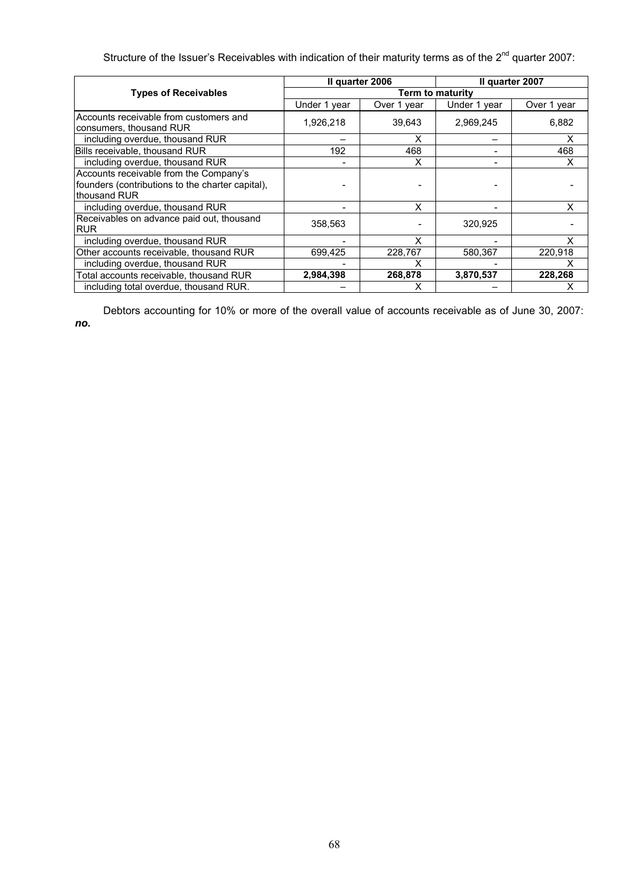Structure of the Issuer's Receivables with indication of their maturity terms as of the 2<sup>nd</sup> quarter 2007:

|                                                                                                            | Il quarter 2006  |             | Il quarter 2007 |             |  |
|------------------------------------------------------------------------------------------------------------|------------------|-------------|-----------------|-------------|--|
| <b>Types of Receivables</b>                                                                                | Term to maturity |             |                 |             |  |
|                                                                                                            | Under 1 year     | Over 1 year | Under 1 year    | Over 1 year |  |
| Accounts receivable from customers and<br>consumers, thousand RUR                                          | 1,926,218        | 39,643      | 2,969,245       | 6,882       |  |
| including overdue, thousand RUR                                                                            |                  | X           |                 | X           |  |
| Bills receivable, thousand RUR                                                                             | 192              | 468         |                 | 468         |  |
| including overdue, thousand RUR                                                                            |                  | x           |                 | х           |  |
| Accounts receivable from the Company's<br>founders (contributions to the charter capital),<br>thousand RUR |                  |             |                 |             |  |
| including overdue, thousand RUR                                                                            |                  | X           |                 | X           |  |
| Receivables on advance paid out, thousand<br><b>RUR</b>                                                    | 358,563          |             | 320,925         |             |  |
| including overdue, thousand RUR                                                                            |                  | x           |                 | x           |  |
| Other accounts receivable, thousand RUR                                                                    | 699,425          | 228,767     | 580,367         | 220,918     |  |
| including overdue, thousand RUR                                                                            |                  | x           |                 |             |  |
| Total accounts receivable, thousand RUR                                                                    | 2,984,398        | 268,878     | 3,870,537       | 228,268     |  |
| including total overdue, thousand RUR.                                                                     |                  | х           |                 |             |  |

Debtors accounting for 10% or more of the overall value of accounts receivable as of June 30, 2007: *no.*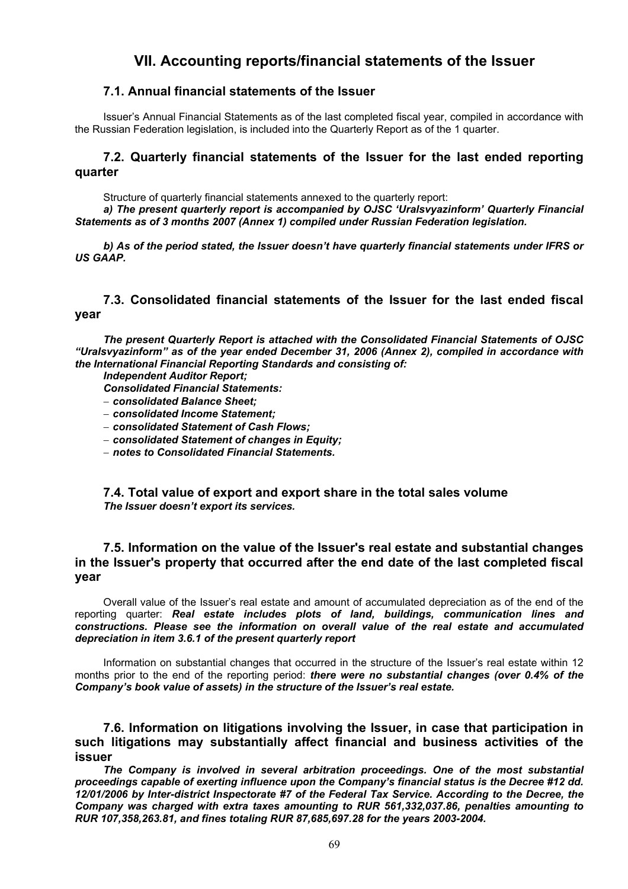# **VII. Accounting reports/financial statements of the Issuer**

# **7.1. Annual financial statements of the Issuer**

Issuer's Annual Financial Statements as of the last completed fiscal year, compiled in accordance with the Russian Federation legislation, is included into the Quarterly Report as of the 1 quarter.

# **7.2. Quarterly financial statements of the Issuer for the last ended reporting quarter**

Structure of quarterly financial statements annexed to the quarterly report:

*a) The present quarterly report is accompanied by OJSC 'Uralsvyazinform' Quarterly Financial Statements as of 3 months 2007 (Annex 1) compiled under Russian Federation legislation.* 

*b) As of the period stated, the Issuer doesn't have quarterly financial statements under IFRS or US GAAP.*

# **7.3. Consolidated financial statements of the Issuer for the last ended fiscal year**

*The present Quarterly Report is attached with the Consolidated Financial Statements of OJSC "Uralsvyazinform" as of the year ended December 31, 2006 (Annex 2), compiled in accordance with the International Financial Reporting Standards and consisting of:* 

*Independent Auditor Report;* 

*Consolidated Financial Statements:* 

− *consolidated Balance Sheet;* 

- − *consolidated Income Statement;*
- − *consolidated Statement of Cash Flows;*
- − *consolidated Statement of changes in Equity;*

− *notes to Consolidated Financial Statements.* 

**7.4. Total value of export and export share in the total sales volume** *The Issuer doesn't export its services.* 

# **7.5. Information on the value of the Issuer's real estate and substantial changes in the Issuer's property that occurred after the end date of the last completed fiscal year**

Overall value of the Issuer's real estate and amount of accumulated depreciation as of the end of the reporting quarter: *Real estate includes plots of land, buildings, communication lines and constructions. Please see the information on overall value of the real estate and accumulated depreciation in item 3.6.1 of the present quarterly report* 

Information on substantial changes that occurred in the structure of the Issuer's real estate within 12 months prior to the end of the reporting period: *there were no substantial changes (over 0.4% of the Company's book value of assets) in the structure of the Issuer's real estate.* 

**7.6. Information on litigations involving the Issuer, in case that participation in such litigations may substantially affect financial and business activities of the issuer** 

*The Company is involved in several arbitration proceedings. One of the most substantial proceedings capable of exerting influence upon the Company's financial status is the Decree #12 dd. 12/01/2006 by Inter-district Inspectorate #7 of the Federal Tax Service. According to the Decree, the Company was charged with extra taxes amounting to RUR 561,332,037.86, penalties amounting to RUR 107,358,263.81, and fines totaling RUR 87,685,697.28 for the years 2003-2004.*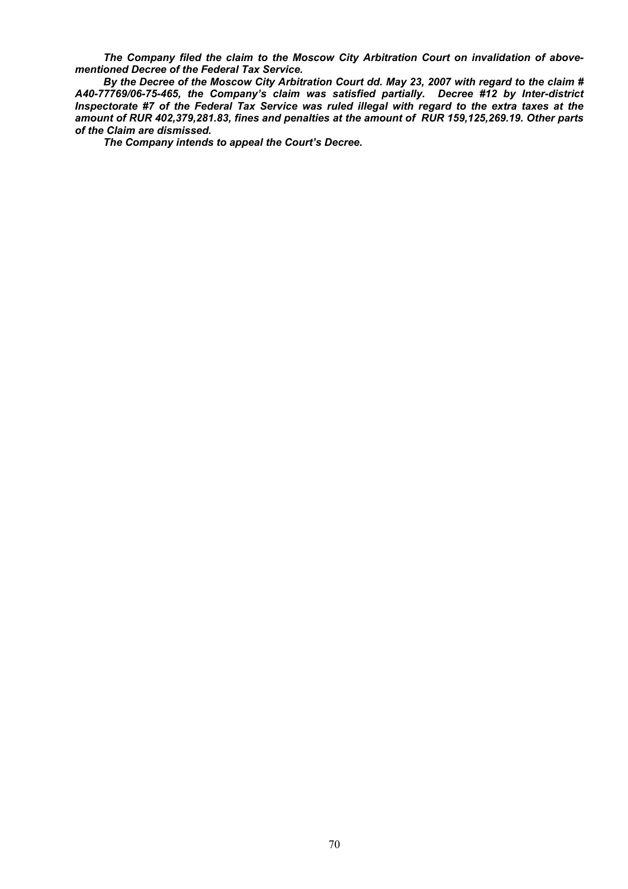*The Company filed the claim to the Moscow City Arbitration Court on invalidation of abovementioned Decree of the Federal Tax Service.* 

*By the Decree of the Moscow City Arbitration Court dd. May 23, 2007 with regard to the claim # А40-77769/06-75-465, the Company's claim was satisfied partially. Decree #12 by Inter-district Inspectorate #7 of the Federal Tax Service was ruled illegal with regard to the extra taxes at the amount of RUR 402,379,281.83, fines and penalties at the amount of RUR 159,125,269.19. Other parts of the Claim are dismissed.* 

*The Company intends to appeal the Court's Decree.*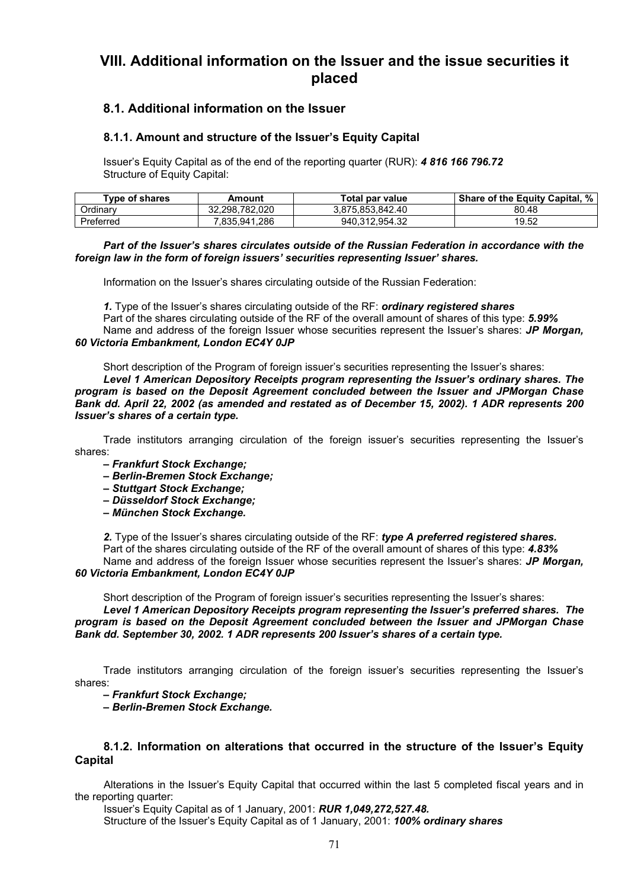# **VIII. Additional information on the Issuer and the issue securities it placed**

# **8.1. Additional information on the Issuer**

## **8.1.1. Amount and structure of the Issuer's Equity Capital**

Issuer's Equity Capital as of the end of the reporting quarter (RUR): *4 816 166 796.72*  Structure of Equity Capital:

| Type of shares | Amount         | Total par value  | %<br><b>Share of the Equity Capital,</b> |
|----------------|----------------|------------------|------------------------------------------|
| Ordinarv       | 32.298.782.020 | 3.875.853.842.40 | 80.48                                    |
| Preferred      | .835.941.286   | 940.312.954.32   | 19.52                                    |

### *Part of the Issuer's shares circulates outside of the Russian Federation in accordance with the foreign law in the form of foreign issuers' securities representing Issuer' shares.*

Information on the Issuer's shares circulating outside of the Russian Federation:

*1.* Type of the Issuer's shares circulating outside of the RF: *ordinary registered shares*  Part of the shares circulating outside of the RF of the overall amount of shares of this type: *5.99%*  Name and address of the foreign Issuer whose securities represent the Issuer's shares: *JP Morgan, 60 Victoria Embankment, London EC4Y 0JP* 

Short description of the Program of foreign issuer's securities representing the Issuer's shares:

*Level 1 American Depository Receipts program representing the Issuer's ordinary shares. The program is based on the Deposit Agreement concluded between the Issuer and JPMorgan Chase Bank dd. April 22, 2002 (as amended and restated as of December 15, 2002). 1 ADR represents 200 Issuer's shares of a certain type.* 

Trade institutors arranging circulation of the foreign issuer's securities representing the Issuer's shares:

- *Frankfurt Stock Exchange;*
- *Berlin-Bremen Stock Exchange;*
- *Stuttgart Stock Exchange;*
- *Düsseldorf Stock Exchange;*
- *München Stock Exchange.*

*2.* Type of the Issuer's shares circulating outside of the RF: *type A preferred registered shares.* Part of the shares circulating outside of the RF of the overall amount of shares of this type: *4.83%* 

Name and address of the foreign Issuer whose securities represent the Issuer's shares: *JP Morgan, 60 Victoria Embankment, London EC4Y 0JP* 

Short description of the Program of foreign issuer's securities representing the Issuer's shares: *Level 1 American Depository Receipts program representing the Issuer's preferred shares. The program is based on the Deposit Agreement concluded between the Issuer and JPMorgan Chase Bank dd. September 30, 2002. 1 ADR represents 200 Issuer's shares of a certain type.* 

Trade institutors arranging circulation of the foreign issuer's securities representing the Issuer's shares:

*– Frankfurt Stock Exchange;* 

*– Berlin-Bremen Stock Exchange.* 

## **8.1.2. Information on alterations that occurred in the structure of the Issuer's Equity Capital**

Alterations in the Issuer's Equity Capital that occurred within the last 5 completed fiscal years and in the reporting quarter:

Issuer's Equity Capital as of 1 January, 2001: *RUR 1,049,272,527.48.*  Structure of the Issuer's Equity Capital as of 1 January, 2001: *100% ordinary shares*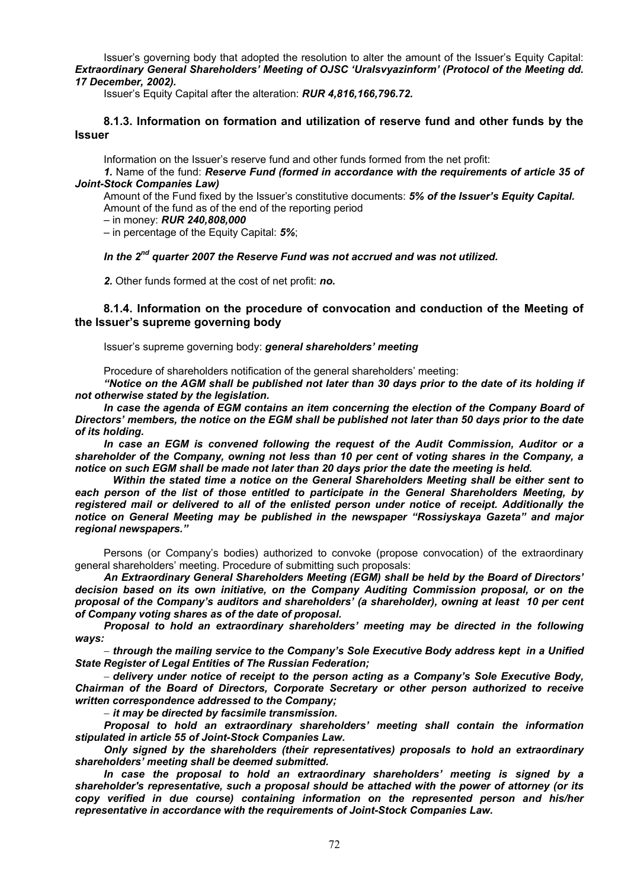Issuer's governing body that adopted the resolution to alter the amount of the Issuer's Equity Capital: *Extraordinary General Shareholders' Meeting of OJSC 'Uralsvyazinform' (Protocol of the Meeting dd. 17 December, 2002).* 

Issuer's Equity Capital after the alteration: *RUR 4,816,166,796.72.* 

## **8.1.3. Information on formation and utilization of reserve fund and other funds by the Issuer**

Information on the Issuer's reserve fund and other funds formed from the net profit:

*1.* Name of the fund: *Reserve Fund (formed in accordance with the requirements of article 35 of Joint-Stock Companies Law)* 

Amount of the Fund fixed by the Issuer's constitutive documents: 5% of the Issuer's Equity Capital. Amount of the fund as of the end of the reporting period

– in money: *RUR 240,808,000*

– in percentage of the Equity Capital: *5%*;

### *In the 2nd quarter 2007 the Reserve Fund was not accrued and was not utilized.*

*2.* Other funds formed at the cost of net profit: *no.* 

# **8.1.4. Information on the procedure of convocation and conduction of the Meeting of the Issuer's supreme governing body**

Issuer's supreme governing body: *general shareholders' meeting* 

Procedure of shareholders notification of the general shareholders' meeting:

*"Notice on the AGM shall be published not later than 30 days prior to the date of its holding if not otherwise stated by the legislation.* 

In case the agenda of EGM contains an item concerning the election of the Company Board of *Directors' members, the notice on the EGM shall be published not later than 50 days prior to the date of its holding.* 

*In case an EGM is convened following the request of the Audit Commission, Auditor or a shareholder of the Company, owning not less than 10 per cent of voting shares in the Company, a notice on such EGM shall be made not later than 20 days prior the date the meeting is held.* 

 *Within the stated time a notice on the General Shareholders Meeting shall be either sent to each person of the list of those entitled to participate in the General Shareholders Meeting, by registered mail or delivered to all of the enlisted person under notice of receipt. Additionally the notice on General Meeting may be published in the newspaper "Rossiyskaya Gazeta" and major regional newspapers."* 

Persons (or Company's bodies) authorized to convoke (propose convocation) of the extraordinary general shareholders' meeting. Procedure of submitting such proposals:

*An Extraordinary General Shareholders Meeting (EGM) shall be held by the Board of Directors' decision based on its own initiative, on the Company Auditing Commission proposal, or on the proposal of the Company's auditors and shareholders' (a shareholder), owning at least 10 per cent of Company voting shares as of the date of proposal.* 

*Proposal to hold an extraordinary shareholders' meeting may be directed in the following ways:* 

− *through the mailing service to the Company's Sole Executive Body address kept in a Unified State Register of Legal Entities of The Russian Federation;* 

− *delivery under notice of receipt to the person acting as a Company's Sole Executive Body, Chairman of the Board of Directors, Corporate Secretary or other person authorized to receive written correspondence addressed to the Company;*

− *it may be directed by facsimile transmission.*

*Proposal to hold an extraordinary shareholders' meeting shall contain the information stipulated in article 55 of Joint-Stock Companies Law.* 

*Only signed by the shareholders (their representatives) proposals to hold an extraordinary shareholders' meeting shall be deemed submitted.* 

*In case the proposal to hold an extraordinary shareholders' meeting is signed by a shareholder's representative, such a proposal should be attached with the power of attorney (or its copy verified in due course) containing information on the represented person and his/her representative in accordance with the requirements of Joint-Stock Companies Law.*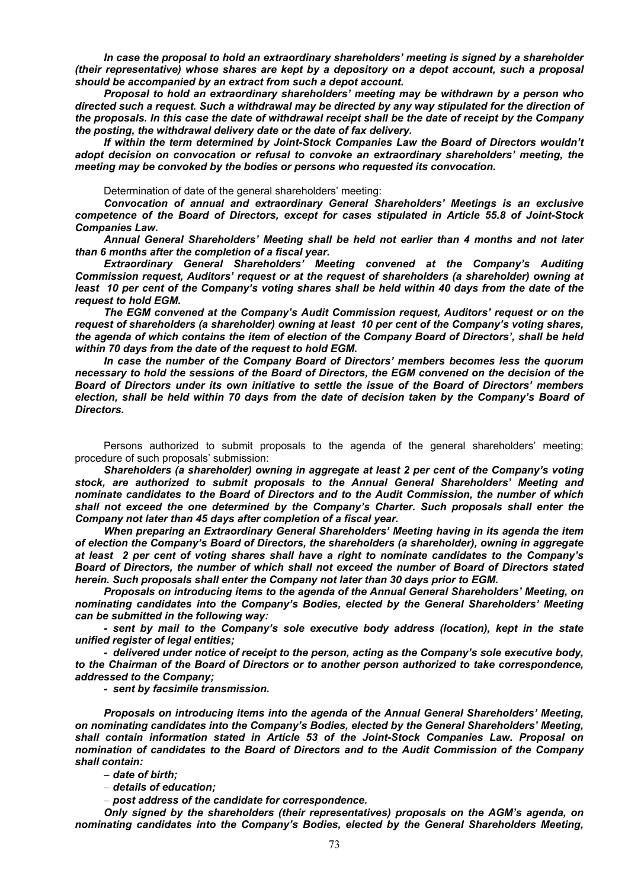*In case the proposal to hold an extraordinary shareholders' meeting is signed by a shareholder (their representative) whose shares are kept by a depository on a depot account, such a proposal should be accompanied by an extract from such a depot account.* 

*Proposal to hold an extraordinary shareholders' meeting may be withdrawn by a person who directed such a request. Such a withdrawal may be directed by any way stipulated for the direction of the proposals. In this case the date of withdrawal receipt shall be the date of receipt by the Company the posting, the withdrawal delivery date or the date of fax delivery.* 

*If within the term determined by Joint-Stock Companies Law the Board of Directors wouldn't adopt decision on convocation or refusal to convoke an extraordinary shareholders' meeting, the meeting may be convoked by the bodies or persons who requested its convocation.* 

Determination of date of the general shareholders' meeting:

*Convocation of annual and extraordinary General Shareholders' Meetings is an exclusive competence of the Board of Directors, except for cases stipulated in Article 55.8 of Joint-Stock Companies Law.* 

*Annual General Shareholders' Meeting shall be held not earlier than 4 months and not later than 6 months after the completion of a fiscal year.* 

*Extraordinary General Shareholders' Meeting convened at the Company's Auditing Commission request, Auditors' request or at the request of shareholders (a shareholder) owning at least 10 per cent of the Company's voting shares shall be held within 40 days from the date of the request to hold EGM.* 

*The EGM convened at the Company's Audit Commission request, Auditors' request or on the request of shareholders (a shareholder) owning at least 10 per cent of the Company's voting shares, the agenda of which contains the item of election of the Company Board of Directors', shall be held within 70 days from the date of the request to hold EGM.* 

*In case the number of the Company Board of Directors' members becomes less the quorum necessary to hold the sessions of the Board of Directors, the EGM convened on the decision of the Board of Directors under its own initiative to settle the issue of the Board of Directors' members election, shall be held within 70 days from the date of decision taken by the Company's Board of Directors.* 

Persons authorized to submit proposals to the agenda of the general shareholders' meeting; procedure of such proposals' submission:

*Shareholders (a shareholder) owning in aggregate at least 2 per cent of the Company's voting stock, are authorized to submit proposals to the Annual General Shareholders' Meeting and nominate candidates to the Board of Directors and to the Audit Commission, the number of which shall not exceed the one determined by the Company's Charter. Such proposals shall enter the Company not later than 45 days after completion of a fiscal year.* 

*When preparing an Extraordinary General Shareholders' Meeting having in its agenda the item of election the Company's Board of Directors, the shareholders (a shareholder), owning in aggregate at least 2 per cent of voting shares shall have a right to nominate candidates to the Company's Board of Directors, the number of which shall not exceed the number of Board of Directors stated herein. Such proposals shall enter the Company not later than 30 days prior to EGM.* 

*Proposals on introducing items to the agenda of the Annual General Shareholders' Meeting, on nominating candidates into the Company's Bodies, elected by the General Shareholders' Meeting can be submitted in the following way:* 

*- sent by mail to the Company's sole executive body address (location), kept in the state unified register of legal entities;* 

*- delivered under notice of receipt to the person, acting as the Company's sole executive body, to the Chairman of the Board of Directors or to another person authorized to take correspondence, addressed to the Company;* 

*- sent by facsimile transmission.* 

*Proposals on introducing items into the agenda of the Annual General Shareholders' Meeting, on nominating candidates into the Company's Bodies, elected by the General Shareholders' Meeting, shall contain information stated in Article 53 of the Joint-Stock Companies Law. Proposal on nomination of candidates to the Board of Directors and to the Audit Commission of the Company shall contain:* 

− *date of birth;* 

− *details of education;* 

− *post address of the candidate for correspondence.*

*Only signed by the shareholders (their representatives) proposals on the AGM's agenda, on nominating candidates into the Company's Bodies, elected by the General Shareholders Meeting,*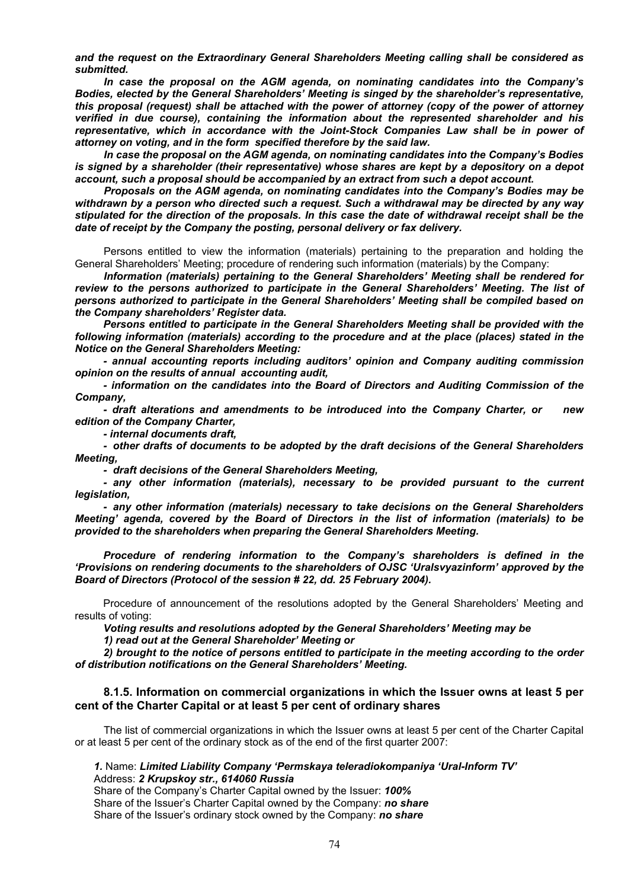*and the request on the Extraordinary General Shareholders Meeting calling shall be considered as submitted.* 

*In case the proposal on the AGM agenda, on nominating candidates into the Company's Bodies, elected by the General Shareholders' Meeting is singed by the shareholder's representative, this proposal (request) shall be attached with the power of attorney (copy of the power of attorney verified in due course), containing the information about the represented shareholder and his representative, which in accordance with the Joint-Stock Companies Law shall be in power of attorney on voting, and in the form specified therefore by the said law.* 

*In case the proposal on the AGM agenda, on nominating candidates into the Company's Bodies is signed by a shareholder (their representative) whose shares are kept by a depository on a depot account, such a proposal should be accompanied by an extract from such a depot account.* 

*Proposals on the AGM agenda, on nominating candidates into the Company's Bodies may be withdrawn by a person who directed such a request. Such a withdrawal may be directed by any way stipulated for the direction of the proposals. In this case the date of withdrawal receipt shall be the date of receipt by the Company the posting, personal delivery or fax delivery.* 

Persons entitled to view the information (materials) pertaining to the preparation and holding the General Shareholders' Meeting; procedure of rendering such information (materials) by the Company:

*Information (materials) pertaining to the General Shareholders' Meeting shall be rendered for review to the persons authorized to participate in the General Shareholders' Meeting. The list of persons authorized to participate in the General Shareholders' Meeting shall be compiled based on the Company shareholders' Register data.* 

*Persons entitled to participate in the General Shareholders Meeting shall be provided with the following information (materials) according to the procedure and at the place (places) stated in the Notice on the General Shareholders Meeting:* 

*- annual accounting reports including auditors' opinion and Company auditing commission opinion on the results of annual accounting audit,* 

*- information on the candidates into the Board of Directors and Auditing Commission of the Company,* 

*- draft alterations and amendments to be introduced into the Company Charter, or new edition of the Company Charter,* 

*- internal documents draft,* 

*- other drafts of documents to be adopted by the draft decisions of the General Shareholders Meeting,* 

*- draft decisions of the General Shareholders Meeting,* 

*- any other information (materials), necessary to be provided pursuant to the current legislation,* 

*- any other information (materials) necessary to take decisions on the General Shareholders Meeting' agenda, covered by the Board of Directors in the list of information (materials) to be provided to the shareholders when preparing the General Shareholders Meeting.* 

*Procedure of rendering information to the Company's shareholders is defined in the 'Provisions on rendering documents to the shareholders of OJSC 'Uralsvyazinform' approved by the Board of Directors (Protocol of the session # 22, dd. 25 February 2004).* 

Procedure of announcement of the resolutions adopted by the General Shareholders' Meeting and results of voting:

*Voting results and resolutions adopted by the General Shareholders' Meeting may be* 

*1) read out at the General Shareholder' Meeting or* 

*2) brought to the notice of persons entitled to participate in the meeting according to the order of distribution notifications on the General Shareholders' Meeting.* 

# **8.1.5. Information on commercial organizations in which the Issuer owns at least 5 per cent of the Charter Capital or at least 5 per cent of ordinary shares**

The list of commercial organizations in which the Issuer owns at least 5 per cent of the Charter Capital or at least 5 per cent of the ordinary stock as of the end of the first quarter 2007:

# *1.* Name: *Limited Liability Company 'Permskaya teleradiokompaniya 'Ural-Inform TV'*  Address: *2 Krupskoy str., 614060 Russia*

Share of the Company's Charter Capital owned by the Issuer: *100%* Share of the Issuer's Charter Capital owned by the Company: *no share*  Share of the Issuer's ordinary stock owned by the Company: *no share*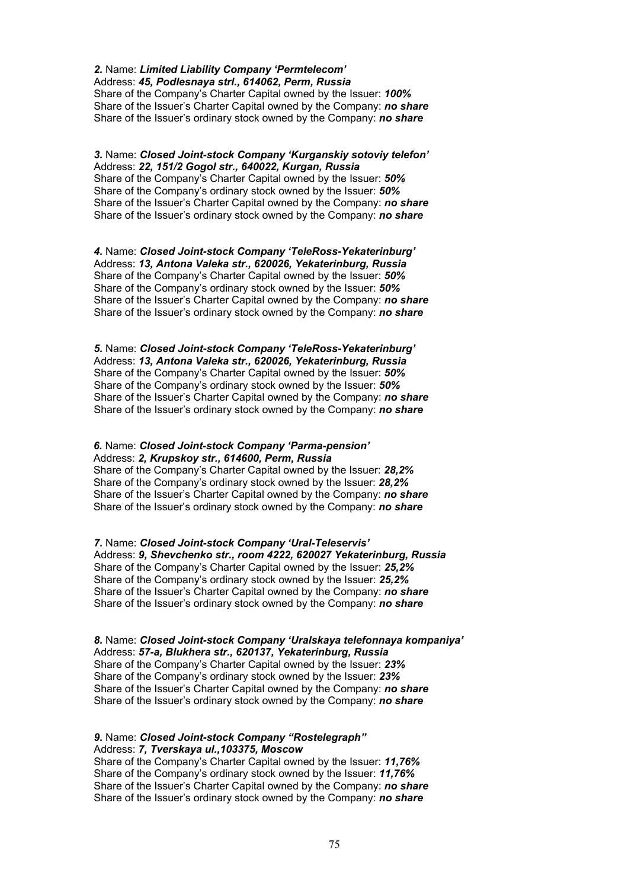#### *2.* Name: *Limited Liability Company 'Permtelecom'*  Address: *45, Podlesnaya strl., 614062, Perm, Russia*  Share of the Company's Charter Capital owned by the Issuer: *100%*  Share of the Issuer's Charter Capital owned by the Company: *no share*  Share of the Issuer's ordinary stock owned by the Company: *no share*

# *3.* Name: *Closed Joint-stock Company 'Kurganskiy sotoviy telefon'*  Address: *22, 151/2 Gogol str., 640022, Kurgan, Russia*  Share of the Company's Charter Capital owned by the Issuer: *50%*  Share of the Company's ordinary stock owned by the Issuer: *50%* Share of the Issuer's Charter Capital owned by the Company: *no share*  Share of the Issuer's ordinary stock owned by the Company: *no share*

*4.* Name: *Closed Joint-stock Company 'TeleRoss-Yekaterinburg'*  Address: *13, Antona Valeka str., 620026, Yekaterinburg, Russia*  Share of the Company's Charter Capital owned by the Issuer: *50%*  Share of the Company's ordinary stock owned by the Issuer: *50%* Share of the Issuer's Charter Capital owned by the Company: *no share*  Share of the Issuer's ordinary stock owned by the Company: *no share* 

*5.* Name: *Closed Joint-stock Company 'TeleRoss-Yekaterinburg'*  Address: *13, Antona Valeka str., 620026, Yekaterinburg, Russia*  Share of the Company's Charter Capital owned by the Issuer: *50%*  Share of the Company's ordinary stock owned by the Issuer: *50%* Share of the Issuer's Charter Capital owned by the Company: *no share*  Share of the Issuer's ordinary stock owned by the Company: *no share* 

# *6.* Name: *Closed Joint-stock Company 'Parma-pension'*  Address: *2, Krupskoy str., 614600, Perm, Russia*

Share of the Company's Charter Capital owned by the Issuer: *28,2%*  Share of the Company's ordinary stock owned by the Issuer: *28,2%* Share of the Issuer's Charter Capital owned by the Company: *no share*  Share of the Issuer's ordinary stock owned by the Company: *no share* 

*7.* Name: *Closed Joint-stock Company 'Ural-Teleservis'*  Address: *9, Shevchenko str., room 4222, 620027 Yekaterinburg, Russia*  Share of the Company's Charter Capital owned by the Issuer: *25,2%*  Share of the Company's ordinary stock owned by the Issuer: *25,2%*  Share of the Issuer's Charter Capital owned by the Company: *no share*  Share of the Issuer's ordinary stock owned by the Company: *no share* 

*8.* Name: *Closed Joint-stock Company 'Uralskaya telefonnaya kompaniya'*  Address: *57-a, Blukhera str., 620137, Yekaterinburg, Russia*  Share of the Company's Charter Capital owned by the Issuer: *23%*  Share of the Company's ordinary stock owned by the Issuer: *23%* Share of the Issuer's Charter Capital owned by the Company: *no share*  Share of the Issuer's ordinary stock owned by the Company: *no share* 

# *9.* Name: *Closed Joint-stock Company "Rostelegraph"*  Address: *7, Tverskaya ul.,103375, Moscow*

Share of the Company's Charter Capital owned by the Issuer: *11,76%*  Share of the Company's ordinary stock owned by the Issuer: *11,76%* Share of the Issuer's Charter Capital owned by the Company: *no share*  Share of the Issuer's ordinary stock owned by the Company: *no share*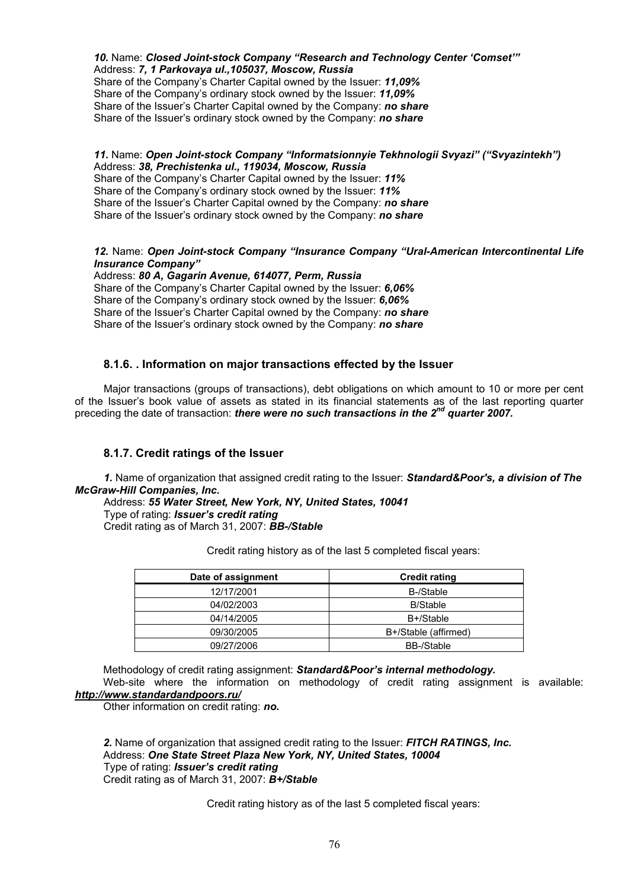*10.* Name: *Closed Joint-stock Company "Research and Technology Center 'Comset'"*  Address: *7, 1 Parkovaya ul.,105037, Moscow, Russia* 

Share of the Company's Charter Capital owned by the Issuer: *11,09%*  Share of the Company's ordinary stock owned by the Issuer: *11,09%* Share of the Issuer's Charter Capital owned by the Company: *no share*  Share of the Issuer's ordinary stock owned by the Company: *no share* 

# *11.* Name: *Open Joint-stock Company "Informatsionnyie Tekhnologii Svyazi" ("Svyazintekh")*  Address: *38, Prechistenka ul., 119034, Moscow, Russia*

Share of the Company's Charter Capital owned by the Issuer: *11%*  Share of the Company's ordinary stock owned by the Issuer: *11%* Share of the Issuer's Charter Capital owned by the Company: *no share*  Share of the Issuer's ordinary stock owned by the Company: *no share* 

# *12.* Name: *Open Joint-stock Company "Insurance Company "Ural-American Intercontinental Life Insurance Company"*

Address: *80 A, Gagarin Avenue, 614077, Perm, Russia*  Share of the Company's Charter Capital owned by the Issuer: *6,06%*  Share of the Company's ordinary stock owned by the Issuer: *6,06%* Share of the Issuer's Charter Capital owned by the Company: *no share*  Share of the Issuer's ordinary stock owned by the Company: *no share* 

# **8.1.6. . Information on major transactions effected by the Issuer**

Major transactions (groups of transactions), debt obligations on which amount to 10 or more per cent of the Issuer's book value of assets as stated in its financial statements as of the last reporting quarter preceding the date of transaction: *there were no such transactions in the 2nd quarter 2007.* 

# **8.1.7. Credit ratings of the Issuer**

*1.* Name of organization that assigned credit rating to the Issuer: *Standard&Poor's, a division of The McGraw-Hill Companies, Inc.*

Address: *55 Water Street, New York, NY, United States, 10041* Type of rating: *Issuer's credit rating*  Credit rating as of March 31, 2007: *BB-/Stable* 

| Date of assignment | <b>Credit rating</b> |
|--------------------|----------------------|
| 12/17/2001         | B-/Stable            |
| 04/02/2003         | <b>B/Stable</b>      |
| 04/14/2005         | B+/Stable            |
| 09/30/2005         | B+/Stable (affirmed) |
| 09/27/2006         | <b>BB-/Stable</b>    |

Credit rating history as of the last 5 completed fiscal years:

Methodology of credit rating assignment: *Standard&Poor's internal methodology.* 

Web-site where the information on methodology of credit rating assignment is available: *http://www.standardandpoors.ru/*

Other information on credit rating: *no.* 

*2.* Name of organization that assigned credit rating to the Issuer: *FITCH RATINGS, Inc.* Address: *One State Street Plaza New York, NY, United States, 10004* Type of rating: *Issuer's credit rating*  Credit rating as of March 31, 2007: *B+/Stable* 

Credit rating history as of the last 5 completed fiscal years: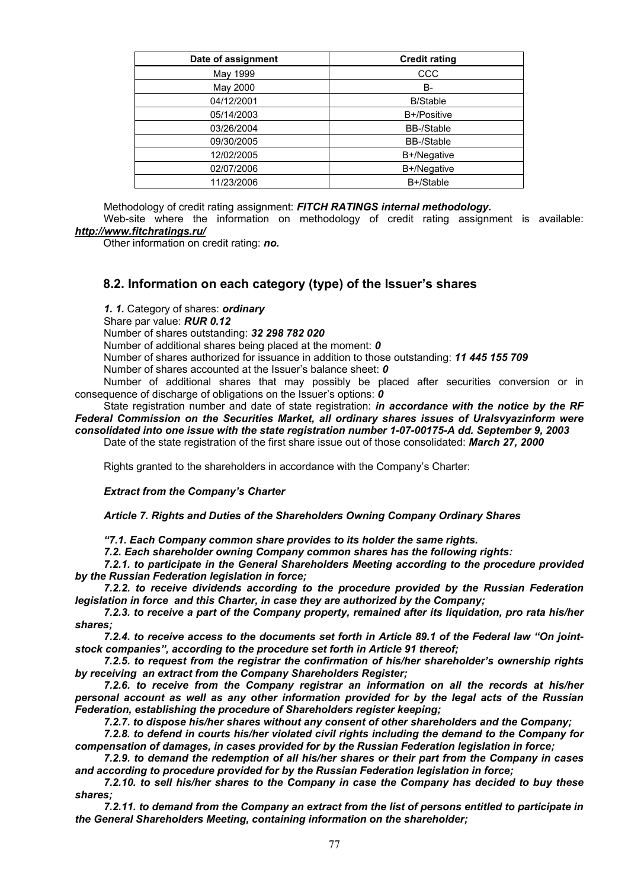| Date of assignment | <b>Credit rating</b> |
|--------------------|----------------------|
| May 1999           | CCC                  |
| May 2000           | B-                   |
| 04/12/2001         | <b>B/Stable</b>      |
| 05/14/2003         | B+/Positive          |
| 03/26/2004         | <b>BB-/Stable</b>    |
| 09/30/2005         | <b>BB-/Stable</b>    |
| 12/02/2005         | B+/Negative          |
| 02/07/2006         | B+/Negative          |
| 11/23/2006         | B+/Stable            |

Methodology of credit rating assignment: *FITCH RATINGS internal methodology.* 

Web-site where the information on methodology of credit rating assignment is available: *http://www.fitchratings.ru/* 

Other information on credit rating: *no.* 

# **8.2. Information on each category (type) of the Issuer's shares**

*1. 1.* Category of shares: *ordinary* 

Share par value: *RUR 0.12* 

Number of shares outstanding: *32 298 782 020* 

Number of additional shares being placed at the moment: *0* 

Number of shares authorized for issuance in addition to those outstanding: *11 445 155 709* 

Number of shares accounted at the Issuer's balance sheet: *0* 

Number of additional shares that may possibly be placed after securities conversion or in consequence of discharge of obligations on the Issuer's options: *0* 

State registration number and date of state registration: *in accordance with the notice by the RF Federal Commission on the Securities Market, all ordinary shares issues of Uralsvyazinform were consolidated into one issue with the state registration number 1-07-00175-А dd. September 9, 2003*  Date of the state registration of the first share issue out of those consolidated: *March 27, 2000* 

Rights granted to the shareholders in accordance with the Company's Charter:

# *Extract from the Company's Charter*

*Article 7. Rights and Duties of the Shareholders Owning Company Ordinary Shares* 

*"7.1. Each Company common share provides to its holder the same rights.* 

*7.2. Each shareholder owning Company common shares has the following rights:* 

*7.2.1. to participate in the General Shareholders Meeting according to the procedure provided by the Russian Federation legislation in force;* 

*7.2.2. to receive dividends according to the procedure provided by the Russian Federation legislation in force and this Charter, in case they are authorized by the Company;* 

*7.2.3. to receive a part of the Company property, remained after its liquidation, pro rata his/her shares;* 

*7.2.4. to receive access to the documents set forth in Article 89.1 of the Federal law "On jointstock companies", according to the procedure set forth in Article 91 thereof;* 

*7.2.5. to request from the registrar the confirmation of his/her shareholder's ownership rights by receiving an extract from the Company Shareholders Register;* 

*7.2.6. to receive from the Company registrar an information on all the records at his/her personal account as well as any other information provided for by the legal acts of the Russian Federation, establishing the procedure of Shareholders register keeping;* 

*7.2.7. to dispose his/her shares without any consent of other shareholders and the Company;* 

*7.2.8. to defend in courts his/her violated civil rights including the demand to the Company for compensation of damages, in cases provided for by the Russian Federation legislation in force;* 

*7.2.9. to demand the redemption of all his/her shares or their part from the Company in cases and according to procedure provided for by the Russian Federation legislation in force;* 

*7.2.10. to sell his/her shares to the Company in case the Company has decided to buy these shares;* 

*7.2.11. to demand from the Company an extract from the list of persons entitled to participate in the General Shareholders Meeting, containing information on the shareholder;*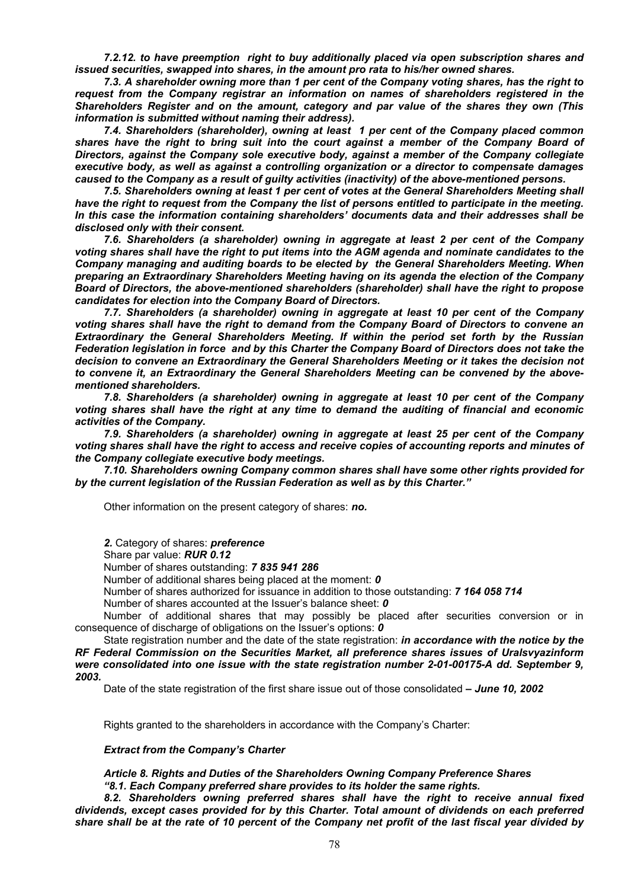*7.2.12. to have preemption right to buy additionally placed via open subscription shares and issued securities, swapped into shares, in the amount pro rata to his/her owned shares.* 

*7.3. A shareholder owning more than 1 per cent of the Company voting shares, has the right to request from the Company registrar an information on names of shareholders registered in the Shareholders Register and on the amount, category and par value of the shares they own (This information is submitted without naming their address).* 

*7.4. Shareholders (shareholder), owning at least 1 per cent of the Company placed common shares have the right to bring suit into the court against a member of the Company Board of Directors, against the Company sole executive body, against a member of the Company collegiate executive body, as well as against a controlling organization or a director to compensate damages caused to the Company as a result of guilty activities (inactivity) of the above-mentioned persons.* 

*7.5. Shareholders owning at least 1 per cent of votes at the General Shareholders Meeting shall have the right to request from the Company the list of persons entitled to participate in the meeting. In this case the information containing shareholders' documents data and their addresses shall be disclosed only with their consent.* 

*7.6. Shareholders (a shareholder) owning in aggregate at least 2 per cent of the Company voting shares shall have the right to put items into the AGM agenda and nominate candidates to the Company managing and auditing boards to be elected by the General Shareholders Meeting. When preparing an Extraordinary Shareholders Meeting having on its agenda the election of the Company Board of Directors, the above-mentioned shareholders (shareholder) shall have the right to propose candidates for election into the Company Board of Directors.* 

*7.7. Shareholders (a shareholder) owning in aggregate at least 10 per cent of the Company voting shares shall have the right to demand from the Company Board of Directors to convene an Extraordinary the General Shareholders Meeting. If within the period set forth by the Russian Federation legislation in force and by this Charter the Company Board of Directors does not take the decision to convene an Extraordinary the General Shareholders Meeting or it takes the decision not to convene it, an Extraordinary the General Shareholders Meeting can be convened by the abovementioned shareholders.* 

*7.8. Shareholders (a shareholder) owning in aggregate at least 10 per cent of the Company voting shares shall have the right at any time to demand the auditing of financial and economic activities of the Company.* 

*7.9. Shareholders (a shareholder) owning in aggregate at least 25 per cent of the Company voting shares shall have the right to access and receive copies of accounting reports and minutes of the Company collegiate executive body meetings.* 

*7.10. Shareholders owning Company common shares shall have some other rights provided for by the current legislation of the Russian Federation as well as by this Charter."* 

Other information on the present category of shares: *no.* 

*2.* Category of shares: *preference* 

Share par value: *RUR 0.12* 

Number of shares outstanding: *7 835 941 286* 

Number of additional shares being placed at the moment: *0* 

Number of shares authorized for issuance in addition to those outstanding: *7 164 058 714* 

Number of shares accounted at the Issuer's balance sheet: *0* 

Number of additional shares that may possibly be placed after securities conversion or in consequence of discharge of obligations on the Issuer's options: *0* 

State registration number and the date of the state registration: *in accordance with the notice by the RF Federal Commission on the Securities Market, all preference shares issues of Uralsvyazinform were consolidated into one issue with the state registration number 2-01-00175-А dd. September 9, 2003.* 

Date of the state registration of the first share issue out of those consolidated *– June 10, 2002* 

Rights granted to the shareholders in accordance with the Company's Charter:

#### *Extract from the Company's Charter*

*Article 8. Rights and Duties of the Shareholders Owning Company Preference Shares "8.1. Each Company preferred share provides to its holder the same rights.* 

*8.2. Shareholders owning preferred shares shall have the right to receive annual fixed dividends, except cases provided for by this Charter. Total amount of dividends on each preferred share shall be at the rate of 10 percent of the Company net profit of the last fiscal year divided by*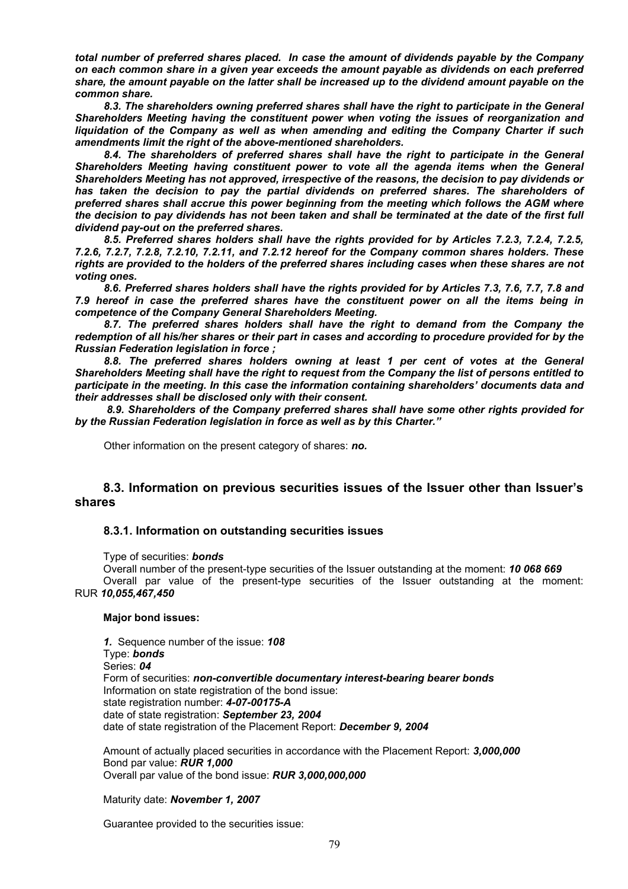*total number of preferred shares placed. In case the amount of dividends payable by the Company on each common share in a given year exceeds the amount payable as dividends on each preferred share, the amount payable on the latter shall be increased up to the dividend amount payable on the common share.* 

*8.3. The shareholders owning preferred shares shall have the right to participate in the General Shareholders Meeting having the constituent power when voting the issues of reorganization and liquidation of the Company as well as when amending and editing the Company Charter if such amendments limit the right of the above-mentioned shareholders.* 

8.4. The shareholders of preferred shares shall have the right to participate in the General *Shareholders Meeting having constituent power to vote all the agenda items when the General Shareholders Meeting has not approved, irrespective of the reasons, the decision to pay dividends or*  has taken the decision to pay the partial dividends on preferred shares. The shareholders of *preferred shares shall accrue this power beginning from the meeting which follows the AGM where the decision to pay dividends has not been taken and shall be terminated at the date of the first full dividend pay-out on the preferred shares.* 

*8.5. Preferred shares holders shall have the rights provided for by Articles 7.2.3, 7.2.4, 7.2.5, 7.2.6, 7.2.7, 7.2.8, 7.2.10, 7.2.11, and 7.2.12 hereof for the Company common shares holders. These rights are provided to the holders of the preferred shares including cases when these shares are not voting ones.* 

*8.6. Preferred shares holders shall have the rights provided for by Articles 7.3, 7.6, 7.7, 7.8 and 7.9 hereof in case the preferred shares have the constituent power on all the items being in competence of the Company General Shareholders Meeting.* 

*8.7. The preferred shares holders shall have the right to demand from the Company the redemption of all his/her shares or their part in cases and according to procedure provided for by the Russian Federation legislation in force ;* 

8.8. The preferred shares holders owning at least 1 per cent of votes at the General *Shareholders Meeting shall have the right to request from the Company the list of persons entitled to participate in the meeting. In this case the information containing shareholders' documents data and their addresses shall be disclosed only with their consent.* 

 *8.9. Shareholders of the Company preferred shares shall have some other rights provided for by the Russian Federation legislation in force as well as by this Charter."* 

Other information on the present category of shares: *no.* 

# **8.3. Information on previous securities issues of the Issuer other than Issuer's shares**

# **8.3.1. Information on outstanding securities issues**

# Type of securities: *bonds*

Overall number of the present-type securities of the Issuer outstanding at the moment: *10 068 669*  Overall par value of the present-type securities of the Issuer outstanding at the moment: RUR *10,055,467,450*

# **Major bond issues:**

*1.* Sequence number of the issue: *108* Type: *bonds*  Series: *04* Form of securities: *non-convertible documentary interest-bearing bearer bonds*  Information on state registration of the bond issue: state registration number: *4-07-00175-A*  date of state registration: *September 23, 2004* date of state registration of the Placement Report: *December 9, 2004* 

Amount of actually placed securities in accordance with the Placement Report: *3,000,000* Bond par value: *RUR 1,000*  Overall par value of the bond issue: *RUR 3,000,000,000* 

# Maturity date: *November 1, 2007*

Guarantee provided to the securities issue: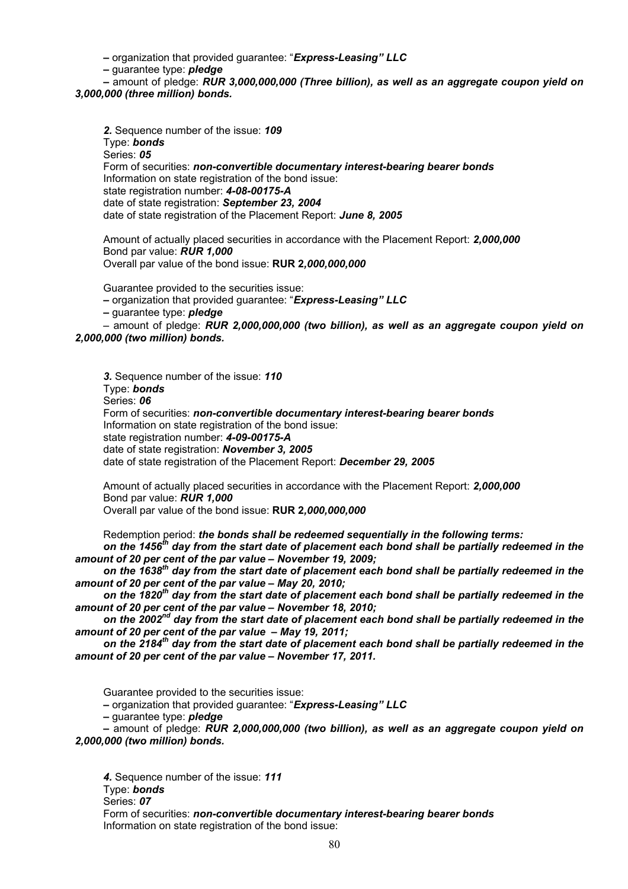*–* organization that provided guarantee: "*Express-Leasing" LLC*

*–* guarantee type: *pledge*

*–* amount of pledge: *RUR 3,000,000,000 (Three billion), as well as an aggregate coupon yield on 3,000,000 (three million) bonds.*

*2.* Sequence number of the issue: *109* Type: *bonds*  Series: *05* Form of securities: *non-convertible documentary interest-bearing bearer bonds*  Information on state registration of the bond issue: state registration number: *4-08-00175-А* date of state registration: *September 23, 2004* date of state registration of the Placement Report: *June 8, 2005*

Amount of actually placed securities in accordance with the Placement Report: *2,000,000* Bond par value: *RUR 1,000*  Overall par value of the bond issue: **RUR 2***,000,000,000* 

Guarantee provided to the securities issue:

- organization that provided guarantee: "*Express-Leasing" LLC*
- guarantee type: *pledge*

**–** amount of pledge: *RUR 2,000,000,000 (two billion), as well as an aggregate coupon yield on 2,000,000 (two million) bonds.*

*3.* Sequence number of the issue: *110* Type: *bonds*  Series: *06* Form of securities: *non-convertible documentary interest-bearing bearer bonds*  Information on state registration of the bond issue: state registration number: *4-09-00175-A*  date of state registration: *November 3, 2005* date of state registration of the Placement Report: *December 29, 2005* 

Amount of actually placed securities in accordance with the Placement Report: *2,000,000* Bond par value: *RUR 1,000*  Overall par value of the bond issue: **RUR 2***,000,000,000* 

Redemption period: *the bonds shall be redeemed sequentially in the following terms:*  on the 1456<sup>th</sup> day from the start date of placement each bond shall be partially redeemed in the

*amount of 20 per cent of the par value – November 19, 2009;*  on the 1638<sup>th</sup> day from the start date of placement each bond shall be partially redeemed in the *amount of 20 per cent of the par value – May 20, 2010;* 

on the 1820<sup>th</sup> day from the start date of placement each bond shall be partially redeemed in the *amount of 20 per cent of the par value – November 18, 2010;* 

*on the 2002nd day from the start date of placement each bond shall be partially redeemed in the amount of 20 per cent of the par value – May 19, 2011;* 

*on the 2184th day from the start date of placement each bond shall be partially redeemed in the amount of 20 per cent of the par value – November 17, 2011.* 

Guarantee provided to the securities issue:

*–* organization that provided guarantee: "*Express-Leasing" LLC*

*–* guarantee type: *pledge*

*–* amount of pledge: *RUR 2,000,000,000 (two billion), as well as an aggregate coupon yield on 2,000,000 (two million) bonds.*

*4.* Sequence number of the issue: *111* Type: *bonds*  Series: *07* Form of securities: *non-convertible documentary interest-bearing bearer bonds*  Information on state registration of the bond issue: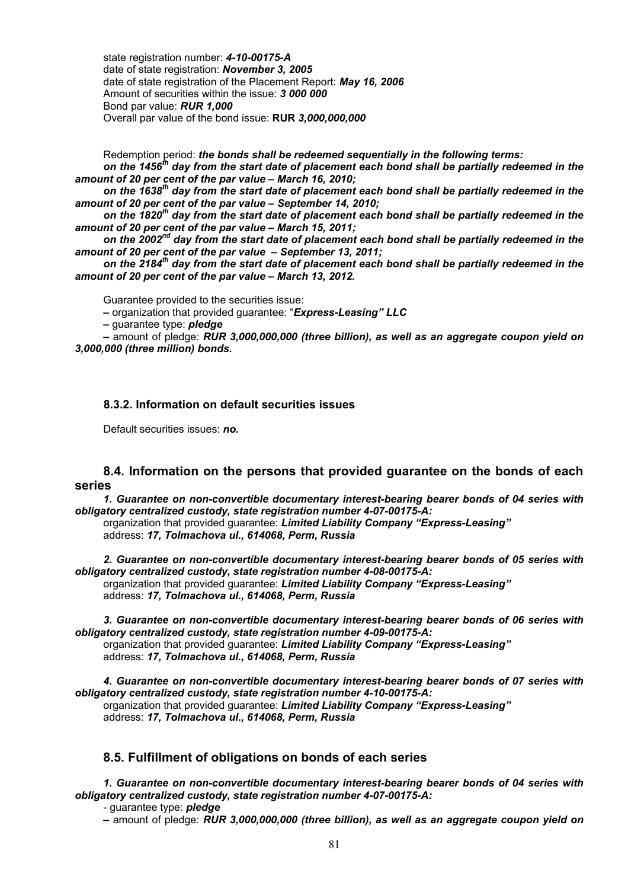state registration number: *4-10-00175-A*  date of state registration: *November 3, 2005* date of state registration of the Placement Report: *May 16, 2006*  Amount of securities within the issue: *3 000 000* Bond par value: *RUR 1,000*  Overall par value of the bond issue: **RUR** *3,000,000,000* 

Redemption period: *the bonds shall be redeemed sequentially in the following terms:*  on the 1456<sup>th</sup> day from the start date of placement each bond shall be partially redeemed in the *amount of 20 per cent of the par value – March 16, 2010;* 

*on the 1638th day from the start date of placement each bond shall be partially redeemed in the amount of 20 per cent of the par value – September 14, 2010;* 

on the 1820<sup>th</sup> day from the start date of placement each bond shall be partially redeemed in the *amount of 20 per cent of the par value – March 15, 2011;* 

*on the 2002nd day from the start date of placement each bond shall be partially redeemed in the amount of 20 per cent of the par value – September 13, 2011;* 

on the 2184<sup>th</sup> day from the start date of placement each bond shall be partially redeemed in the *amount of 20 per cent of the par value – March 13, 2012.* 

Guarantee provided to the securities issue:

*–* organization that provided guarantee: "*Express-Leasing" LLC*

*–* guarantee type: *pledge*

*–* amount of pledge: *RUR 3,000,000,000 (three billion), as well as an aggregate coupon yield on 3,000,000 (three million) bonds.*

# **8.3.2. Information on default securities issues**

Default securities issues: *no.*

# **8.4. Information on the persons that provided guarantee on the bonds of each series**

*1. Guarantee on non-convertible documentary interest-bearing bearer bonds of 04 series with obligatory centralized custody, state registration number 4-07-00175-А:* 

organization that provided guarantee: *Limited Liability Company "Express-Leasing"* address: *17, Tolmachova ul., 614068, Perm, Russia* 

*2. Guarantee on non-convertible documentary interest-bearing bearer bonds of 05 series with obligatory centralized custody, state registration number 4-08-00175-А:*  organization that provided guarantee: *Limited Liability Company "Express-Leasing"* address: *17, Tolmachova ul., 614068, Perm, Russia* 

*3. Guarantee on non-convertible documentary interest-bearing bearer bonds of 06 series with obligatory centralized custody, state registration number 4-09-00175-А:*  organization that provided guarantee: *Limited Liability Company "Express-Leasing"* address: *17, Tolmachova ul., 614068, Perm, Russia* 

*4. Guarantee on non-convertible documentary interest-bearing bearer bonds of 07 series with obligatory centralized custody, state registration number 4-10-00175-А:*  organization that provided guarantee: *Limited Liability Company "Express-Leasing"* address: *17, Tolmachova ul., 614068, Perm, Russia* 

# **8.5. Fulfillment of obligations on bonds of each series**

*1. Guarantee on non-convertible documentary interest-bearing bearer bonds of 04 series with obligatory centralized custody, state registration number 4-07-00175-А:* 

- guarantee type: *pledge* 

*–* amount of pledge: *RUR 3,000,000,000 (three billion), as well as an aggregate coupon yield on*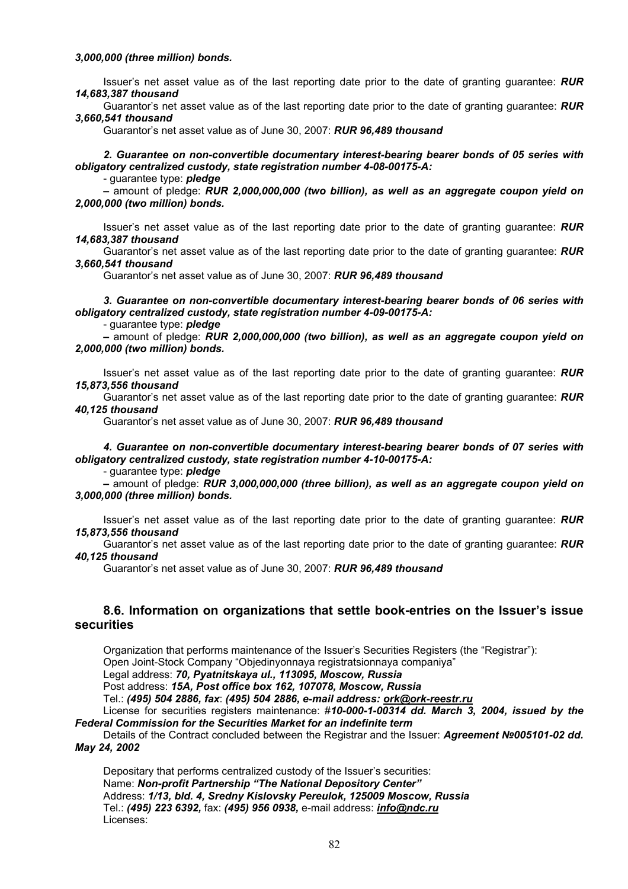Issuer's net asset value as of the last reporting date prior to the date of granting guarantee: *RUR 14,683,387 thousand* 

Guarantor's net asset value as of the last reporting date prior to the date of granting guarantee: *RUR 3,660,541 thousand* 

Guarantor's net asset value as of June 30, 2007: *RUR 96,489 thousand* 

*2. Guarantee on non-convertible documentary interest-bearing bearer bonds of 05 series with obligatory centralized custody, state registration number 4-08-00175-А:* 

- guarantee type: *pledge* 

*–* amount of pledge: *RUR 2,000,000,000 (two billion), as well as an aggregate coupon yield on 2,000,000 (two million) bonds.*

Issuer's net asset value as of the last reporting date prior to the date of granting guarantee: *RUR 14,683,387 thousand* 

Guarantor's net asset value as of the last reporting date prior to the date of granting guarantee: *RUR 3,660,541 thousand* 

Guarantor's net asset value as of June 30, 2007: *RUR 96,489 thousand* 

*3. Guarantee on non-convertible documentary interest-bearing bearer bonds of 06 series with obligatory centralized custody, state registration number 4-09-00175-А:* 

- guarantee type: *pledge* 

*–* amount of pledge: *RUR 2,000,000,000 (two billion), as well as an aggregate coupon yield on 2,000,000 (two million) bonds.*

Issuer's net asset value as of the last reporting date prior to the date of granting guarantee: *RUR 15,873,556 thousand* 

Guarantor's net asset value as of the last reporting date prior to the date of granting guarantee: *RUR 40,125 thousand* 

Guarantor's net asset value as of June 30, 2007: *RUR 96,489 thousand* 

*4. Guarantee on non-convertible documentary interest-bearing bearer bonds of 07 series with obligatory centralized custody, state registration number 4-10-00175-А:* 

- guarantee type: *pledge* 

*–* amount of pledge: *RUR 3,000,000,000 (three billion), as well as an aggregate coupon yield on 3,000,000 (three million) bonds.*

Issuer's net asset value as of the last reporting date prior to the date of granting guarantee: *RUR 15,873,556 thousand* 

Guarantor's net asset value as of the last reporting date prior to the date of granting guarantee: *RUR 40,125 thousand* 

Guarantor's net asset value as of June 30, 2007: *RUR 96,489 thousand* 

# **8.6. Information on organizations that settle book-entries on the Issuer's issue securities**

Organization that performs maintenance of the Issuer's Securities Registers (the "Registrar"): Open Joint-Stock Company "Objedinyonnaya registratsionnaya companiya"

Legal address: *70, Pyatnitskaya ul., 113095, Moscow, Russia* 

Post address: *15A, Post office box 162, 107078, Moscow, Russia* 

Tel.: *(495) 504 2886, fax*: *(495) 504 2886, e-mail address: ork@ork-reestr.ru*

License for securities registers maintenance: #*10-000-1-00314 dd. March 3, 2004, issued by the Federal Commission for the Securities Market for an indefinite term* 

Details of the Contract concluded between the Registrar and the Issuer: *Agreement №005101-02 dd. May 24, 2002* 

Depositary that performs centralized custody of the Issuer's securities: Name: *Non-profit Partnership "The National Depository Center"* Address: *1/13, bld. 4, Sredny Kislovsky Pereulok, 125009 Moscow, Russia*  Tel.: *(495) 223 6392,* fax: *(495) 956 0938,* e-mail address: *info@ndc.ru*  Licenses: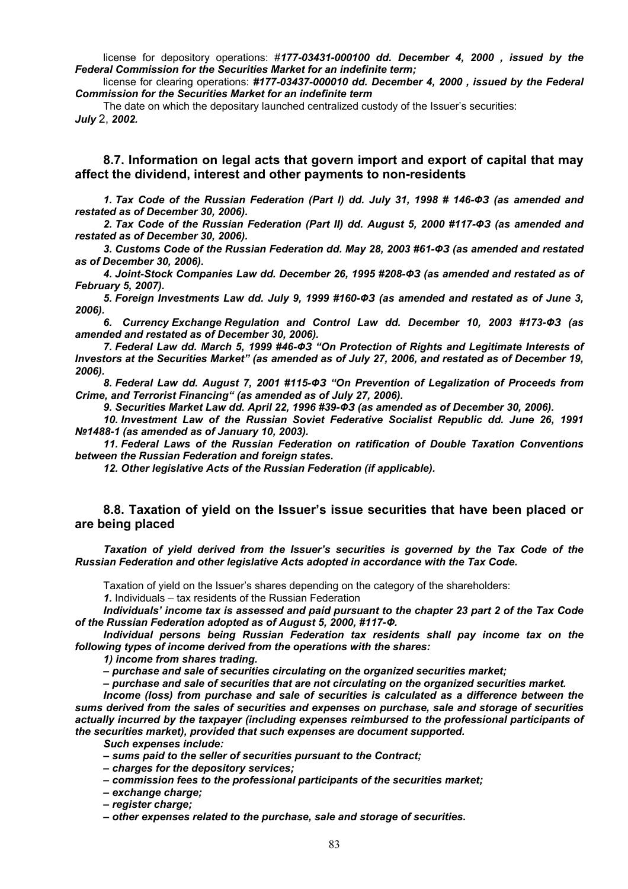license for depository operations: #*177-03431-000100 dd. December 4, 2000 , issued by the Federal Commission for the Securities Market for an indefinite term;* 

license for clearing operations: *#177-03437-000010 dd. December 4, 2000 , issued by the Federal Commission for the Securities Market for an indefinite term* 

The date on which the depositary launched centralized custody of the Issuer's securities: *July* 2, *2002.* 

# **8.7. Information on legal acts that govern import and export of capital that may affect the dividend, interest and other payments to non-residents**

*1. Tax Code of the Russian Federation (Part I) dd. July 31, 1998 # 146-ФЗ (as amended and restated as of December 30, 2006).* 

*2. Tax Code of the Russian Federation (Part II) dd. August 5, 2000 #117-ФЗ (as amended and restated as of December 30, 2006).* 

*3. Customs Code of the Russian Federation dd. May 28, 2003 #61-ФЗ (as amended and restated as of December 30, 2006).* 

*4. Joint-Stock Companies Law dd. December 26, 1995 #208-ФЗ (as amended and restated as of February 5, 2007).* 

*5. Foreign Investments Law dd. July 9, 1999 #160-ФЗ (as amended and restated as of June 3, 2006).* 

*6. Currency Exchange Regulation and Control Law dd. December 10, 2003 #173-ФЗ (as amended and restated as of December 30, 2006).* 

*7. Federal Law dd. March 5, 1999 #46-ФЗ "On Protection of Rights and Legitimate Interests of Investors at the Securities Market" (as amended as of July 27, 2006, and restated as of December 19, 2006).* 

*8. Federal Law dd. August 7, 2001 #115-ФЗ "On Prevention of Legalization of Proceeds from Crime, and Terrorist Financing" (as amended as of July 27, 2006).* 

*9. Securities Market Law dd. April 22, 1996 #39-ФЗ (as amended as of December 30, 2006).* 

*10. Investment Law of the Russian Soviet Federative Socialist Republic dd. June 26, 1991 №1488-1 (as amended as of January 10, 2003).* 

*11. Federal Laws of the Russian Federation on ratification of Double Taxation Conventions between the Russian Federation and foreign states.* 

*12. Other legislative Acts of the Russian Federation (if applicable).* 

# **8.8. Taxation of yield on the Issuer's issue securities that have been placed or are being placed**

*Taxation of yield derived from the Issuer's securities is governed by the Tax Code of the Russian Federation and other legislative Acts adopted in accordance with the Tax Code.* 

Taxation of yield on the Issuer's shares depending on the category of the shareholders:

*1.* Individuals – tax residents of the Russian Federation

*Individuals' income tax is assessed and paid pursuant to the chapter 23 part 2 of the Tax Code of the Russian Federation adopted as of August 5, 2000, #117-Ф.* 

*Individual persons being Russian Federation tax residents shall pay income tax on the following types of income derived from the operations with the shares:* 

*1) income from shares trading.* 

*– purchase and sale of securities circulating on the organized securities market;* 

*– purchase and sale of securities that are not circulating on the organized securities market.* 

*Income (loss) from purchase and sale of securities is calculated as a difference between the sums derived from the sales of securities and expenses on purchase, sale and storage of securities actually incurred by the taxpayer (including expenses reimbursed to the professional participants of the securities market), provided that such expenses are document supported.* 

*Such expenses include:* 

*– sums paid to the seller of securities pursuant to the Contract;* 

*– charges for the depository services;* 

*– commission fees to the professional participants of the securities market;* 

*– exchange charge;* 

*– register charge;* 

*– other expenses related to the purchase, sale and storage of securities.*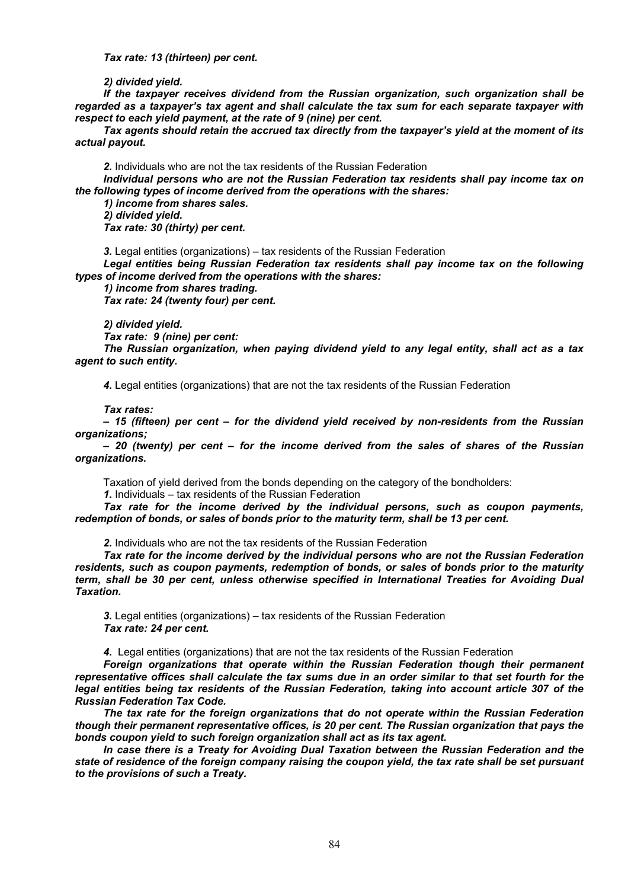*Tax rate: 13 (thirteen) per cent.* 

*2) divided yield.* 

*If the taxpayer receives dividend from the Russian organization, such organization shall be regarded as a taxpayer's tax agent and shall calculate the tax sum for each separate taxpayer with respect to each yield payment, at the rate of 9 (nine) per cent.* 

*Tax agents should retain the accrued tax directly from the taxpayer's yield at the moment of its actual payout.* 

*2.* Individuals who are not the tax residents of the Russian Federation

*Individual persons who are not the Russian Federation tax residents shall pay income tax on the following types of income derived from the operations with the shares:* 

*1) income from shares sales. 2) divided yield. Tax rate: 30 (thirty) per cent.* 

*3.* Legal entities (organizations) – tax residents of the Russian Federation

*Legal entities being Russian Federation tax residents shall pay income tax on the following types of income derived from the operations with the shares:* 

*1) income from shares trading.* 

*Tax rate: 24 (twenty four) per cent.* 

*2) divided yield.* 

*Tax rate: 9 (nine) per cent:* 

*The Russian organization, when paying dividend yield to any legal entity, shall act as a tax agent to such entity.* 

*4.* Legal entities (organizations) that are not the tax residents of the Russian Federation

#### *Tax rates:*

*– 15 (fifteen) per cent – for the dividend yield received by non-residents from the Russian organizations;* 

*– 20 (twenty) per cent – for the income derived from the sales of shares of the Russian organizations.* 

Taxation of yield derived from the bonds depending on the category of the bondholders:

*1.* Individuals – tax residents of the Russian Federation

*Tax rate for the income derived by the individual persons, such as coupon payments, redemption of bonds, or sales of bonds prior to the maturity term, shall be 13 per cent.* 

*2.* Individuals who are not the tax residents of the Russian Federation

*Tax rate for the income derived by the individual persons who are not the Russian Federation residents, such as coupon payments, redemption of bonds, or sales of bonds prior to the maturity term, shall be 30 per cent, unless otherwise specified in International Treaties for Avoiding Dual Taxation.* 

*3.* Legal entities (organizations) – tax residents of the Russian Federation *Tax rate: 24 per cent.* 

*4.* Legal entities (organizations) that are not the tax residents of the Russian Federation

*Foreign organizations that operate within the Russian Federation though their permanent representative offices shall calculate the tax sums due in an order similar to that set fourth for the legal entities being tax residents of the Russian Federation, taking into account article 307 of the Russian Federation Tax Code.* 

*The tax rate for the foreign organizations that do not operate within the Russian Federation though their permanent representative offices, is 20 per cent. The Russian organization that pays the bonds coupon yield to such foreign organization shall act as its tax agent.* 

*In case there is a Treaty for Avoiding Dual Taxation between the Russian Federation and the state of residence of the foreign company raising the coupon yield, the tax rate shall be set pursuant to the provisions of such a Treaty.*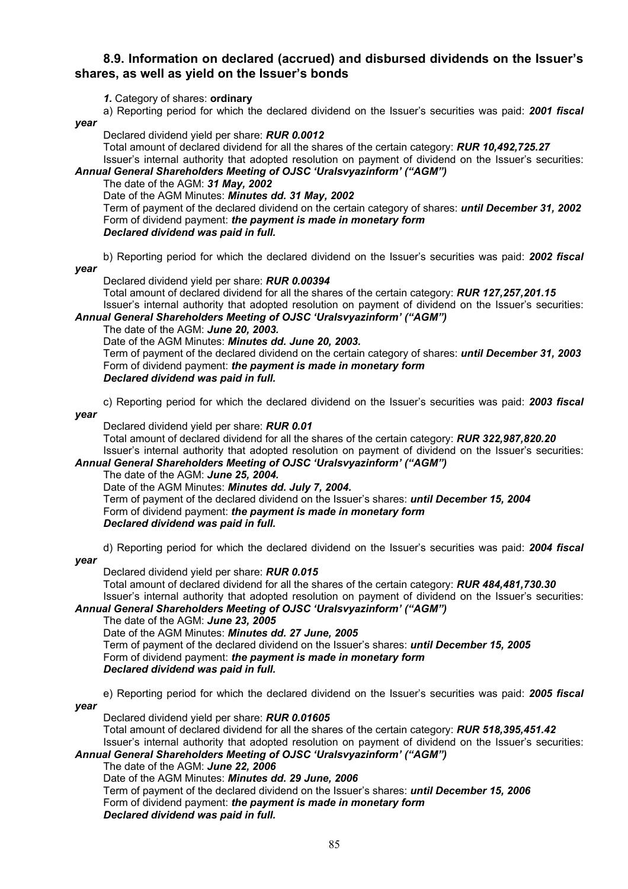# **8.9. Information on declared (accrued) and disbursed dividends on the Issuer's shares, as well as yield on the Issuer's bonds**

*1.* Category of shares: **ordinary**

a) Reporting period for which the declared dividend on the Issuer's securities was paid: *2001 fiscal* 

*year* 

Declared dividend yield per share: *RUR 0.0012* 

Total amount of declared dividend for all the shares of the certain category: *RUR 10,492,725.27*  Issuer's internal authority that adopted resolution on payment of dividend on the Issuer's securities:

# *Annual General Shareholders Meeting of OJSC 'Uralsvyazinform' ("AGM")*

The date of the AGM: *31 May, 2002*

Date of the AGM Minutes: *Minutes dd. 31 May, 2002* 

Term of payment of the declared dividend on the certain category of shares: *until December 31, 2002*  Form of dividend payment: *the payment is made in monetary form* 

*Declared dividend was paid in full.* 

b) Reporting period for which the declared dividend on the Issuer's securities was paid: *2002 fiscal* 

*year* 

Declared dividend yield per share: *RUR 0.00394* 

Total amount of declared dividend for all the shares of the certain category: *RUR 127,257,201.15*  Issuer's internal authority that adopted resolution on payment of dividend on the Issuer's securities: *Annual General Shareholders Meeting of OJSC 'Uralsvyazinform' ("AGM")*

# The date of the AGM: *June 20, 2003.*

Date of the AGM Minutes: *Minutes dd. June 20, 2003.* 

Term of payment of the declared dividend on the certain category of shares: *until December 31, 2003*  Form of dividend payment: *the payment is made in monetary form Declared dividend was paid in full.* 

c) Reporting period for which the declared dividend on the Issuer's securities was paid: *2003 fiscal* 

*year* 

Declared dividend yield per share: *RUR 0.01* 

Total amount of declared dividend for all the shares of the certain category: *RUR 322,987,820.20*  Issuer's internal authority that adopted resolution on payment of dividend on the Issuer's securities: *Annual General Shareholders Meeting of OJSC 'Uralsvyazinform' ("AGM")*

# The date of the AGM: *June 25, 2004.*

Date of the AGM Minutes: *Minutes dd. July 7, 2004.* 

Term of payment of the declared dividend on the Issuer's shares: *until December 15, 2004*  Form of dividend payment: *the payment is made in monetary form Declared dividend was paid in full.* 

d) Reporting period for which the declared dividend on the Issuer's securities was paid: *2004 fiscal* 

*year* 

Declared dividend yield per share: *RUR 0.015* 

Total amount of declared dividend for all the shares of the certain category: *RUR 484,481,730.30* Issuer's internal authority that adopted resolution on payment of dividend on the Issuer's securities:

# *Annual General Shareholders Meeting of OJSC 'Uralsvyazinform' ("AGM")*

The date of the AGM: *June 23, 2005* 

Date of the AGM Minutes: *Minutes dd. 27 June, 2005*  Term of payment of the declared dividend on the Issuer's shares: *until December 15, 2005*  Form of dividend payment: *the payment is made in monetary form Declared dividend was paid in full.* 

e) Reporting period for which the declared dividend on the Issuer's securities was paid: *2005 fiscal* 

*year* 

Declared dividend yield per share: *RUR 0.01605* 

Total amount of declared dividend for all the shares of the certain category: *RUR 518,395,451.42* Issuer's internal authority that adopted resolution on payment of dividend on the Issuer's securities:

# *Annual General Shareholders Meeting of OJSC 'Uralsvyazinform' ("AGM")*

The date of the AGM: *June 22, 2006* 

Date of the AGM Minutes: *Minutes dd. 29 June, 2006* 

Term of payment of the declared dividend on the Issuer's shares: *until December 15, 2006*  Form of dividend payment: *the payment is made in monetary form Declared dividend was paid in full.*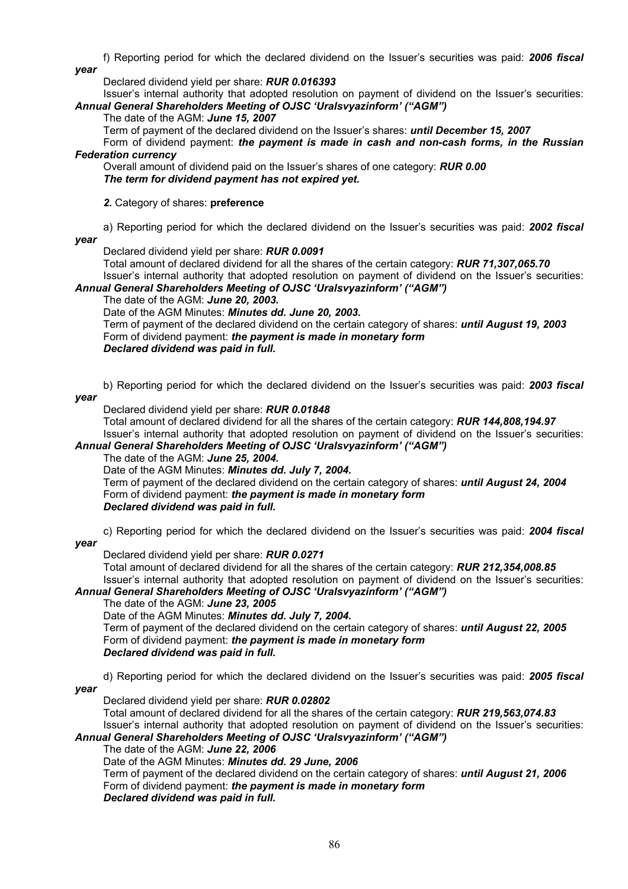f) Reporting period for which the declared dividend on the Issuer's securities was paid: *2006 fiscal year* 

Declared dividend yield per share: *RUR 0.016393* 

Issuer's internal authority that adopted resolution on payment of dividend on the Issuer's securities: *Annual General Shareholders Meeting of OJSC 'Uralsvyazinform' ("AGM")*

# The date of the AGM: *June 15, 2007*

Term of payment of the declared dividend on the Issuer's shares: *until December 15, 2007* 

Form of dividend payment: *the payment is made in cash and non-cash forms, in the Russian Federation currency* 

Overall amount of dividend paid on the Issuer's shares of one category: *RUR 0.00 The term for dividend payment has not expired yet.*

*2.* Category of shares: **preference**

a) Reporting period for which the declared dividend on the Issuer's securities was paid: *2002 fiscal year* 

Declared dividend yield per share: *RUR 0.0091* 

Total amount of declared dividend for all the shares of the certain category: *RUR 71,307,065.70* Issuer's internal authority that adopted resolution on payment of dividend on the Issuer's securities:

# *Annual General Shareholders Meeting of OJSC 'Uralsvyazinform' ("AGM")*

# The date of the AGM: *June 20, 2003.*

Date of the AGM Minutes: *Minutes dd. June 20, 2003.* 

Term of payment of the declared dividend on the certain category of shares: *until August 19, 2003*  Form of dividend payment: *the payment is made in monetary form Declared dividend was paid in full.* 

b) Reporting period for which the declared dividend on the Issuer's securities was paid: *2003 fiscal* 

# *year*

Declared dividend yield per share: *RUR 0.01848* 

Total amount of declared dividend for all the shares of the certain category: *RUR 144,808,194.97* Issuer's internal authority that adopted resolution on payment of dividend on the Issuer's securities: *Annual General Shareholders Meeting of OJSC 'Uralsvyazinform' ("AGM")*

# The date of the AGM: *June 25, 2004.*

Date of the AGM Minutes: *Minutes dd. July 7, 2004.* 

Term of payment of the declared dividend on the certain category of shares: *until August 24, 2004*  Form of dividend payment: *the payment is made in monetary form Declared dividend was paid in full.* 

c) Reporting period for which the declared dividend on the Issuer's securities was paid: *2004 fiscal* 

*year* 

Declared dividend yield per share: *RUR 0.0271* 

Total amount of declared dividend for all the shares of the certain category: *RUR 212,354,008.85* 

Issuer's internal authority that adopted resolution on payment of dividend on the Issuer's securities: *Annual General Shareholders Meeting of OJSC 'Uralsvyazinform' ("AGM")*

# The date of the AGM: *June 23, 2005*

Date of the AGM Minutes: *Minutes dd. July 7, 2004.* 

Term of payment of the declared dividend on the certain category of shares: *until August 22, 2005*  Form of dividend payment: *the payment is made in monetary form Declared dividend was paid in full.* 

d) Reporting period for which the declared dividend on the Issuer's securities was paid: *2005 fiscal* 

*year* 

Declared dividend yield per share: *RUR 0.02802* 

Total amount of declared dividend for all the shares of the certain category: *RUR 219,563,074.83*  Issuer's internal authority that adopted resolution on payment of dividend on the Issuer's securities:

# *Annual General Shareholders Meeting of OJSC 'Uralsvyazinform' ("AGM")*

The date of the AGM: *June 22, 2006*  Date of the AGM Minutes: *Minutes dd. 29 June, 2006*

Term of payment of the declared dividend on the certain category of shares: *until August 21, 2006*  Form of dividend payment: *the payment is made in monetary form Declared dividend was paid in full.*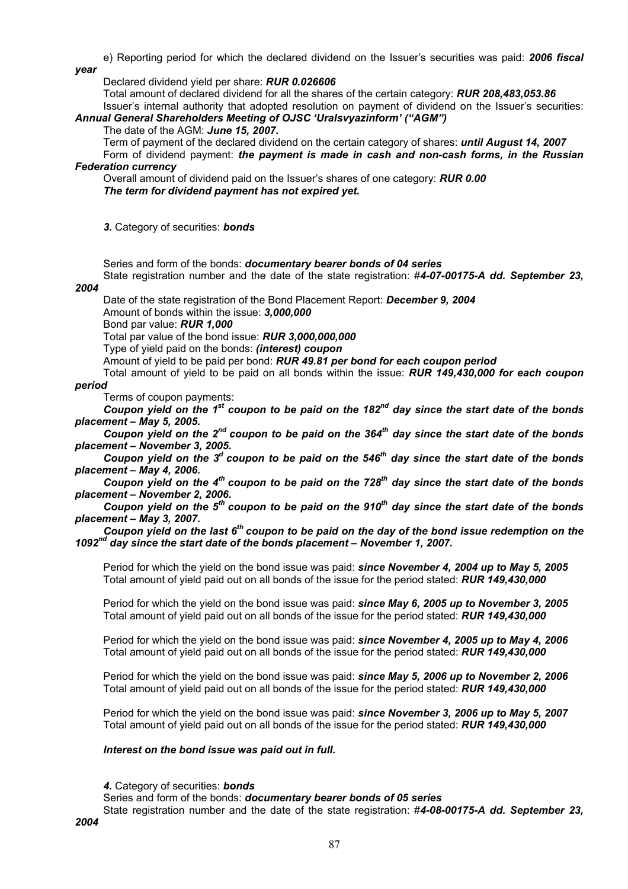e) Reporting period for which the declared dividend on the Issuer's securities was paid: *2006 fiscal year* 

Declared dividend yield per share: *RUR 0.026606* 

Total amount of declared dividend for all the shares of the certain category: *RUR 208,483,053.86*  Issuer's internal authority that adopted resolution on payment of dividend on the Issuer's securities:

# *Annual General Shareholders Meeting of OJSC 'Uralsvyazinform' ("AGM")*

The date of the AGM: *June 15, 2007.*

Term of payment of the declared dividend on the certain category of shares: *until August 14, 2007*  Form of dividend payment: *the payment is made in cash and non-cash forms, in the Russian Federation currency* 

Overall amount of dividend paid on the Issuer's shares of one category: *RUR 0.00 The term for dividend payment has not expired yet.*

*3.* Category of securities: *bonds* 

Series and form of the bonds: *documentary bearer bonds of 04 series* 

State registration number and the date of the state registration: #*4-07-00175-А dd. September 23,* 

# *2004*

Date of the state registration of the Bond Placement Report: *December 9, 2004* 

Amount of bonds within the issue: *3,000,000* 

Bond par value: *RUR 1,000* 

Total par value of the bond issue: *RUR 3,000,000,000* 

Type of yield paid on the bonds: *(interest) coupon* 

Amount of yield to be paid per bond: *RUR 49.81 per bond for each coupon period* 

Total amount of yield to be paid on all bonds within the issue: *RUR 149,430,000 for each coupon period* 

Terms of coupon payments:

*Coupon yield on the 1st coupon to be paid on the 182nd day since the start date of the bonds placement – May 5, 2005.* 

*Coupon yield on the 2nd coupon to be paid on the 364th day since the start date of the bonds placement – November 3, 2005.* 

Coupon yield on the 3<sup>d</sup> coupon to be paid on the 546<sup>th</sup> day since the start date of the bonds *placement – May 4, 2006.* 

Coupon yield on the 4<sup>th</sup> coupon to be paid on the 728<sup>th</sup> day since the start date of the bonds *placement – November 2, 2006.* 

*Coupon yield on the 5<sup>th</sup> coupon to be paid on the 910<sup>th</sup> day since the start date of the bonds placement – May 3, 2007.* 

*Coupon yield on the last 6th coupon to be paid on the day of the bond issue redemption on the 1092nd day since the start date of the bonds placement – November 1, 2007.* 

Period for which the yield on the bond issue was paid: *since November 4, 2004 up to May 5, 2005* Total amount of yield paid out on all bonds of the issue for the period stated: *RUR 149,430,000* 

Period for which the yield on the bond issue was paid: *since May 6, 2005 up to November 3, 2005* Total amount of yield paid out on all bonds of the issue for the period stated: *RUR 149,430,000* 

Period for which the yield on the bond issue was paid: *since November 4, 2005 up to May 4, 2006* Total amount of yield paid out on all bonds of the issue for the period stated: *RUR 149,430,000* 

Period for which the yield on the bond issue was paid: *since May 5, 2006 up to November 2, 2006* Total amount of yield paid out on all bonds of the issue for the period stated: *RUR 149,430,000* 

Period for which the yield on the bond issue was paid: *since November 3, 2006 up to May 5, 2007* Total amount of yield paid out on all bonds of the issue for the period stated: *RUR 149,430,000* 

# *Interest on the bond issue was paid out in full.*

*4.* Category of securities: *bonds* 

Series and form of the bonds: *documentary bearer bonds of 05 series* 

State registration number and the date of the state registration: #*4-08-00175-А dd. September 23,*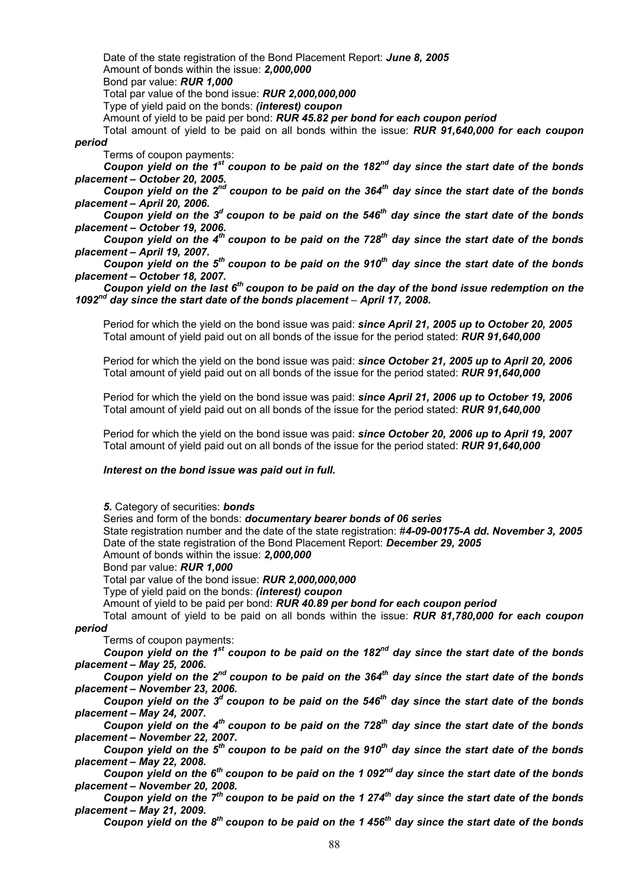Date of the state registration of the Bond Placement Report: *June 8, 2005*  Amount of bonds within the issue: *2,000,000*  Bond par value: *RUR 1,000* 

Total par value of the bond issue: *RUR 2,000,000,000* 

Type of yield paid on the bonds: *(interest) coupon* 

Amount of yield to be paid per bond: *RUR 45.82 per bond for each coupon period* 

Total amount of yield to be paid on all bonds within the issue: *RUR 91,640,000 for each coupon period* 

Terms of coupon payments:

*Coupon yield on the 1st coupon to be paid on the 182nd day since the start date of the bonds placement – October 20, 2005.* 

Coupon yield on the 2<sup>nd</sup> coupon to be paid on the 364<sup>th</sup> day since the start date of the bonds *placement – April 20, 2006.* 

*Coupon yield on the 3<sup>d</sup> coupon to be paid on the 546<sup>th</sup> day since the start date of the bonds placement – October 19, 2006.* 

*Coupon yield on the 4th coupon to be paid on the 728th day since the start date of the bonds placement – April 19, 2007.* 

Coupon yield on the 5<sup>th</sup> coupon to be paid on the 910<sup>th</sup> day since the start date of the bonds *placement – October 18, 2007.* 

*Coupon yield on the last 6th coupon to be paid on the day of the bond issue redemption on the 1092nd day since the start date of the bonds placement – April 17, 2008.* 

Period for which the yield on the bond issue was paid: *since April 21, 2005 up to October 20, 2005* Total amount of yield paid out on all bonds of the issue for the period stated: *RUR 91,640,000* 

Period for which the yield on the bond issue was paid: *since October 21, 2005 up to April 20, 2006* Total amount of yield paid out on all bonds of the issue for the period stated: *RUR 91,640,000* 

Period for which the yield on the bond issue was paid: *since April 21, 2006 up to October 19, 2006* Total amount of yield paid out on all bonds of the issue for the period stated: *RUR 91,640,000* 

Period for which the yield on the bond issue was paid: *since October 20, 2006 up to April 19, 2007* Total amount of yield paid out on all bonds of the issue for the period stated: *RUR 91,640,000* 

# *Interest on the bond issue was paid out in full.*

*5.* Category of securities: *bonds* 

Series and form of the bonds: *documentary bearer bonds of 06 series* 

State registration number and the date of the state registration: #*4-09-00175-А dd. November 3, 2005*  Date of the state registration of the Bond Placement Report: *December 29, 2005* 

Amount of bonds within the issue: *2,000,000* 

Bond par value: *RUR 1,000* 

Total par value of the bond issue: *RUR 2,000,000,000* 

Type of yield paid on the bonds: *(interest) coupon* 

Amount of yield to be paid per bond: *RUR 40.89 per bond for each coupon period* 

Total amount of yield to be paid on all bonds within the issue: *RUR 81,780,000 for each coupon period* 

Terms of coupon payments:

*Coupon yield on the 1st coupon to be paid on the 182nd day since the start date of the bonds placement – May 25, 2006.* 

*Coupon yield on the 2<sup>nd</sup> coupon to be paid on the 364<sup>th</sup> day since the start date of the bonds placement – November 23, 2006.* 

*Coupon yield on the 3<sup>d</sup> coupon to be paid on the 546<sup>th</sup> day since the start date of the bonds placement – May 24, 2007.* 

*Coupon yield on the 4<sup>th</sup> coupon to be paid on the 728<sup>th</sup> day since the start date of the bonds placement – November 22, 2007.* 

*Coupon yield on the 5<sup>th</sup> coupon to be paid on the 910<sup>th</sup> day since the start date of the bonds placement – May 22, 2008.* 

*Coupon yield on the 6th coupon to be paid on the 1 092nd day since the start date of the bonds placement – November 20, 2008.* 

*Coupon yield on the 7<sup>th</sup> coupon to be paid on the 1 274<sup>th</sup> day since the start date of the bonds placement – May 21, 2009.* 

Coupon yield on the 8<sup>th</sup> coupon to be paid on the 1 456<sup>th</sup> day since the start date of the bonds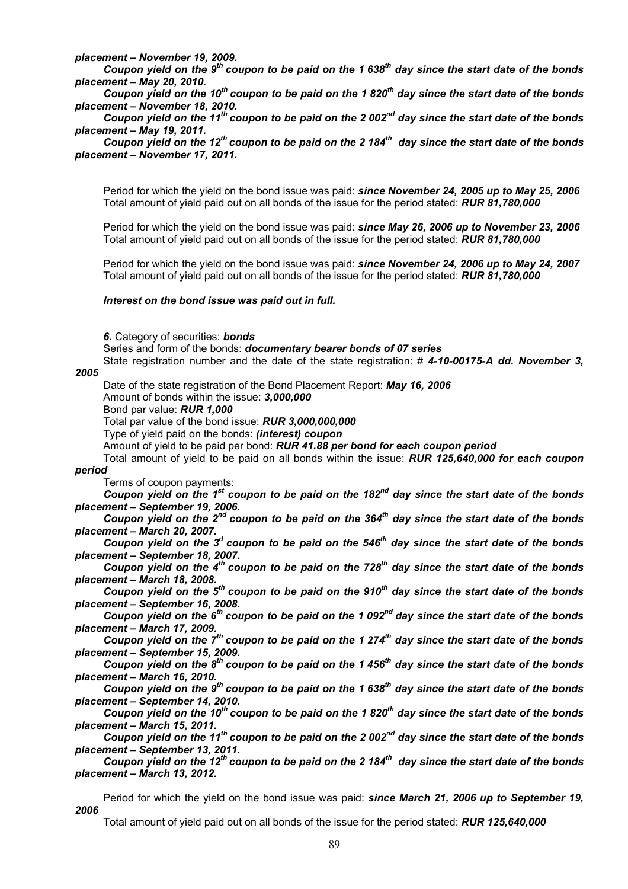*placement – November 19, 2009.* 

*Coupon yield on the 9th coupon to be paid on the 1 638th day since the start date of the bonds placement – May 20, 2010.* 

*Coupon yield on the 10th coupon to be paid on the 1 820th day since the start date of the bonds placement – November 18, 2010.* 

Coupon yield on the 11<sup>th</sup> coupon to be paid on the 2 002<sup>nd</sup> day since the start date of the bonds *placement – May 19, 2011.* 

Coupon yield on the 12<sup>th</sup> coupon to be paid on the 2 184<sup>th</sup> day since the start date of the bonds *placement – November 17, 2011.* 

Period for which the yield on the bond issue was paid: *since November 24, 2005 up to May 25, 2006* Total amount of yield paid out on all bonds of the issue for the period stated: *RUR 81,780,000* 

Period for which the yield on the bond issue was paid: *since May 26, 2006 up to November 23, 2006* Total amount of yield paid out on all bonds of the issue for the period stated: *RUR 81,780,000* 

Period for which the yield on the bond issue was paid: *since November 24, 2006 up to May 24, 2007* Total amount of yield paid out on all bonds of the issue for the period stated: *RUR 81,780,000* 

#### *Interest on the bond issue was paid out in full.*

*6.* Category of securities: *bonds* 

Series and form of the bonds: *documentary bearer bonds of 07 series* 

State registration number and the date of the state registration: # *4-10-00175-А dd. November 3,* 

# *2005*

Date of the state registration of the Bond Placement Report: *May 16, 2006*  Amount of bonds within the issue: *3,000,000* 

Bond par value: *RUR 1,000* 

Total par value of the bond issue: *RUR 3,000,000,000* 

Type of yield paid on the bonds: *(interest) coupon* 

Amount of yield to be paid per bond: *RUR 41.88 per bond for each coupon period* 

Total amount of yield to be paid on all bonds within the issue: *RUR 125,640,000 for each coupon* 

*period* 

Terms of coupon payments:

*Coupon yield on the 1st coupon to be paid on the 182nd day since the start date of the bonds placement – September 19, 2006.* 

*Coupon yield on the 2nd coupon to be paid on the 364th day since the start date of the bonds placement – March 20, 2007.* 

*Coupon yield on the 3<sup>d</sup> coupon to be paid on the 546<sup>th</sup> day since the start date of the bonds placement – September 18, 2007.* 

*Coupon yield on the 4<sup>th</sup> coupon to be paid on the 728<sup>th</sup> day since the start date of the bonds placement – March 18, 2008.* 

*Coupon yield on the 5<sup>th</sup> coupon to be paid on the 910<sup>th</sup> day since the start date of the bonds placement – September 16, 2008.* 

*Coupon yield on the 6th coupon to be paid on the 1 092nd day since the start date of the bonds placement – March 17, 2009.* 

*Coupon yield on the 7<sup>th</sup> coupon to be paid on the 1 274<sup>th</sup> day since the start date of the bonds placement – September 15, 2009.* 

Coupon yield on the 8<sup>th</sup> coupon to be paid on the 1 456<sup>th</sup> day since the start date of the bonds *placement – March 16, 2010.* 

Coupon yield on the 9<sup>th</sup> coupon to be paid on the 1 638<sup>th</sup> day since the start date of the bonds *placement – September 14, 2010.* 

Coupon yield on the 10<sup>th</sup> coupon to be paid on the 1 820<sup>th</sup> day since the start date of the bonds *placement – March 15, 2011.* 

*Coupon yield on the 11th coupon to be paid on the 2 002nd day since the start date of the bonds placement – September 13, 2011.* 

*Coupon yield on the 12th coupon to be paid on the 2 184th day since the start date of the bonds placement – March 13, 2012.* 

Period for which the yield on the bond issue was paid: *since March 21, 2006 up to September 19, 2006*

Total amount of yield paid out on all bonds of the issue for the period stated: *RUR 125,640,000*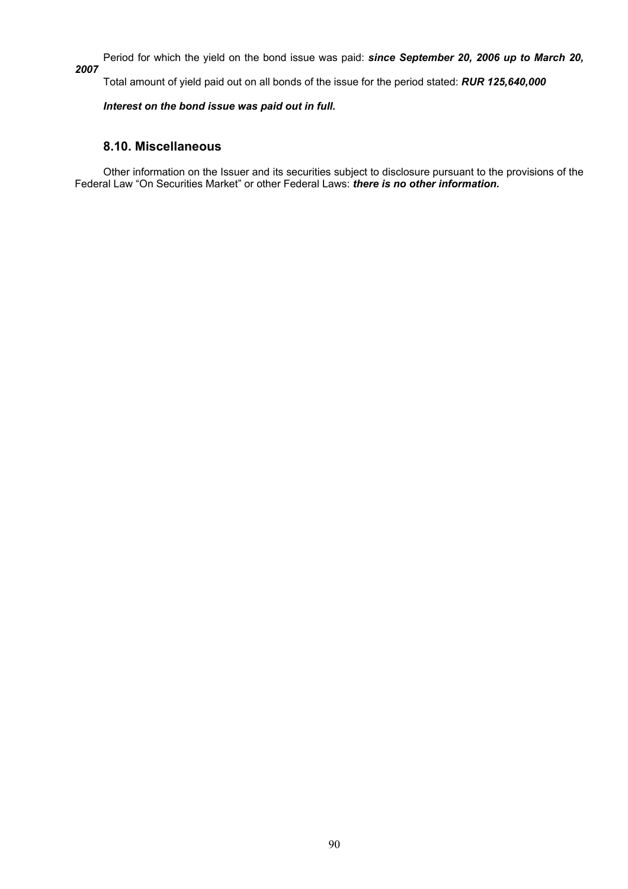Period for which the yield on the bond issue was paid: *since September 20, 2006 up to March 20,* 

*2007*

Total amount of yield paid out on all bonds of the issue for the period stated: *RUR 125,640,000* 

# *Interest on the bond issue was paid out in full.*

# **8.10. Miscellaneous**

Other information on the Issuer and its securities subject to disclosure pursuant to the provisions of the Federal Law "On Securities Market" or other Federal Laws: *there is no other information.*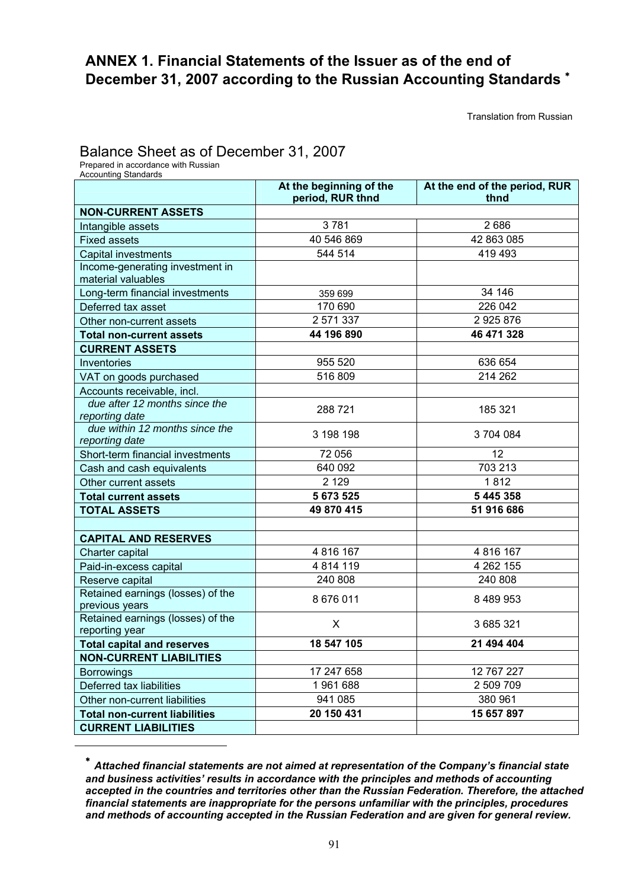# **ANNEX 1. Financial Statements of the Issuer as of the end of December 31, 2007 according to the Russian Accounting Standards** <sup>∗</sup>

Translation from Russian

# Balance Sheet as of December 31, 2007<br>Prepared in accordance with Russian

l

| <b>Accounting Standards</b> | . |  |  |  |
|-----------------------------|---|--|--|--|
|                             |   |  |  |  |

|                                                       | At the beginning of the<br>period, RUR thnd | At the end of the period, RUR<br>thnd |
|-------------------------------------------------------|---------------------------------------------|---------------------------------------|
| <b>NON-CURRENT ASSETS</b>                             |                                             |                                       |
| Intangible assets                                     | 3781                                        | 2686                                  |
| <b>Fixed assets</b>                                   | 40 546 869                                  | 42 863 085                            |
| Capital investments                                   | 544 514                                     | 419 493                               |
| Income-generating investment in<br>material valuables |                                             |                                       |
| Long-term financial investments                       | 359 699                                     | 34 146                                |
| Deferred tax asset                                    | 170 690                                     | 226 042                               |
| Other non-current assets                              | 2 571 337                                   | 2925876                               |
| <b>Total non-current assets</b>                       | 44 196 890                                  | 46 471 328                            |
| <b>CURRENT ASSETS</b>                                 |                                             |                                       |
| Inventories                                           | 955 520                                     | 636 654                               |
| VAT on goods purchased                                | 516 809                                     | 214 262                               |
| Accounts receivable, incl.                            |                                             |                                       |
| due after 12 months since the<br>reporting date       | 288721                                      | 185 321                               |
| due within 12 months since the<br>reporting date      | 3 198 198                                   | 3704084                               |
| Short-term financial investments                      | 72 056                                      | 12                                    |
| Cash and cash equivalents                             | 640 092                                     | 703 213                               |
| Other current assets                                  | 2 1 2 9                                     | 1812                                  |
| <b>Total current assets</b>                           | 5 673 525                                   | 5 445 358                             |
| <b>TOTAL ASSETS</b>                                   | 49 870 415                                  | 51 916 686                            |
|                                                       |                                             |                                       |
| <b>CAPITAL AND RESERVES</b>                           |                                             |                                       |
| Charter capital                                       | 4 816 167                                   | 4 816 167                             |
| Paid-in-excess capital                                | 4 8 14 1 19                                 | 4 262 155                             |
| Reserve capital                                       | 240 808                                     | 240 808                               |
| Retained earnings (losses) of the<br>previous years   | 8 676 011                                   | 8 489 953                             |
| Retained earnings (losses) of the<br>reporting year   | X                                           | 3 685 321                             |
| <b>Total capital and reserves</b>                     | 18 547 105                                  | 21 494 404                            |
| <b>NON-CURRENT LIABILITIES</b>                        |                                             |                                       |
| <b>Borrowings</b>                                     | 17 247 658                                  | 12 767 227                            |
| Deferred tax liabilities                              | 1961688                                     | 2 509 709                             |
| Other non-current liabilities                         | 941 085                                     | 380 961                               |
| <b>Total non-current liabilities</b>                  | 20 150 431                                  | 15 657 897                            |
| <b>CURRENT LIABILITIES</b>                            |                                             |                                       |

<sup>∗</sup> *Attached financial statements are not aimed at representation of the Company's financial state and business activities' results in accordance with the principles and methods of accounting accepted in the countries and territories other than the Russian Federation. Therefore, the attached financial statements are inappropriate for the persons unfamiliar with the principles, procedures and methods of accounting accepted in the Russian Federation and are given for general review.*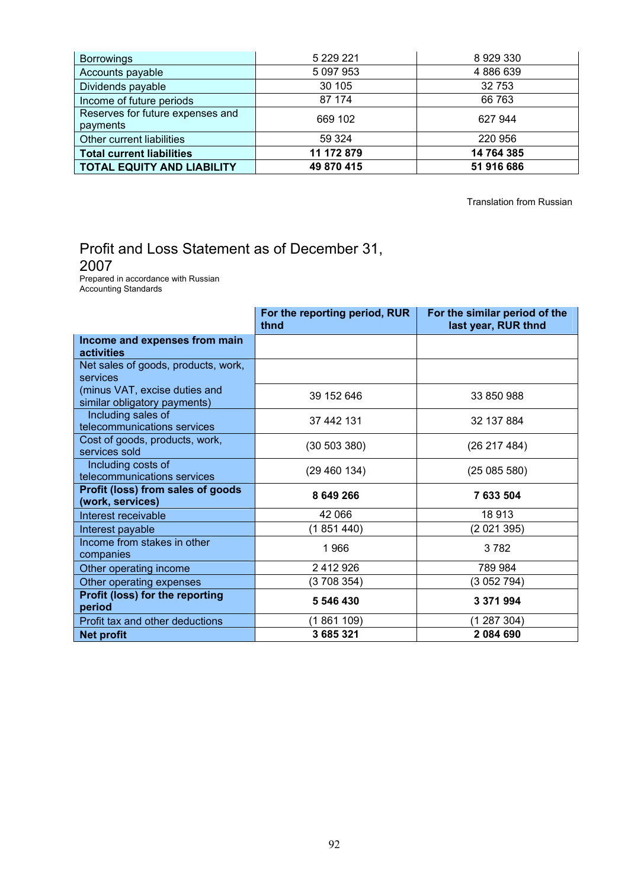| <b>Borrowings</b>                            | 5 229 221  | 8929330    |
|----------------------------------------------|------------|------------|
| Accounts payable                             | 5 097 953  | 4886639    |
| Dividends payable                            | 30 105     | 32 753     |
| Income of future periods                     | 87 174     | 66 763     |
| Reserves for future expenses and<br>payments | 669 102    | 627 944    |
| Other current liabilities                    | 59 324     | 220 956    |
| <b>Total current liabilities</b>             | 11 172 879 | 14 764 385 |
| <b>TOTAL EQUITY AND LIABILITY</b>            | 49 870 415 | 51 916 686 |

Translation from Russian

# Profit and Loss Statement as of December 31,

2007<br>Prepared in accordance with Russian Accounting Standards

|                                                               | For the reporting period, RUR<br>thnd | For the similar period of the<br>last year, RUR thnd |
|---------------------------------------------------------------|---------------------------------------|------------------------------------------------------|
| Income and expenses from main<br>activities                   |                                       |                                                      |
| Net sales of goods, products, work,<br>services               |                                       |                                                      |
| (minus VAT, excise duties and<br>similar obligatory payments) | 39 152 646                            | 33 850 988                                           |
| Including sales of<br>telecommunications services             | 37 442 131                            | 32 137 884                                           |
| Cost of goods, products, work,<br>services sold               | (30 503 380)                          | (26 217 484)                                         |
| Including costs of<br>telecommunications services             | (29 460 134)                          | (25085580)                                           |
| Profit (loss) from sales of goods<br>(work, services)         | 8 649 266                             | 7 633 504                                            |
| Interest receivable                                           | 42 066                                | 18 913                                               |
| Interest payable                                              | (1851440)                             | (2021395)                                            |
| Income from stakes in other<br>companies                      | 1966                                  | 3782                                                 |
| Other operating income                                        | 2 412 926                             | 789 984                                              |
| Other operating expenses                                      | (3 708 354)                           | (3 052 794)                                          |
| Profit (loss) for the reporting<br>period                     | 5 546 430                             | 3 371 994                                            |
| Profit tax and other deductions                               | (1861 109)                            | (1 287 304)                                          |
| <b>Net profit</b>                                             | 3 685 321                             | 2084690                                              |